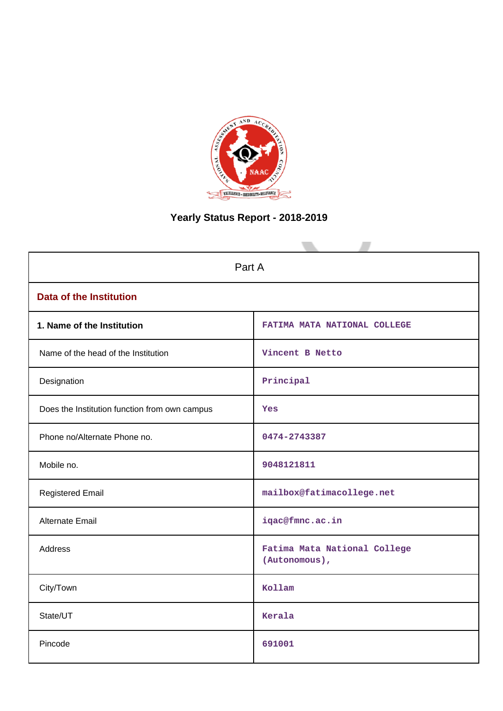

# **Yearly Status Report - 2018-2019**

| Part A                                        |                                               |  |  |  |  |
|-----------------------------------------------|-----------------------------------------------|--|--|--|--|
| <b>Data of the Institution</b>                |                                               |  |  |  |  |
| 1. Name of the Institution                    | FATIMA MATA NATIONAL COLLEGE                  |  |  |  |  |
| Name of the head of the Institution           | Vincent B Netto                               |  |  |  |  |
| Designation                                   | Principal                                     |  |  |  |  |
| Does the Institution function from own campus | Yes                                           |  |  |  |  |
| Phone no/Alternate Phone no.                  | 0474-2743387                                  |  |  |  |  |
| Mobile no.                                    | 9048121811                                    |  |  |  |  |
| <b>Registered Email</b>                       | mailbox@fatimacollege.net                     |  |  |  |  |
| Alternate Email                               | iqac@fmnc.ac.in                               |  |  |  |  |
| <b>Address</b>                                | Fatima Mata National College<br>(Autonomous), |  |  |  |  |
| City/Town                                     | Kollam                                        |  |  |  |  |
| State/UT                                      | Kerala                                        |  |  |  |  |
| Pincode                                       | 691001                                        |  |  |  |  |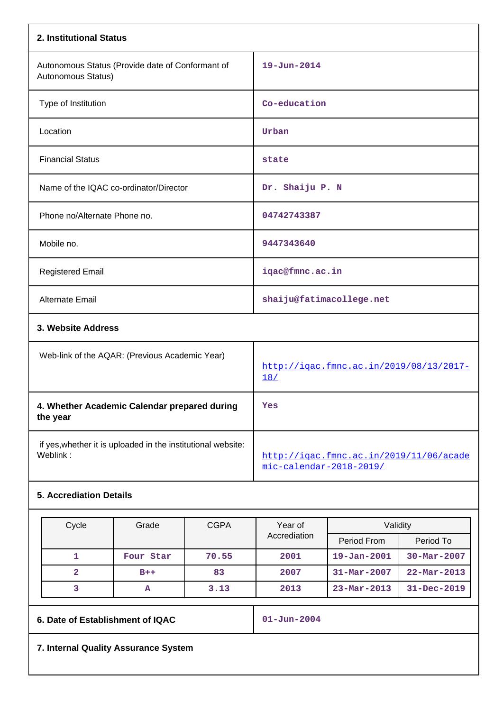| 2. Institutional Status                                                  |                                                                    |
|--------------------------------------------------------------------------|--------------------------------------------------------------------|
| Autonomous Status (Provide date of Conformant of<br>Autonomous Status)   | $19 - Jun - 2014$                                                  |
| Type of Institution                                                      | Co-education                                                       |
| Location                                                                 | Urban                                                              |
| <b>Financial Status</b>                                                  | state                                                              |
| Name of the IQAC co-ordinator/Director                                   | Dr. Shaiju P. N                                                    |
| Phone no/Alternate Phone no.                                             | 04742743387                                                        |
| Mobile no.                                                               | 9447343640                                                         |
| <b>Registered Email</b>                                                  | iqac@fmnc.ac.in                                                    |
| Alternate Email                                                          | shaiju@fatimacollege.net                                           |
| 3. Website Address                                                       |                                                                    |
| Web-link of the AQAR: (Previous Academic Year)                           | http://igac.fmnc.ac.in/2019/08/13/2017-<br>18/                     |
| 4. Whether Academic Calendar prepared during<br>the year                 | Yes                                                                |
| if yes, whether it is uploaded in the institutional website:<br>Weblink: | http://igac.fmnc.ac.in/2019/11/06/acade<br>mic-calendar-2018-2019/ |

## **5. Accrediation Details**

| Cycle          | Grade     | <b>CGPA</b>  | Year of      | Validity                 |                          |
|----------------|-----------|--------------|--------------|--------------------------|--------------------------|
|                |           |              | Accrediation | Period From              | Period To                |
|                | Four Star | 70.55        | 2001         | $19 - Jan - 2001$        | $30 - \text{Mar} - 2007$ |
| $\overline{2}$ | $B++$     | 83           | 2007         | $31 - \text{Mar} - 2007$ | $22 - \text{Mar} - 2013$ |
|                | А         | 3.13<br>2013 |              | $23 - Mar - 2013$        | $31 - Dec - 2019$        |

**6. Date of Establishment of IQAC 01-Jun-2004**

**7. Internal Quality Assurance System**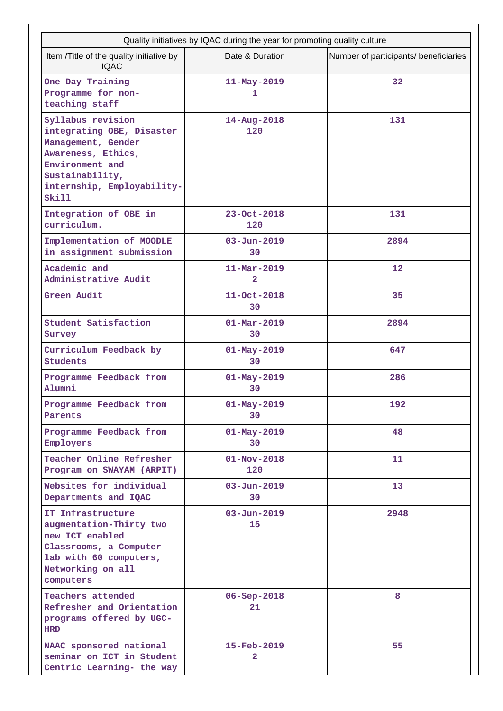| Quality initiatives by IQAC during the year for promoting quality culture                                                                                               |                                            |                                       |  |  |  |
|-------------------------------------------------------------------------------------------------------------------------------------------------------------------------|--------------------------------------------|---------------------------------------|--|--|--|
| Item /Title of the quality initiative by<br><b>IQAC</b>                                                                                                                 | Date & Duration                            | Number of participants/ beneficiaries |  |  |  |
| One Day Training<br>Programme for non-<br>teaching staff                                                                                                                | $11 - May - 2019$<br>1                     | 32                                    |  |  |  |
| Syllabus revision<br>integrating OBE, Disaster<br>Management, Gender<br>Awareness, Ethics,<br>Environment and<br>Sustainability,<br>internship, Employability-<br>Skill | $14 - Aug - 2018$<br>120                   | 131                                   |  |  |  |
| Integration of OBE in<br>curriculum.                                                                                                                                    | $23 - Oct - 2018$<br>120                   | 131                                   |  |  |  |
| Implementation of MOODLE<br>in assignment submission                                                                                                                    | $03 - Jun - 2019$<br>30                    | 2894                                  |  |  |  |
| Academic and<br>Administrative Audit                                                                                                                                    | $11 - \text{Mar} - 2019$<br>$\overline{a}$ | 12                                    |  |  |  |
| Green Audit                                                                                                                                                             | 11-Oct-2018<br>30                          | 35                                    |  |  |  |
| Student Satisfaction<br>Survey                                                                                                                                          | $01 - \text{Mar} - 2019$<br>30             | 2894                                  |  |  |  |
| Curriculum Feedback by<br><b>Students</b>                                                                                                                               | $01 - May - 2019$<br>30                    | 647                                   |  |  |  |
| Programme Feedback from<br>Alumni                                                                                                                                       | $01 - May - 2019$<br>30                    | 286                                   |  |  |  |
| Programme Feedback from<br>Parents                                                                                                                                      | $01 - May - 2019$<br>30                    | 192                                   |  |  |  |
| Programme Feedback from<br>Employers                                                                                                                                    | $01 - May - 2019$<br>30                    | 48                                    |  |  |  |
| Teacher Online Refresher<br>Program on SWAYAM (ARPIT)                                                                                                                   | $01 - Nov - 2018$<br>120                   | 11                                    |  |  |  |
| Websites for individual<br>Departments and IQAC                                                                                                                         | $03 - Jun - 2019$<br>30                    | 13                                    |  |  |  |
| IT Infrastructure<br>augmentation-Thirty two<br>new ICT enabled<br>Classrooms, a Computer<br>lab with 60 computers,<br>Networking on all<br>computers                   | $03 - Jun - 2019$<br>15                    | 2948                                  |  |  |  |
| Teachers attended<br>Refresher and Orientation<br>programs offered by UGC-<br><b>HRD</b>                                                                                | $06 - Sep - 2018$<br>21                    | 8                                     |  |  |  |
| NAAC sponsored national<br>seminar on ICT in Student<br>Centric Learning- the way                                                                                       | 15-Feb-2019<br>$\overline{2}$              | 55                                    |  |  |  |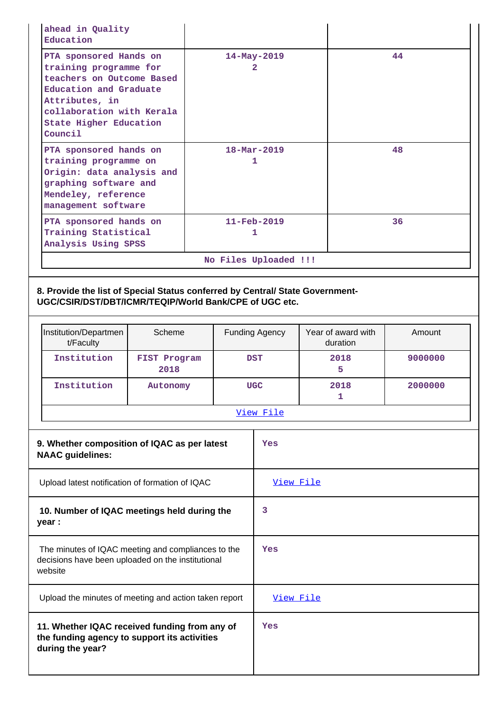| ahead in Quality<br>Education                                                                                                                                                                      |                      |                       |                               |                                |         |
|----------------------------------------------------------------------------------------------------------------------------------------------------------------------------------------------------|----------------------|-----------------------|-------------------------------|--------------------------------|---------|
| PTA sponsored Hands on<br>training programme for<br>teachers on Outcome Based<br>Education and Graduate<br>Attributes, in<br>collaboration with Kerala<br><b>State Higher Education</b><br>Council |                      |                       | 14-May-2019<br>$\overline{2}$ |                                | 44      |
| PTA sponsored hands on<br>training programme on<br>Origin: data analysis and<br>graphing software and<br>Mendeley, reference<br>management software                                                |                      |                       | $18 - \text{Mar} - 2019$<br>1 |                                | 48      |
| PTA sponsored hands on<br>Training Statistical<br>Analysis Using SPSS                                                                                                                              |                      |                       | $11 - \text{Feb} - 2019$<br>1 |                                | 36      |
|                                                                                                                                                                                                    |                      | No Files Uploaded !!! |                               |                                |         |
| UGC/CSIR/DST/DBT/ICMR/TEQIP/World Bank/CPE of UGC etc.<br>Institution/Departmen<br>t/Faculty                                                                                                       | Scheme               |                       | <b>Funding Agency</b>         | Year of award with<br>duration | Amount  |
| Institution                                                                                                                                                                                        | FIST Program<br>2018 |                       | <b>DST</b>                    | 2018<br>5.                     | 9000000 |
| Institution                                                                                                                                                                                        | Autonomy             |                       | <b>UGC</b>                    | 2018<br>1                      | 2000000 |
|                                                                                                                                                                                                    |                      |                       | View File                     |                                |         |
| 9. Whether composition of IQAC as per latest                                                                                                                                                       |                      |                       | Yes                           |                                |         |
| <b>NAAC</b> guidelines:                                                                                                                                                                            |                      |                       |                               |                                |         |
| Upload latest notification of formation of IQAC                                                                                                                                                    |                      |                       | View File                     |                                |         |
| 10. Number of IQAC meetings held during the<br>year :                                                                                                                                              |                      |                       | 3                             |                                |         |
| The minutes of IQAC meeting and compliances to the<br>decisions have been uploaded on the institutional<br>website                                                                                 |                      |                       | Yes                           |                                |         |

| 11. Whether IQAC received funding from any of<br>the funding agency to support its activities<br>during the year? | Yes |
|-------------------------------------------------------------------------------------------------------------------|-----|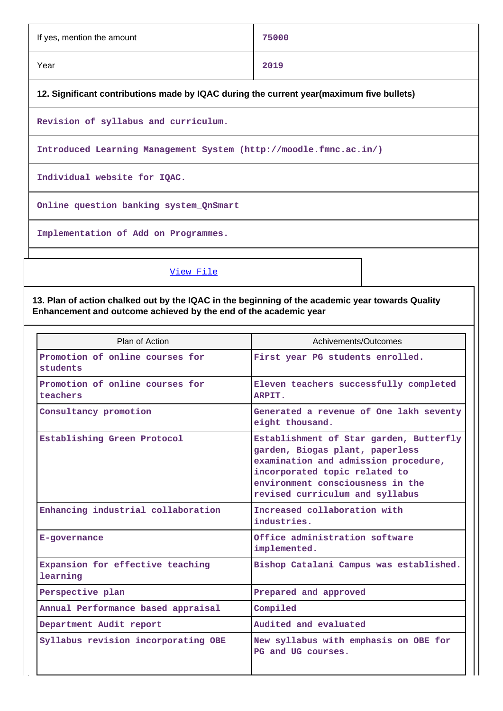| If yes, mention the amount | 75000 |
|----------------------------|-------|
| Year                       | 2019  |

## **12. Significant contributions made by IQAC during the current year(maximum five bullets)**

**Revision of syllabus and curriculum.**

**Introduced Learning Management System (http://moodle.fmnc.ac.in/)**

**Individual website for IQAC.**

**Online question banking system\_QnSmart**

**Implementation of Add on Programmes.**

### [View File](https://assessmentonline.naac.gov.in/public/Postacc/Contribution/1831_Contribution.xlsx)

## **13. Plan of action chalked out by the IQAC in the beginning of the academic year towards Quality Enhancement and outcome achieved by the end of the academic year**

| Plan of Action                               | Achivements/Outcomes                                                                                                                                                                                                       |
|----------------------------------------------|----------------------------------------------------------------------------------------------------------------------------------------------------------------------------------------------------------------------------|
| Promotion of online courses for<br>students  | First year PG students enrolled.                                                                                                                                                                                           |
| Promotion of online courses for<br>teachers  | Eleven teachers successfully completed<br>ARPIT.                                                                                                                                                                           |
| Consultancy promotion                        | Generated a revenue of One lakh seventy<br>eight thousand.                                                                                                                                                                 |
| Establishing Green Protocol                  | Establishment of Star garden, Butterfly<br>garden, Biogas plant, paperless<br>examination and admission procedure,<br>incorporated topic related to<br>environment consciousness in the<br>revised curriculum and syllabus |
| Enhancing industrial collaboration           | Increased collaboration with<br>industries.                                                                                                                                                                                |
| E-governance                                 | Office administration software<br>implemented.                                                                                                                                                                             |
| Expansion for effective teaching<br>learning | Bishop Catalani Campus was established.                                                                                                                                                                                    |
| Perspective plan                             | Prepared and approved                                                                                                                                                                                                      |
| Annual Performance based appraisal           | Compiled                                                                                                                                                                                                                   |
| Department Audit report                      | Audited and evaluated                                                                                                                                                                                                      |
| Syllabus revision incorporating OBE          | New syllabus with emphasis on OBE for<br>PG and UG courses.                                                                                                                                                                |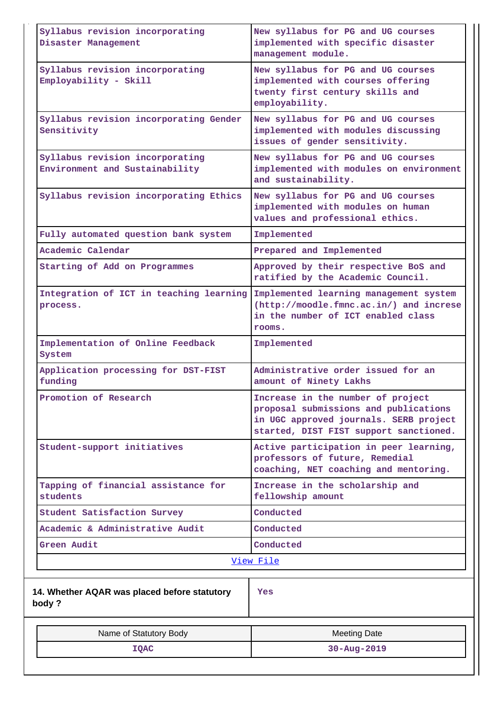| Syllabus revision incorporating<br>Disaster Management            | New syllabus for PG and UG courses<br>implemented with specific disaster<br>management module.                                                                 |  |  |  |  |
|-------------------------------------------------------------------|----------------------------------------------------------------------------------------------------------------------------------------------------------------|--|--|--|--|
| Syllabus revision incorporating<br>Employability - Skill          | New syllabus for PG and UG courses<br>implemented with courses offering<br>twenty first century skills and<br>employability.                                   |  |  |  |  |
| Syllabus revision incorporating Gender<br>Sensitivity             | New syllabus for PG and UG courses<br>implemented with modules discussing<br>issues of gender sensitivity.                                                     |  |  |  |  |
| Syllabus revision incorporating<br>Environment and Sustainability | New syllabus for PG and UG courses<br>implemented with modules on environment<br>and sustainability.                                                           |  |  |  |  |
| Syllabus revision incorporating Ethics                            | New syllabus for PG and UG courses<br>implemented with modules on human<br>values and professional ethics.                                                     |  |  |  |  |
| Fully automated question bank system                              | Implemented                                                                                                                                                    |  |  |  |  |
| Academic Calendar                                                 | Prepared and Implemented                                                                                                                                       |  |  |  |  |
| Starting of Add on Programmes                                     | Approved by their respective BoS and<br>ratified by the Academic Council.                                                                                      |  |  |  |  |
| Integration of ICT in teaching learning<br>process.               | Implemented learning management system<br>(http://moodle.fmnc.ac.in/) and increse<br>in the number of ICT enabled class<br>rooms.                              |  |  |  |  |
| Implementation of Online Feedback<br>System                       | Implemented                                                                                                                                                    |  |  |  |  |
| Application processing for DST-FIST<br>funding                    | Administrative order issued for an<br>amount of Ninety Lakhs                                                                                                   |  |  |  |  |
| Promotion of Research                                             | Increase in the number of project<br>proposal submissions and publications<br>in UGC approved journals. SERB project<br>started, DIST FIST support sanctioned. |  |  |  |  |
| Student-support initiatives                                       | Active participation in peer learning,<br>professors of future, Remedial<br>coaching, NET coaching and mentoring.                                              |  |  |  |  |
| Tapping of financial assistance for<br>students                   | Increase in the scholarship and<br>fellowship amount                                                                                                           |  |  |  |  |
| Student Satisfaction Survey                                       | Conducted                                                                                                                                                      |  |  |  |  |
| Academic & Administrative Audit                                   | Conducted                                                                                                                                                      |  |  |  |  |
| Green Audit                                                       | Conducted                                                                                                                                                      |  |  |  |  |
|                                                                   | View File                                                                                                                                                      |  |  |  |  |
|                                                                   |                                                                                                                                                                |  |  |  |  |
| 14. Whether AQAR was placed before statutory<br>body?             | Yes                                                                                                                                                            |  |  |  |  |
| Name of Statutory Body                                            | <b>Meeting Date</b>                                                                                                                                            |  |  |  |  |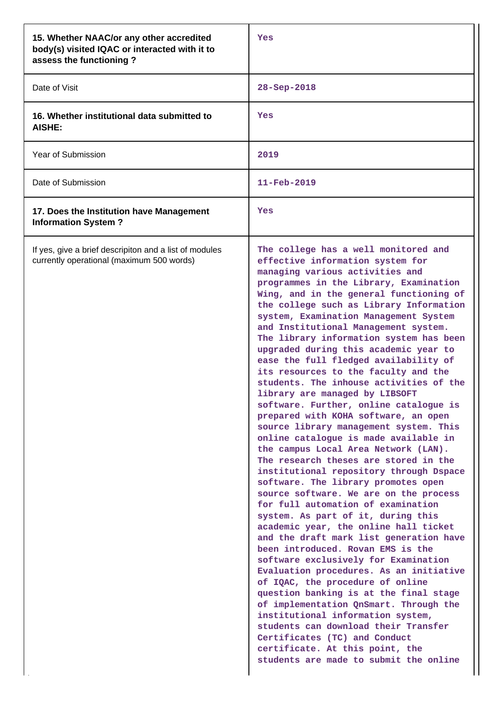| 15. Whether NAAC/or any other accredited<br>body(s) visited IQAC or interacted with it to<br>assess the functioning? | Yes                                                                                                                                                                                                                                                                                                                                                                                                                                                                                                                                                                                                                                                                                                                                                                                                                                                                                                                                                                                                                                                                                                                                                                                                                                                                                                                                                                                                                                                                                                                                                                         |  |  |
|----------------------------------------------------------------------------------------------------------------------|-----------------------------------------------------------------------------------------------------------------------------------------------------------------------------------------------------------------------------------------------------------------------------------------------------------------------------------------------------------------------------------------------------------------------------------------------------------------------------------------------------------------------------------------------------------------------------------------------------------------------------------------------------------------------------------------------------------------------------------------------------------------------------------------------------------------------------------------------------------------------------------------------------------------------------------------------------------------------------------------------------------------------------------------------------------------------------------------------------------------------------------------------------------------------------------------------------------------------------------------------------------------------------------------------------------------------------------------------------------------------------------------------------------------------------------------------------------------------------------------------------------------------------------------------------------------------------|--|--|
| Date of Visit                                                                                                        | 28-Sep-2018                                                                                                                                                                                                                                                                                                                                                                                                                                                                                                                                                                                                                                                                                                                                                                                                                                                                                                                                                                                                                                                                                                                                                                                                                                                                                                                                                                                                                                                                                                                                                                 |  |  |
| 16. Whether institutional data submitted to<br><b>AISHE:</b>                                                         | Yes                                                                                                                                                                                                                                                                                                                                                                                                                                                                                                                                                                                                                                                                                                                                                                                                                                                                                                                                                                                                                                                                                                                                                                                                                                                                                                                                                                                                                                                                                                                                                                         |  |  |
| Year of Submission                                                                                                   | 2019                                                                                                                                                                                                                                                                                                                                                                                                                                                                                                                                                                                                                                                                                                                                                                                                                                                                                                                                                                                                                                                                                                                                                                                                                                                                                                                                                                                                                                                                                                                                                                        |  |  |
| Date of Submission                                                                                                   | $11 - \text{Feb} - 2019$                                                                                                                                                                                                                                                                                                                                                                                                                                                                                                                                                                                                                                                                                                                                                                                                                                                                                                                                                                                                                                                                                                                                                                                                                                                                                                                                                                                                                                                                                                                                                    |  |  |
| 17. Does the Institution have Management<br><b>Information System?</b>                                               | Yes                                                                                                                                                                                                                                                                                                                                                                                                                                                                                                                                                                                                                                                                                                                                                                                                                                                                                                                                                                                                                                                                                                                                                                                                                                                                                                                                                                                                                                                                                                                                                                         |  |  |
| If yes, give a brief descripiton and a list of modules<br>currently operational (maximum 500 words)                  | The college has a well monitored and<br>effective information system for<br>managing various activities and<br>programmes in the Library, Examination<br>Wing, and in the general functioning of<br>the college such as Library Information<br>system, Examination Management System<br>and Institutional Management system.<br>The library information system has been<br>upgraded during this academic year to<br>ease the full fledged availability of<br>its resources to the faculty and the<br>students. The inhouse activities of the<br>library are managed by LIBSOFT<br>software. Further, online catalogue is<br>prepared with KOHA software, an open<br>source library management system. This<br>online catalogue is made available in<br>the campus Local Area Network (LAN).<br>The research theses are stored in the<br>institutional repository through Dspace<br>software. The library promotes open<br>source software. We are on the process<br>for full automation of examination<br>system. As part of it, during this<br>academic year, the online hall ticket<br>and the draft mark list generation have<br>been introduced. Rovan EMS is the<br>software exclusively for Examination<br>Evaluation procedures. As an initiative<br>of IQAC, the procedure of online<br>question banking is at the final stage<br>of implementation QnSmart. Through the<br>institutional information system,<br>students can download their Transfer<br>Certificates (TC) and Conduct<br>certificate. At this point, the<br>students are made to submit the online |  |  |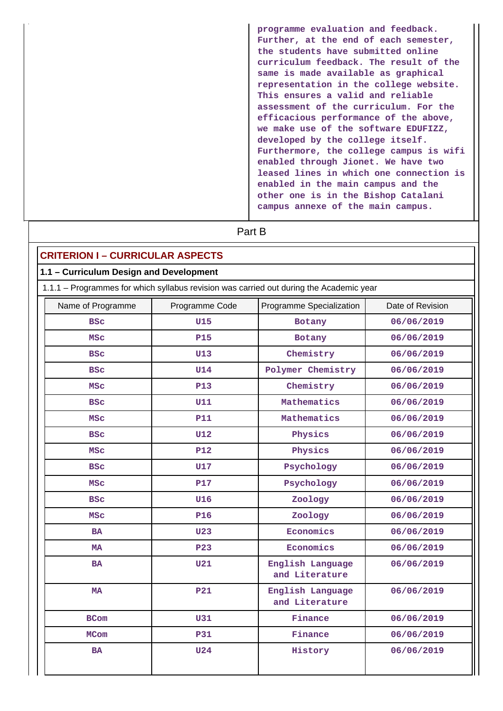**programme evaluation and feedback. Further, at the end of each semester, the students have submitted online curriculum feedback. The result of the same is made available as graphical representation in the college website. This ensures a valid and reliable assessment of the curriculum. For the efficacious performance of the above, we make use of the software EDUFIZZ, developed by the college itself. Furthermore, the college campus is wifi enabled through Jionet. We have two leased lines in which one connection is enabled in the main campus and the other one is in the Bishop Catalani campus annexe of the main campus.**

# **Part B**

## **CRITERION I – CURRICULAR ASPECTS**

#### **1.1 – Curriculum Design and Development**

1.1.1 – Programmes for which syllabus revision was carried out during the Academic year

| Name of Programme | Programme Code | Programme Specialization           | Date of Revision |  |
|-------------------|----------------|------------------------------------|------------------|--|
| <b>BSC</b>        | <b>U15</b>     | Botany                             | 06/06/2019       |  |
| <b>MSC</b>        | <b>P15</b>     | Botany                             | 06/06/2019       |  |
| <b>BSC</b>        | <b>U13</b>     | Chemistry                          | 06/06/2019       |  |
| <b>BSC</b>        | <b>U14</b>     | Polymer Chemistry                  | 06/06/2019       |  |
| <b>MSC</b>        | <b>P13</b>     | Chemistry                          | 06/06/2019       |  |
| <b>BSC</b>        | <b>U11</b>     | Mathematics                        | 06/06/2019       |  |
| <b>MSC</b>        | <b>P11</b>     | Mathematics                        | 06/06/2019       |  |
| <b>BSC</b>        | <b>U12</b>     | Physics                            | 06/06/2019       |  |
| <b>MSC</b>        | <b>P12</b>     | Physics                            | 06/06/2019       |  |
| <b>BSC</b>        | <b>U17</b>     | Psychology                         | 06/06/2019       |  |
| <b>MSC</b>        | <b>P17</b>     | Psychology                         | 06/06/2019       |  |
| <b>BSC</b>        | <b>U16</b>     | Zoology                            | 06/06/2019       |  |
| <b>MSC</b>        | <b>P16</b>     | Zoology                            | 06/06/2019       |  |
| <b>BA</b>         | <b>U23</b>     | Economics                          | 06/06/2019       |  |
| <b>MA</b>         | <b>P23</b>     | Economics                          | 06/06/2019       |  |
| <b>BA</b>         | <b>U21</b>     | English Language<br>and Literature | 06/06/2019       |  |
| <b>MA</b>         | <b>P21</b>     | English Language<br>and Literature | 06/06/2019       |  |
| <b>BCom</b>       | <b>U31</b>     | Finance                            | 06/06/2019       |  |
| <b>MCom</b>       | <b>P31</b>     | Finance                            | 06/06/2019       |  |
| <b>BA</b>         | <b>U24</b>     | History                            | 06/06/2019       |  |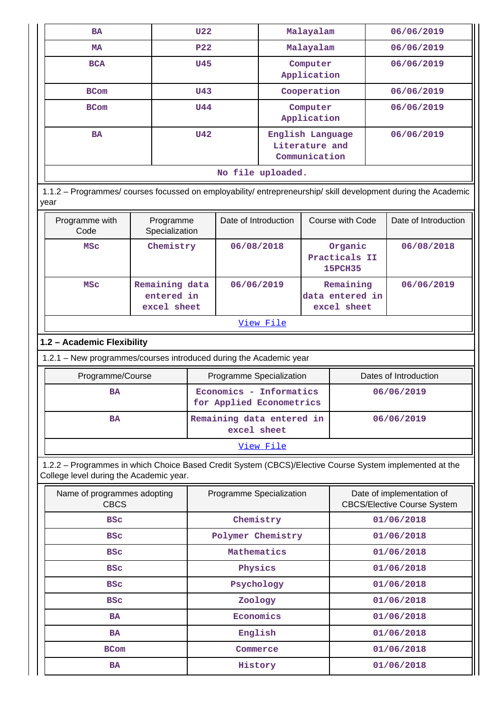| <b>BA</b>                                                                                                                                          |                                             | <b>U22</b>                            |                                                     | Malayalam                                           |                                            |                                             | 06/06/2019                                                      |  |
|----------------------------------------------------------------------------------------------------------------------------------------------------|---------------------------------------------|---------------------------------------|-----------------------------------------------------|-----------------------------------------------------|--------------------------------------------|---------------------------------------------|-----------------------------------------------------------------|--|
| <b>MA</b>                                                                                                                                          |                                             | P <sub>22</sub>                       |                                                     | Malayalam                                           |                                            |                                             | 06/06/2019                                                      |  |
| <b>BCA</b>                                                                                                                                         |                                             | <b>U45</b>                            |                                                     | Computer<br>Application                             |                                            |                                             | 06/06/2019                                                      |  |
| <b>BCom</b>                                                                                                                                        |                                             | <b>U43</b>                            |                                                     | Cooperation                                         |                                            |                                             | 06/06/2019                                                      |  |
| <b>BCom</b>                                                                                                                                        |                                             | <b>U44</b><br>Computer<br>Application |                                                     |                                                     |                                            | 06/06/2019                                  |                                                                 |  |
| <b>BA</b>                                                                                                                                          |                                             | <b>U42</b>                            |                                                     | English Language<br>Literature and<br>Communication |                                            |                                             | 06/06/2019                                                      |  |
|                                                                                                                                                    |                                             |                                       | No file uploaded.                                   |                                                     |                                            |                                             |                                                                 |  |
| 1.1.2 - Programmes/ courses focussed on employability/ entrepreneurship/ skill development during the Academic<br>year                             |                                             |                                       |                                                     |                                                     |                                            |                                             |                                                                 |  |
| Programme with<br>Code                                                                                                                             | Programme<br>Specialization                 |                                       | Date of Introduction                                |                                                     |                                            | Course with Code                            | Date of Introduction                                            |  |
| <b>MSC</b>                                                                                                                                         | Chemistry                                   |                                       | 06/08/2018                                          |                                                     | Organic<br>Practicals II<br><b>15PCH35</b> |                                             | 06/08/2018                                                      |  |
| <b>MSC</b>                                                                                                                                         | Remaining data<br>entered in<br>excel sheet |                                       |                                                     | 06/06/2019                                          |                                            | Remaining<br>data entered in<br>excel sheet | 06/06/2019                                                      |  |
| View File                                                                                                                                          |                                             |                                       |                                                     |                                                     |                                            |                                             |                                                                 |  |
| 1.2 - Academic Flexibility                                                                                                                         |                                             |                                       |                                                     |                                                     |                                            |                                             |                                                                 |  |
| 1.2.1 - New programmes/courses introduced during the Academic year                                                                                 |                                             |                                       |                                                     |                                                     |                                            |                                             |                                                                 |  |
| Programme/Course<br>Programme Specialization                                                                                                       |                                             |                                       |                                                     |                                                     |                                            |                                             | Dates of Introduction                                           |  |
| <b>BA</b>                                                                                                                                          |                                             |                                       | Economics - Informatics<br>for Applied Econometrics |                                                     |                                            |                                             | 06/06/2019                                                      |  |
| <b>BA</b>                                                                                                                                          |                                             |                                       | Remaining data entered in<br>excel sheet            |                                                     |                                            |                                             | 06/06/2019                                                      |  |
|                                                                                                                                                    |                                             |                                       |                                                     | View File                                           |                                            |                                             |                                                                 |  |
| 1.2.2 - Programmes in which Choice Based Credit System (CBCS)/Elective Course System implemented at the<br>College level during the Academic year. |                                             |                                       |                                                     |                                                     |                                            |                                             |                                                                 |  |
| Name of programmes adopting<br><b>CBCS</b>                                                                                                         |                                             |                                       | Programme Specialization                            |                                                     |                                            |                                             | Date of implementation of<br><b>CBCS/Elective Course System</b> |  |
| <b>BSC</b>                                                                                                                                         |                                             |                                       | Chemistry                                           |                                                     | 01/06/2018                                 |                                             |                                                                 |  |
| Polymer Chemistry<br><b>BSC</b>                                                                                                                    |                                             | 01/06/2018                            |                                                     |                                                     |                                            |                                             |                                                                 |  |
| <b>BSC</b>                                                                                                                                         |                                             |                                       |                                                     | Mathematics<br>01/06/2018                           |                                            |                                             |                                                                 |  |
| <b>BSC</b>                                                                                                                                         |                                             |                                       |                                                     | Physics<br>01/06/2018                               |                                            |                                             |                                                                 |  |
| <b>BSC</b>                                                                                                                                         |                                             |                                       |                                                     | Psychology                                          |                                            |                                             | 01/06/2018                                                      |  |
| <b>BSC</b>                                                                                                                                         |                                             |                                       | Zoology                                             |                                                     |                                            |                                             | 01/06/2018                                                      |  |
| <b>BA</b>                                                                                                                                          |                                             |                                       | Economics                                           |                                                     |                                            |                                             | 01/06/2018                                                      |  |
| <b>BA</b>                                                                                                                                          |                                             |                                       | English                                             |                                                     |                                            |                                             | 01/06/2018                                                      |  |
| <b>BCom</b>                                                                                                                                        |                                             |                                       | Commerce                                            |                                                     |                                            |                                             | 01/06/2018                                                      |  |
|                                                                                                                                                    | History<br><b>BA</b>                        |                                       |                                                     |                                                     |                                            |                                             | 01/06/2018                                                      |  |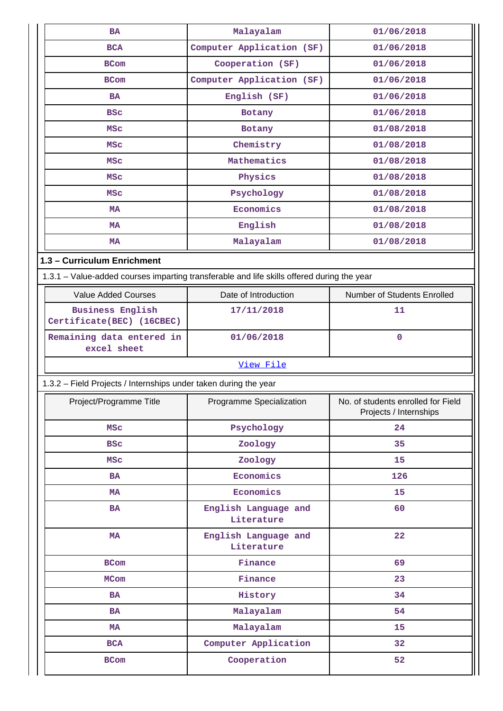| <b>BA</b>                                                                                  | Malayalam                          | 01/06/2018                                                   |
|--------------------------------------------------------------------------------------------|------------------------------------|--------------------------------------------------------------|
| <b>BCA</b>                                                                                 | Computer Application (SF)          | 01/06/2018                                                   |
| <b>BCom</b>                                                                                | Cooperation (SF)                   | 01/06/2018                                                   |
| <b>BCom</b>                                                                                | Computer Application (SF)          | 01/06/2018                                                   |
| <b>BA</b>                                                                                  | English (SF)                       | 01/06/2018                                                   |
| <b>BSC</b>                                                                                 | <b>Botany</b>                      | 01/06/2018                                                   |
| <b>MSC</b>                                                                                 | Botany                             | 01/08/2018                                                   |
| <b>MSC</b>                                                                                 | Chemistry                          | 01/08/2018                                                   |
| <b>MSC</b>                                                                                 | Mathematics                        | 01/08/2018                                                   |
| MSC                                                                                        | Physics                            | 01/08/2018                                                   |
| <b>MSC</b>                                                                                 | Psychology                         | 01/08/2018                                                   |
| <b>MA</b>                                                                                  | Economics                          | 01/08/2018                                                   |
| <b>MA</b>                                                                                  | English                            | 01/08/2018                                                   |
| <b>MA</b>                                                                                  | Malayalam                          | 01/08/2018                                                   |
| 1.3 - Curriculum Enrichment                                                                |                                    |                                                              |
| 1.3.1 - Value-added courses imparting transferable and life skills offered during the year |                                    |                                                              |
| <b>Value Added Courses</b>                                                                 | Date of Introduction               | Number of Students Enrolled                                  |
| <b>Business English</b><br>Certificate(BEC) (16CBEC)                                       | 17/11/2018                         | 11                                                           |
| Remaining data entered in                                                                  | 01/06/2018                         | $\mathbf 0$                                                  |
| excel sheet                                                                                |                                    |                                                              |
|                                                                                            | View File                          |                                                              |
| 1.3.2 - Field Projects / Internships under taken during the year                           |                                    |                                                              |
| Project/Programme Title                                                                    | Programme Specialization           | No. of students enrolled for Field<br>Projects / Internships |
| <b>MSC</b>                                                                                 | Psychology                         | 24                                                           |
| <b>BSC</b>                                                                                 | Zoology                            | 35                                                           |
| <b>MSC</b>                                                                                 | Zoology                            | 15                                                           |
| <b>BA</b>                                                                                  | Economics                          | 126                                                          |
| MA                                                                                         | Economics                          | 15                                                           |
| <b>BA</b>                                                                                  | English Language and<br>Literature | 60                                                           |
| MA                                                                                         | English Language and<br>Literature | 22                                                           |
| <b>BCom</b>                                                                                | Finance                            | 69                                                           |
| <b>MCom</b>                                                                                | Finance                            | 23                                                           |
| <b>BA</b>                                                                                  | History                            | 34                                                           |
| BA                                                                                         | Malayalam                          | 54                                                           |
| MA                                                                                         | Malayalam                          | 15                                                           |
| <b>BCA</b>                                                                                 | Computer Application               | 32                                                           |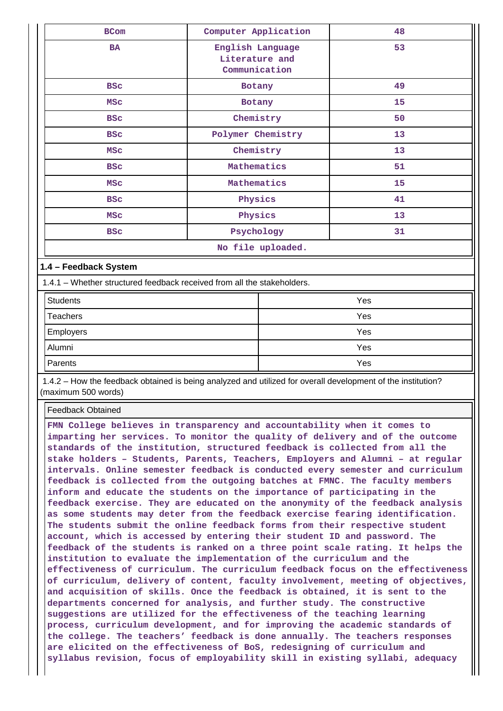| <b>BCom</b> | Computer Application                                | 48 |
|-------------|-----------------------------------------------------|----|
| <b>BA</b>   | English Language<br>Literature and<br>Communication | 53 |
| <b>BSC</b>  | Botany                                              | 49 |
| <b>MSC</b>  | Botany                                              | 15 |
| <b>BSC</b>  | Chemistry                                           | 50 |
| <b>BSC</b>  | Polymer Chemistry                                   | 13 |
| MSC         | Chemistry                                           | 13 |
| <b>BSC</b>  | Mathematics                                         | 51 |
| MSC         | Mathematics                                         | 15 |
| <b>BSC</b>  | Physics                                             | 41 |
| MSC         | Physics                                             | 13 |
| <b>BSC</b>  | Psychology                                          | 31 |
|             | No file uploaded.                                   |    |

#### **1.4 – Feedback System**

1.4.1 – Whether structured feedback received from all the stakeholders.

| <b>Students</b> | Yes |
|-----------------|-----|
| Teachers        | Yes |
| Employers       | Yes |
| Alumni          | Yes |
| Parents         | Yes |

 1.4.2 – How the feedback obtained is being analyzed and utilized for overall development of the institution? (maximum 500 words)

Feedback Obtained

**FMN College believes in transparency and accountability when it comes to imparting her services. To monitor the quality of delivery and of the outcome standards of the institution, structured feedback is collected from all the stake holders – Students, Parents, Teachers, Employers and Alumni – at regular intervals. Online semester feedback is conducted every semester and curriculum feedback is collected from the outgoing batches at FMNC. The faculty members inform and educate the students on the importance of participating in the feedback exercise. They are educated on the anonymity of the feedback analysis as some students may deter from the feedback exercise fearing identification. The students submit the online feedback forms from their respective student account, which is accessed by entering their student ID and password. The feedback of the students is ranked on a three point scale rating. It helps the institution to evaluate the implementation of the curriculum and the effectiveness of curriculum. The curriculum feedback focus on the effectiveness of curriculum, delivery of content, faculty involvement, meeting of objectives, and acquisition of skills. Once the feedback is obtained, it is sent to the departments concerned for analysis, and further study. The constructive suggestions are utilized for the effectiveness of the teaching learning process, curriculum development, and for improving the academic standards of the college. The teachers' feedback is done annually. The teachers responses are elicited on the effectiveness of BoS, redesigning of curriculum and syllabus revision, focus of employability skill in existing syllabi, adequacy**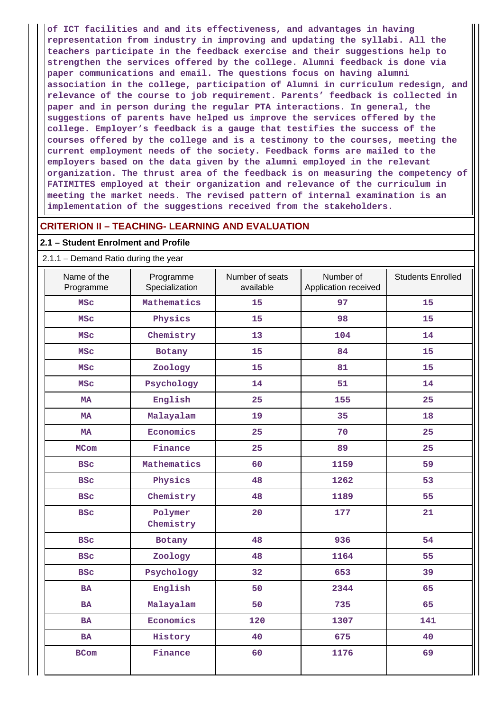**of ICT facilities and and its effectiveness, and advantages in having representation from industry in improving and updating the syllabi. All the teachers participate in the feedback exercise and their suggestions help to strengthen the services offered by the college. Alumni feedback is done via paper communications and email. The questions focus on having alumni association in the college, participation of Alumni in curriculum redesign, and relevance of the course to job requirement. Parents' feedback is collected in paper and in person during the regular PTA interactions. In general, the suggestions of parents have helped us improve the services offered by the college. Employer's feedback is a gauge that testifies the success of the courses offered by the college and is a testimony to the courses, meeting the current employment needs of the society. Feedback forms are mailed to the employers based on the data given by the alumni employed in the relevant organization. The thrust area of the feedback is on measuring the competency of FATIMITES employed at their organization and relevance of the curriculum in meeting the market needs. The revised pattern of internal examination is an implementation of the suggestions received from the stakeholders.**

#### **CRITERION II – TEACHING- LEARNING AND EVALUATION**

#### **2.1 – Student Enrolment and Profile**

#### 2.1.1 – Demand Ratio during the year

| Name of the<br>Programme | Programme<br>Specialization | Number of seats<br>available | Number of<br>Application received | <b>Students Enrolled</b> |
|--------------------------|-----------------------------|------------------------------|-----------------------------------|--------------------------|
| <b>MSC</b>               | Mathematics                 | 15                           | 97                                | 15                       |
| <b>MSC</b>               | Physics                     | 15                           | 98                                | 15                       |
| <b>MSC</b>               | Chemistry                   | 13                           | 104                               | 14                       |
| <b>MSC</b>               | Botany                      | 15                           | 84                                | 15                       |
| <b>MSC</b>               | Zoology                     | 15                           | 81                                | 15                       |
| <b>MSC</b>               | Psychology                  | 14                           | 51                                | 14                       |
| <b>MA</b>                | English                     | 25                           | 155                               | 25                       |
| <b>MA</b>                | Malayalam                   | 19                           | 35                                | 18                       |
| <b>MA</b>                | Economics                   | 25                           | 70                                | 25                       |
| <b>MCom</b>              | Finance                     | 25                           | 89                                | 25                       |
| <b>BSC</b>               | Mathematics                 | 60                           | 1159                              | 59                       |
| <b>BSC</b>               | Physics                     | 48                           | 1262                              | 53                       |
| <b>BSC</b>               | Chemistry                   | 48                           | 1189                              | 55                       |
| <b>BSC</b>               | Polymer<br>Chemistry        | 20                           | 177                               | 21                       |
| <b>BSC</b>               | Botany                      | 48                           | 936                               | 54                       |
| <b>BSC</b>               | Zoology                     | 48                           | 1164                              | 55                       |
| <b>BSC</b>               | Psychology                  | 32                           | 653                               | 39                       |
| <b>BA</b>                | English                     | 50                           | 2344                              | 65                       |
| <b>BA</b>                | Malayalam                   | 50                           | 735                               | 65                       |
| <b>BA</b>                | Economics                   | 120                          | 1307                              | 141                      |
| <b>BA</b>                | History                     | 40                           | 675                               | 40                       |
| <b>BCom</b>              | Finance                     | 60                           | 1176                              | 69                       |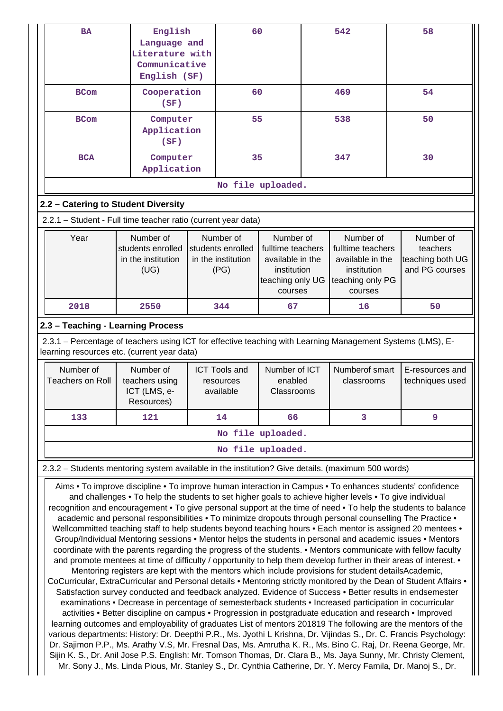|                                      | English<br>Language and<br>Literature with<br>Communicative<br>English (SF)                                                                                                                                   | 60                                                           |                                                                                                  | 542                                                                                              | 58                                                          |
|--------------------------------------|---------------------------------------------------------------------------------------------------------------------------------------------------------------------------------------------------------------|--------------------------------------------------------------|--------------------------------------------------------------------------------------------------|--------------------------------------------------------------------------------------------------|-------------------------------------------------------------|
| <b>BCom</b>                          | Cooperation<br>(SF)                                                                                                                                                                                           | 60                                                           |                                                                                                  | 469                                                                                              | 54                                                          |
| <b>BCom</b>                          | Computer<br>Application<br>(SF)                                                                                                                                                                               | 55                                                           |                                                                                                  | 538                                                                                              | 50                                                          |
| <b>BCA</b>                           | Computer<br>Application                                                                                                                                                                                       | 35                                                           |                                                                                                  | 347                                                                                              | 30                                                          |
|                                      |                                                                                                                                                                                                               |                                                              | No file uploaded.                                                                                |                                                                                                  |                                                             |
| 2.2 - Catering to Student Diversity  |                                                                                                                                                                                                               |                                                              |                                                                                                  |                                                                                                  |                                                             |
|                                      | 2.2.1 - Student - Full time teacher ratio (current year data)                                                                                                                                                 |                                                              |                                                                                                  |                                                                                                  |                                                             |
| Year                                 | Number of<br>students enrolled<br>in the institution<br>(UG)                                                                                                                                                  | Number of<br>students enrolled<br>in the institution<br>(PG) | Number of<br>fulltime teachers<br>available in the<br>institution<br>teaching only UG<br>courses | Number of<br>fulltime teachers<br>available in the<br>institution<br>teaching only PG<br>courses | Number of<br>teachers<br>teaching both UG<br>and PG courses |
| 2018                                 | 2550                                                                                                                                                                                                          | 344                                                          | 67                                                                                               | 16                                                                                               | 50                                                          |
| Number of<br><b>Teachers on Roll</b> | Number of<br>teachers using<br>ICT (LMS, e-                                                                                                                                                                   | <b>ICT Tools and</b><br>resources<br>available               | Number of ICT<br>enabled<br>Classrooms                                                           | Numberof smart<br>classrooms                                                                     | E-resources and<br>techniques used                          |
|                                      | Resources)                                                                                                                                                                                                    |                                                              |                                                                                                  |                                                                                                  |                                                             |
| 133                                  | 121                                                                                                                                                                                                           | 14                                                           | 66                                                                                               | 3                                                                                                | 9                                                           |
|                                      |                                                                                                                                                                                                               |                                                              | No file uploaded.                                                                                |                                                                                                  |                                                             |
|                                      |                                                                                                                                                                                                               |                                                              | No file uploaded.                                                                                |                                                                                                  |                                                             |
|                                      | 2.3.2 - Students mentoring system available in the institution? Give details. (maximum 500 words)<br>Aims • To improve discipline • To improve human interaction in Campus • To enhances students' confidence |                                                              |                                                                                                  |                                                                                                  |                                                             |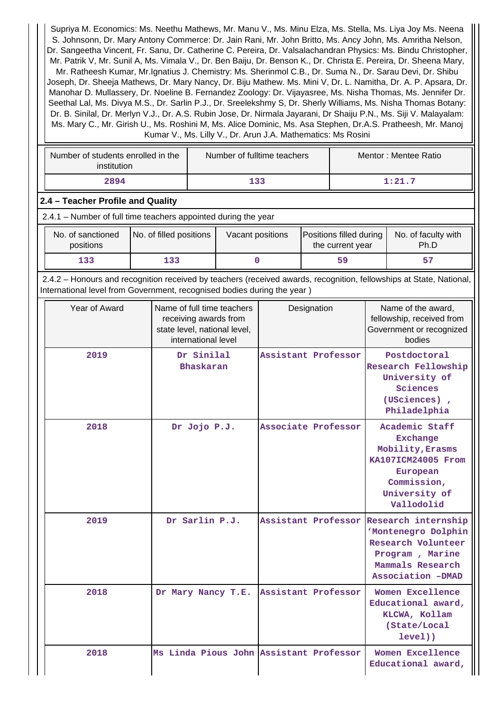Supriya M. Economics: Ms. Neethu Mathews, Mr. Manu V., Ms. Minu Elza, Ms. Stella, Ms. Liya Joy Ms. Neena S. Johnsonn, Dr. Mary Antony Commerce: Dr. Jain Rani, Mr. John Britto, Ms. Ancy John, Ms. Amritha Nelson, Dr. Sangeetha Vincent, Fr. Sanu, Dr. Catherine C. Pereira, Dr. Valsalachandran Physics: Ms. Bindu Christopher, Mr. Patrik V, Mr. Sunil A, Ms. Vimala V., Dr. Ben Baiju, Dr. Benson K., Dr. Christa E. Pereira, Dr. Sheena Mary, Mr. Ratheesh Kumar, Mr.Ignatius J. Chemistry: Ms. Sherinmol C.B., Dr. Suma N., Dr. Sarau Devi, Dr. Shibu Joseph, Dr. Sheeja Mathews, Dr. Mary Nancy, Dr. Biju Mathew. Ms. Mini V, Dr. L. Namitha, Dr. A. P. Apsara, Dr. Manohar D. Mullassery, Dr. Noeline B. Fernandez Zoology: Dr. Vijayasree, Ms. Nisha Thomas, Ms. Jennifer Dr. Seethal Lal, Ms. Divya M.S., Dr. Sarlin P.J., Dr. Sreelekshmy S, Dr. Sherly Williams, Ms. Nisha Thomas Botany: Dr. B. Sinilal, Dr. Merlyn V.J., Dr. A.S. Rubin Jose, Dr. Nirmala Jayarani, Dr Shaiju P.N., Ms. Siji V. Malayalam: Ms. Mary C., Mr. Girish U., Ms. Roshini M, Ms. Alice Dominic, Ms. Asa Stephen, Dr.A.S. Pratheesh, Mr. Manoj Kumar V., Ms. Lilly V., Dr. Arun J.A. Mathematics: Ms Rosini

| Number of students enrolled in the<br>institution | Number of fulltime teachers | Mentor: Mentee Ratio |
|---------------------------------------------------|-----------------------------|----------------------|
| 2894                                              | 133                         | 1:21.7               |

## **2.4 – Teacher Profile and Quality**

| No. of sanctioned<br>positions | No. of filled positions | Vacant positions | Positions filled during<br>the current year | No. of faculty with<br>Ph.D |
|--------------------------------|-------------------------|------------------|---------------------------------------------|-----------------------------|
| 133                            | 133                     |                  | 59                                          |                             |

 2.4.2 – Honours and recognition received by teachers (received awards, recognition, fellowships at State, National, International level from Government, recognised bodies during the year )

| Year of Award | Name of full time teachers<br>receiving awards from<br>state level, national level,<br>international level | Designation         | Name of the award,<br>fellowship, received from<br>Government or recognized<br>bodies                                                 |
|---------------|------------------------------------------------------------------------------------------------------------|---------------------|---------------------------------------------------------------------------------------------------------------------------------------|
| 2019          | Dr Sinilal<br>Bhaskaran                                                                                    | Assistant Professor | Postdoctoral<br>Research Fellowship<br>University of<br>Sciences<br>(USciences),<br>Philadelphia                                      |
| 2018          | Dr Jojo P.J.                                                                                               | Associate Professor | Academic Staff<br><b>Exchange</b><br>Mobility, Erasms<br>KA107ICM24005 From<br>European<br>Commission,<br>University of<br>Vallodolid |
| 2019          | Dr Sarlin P.J.                                                                                             | Assistant Professor | Research internship<br>'Montenegro Dolphin<br>Research Volunteer<br>Program, Marine<br>Mammals Research<br>Association -DMAD          |
| 2018          | Dr Mary Nancy T.E.                                                                                         | Assistant Professor | Women Excellence<br>Educational award,<br>KLCWA, Kollam<br>(State/Local<br>level()                                                    |
| 2018          | Ms Linda Pious John Assistant Professor                                                                    |                     | Women Excellence<br>Educational award,                                                                                                |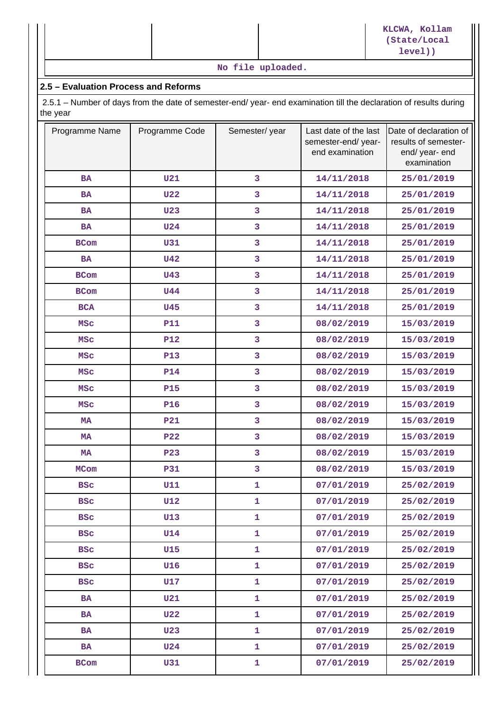|  |                   | KLCWA, Kollam<br>(State/Local<br>level() |
|--|-------------------|------------------------------------------|
|  | No file uploaded. |                                          |

### **2.5 – Evaluation Process and Reforms**

 2.5.1 – Number of days from the date of semester-end/ year- end examination till the declaration of results during the year

| Programme Name | Programme Code | Semester/year | Last date of the last<br>semester-end/year-<br>end examination | Date of declaration of<br>results of semester-<br>end/ year- end<br>examination |
|----------------|----------------|---------------|----------------------------------------------------------------|---------------------------------------------------------------------------------|
| <b>BA</b>      | <b>U21</b>     | 3             | 14/11/2018                                                     | 25/01/2019                                                                      |
| <b>BA</b>      | <b>U22</b>     | 3             | 14/11/2018                                                     | 25/01/2019                                                                      |
| BA             | <b>U23</b>     | 3             | 14/11/2018                                                     | 25/01/2019                                                                      |
| <b>BA</b>      | <b>U24</b>     | 3             | 14/11/2018                                                     | 25/01/2019                                                                      |
| <b>BCom</b>    | <b>U31</b>     | 3             | 14/11/2018                                                     | 25/01/2019                                                                      |
| <b>BA</b>      | <b>U42</b>     | 3             | 14/11/2018                                                     | 25/01/2019                                                                      |
| <b>BCom</b>    | U43            | 3             | 14/11/2018                                                     | 25/01/2019                                                                      |
| <b>BCom</b>    | <b>U44</b>     | 3             | 14/11/2018                                                     | 25/01/2019                                                                      |
| <b>BCA</b>     | <b>U45</b>     | 3             | 14/11/2018                                                     | 25/01/2019                                                                      |
| <b>MSC</b>     | <b>P11</b>     | 3             | 08/02/2019                                                     | 15/03/2019                                                                      |
| <b>MSC</b>     | <b>P12</b>     | 3             | 08/02/2019                                                     | 15/03/2019                                                                      |
| <b>MSC</b>     | <b>P13</b>     | 3             | 08/02/2019                                                     | 15/03/2019                                                                      |
| <b>MSC</b>     | <b>P14</b>     | 3             | 08/02/2019                                                     | 15/03/2019                                                                      |
| <b>MSC</b>     | <b>P15</b>     | 3             | 08/02/2019                                                     | 15/03/2019                                                                      |
| <b>MSC</b>     | <b>P16</b>     | 3             | 08/02/2019                                                     | 15/03/2019                                                                      |
| <b>MA</b>      | <b>P21</b>     | 3             | 08/02/2019                                                     | 15/03/2019                                                                      |
| <b>MA</b>      | <b>P22</b>     | 3             | 08/02/2019                                                     | 15/03/2019                                                                      |
| <b>MA</b>      | <b>P23</b>     | 3             | 08/02/2019                                                     | 15/03/2019                                                                      |
| <b>MCom</b>    | <b>P31</b>     | 3             | 08/02/2019                                                     | 15/03/2019                                                                      |
| <b>BSC</b>     | <b>U11</b>     | 1             | 07/01/2019                                                     | 25/02/2019                                                                      |
| BSC            | U12            | ı             | 07/01/2019                                                     | 25/02/2019                                                                      |
| <b>BSC</b>     | <b>U13</b>     | $\mathbf{1}$  | 07/01/2019                                                     | 25/02/2019                                                                      |
| <b>BSC</b>     | <b>U14</b>     | $\mathbf{1}$  | 07/01/2019                                                     | 25/02/2019                                                                      |
| <b>BSC</b>     | <b>U15</b>     | $\mathbf{1}$  | 07/01/2019                                                     | 25/02/2019                                                                      |
| <b>BSC</b>     | U16            | $\mathbf{1}$  | 07/01/2019                                                     | 25/02/2019                                                                      |
| <b>BSC</b>     | <b>U17</b>     | $\mathbf{1}$  | 07/01/2019                                                     | 25/02/2019                                                                      |
| <b>BA</b>      | <b>U21</b>     | $\mathbf{1}$  | 07/01/2019                                                     | 25/02/2019                                                                      |
| <b>BA</b>      | <b>U22</b>     | $\mathbf{1}$  | 07/01/2019                                                     | 25/02/2019                                                                      |
| <b>BA</b>      | <b>U23</b>     | $\mathbf{1}$  | 07/01/2019                                                     | 25/02/2019                                                                      |
| <b>BA</b>      | <b>U24</b>     | $\mathbf{1}$  | 07/01/2019                                                     | 25/02/2019                                                                      |
| <b>BCom</b>    | U31            | 1             | 07/01/2019                                                     | 25/02/2019                                                                      |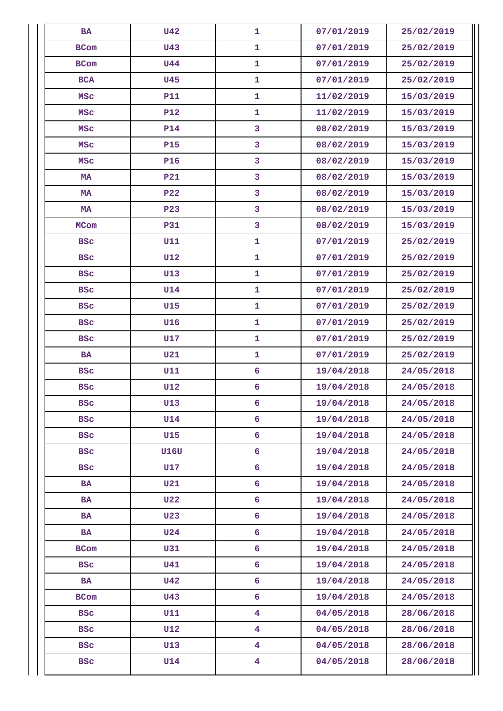| <b>BA</b>   | <b>U42</b>  | $\mathbf{1}$            | 07/01/2019 | 25/02/2019 |
|-------------|-------------|-------------------------|------------|------------|
| BCom        | <b>U43</b>  | $\mathbf 1$             | 07/01/2019 | 25/02/2019 |
| <b>BCom</b> | <b>U44</b>  | $\mathbf{1}$            | 07/01/2019 | 25/02/2019 |
| <b>BCA</b>  | <b>U45</b>  | $\mathbf{1}$            | 07/01/2019 | 25/02/2019 |
| <b>MSC</b>  | <b>P11</b>  | $\mathbf{1}$            | 11/02/2019 | 15/03/2019 |
| <b>MSC</b>  | <b>P12</b>  | $\mathbf{1}$            | 11/02/2019 | 15/03/2019 |
| <b>MSC</b>  | <b>P14</b>  | 3                       | 08/02/2019 | 15/03/2019 |
| <b>MSC</b>  | <b>P15</b>  | 3                       | 08/02/2019 | 15/03/2019 |
| <b>MSC</b>  | <b>P16</b>  | 3                       | 08/02/2019 | 15/03/2019 |
| MA          | <b>P21</b>  | 3                       | 08/02/2019 | 15/03/2019 |
| MA          | <b>P22</b>  | 3                       | 08/02/2019 | 15/03/2019 |
| MA          | <b>P23</b>  | $\mathbf{3}$            | 08/02/2019 | 15/03/2019 |
| <b>MCom</b> | <b>P31</b>  | 3                       | 08/02/2019 | 15/03/2019 |
| <b>BSC</b>  | <b>U11</b>  | $\mathbf{1}$            | 07/01/2019 | 25/02/2019 |
| <b>BSC</b>  | <b>U12</b>  | $\mathbf{1}$            | 07/01/2019 | 25/02/2019 |
| <b>BSC</b>  | <b>U13</b>  | $\mathbf{1}$            | 07/01/2019 | 25/02/2019 |
| <b>BSC</b>  | <b>U14</b>  | $\mathbf{1}$            | 07/01/2019 | 25/02/2019 |
| <b>BSC</b>  | <b>U15</b>  | $\mathbf{1}$            | 07/01/2019 | 25/02/2019 |
| <b>BSC</b>  | <b>U16</b>  | $\mathbf{1}$            | 07/01/2019 | 25/02/2019 |
| <b>BSC</b>  | U17         | $\mathbf{1}$            | 07/01/2019 | 25/02/2019 |
| <b>BA</b>   | <b>U21</b>  | $\mathbf{1}$            | 07/01/2019 | 25/02/2019 |
| <b>BSC</b>  | U11         | 6                       | 19/04/2018 | 24/05/2018 |
| <b>BSC</b>  | <b>U12</b>  | 6                       | 19/04/2018 | 24/05/2018 |
| <b>BSC</b>  | U13         | 6                       | 19/04/2018 | 24/05/2018 |
| <b>BSC</b>  | <b>U14</b>  | 6                       | 19/04/2018 | 24/05/2018 |
| <b>BSC</b>  | <b>U15</b>  | 6                       | 19/04/2018 | 24/05/2018 |
| <b>BSC</b>  | <b>U16U</b> | 6                       | 19/04/2018 | 24/05/2018 |
| <b>BSC</b>  | U17         | 6                       | 19/04/2018 | 24/05/2018 |
| <b>BA</b>   | U21         | 6                       | 19/04/2018 | 24/05/2018 |
| BA          | <b>U22</b>  | 6                       | 19/04/2018 | 24/05/2018 |
| <b>BA</b>   | <b>U23</b>  | 6                       | 19/04/2018 | 24/05/2018 |
| BA          | <b>U24</b>  | 6                       | 19/04/2018 | 24/05/2018 |
| <b>BCom</b> | U31         | 6                       | 19/04/2018 | 24/05/2018 |
| <b>BSC</b>  | U41         | 6                       | 19/04/2018 | 24/05/2018 |
| BA          | <b>U42</b>  | 6                       | 19/04/2018 | 24/05/2018 |
| <b>BCom</b> | <b>U43</b>  | 6                       | 19/04/2018 | 24/05/2018 |
| <b>BSC</b>  | <b>U11</b>  | $\overline{\mathbf{4}}$ | 04/05/2018 | 28/06/2018 |
| <b>BSC</b>  | <b>U12</b>  | $\overline{\mathbf{4}}$ | 04/05/2018 | 28/06/2018 |
| <b>BSC</b>  | U13         | $\overline{\mathbf{4}}$ | 04/05/2018 | 28/06/2018 |
| <b>BSC</b>  | <b>U14</b>  | $\overline{\mathbf{4}}$ | 04/05/2018 | 28/06/2018 |
|             |             |                         |            |            |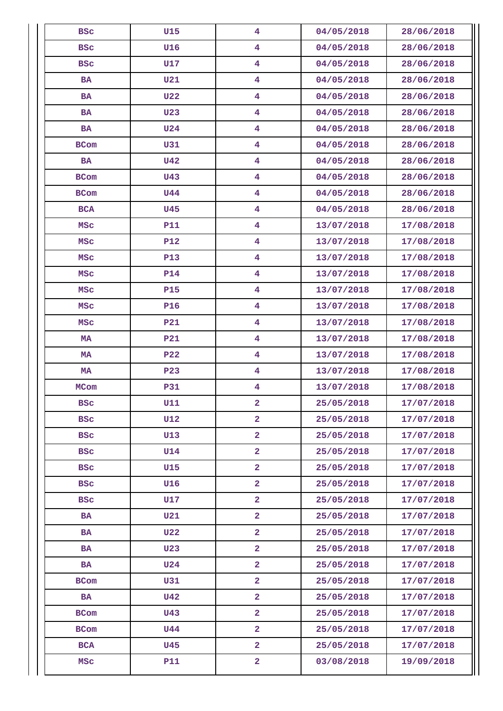| <b>BSC</b>  | <b>U15</b> | $\overline{4}$          | 04/05/2018 | 28/06/2018 |
|-------------|------------|-------------------------|------------|------------|
| <b>BSC</b>  | U16        | 4                       | 04/05/2018 | 28/06/2018 |
| <b>BSC</b>  | <b>U17</b> | $\overline{\mathbf{4}}$ | 04/05/2018 | 28/06/2018 |
| <b>BA</b>   | <b>U21</b> | $\overline{\mathbf{4}}$ | 04/05/2018 | 28/06/2018 |
| <b>BA</b>   | <b>U22</b> | $\overline{\mathbf{4}}$ | 04/05/2018 | 28/06/2018 |
| <b>BA</b>   | <b>U23</b> | $\overline{\mathbf{4}}$ | 04/05/2018 | 28/06/2018 |
| <b>BA</b>   | <b>U24</b> | $\overline{\mathbf{4}}$ | 04/05/2018 | 28/06/2018 |
| <b>BCom</b> | <b>U31</b> | $\overline{\mathbf{4}}$ | 04/05/2018 | 28/06/2018 |
| <b>BA</b>   | <b>U42</b> | $\overline{\mathbf{4}}$ | 04/05/2018 | 28/06/2018 |
| <b>BCom</b> | <b>U43</b> | $\overline{\mathbf{4}}$ | 04/05/2018 | 28/06/2018 |
| BCom        | <b>U44</b> | $\overline{\mathbf{4}}$ | 04/05/2018 | 28/06/2018 |
| <b>BCA</b>  | <b>U45</b> | $\overline{\mathbf{4}}$ | 04/05/2018 | 28/06/2018 |
| <b>MSC</b>  | <b>P11</b> | $\overline{\mathbf{4}}$ | 13/07/2018 | 17/08/2018 |
| <b>MSC</b>  | <b>P12</b> | $\overline{\mathbf{4}}$ | 13/07/2018 | 17/08/2018 |
| <b>MSC</b>  | <b>P13</b> | $\overline{\mathbf{4}}$ | 13/07/2018 | 17/08/2018 |
| <b>MSC</b>  | <b>P14</b> | $\overline{\mathbf{4}}$ | 13/07/2018 | 17/08/2018 |
| <b>MSC</b>  | <b>P15</b> | $\overline{\mathbf{4}}$ | 13/07/2018 | 17/08/2018 |
| <b>MSC</b>  | <b>P16</b> | $\overline{\mathbf{4}}$ | 13/07/2018 | 17/08/2018 |
| <b>MSC</b>  | <b>P21</b> | $\overline{\mathbf{4}}$ | 13/07/2018 | 17/08/2018 |
| MA          | <b>P21</b> | $\overline{\mathbf{4}}$ | 13/07/2018 | 17/08/2018 |
| MA          | <b>P22</b> | $\overline{\mathbf{4}}$ | 13/07/2018 | 17/08/2018 |
| MA          | <b>P23</b> | $\overline{\mathbf{4}}$ | 13/07/2018 | 17/08/2018 |
| <b>MCom</b> | <b>P31</b> | $\overline{\mathbf{4}}$ | 13/07/2018 | 17/08/2018 |
| BSC         | U11        | 2                       | 25/05/2018 | 17/07/2018 |
| <b>BSC</b>  | <b>U12</b> | $\overline{a}$          | 25/05/2018 | 17/07/2018 |
| <b>BSC</b>  | <b>U13</b> | $\overline{\mathbf{2}}$ | 25/05/2018 | 17/07/2018 |
| <b>BSC</b>  | <b>U14</b> | $\overline{2}$          | 25/05/2018 | 17/07/2018 |
| <b>BSC</b>  | <b>U15</b> | $\overline{2}$          | 25/05/2018 | 17/07/2018 |
| <b>BSC</b>  | <b>U16</b> | $\overline{2}$          | 25/05/2018 | 17/07/2018 |
| <b>BSC</b>  | U17        | $\overline{a}$          | 25/05/2018 | 17/07/2018 |
| <b>BA</b>   | U21        | $\overline{a}$          | 25/05/2018 | 17/07/2018 |
| <b>BA</b>   | <b>U22</b> | $\overline{2}$          | 25/05/2018 | 17/07/2018 |
| <b>BA</b>   | <b>U23</b> | $\overline{2}$          | 25/05/2018 | 17/07/2018 |
| BA          | <b>U24</b> | $\overline{a}$          | 25/05/2018 | 17/07/2018 |
| <b>BCom</b> | U31        | $\overline{a}$          | 25/05/2018 | 17/07/2018 |
| <b>BA</b>   | <b>U42</b> | $\overline{\mathbf{2}}$ | 25/05/2018 | 17/07/2018 |
| BCom        | <b>U43</b> | $\overline{2}$          | 25/05/2018 | 17/07/2018 |
| <b>BCom</b> | <b>U44</b> | $\overline{2}$          | 25/05/2018 | 17/07/2018 |
| <b>BCA</b>  | <b>U45</b> | $\overline{2}$          | 25/05/2018 | 17/07/2018 |
| <b>MSC</b>  | <b>P11</b> | $\overline{\mathbf{2}}$ | 03/08/2018 | 19/09/2018 |
|             |            |                         |            |            |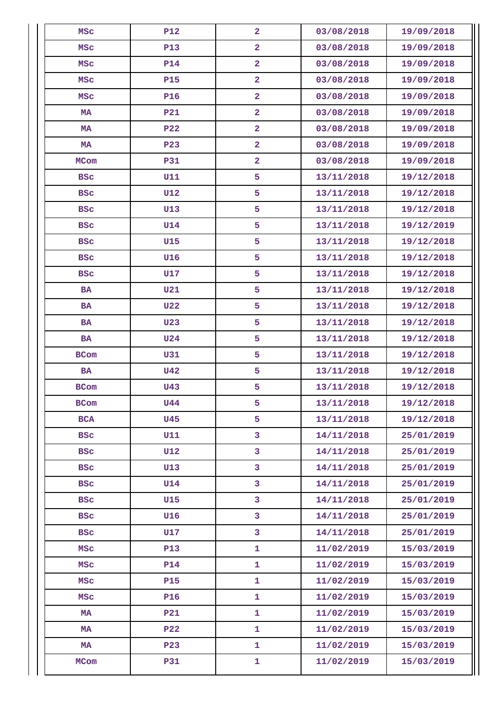| <b>MSC</b>  | <b>P12</b>      | $\overline{2}$          | 03/08/2018 | 19/09/2018 |
|-------------|-----------------|-------------------------|------------|------------|
| <b>MSC</b>  | <b>P13</b>      | $\overline{a}$          | 03/08/2018 | 19/09/2018 |
| <b>MSC</b>  | <b>P14</b>      | $\overline{a}$          | 03/08/2018 | 19/09/2018 |
| <b>MSC</b>  | <b>P15</b>      | $\overline{\mathbf{2}}$ | 03/08/2018 | 19/09/2018 |
| <b>MSC</b>  | <b>P16</b>      | $\overline{2}$          | 03/08/2018 | 19/09/2018 |
| MA          | <b>P21</b>      | $\overline{2}$          | 03/08/2018 | 19/09/2018 |
| MA          | P <sub>22</sub> | $\overline{2}$          | 03/08/2018 | 19/09/2018 |
| MA          | <b>P23</b>      | $\overline{2}$          | 03/08/2018 | 19/09/2018 |
| <b>MCom</b> | <b>P31</b>      | $\overline{2}$          | 03/08/2018 | 19/09/2018 |
| <b>BSC</b>  | U11             | 5                       | 13/11/2018 | 19/12/2018 |
| <b>BSC</b>  | <b>U12</b>      | 5                       | 13/11/2018 | 19/12/2018 |
| <b>BSC</b>  | U13             | 5                       | 13/11/2018 | 19/12/2018 |
| <b>BSC</b>  | <b>U14</b>      | 5                       | 13/11/2018 | 19/12/2019 |
| <b>BSC</b>  | <b>U15</b>      | 5                       | 13/11/2018 | 19/12/2018 |
| <b>BSC</b>  | <b>U16</b>      | 5                       | 13/11/2018 | 19/12/2018 |
| <b>BSC</b>  | <b>U17</b>      | 5                       | 13/11/2018 | 19/12/2018 |
| <b>BA</b>   | <b>U21</b>      | 5                       | 13/11/2018 | 19/12/2018 |
| <b>BA</b>   | <b>U22</b>      | 5                       | 13/11/2018 | 19/12/2018 |
| <b>BA</b>   | <b>U23</b>      | 5                       | 13/11/2018 | 19/12/2018 |
| <b>BA</b>   | <b>U24</b>      | 5                       | 13/11/2018 | 19/12/2018 |
| <b>BCom</b> | <b>U31</b>      | 5                       | 13/11/2018 | 19/12/2018 |
| <b>BA</b>   | <b>U42</b>      | 5                       | 13/11/2018 | 19/12/2018 |
| BCom        | <b>U43</b>      | 5                       | 13/11/2018 | 19/12/2018 |
| <b>BCom</b> | U44             | 5                       | 13/11/2018 | 19/12/2018 |
| <b>BCA</b>  | <b>U45</b>      | 5                       | 13/11/2018 | 19/12/2018 |
| <b>BSC</b>  | <b>U11</b>      | 3                       | 14/11/2018 | 25/01/2019 |
| <b>BSC</b>  | <b>U12</b>      | 3                       | 14/11/2018 | 25/01/2019 |
| <b>BSC</b>  | U13             | 3                       | 14/11/2018 | 25/01/2019 |
| <b>BSC</b>  | <b>U14</b>      | 3                       | 14/11/2018 | 25/01/2019 |
| <b>BSC</b>  | <b>U15</b>      | 3                       | 14/11/2018 | 25/01/2019 |
| <b>BSC</b>  | <b>U16</b>      | $\mathbf{3}$            | 14/11/2018 | 25/01/2019 |
| <b>BSC</b>  | <b>U17</b>      | 3                       | 14/11/2018 | 25/01/2019 |
| MSC         | <b>P13</b>      | $\mathbf{1}$            | 11/02/2019 | 15/03/2019 |
| MSC         | <b>P14</b>      | $\mathbf{1}$            | 11/02/2019 | 15/03/2019 |
| MSC         | <b>P15</b>      | $\mathbf{1}$            | 11/02/2019 | 15/03/2019 |
| <b>MSC</b>  | <b>P16</b>      | $\mathbf 1$             | 11/02/2019 | 15/03/2019 |
| MA          | <b>P21</b>      | $\mathbf 1$             | 11/02/2019 | 15/03/2019 |
| MA          | <b>P22</b>      | $\mathbf{1}$            | 11/02/2019 | 15/03/2019 |
| MA          | <b>P23</b>      | $\mathbf{1}$            | 11/02/2019 | 15/03/2019 |
| MCom        | <b>P31</b>      | $\mathbf{1}$            | 11/02/2019 | 15/03/2019 |
|             |                 |                         |            |            |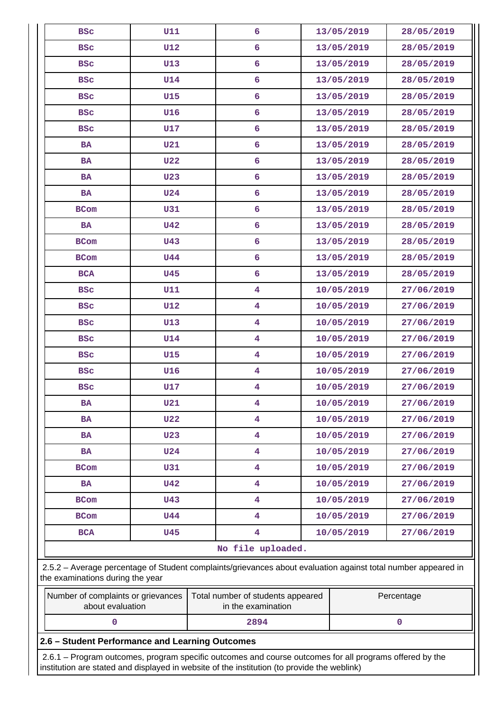| U11<br><b>BSC</b><br><b>U12</b><br><b>BSC</b><br>U13<br><b>BSC</b><br><b>U14</b><br><b>BSC</b><br><b>BSC</b><br><b>U15</b><br>U16<br><b>BSC</b><br>U17<br><b>BSC</b><br>U21<br><b>BA</b> | 6<br>6<br>6<br>6<br>6<br>6                              | 13/05/2019<br>13/05/2019<br>13/05/2019<br>13/05/2019 | 28/05/2019<br>28/05/2019<br>28/05/2019<br>28/05/2019 |
|------------------------------------------------------------------------------------------------------------------------------------------------------------------------------------------|---------------------------------------------------------|------------------------------------------------------|------------------------------------------------------|
|                                                                                                                                                                                          |                                                         |                                                      |                                                      |
|                                                                                                                                                                                          |                                                         |                                                      |                                                      |
|                                                                                                                                                                                          |                                                         |                                                      |                                                      |
|                                                                                                                                                                                          |                                                         |                                                      |                                                      |
|                                                                                                                                                                                          |                                                         | 13/05/2019                                           | 28/05/2019                                           |
|                                                                                                                                                                                          |                                                         | 13/05/2019                                           | 28/05/2019                                           |
|                                                                                                                                                                                          | 6                                                       | 13/05/2019                                           | 28/05/2019                                           |
|                                                                                                                                                                                          | 6                                                       | 13/05/2019                                           | 28/05/2019                                           |
| <b>U22</b><br><b>BA</b>                                                                                                                                                                  | 6                                                       | 13/05/2019                                           | 28/05/2019                                           |
| U <sub>23</sub><br><b>BA</b>                                                                                                                                                             | 6                                                       | 13/05/2019                                           | 28/05/2019                                           |
| <b>U24</b><br>BA                                                                                                                                                                         | 6                                                       | 13/05/2019                                           | 28/05/2019                                           |
| U31<br><b>BCom</b>                                                                                                                                                                       | 6                                                       | 13/05/2019                                           | 28/05/2019                                           |
| <b>U42</b><br><b>BA</b>                                                                                                                                                                  | 6                                                       | 13/05/2019                                           | 28/05/2019                                           |
| <b>U43</b><br><b>BCom</b>                                                                                                                                                                | 6                                                       | 13/05/2019                                           | 28/05/2019                                           |
| <b>U44</b><br><b>BCom</b>                                                                                                                                                                | 6                                                       | 13/05/2019                                           | 28/05/2019                                           |
| <b>U45</b><br><b>BCA</b>                                                                                                                                                                 | 6                                                       | 13/05/2019                                           | 28/05/2019                                           |
| U11<br><b>BSC</b>                                                                                                                                                                        | $\overline{4}$                                          | 10/05/2019                                           | 27/06/2019                                           |
| <b>U12</b><br><b>BSC</b>                                                                                                                                                                 | $\overline{4}$                                          | 10/05/2019                                           | 27/06/2019                                           |
| U13<br><b>BSC</b>                                                                                                                                                                        | $\overline{\mathbf{4}}$                                 | 10/05/2019                                           | 27/06/2019                                           |
| <b>U14</b><br><b>BSC</b>                                                                                                                                                                 | $\overline{\mathbf{4}}$                                 | 10/05/2019                                           | 27/06/2019                                           |
| <b>BSC</b><br>U15                                                                                                                                                                        | $\overline{4}$                                          | 10/05/2019                                           | 27/06/2019                                           |
| U16<br><b>BSC</b>                                                                                                                                                                        | $\overline{\mathbf{4}}$                                 | 10/05/2019                                           | 27/06/2019                                           |
| U17<br><b>BSC</b>                                                                                                                                                                        | $\overline{\mathbf{4}}$                                 | 10/05/2019                                           | 27/06/2019                                           |
| <b>BA</b><br><b>U21</b>                                                                                                                                                                  | 4                                                       | 10/05/2019                                           | 27/06/2019                                           |
| <b>U22</b><br><b>BA</b>                                                                                                                                                                  | 4                                                       | 10/05/2019                                           | 27/06/2019                                           |
| <b>U23</b><br><b>BA</b>                                                                                                                                                                  | $\overline{4}$                                          | 10/05/2019                                           | 27/06/2019                                           |
| <b>U24</b><br><b>BA</b>                                                                                                                                                                  | $\overline{4}$                                          | 10/05/2019                                           | 27/06/2019                                           |
| U31<br><b>BCom</b>                                                                                                                                                                       | $\overline{4}$                                          | 10/05/2019                                           | 27/06/2019                                           |
| <b>U42</b><br><b>BA</b>                                                                                                                                                                  | 4                                                       | 10/05/2019                                           | 27/06/2019                                           |
| <b>U43</b><br><b>BCom</b>                                                                                                                                                                | 4                                                       | 10/05/2019                                           | 27/06/2019                                           |
| <b>U44</b><br><b>BCom</b>                                                                                                                                                                | $\overline{4}$                                          | 10/05/2019                                           | 27/06/2019                                           |
| <b>BCA</b><br><b>U45</b>                                                                                                                                                                 | $\overline{4}$                                          | 10/05/2019                                           | 27/06/2019                                           |
|                                                                                                                                                                                          | No file uploaded.                                       |                                                      |                                                      |
| 2.5.2 - Average percentage of Student complaints/grievances about evaluation against total number appeared in<br>the examinations during the year                                        |                                                         |                                                      |                                                      |
| Number of complaints or grievances<br>about evaluation                                                                                                                                   | Total number of students appeared<br>in the examination |                                                      | Percentage                                           |
| 0                                                                                                                                                                                        | 2894                                                    |                                                      | 0                                                    |
| 2.6 - Student Performance and Learning Outcomes                                                                                                                                          |                                                         |                                                      |                                                      |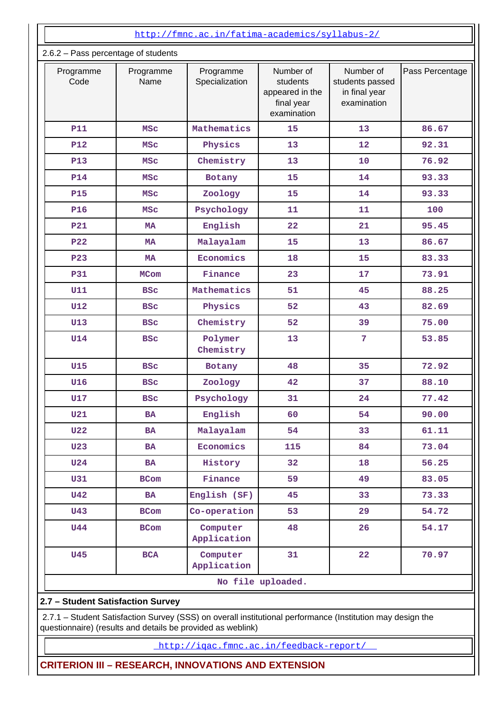|                                                                                                            | http://fmnc.ac.in/fatima-academics/syllabus-2/ |                             |                                                                       |                                                              |                 |
|------------------------------------------------------------------------------------------------------------|------------------------------------------------|-----------------------------|-----------------------------------------------------------------------|--------------------------------------------------------------|-----------------|
| 2.6.2 - Pass percentage of students                                                                        |                                                |                             |                                                                       |                                                              |                 |
| Programme<br>Code                                                                                          | Programme<br>Name                              | Programme<br>Specialization | Number of<br>students<br>appeared in the<br>final year<br>examination | Number of<br>students passed<br>in final year<br>examination | Pass Percentage |
| <b>P11</b>                                                                                                 | MSC                                            | Mathematics                 | 15                                                                    | 13                                                           | 86.67           |
| <b>P12</b>                                                                                                 | <b>MSC</b>                                     | Physics                     | 13                                                                    | 12                                                           | 92.31           |
| <b>P13</b>                                                                                                 | MSC                                            | Chemistry                   | 13                                                                    | 10                                                           | 76.92           |
| <b>P14</b>                                                                                                 | <b>MSC</b>                                     | Botany                      | 15                                                                    | 14                                                           | 93.33           |
| <b>P15</b>                                                                                                 | <b>MSC</b>                                     | Zoology                     | 15                                                                    | 14                                                           | 93.33           |
| <b>P16</b>                                                                                                 | MSC                                            | Psychology                  | 11                                                                    | 11                                                           | 100             |
| <b>P21</b>                                                                                                 | <b>MA</b>                                      | English                     | 22                                                                    | 21                                                           | 95.45           |
| <b>P22</b>                                                                                                 | <b>MA</b>                                      | Malayalam                   | 15                                                                    | 13                                                           | 86.67           |
| <b>P23</b>                                                                                                 | <b>MA</b>                                      | Economics                   | 18                                                                    | 15                                                           | 83.33           |
| <b>P31</b>                                                                                                 | <b>MCom</b>                                    | Finance                     | 23                                                                    | 17                                                           | 73.91           |
| <b>U11</b>                                                                                                 | <b>BSC</b>                                     | Mathematics                 | 51                                                                    | 45                                                           | 88.25           |
| <b>U12</b>                                                                                                 | <b>BSC</b>                                     | Physics                     | 52                                                                    | 43                                                           | 82.69           |
| <b>U13</b>                                                                                                 | <b>BSC</b>                                     | Chemistry                   | 52                                                                    | 39                                                           | 75.00           |
| <b>U14</b>                                                                                                 | <b>BSC</b>                                     | Polymer<br>Chemistry        | 13                                                                    | $\overline{7}$                                               | 53.85           |
| <b>U15</b>                                                                                                 | <b>BSC</b>                                     | Botany                      | 48                                                                    | 35                                                           | 72.92           |
| <b>U16</b>                                                                                                 | <b>BSC</b>                                     | Zoology                     | 42                                                                    | 37                                                           | 88.10           |
| <b>U17</b>                                                                                                 | <b>BSC</b>                                     | Psychology                  | 31                                                                    | 24                                                           | 77.42           |
| <b>U21</b>                                                                                                 | <b>BA</b>                                      | English                     | 60                                                                    | 54                                                           | 90.00           |
| <b>U22</b>                                                                                                 | <b>BA</b>                                      | Malayalam                   | 54                                                                    | 33                                                           | 61.11           |
| <b>U23</b>                                                                                                 | <b>BA</b>                                      | Economics                   | 115                                                                   | 84                                                           | 73.04           |
| <b>U24</b>                                                                                                 | BA                                             | History                     | 32                                                                    | 18                                                           | 56.25           |
| <b>U31</b>                                                                                                 | <b>BCom</b>                                    | Finance                     | 59                                                                    | 49                                                           | 83.05           |
| <b>U42</b>                                                                                                 | <b>BA</b>                                      | English (SF)                | 45                                                                    | 33                                                           | 73.33           |
| <b>U43</b>                                                                                                 | <b>BCom</b>                                    | Co-operation                | 53                                                                    | 29                                                           | 54.72           |
| <b>U44</b>                                                                                                 | <b>BCom</b>                                    | Computer<br>Application     | 48                                                                    | 26                                                           | 54.17           |
| <b>U45</b>                                                                                                 | <b>BCA</b>                                     | Computer<br>Application     | 31                                                                    | 22                                                           | 70.97           |
|                                                                                                            |                                                |                             | No file uploaded.                                                     |                                                              |                 |
| 2.7 - Student Satisfaction Survey                                                                          |                                                |                             |                                                                       |                                                              |                 |
| 2.7.1 - Student Satisfaction Survey (SSS) on overall institutional performance (Institution may design the |                                                |                             |                                                                       |                                                              |                 |

questionnaire) (results and details be provided as weblink)

http://iqac.fmnc.ac.in/feedback-report/

**CRITERION III – RESEARCH, INNOVATIONS AND EXTENSION**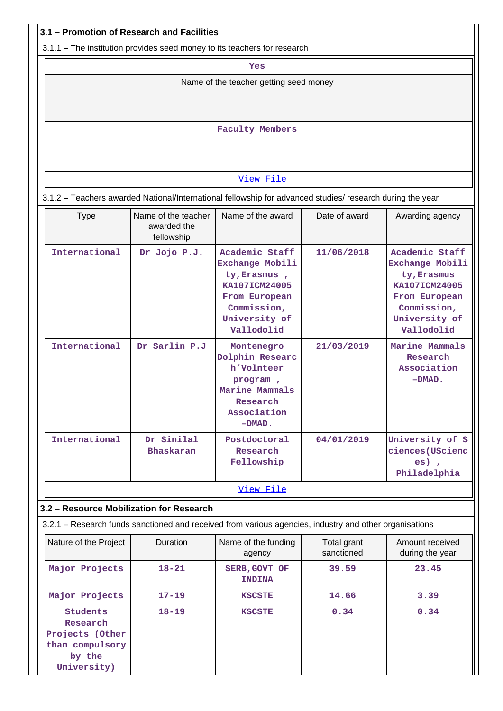|                                                                                                           | 3.1 - Promotion of Research and Facilities       |                                                                                                                                   |                           |                                                                                                                                  |  |
|-----------------------------------------------------------------------------------------------------------|--------------------------------------------------|-----------------------------------------------------------------------------------------------------------------------------------|---------------------------|----------------------------------------------------------------------------------------------------------------------------------|--|
| 3.1.1 – The institution provides seed money to its teachers for research                                  |                                                  |                                                                                                                                   |                           |                                                                                                                                  |  |
|                                                                                                           |                                                  | Yes                                                                                                                               |                           |                                                                                                                                  |  |
|                                                                                                           |                                                  | Name of the teacher getting seed money                                                                                            |                           |                                                                                                                                  |  |
|                                                                                                           |                                                  |                                                                                                                                   |                           |                                                                                                                                  |  |
|                                                                                                           |                                                  | <b>Faculty Members</b>                                                                                                            |                           |                                                                                                                                  |  |
|                                                                                                           |                                                  |                                                                                                                                   |                           |                                                                                                                                  |  |
|                                                                                                           |                                                  |                                                                                                                                   |                           |                                                                                                                                  |  |
|                                                                                                           |                                                  | View File                                                                                                                         |                           |                                                                                                                                  |  |
| 3.1.2 - Teachers awarded National/International fellowship for advanced studies/ research during the year |                                                  |                                                                                                                                   |                           |                                                                                                                                  |  |
| <b>Type</b>                                                                                               | Name of the teacher<br>awarded the<br>fellowship | Name of the award                                                                                                                 | Date of award             | Awarding agency                                                                                                                  |  |
| International                                                                                             | Dr Jojo P.J.                                     | Academic Staff<br>Exchange Mobili<br>ty, Erasmus,<br>KA107ICM24005<br>From European<br>Commission,<br>University of<br>Vallodolid | 11/06/2018                | Academic Staff<br>Exchange Mobili<br>ty, Erasmus<br>KA107ICM24005<br>From European<br>Commission,<br>University of<br>Vallodolid |  |
| International                                                                                             | Dr Sarlin P.J                                    | Montenegro<br>Dolphin Researc<br>h'Volnteer<br>program,<br>Marine Mammals<br>Research<br>Association<br>$-DMAD$ .                 | 21/03/2019                | Marine Mammals<br>Research<br>Association<br>$-DMAD$ .                                                                           |  |
| International                                                                                             | Dr Sinilal<br>Bhaskaran                          | Postdoctoral<br>Research<br>Fellowship                                                                                            | 04/01/2019                | University of S<br>ciences (UScienc<br>$es)$ ,<br>Philadelphia                                                                   |  |
|                                                                                                           |                                                  | View File                                                                                                                         |                           |                                                                                                                                  |  |
| 3.2 - Resource Mobilization for Research                                                                  |                                                  |                                                                                                                                   |                           |                                                                                                                                  |  |
| 3.2.1 - Research funds sanctioned and received from various agencies, industry and other organisations    |                                                  |                                                                                                                                   |                           |                                                                                                                                  |  |
| Nature of the Project                                                                                     | Duration                                         | Name of the funding<br>agency                                                                                                     | Total grant<br>sanctioned | Amount received<br>during the year                                                                                               |  |
| Major Projects                                                                                            | $18 - 21$                                        | SERB, GOVT OF<br><b>INDINA</b>                                                                                                    | 39.59                     | 23.45                                                                                                                            |  |
| Major Projects                                                                                            | $17 - 19$                                        | <b>KSCSTE</b>                                                                                                                     | 14.66                     | 3.39                                                                                                                             |  |
| <b>Students</b><br>Research<br>Projects (Other<br>than compulsory<br>by the<br>University)                | $18 - 19$                                        | <b>KSCSTE</b>                                                                                                                     | 0.34                      | 0.34                                                                                                                             |  |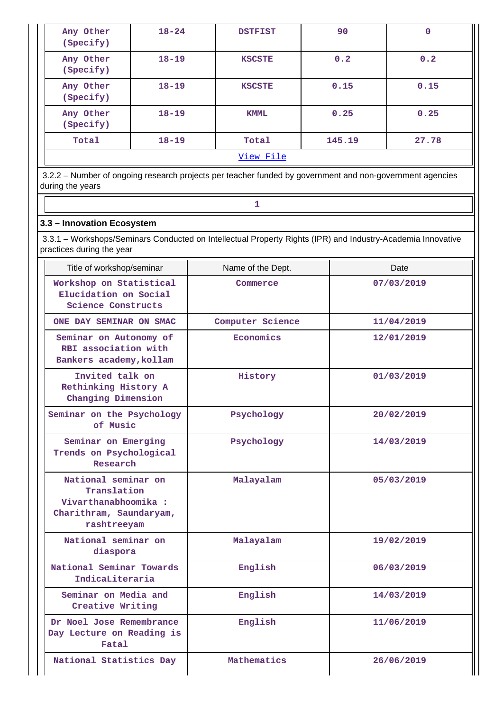| Any Other<br>(Specify) | $18 - 24$ | <b>DSTFIST</b>   | 90     | 0     |
|------------------------|-----------|------------------|--------|-------|
| Any Other<br>(Specify) | $18 - 19$ | <b>KSCSTE</b>    | 0.2    | 0.2   |
| Any Other<br>(Specify) | $18 - 19$ | <b>KSCSTE</b>    | 0.15   | 0.15  |
| Any Other<br>(Specify) | $18 - 19$ | <b>KMML</b>      | 0.25   | 0.25  |
| Total                  | $18 - 19$ | Total            | 145.19 | 27.78 |
|                        |           | <u>View File</u> |        |       |

 3.2.2 – Number of ongoing research projects per teacher funded by government and non-government agencies during the years

### **3.3 – Innovation Ecosystem**

**1 1** 

 3.3.1 – Workshops/Seminars Conducted on Intellectual Property Rights (IPR) and Industry-Academia Innovative practices during the year

| Title of workshop/seminar                                                                            | Name of the Dept. | Date       |
|------------------------------------------------------------------------------------------------------|-------------------|------------|
| Workshop on Statistical<br>Elucidation on Social<br>Science Constructs                               | Commerce          | 07/03/2019 |
| ONE DAY SEMINAR ON SMAC                                                                              | Computer Science  | 11/04/2019 |
| Seminar on Autonomy of<br>RBI association with<br>Bankers academy, kollam                            | Economics         | 12/01/2019 |
| Invited talk on<br>Rethinking History A<br>Changing Dimension                                        | History           | 01/03/2019 |
| Seminar on the Psychology<br>of Music                                                                | Psychology        | 20/02/2019 |
| Seminar on Emerging<br>Trends on Psychological<br>Research                                           | Psychology        | 14/03/2019 |
| National seminar on<br>Translation<br>Vivarthanabhoomika :<br>Charithram, Saundaryam,<br>rashtreeyam | Malayalam         | 05/03/2019 |
| National seminar on<br>diaspora                                                                      | Malayalam         | 19/02/2019 |
| National Seminar Towards<br>IndicaLiteraria                                                          | English           | 06/03/2019 |
| Seminar on Media and<br>Creative Writing                                                             | English           | 14/03/2019 |
| Dr Noel Jose Remembrance<br>Day Lecture on Reading is<br>Fatal                                       | English           | 11/06/2019 |
| National Statistics Day                                                                              | Mathematics       | 26/06/2019 |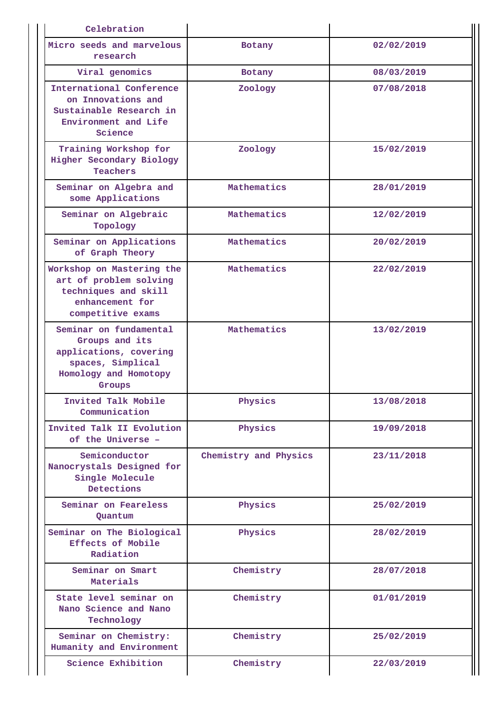| Celebration                                                                                                                |                       |            |
|----------------------------------------------------------------------------------------------------------------------------|-----------------------|------------|
| Micro seeds and marvelous<br>research                                                                                      | Botany                | 02/02/2019 |
| Viral genomics                                                                                                             | Botany                | 08/03/2019 |
| International Conference<br>on Innovations and<br>Sustainable Research in<br>Environment and Life<br>Science               | Zoology               | 07/08/2018 |
| Training Workshop for<br>Higher Secondary Biology<br>Teachers                                                              | Zoology               | 15/02/2019 |
| Seminar on Algebra and<br>some Applications                                                                                | Mathematics           | 28/01/2019 |
| Seminar on Algebraic<br>Topology                                                                                           | Mathematics           | 12/02/2019 |
| Seminar on Applications<br>of Graph Theory                                                                                 | Mathematics           | 20/02/2019 |
| Workshop on Mastering the<br>art of problem solving<br>techniques and skill<br>enhancement for<br>competitive exams        | Mathematics           | 22/02/2019 |
| Seminar on fundamental<br>Groups and its<br>applications, covering<br>spaces, Simplical<br>Homology and Homotopy<br>Groups | Mathematics           | 13/02/2019 |
| Invited Talk Mobile<br>Communication                                                                                       | Physics               | 13/08/2018 |
| Invited Talk II Evolution<br>of the Universe -                                                                             | Physics               | 19/09/2018 |
| Semiconductor<br>Nanocrystals Designed for<br>Single Molecule<br>Detections                                                | Chemistry and Physics | 23/11/2018 |
| Seminar on Feareless<br>Quantum                                                                                            | Physics               | 25/02/2019 |
| Seminar on The Biological<br>Effects of Mobile<br>Radiation                                                                | Physics               | 28/02/2019 |
| Seminar on Smart<br>Materials                                                                                              | Chemistry             | 28/07/2018 |
| State level seminar on<br>Nano Science and Nano<br>Technology                                                              | Chemistry             | 01/01/2019 |
| Seminar on Chemistry:<br>Humanity and Environment                                                                          | Chemistry             | 25/02/2019 |
| Science Exhibition                                                                                                         | Chemistry             | 22/03/2019 |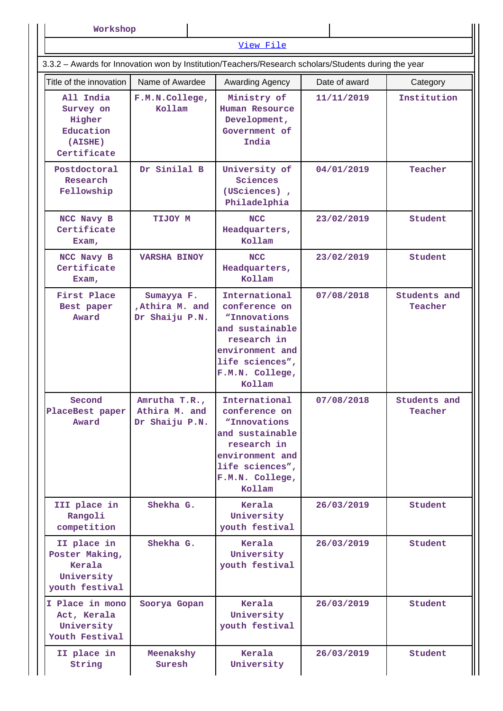| Workshop |  |  |  |
|----------|--|--|--|
|----------|--|--|--|

|                                                                         |                                                  | View File<br>3.3.2 - Awards for Innovation won by Institution/Teachers/Research scholars/Students during the year                                   |               |                         |
|-------------------------------------------------------------------------|--------------------------------------------------|-----------------------------------------------------------------------------------------------------------------------------------------------------|---------------|-------------------------|
| Title of the innovation                                                 | Name of Awardee                                  | Awarding Agency                                                                                                                                     | Date of award |                         |
| All India<br>Survey on<br>Higher<br>Education<br>(AISHE)<br>Certificate | F.M.N.College,<br>Kollam                         | Ministry of<br>Human Resource<br>Development,<br>Government of<br>India                                                                             | 11/11/2019    | Category<br>Institution |
| Postdoctoral<br>Research<br>Fellowship                                  | Dr Sinilal B                                     | University of<br>Sciences<br>(USciences),<br>Philadelphia                                                                                           | 04/01/2019    | Teacher                 |
| NCC Navy B<br>Certificate<br>Exam,                                      | TIJOY M                                          | <b>NCC</b><br>Headquarters,<br>Kollam                                                                                                               | 23/02/2019    | Student                 |
| NCC Navy B<br>Certificate<br>Exam,                                      | <b>VARSHA BINOY</b>                              | <b>NCC</b><br>Headquarters,<br>Kollam                                                                                                               | 23/02/2019    | Student                 |
| First Place<br>Best paper<br>Award                                      | Sumayya F.<br>, Athira M. and<br>Dr Shaiju P.N.  | International<br>conference on<br>"Innovations<br>and sustainable<br>research in<br>environment and<br>life sciences",<br>F.M.N. College,<br>Kollam | 07/08/2018    | Students and<br>Teacher |
| Second<br>PlaceBest paper<br>Award                                      | Amrutha T.R.,<br>Athira M. and<br>Dr Shaiju P.N. | International<br>conference on<br>"Innovations<br>and sustainable<br>research in<br>environment and<br>life sciences",<br>F.M.N. College,<br>Kollam | 07/08/2018    | Students and<br>Teacher |
| III place in<br>Rangoli<br>competition                                  | Shekha G.                                        | Kerala<br>University<br>youth festival                                                                                                              | 26/03/2019    | Student                 |
| II place in<br>Poster Making,<br>Kerala<br>University<br>youth festival | Shekha G.                                        | Kerala<br>University<br>youth festival                                                                                                              | 26/03/2019    | Student                 |
| I Place in mono<br>Act, Kerala<br>University<br>Youth Festival          | Soorya Gopan                                     | Kerala<br>University<br>youth festival                                                                                                              | 26/03/2019    | Student                 |
| II place in<br>String                                                   | Meenakshy<br>Suresh                              | Kerala<br>University                                                                                                                                | 26/03/2019    | Student                 |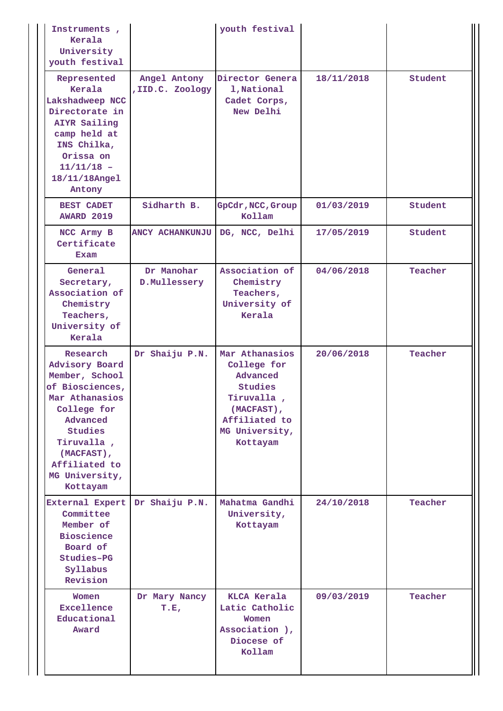| Instruments,<br>Kerala<br>University<br>youth festival                                                                                                                                             |                                  | youth festival                                                                                                                  |            |         |
|----------------------------------------------------------------------------------------------------------------------------------------------------------------------------------------------------|----------------------------------|---------------------------------------------------------------------------------------------------------------------------------|------------|---------|
| Represented<br>Kerala<br>Lakshadweep NCC<br>Directorate in<br><b>AIYR Sailing</b><br>camp held at<br>INS Chilka,<br>Orissa on<br>$11/11/18 -$<br>18/11/18Angel<br>Antony                           | Angel Antony<br>, IID.C. Zoology | Director Genera<br>1, National<br>Cadet Corps,<br>New Delhi                                                                     | 18/11/2018 | Student |
| <b>BEST CADET</b><br><b>AWARD 2019</b>                                                                                                                                                             | Sidharth B.                      | GpCdr, NCC, Group<br>Kollam                                                                                                     | 01/03/2019 | Student |
| NCC Army B<br>Certificate<br>Exam                                                                                                                                                                  | <b>ANCY ACHANKUNJU</b>           | DG, NCC, Delhi                                                                                                                  | 17/05/2019 | Student |
| General<br>Secretary,<br>Association of<br>Chemistry<br>Teachers,<br>University of<br>Kerala                                                                                                       | Dr Manohar<br>D.Mullessery       | Association of<br>Chemistry<br>Teachers,<br>University of<br>Kerala                                                             | 04/06/2018 | Teacher |
| Research<br>Advisory Board<br>Member, School<br>of Biosciences,<br>Mar Athanasios<br>College for<br>Advanced<br>Studies<br>Tiruvalla,<br>(MACFAST),<br>Affiliated to<br>MG University,<br>Kottayam | Dr Shaiju P.N.                   | Mar Athanasios<br>College for<br>Advanced<br>Studies<br>Tiruvalla,<br>(MACFAST),<br>Affiliated to<br>MG University,<br>Kottayam | 20/06/2018 | Teacher |
| <b>External Expert</b><br>Committee<br>Member of<br><b>Bioscience</b><br>Board of<br>Studies-PG<br>Syllabus<br>Revision                                                                            | Dr Shaiju P.N.                   | Mahatma Gandhi<br>University,<br>Kottayam                                                                                       | 24/10/2018 | Teacher |
| Women<br>Excellence<br>Educational<br>Award                                                                                                                                                        | Dr Mary Nancy<br>T.E,            | KLCA Kerala<br>Latic Catholic<br>Women<br>Association ),<br>Diocese of<br>Kollam                                                | 09/03/2019 | Teacher |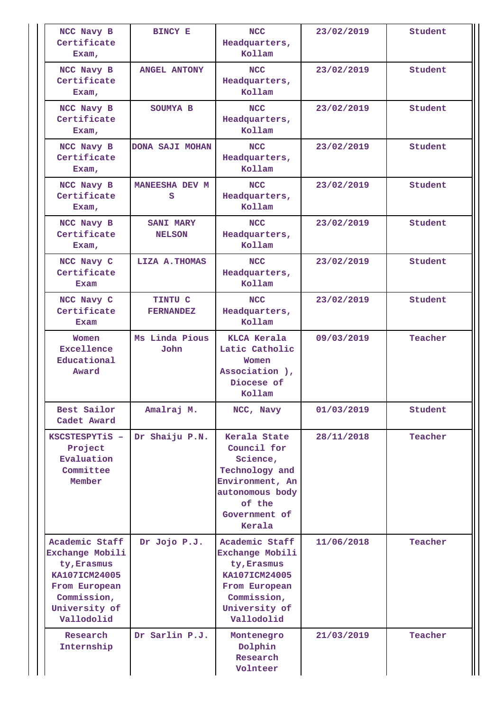| NCC Navy B<br>Certificate<br>Exam,                                                                                               | <b>BINCY E</b>                     | <b>NCC</b><br>Headquarters,<br>Kollam                                                                                                | 23/02/2019 | Student |
|----------------------------------------------------------------------------------------------------------------------------------|------------------------------------|--------------------------------------------------------------------------------------------------------------------------------------|------------|---------|
| NCC Navy B<br>Certificate<br>Exam,                                                                                               | <b>ANGEL ANTONY</b>                | <b>NCC</b><br>Headquarters,<br>Kollam                                                                                                | 23/02/2019 | Student |
| NCC Navy B<br>Certificate<br>Exam,                                                                                               | SOUMYA B                           | <b>NCC</b><br>Headquarters,<br>Kollam                                                                                                | 23/02/2019 | Student |
| NCC Navy B<br>Certificate<br>Exam,                                                                                               | <b>DONA SAJI MOHAN</b>             | <b>NCC</b><br>Headquarters,<br>Kollam                                                                                                | 23/02/2019 | Student |
| NCC Navy B<br>Certificate<br>Exam,                                                                                               | MANEESHA DEV M<br>s                | <b>NCC</b><br>Headquarters,<br>Kollam                                                                                                | 23/02/2019 | Student |
| NCC Navy B<br>Certificate<br>Exam,                                                                                               | <b>SANI MARY</b><br><b>NELSON</b>  | <b>NCC</b><br>Headquarters,<br>Kollam                                                                                                | 23/02/2019 | Student |
| NCC Navy C<br>Certificate<br>Exam                                                                                                | LIZA A. THOMAS                     | <b>NCC</b><br>Headquarters,<br>Kollam                                                                                                | 23/02/2019 | Student |
| NCC Navy C<br>Certificate<br>Exam                                                                                                | <b>TINTU C</b><br><b>FERNANDEZ</b> | <b>NCC</b><br>Headquarters,<br>Kollam                                                                                                | 23/02/2019 | Student |
| Women<br>Excellence<br>Educational<br>Award                                                                                      | Ms Linda Pious<br>John             | <b>KLCA</b> Kerala<br>Latic Catholic<br>Women<br>Association ),<br>Diocese of<br>Kollam                                              | 09/03/2019 | Teacher |
| Best Sailor<br>Cadet Award                                                                                                       | Amalraj M.                         | NCC, Navy                                                                                                                            | 01/03/2019 | Student |
| KSCSTESPYTiS -<br>Project<br>Evaluation<br>Committee<br>Member                                                                   | Dr Shaiju P.N.                     | Kerala State<br>Council for<br>Science,<br>Technology and<br>Environment, An<br>autonomous body<br>of the<br>Government of<br>Kerala | 28/11/2018 | Teacher |
| Academic Staff<br>Exchange Mobili<br>ty, Erasmus<br>KA107ICM24005<br>From European<br>Commission,<br>University of<br>Vallodolid | Dr Jojo P.J.                       | Academic Staff<br>Exchange Mobili<br>ty, Erasmus<br>KA107ICM24005<br>From European<br>Commission,<br>University of<br>Vallodolid     | 11/06/2018 | Teacher |
| Research<br>Internship                                                                                                           | Dr Sarlin P.J.                     | Montenegro<br>Dolphin<br>Research<br>Volnteer                                                                                        | 21/03/2019 | Teacher |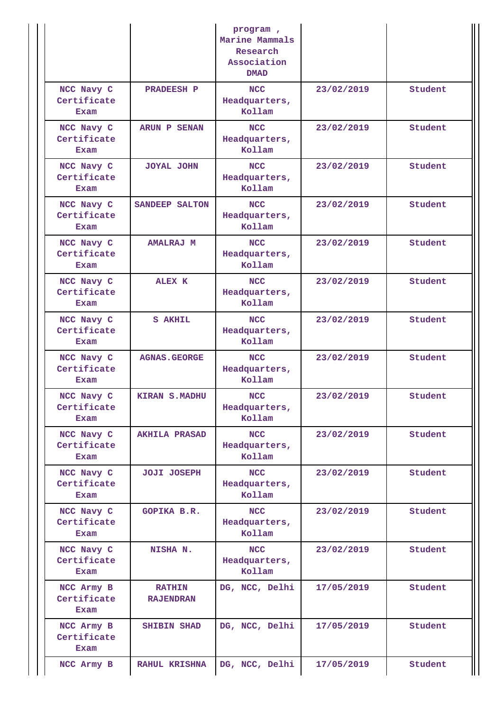|                                   |                                   | program,<br>Marine Mammals<br>Research<br>Association<br><b>DMAD</b> |            |         |
|-----------------------------------|-----------------------------------|----------------------------------------------------------------------|------------|---------|
| NCC Navy C<br>Certificate<br>Exam | <b>PRADEESH P</b>                 | <b>NCC</b><br>Headquarters,<br>Kollam                                | 23/02/2019 | Student |
| NCC Navy C<br>Certificate<br>Exam | <b>ARUN P SENAN</b>               | <b>NCC</b><br>Headquarters,<br>Kollam                                | 23/02/2019 | Student |
| NCC Navy C<br>Certificate<br>Exam | <b>JOYAL JOHN</b>                 | <b>NCC</b><br>Headquarters,<br>Kollam                                | 23/02/2019 | Student |
| NCC Navy C<br>Certificate<br>Exam | SANDEEP SALTON                    | <b>NCC</b><br>Headquarters,<br>Kollam                                | 23/02/2019 | Student |
| NCC Navy C<br>Certificate<br>Exam | <b>AMALRAJ M</b>                  | <b>NCC</b><br>Headquarters,<br>Kollam                                | 23/02/2019 | Student |
| NCC Navy C<br>Certificate<br>Exam | <b>ALEX K</b>                     | <b>NCC</b><br>Headquarters,<br>Kollam                                | 23/02/2019 | Student |
| NCC Navy C<br>Certificate<br>Exam | <b>S AKHIL</b>                    | <b>NCC</b><br>Headquarters,<br>Kollam                                | 23/02/2019 | Student |
| NCC Navy C<br>Certificate<br>Exam | <b>AGNAS.GEORGE</b>               | <b>NCC</b><br>Headquarters,<br>Kollam                                | 23/02/2019 | Student |
| NCC Navy C<br>Certificate<br>Exam | <b>KIRAN S.MADHU</b>              | <b>NCC</b><br>Headquarters,<br>Kollam                                | 23/02/2019 | Student |
| NCC Navy C<br>Certificate<br>Exam | <b>AKHILA PRASAD</b>              | <b>NCC</b><br>Headquarters,<br>Kollam                                | 23/02/2019 | Student |
| NCC Navy C<br>Certificate<br>Exam | <b>JOJI JOSEPH</b>                | <b>NCC</b><br>Headquarters,<br>Kollam                                | 23/02/2019 | Student |
| NCC Navy C<br>Certificate<br>Exam | <b>GOPIKA B.R.</b>                | <b>NCC</b><br>Headquarters,<br>Kollam                                | 23/02/2019 | Student |
| NCC Navy C<br>Certificate<br>Exam | NISHA N.                          | <b>NCC</b><br>Headquarters,<br>Kollam                                | 23/02/2019 | Student |
| NCC Army B<br>Certificate<br>Exam | <b>RATHIN</b><br><b>RAJENDRAN</b> | DG, NCC, Delhi                                                       | 17/05/2019 | Student |
| NCC Army B<br>Certificate<br>Exam | <b>SHIBIN SHAD</b>                | DG, NCC, Delhi                                                       | 17/05/2019 | Student |
| NCC Army B                        | <b>RAHUL KRISHNA</b>              | DG, NCC, Delhi                                                       | 17/05/2019 | Student |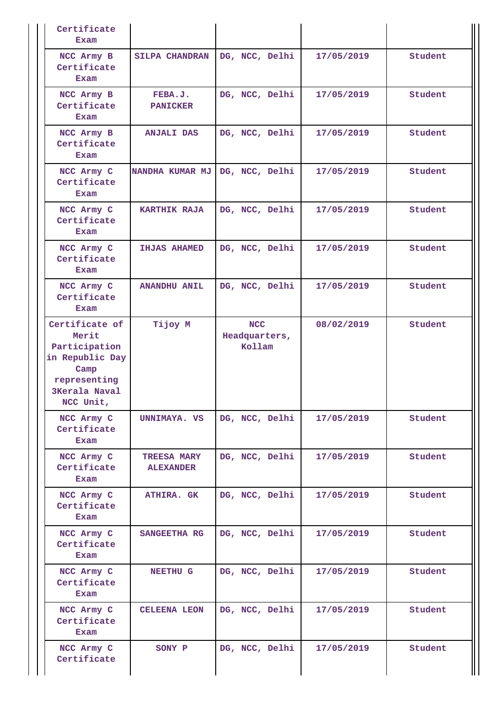| Certificate<br>Exam                                                                                                      |                                        |                                       |            |         |
|--------------------------------------------------------------------------------------------------------------------------|----------------------------------------|---------------------------------------|------------|---------|
| NCC Army B<br>Certificate<br>Exam                                                                                        | <b>SILPA CHANDRAN</b>                  | DG, NCC, Delhi                        | 17/05/2019 | Student |
| NCC Army B<br>Certificate<br>Exam                                                                                        | FEBA.J.<br><b>PANICKER</b>             | DG, NCC, Delhi                        | 17/05/2019 | Student |
| NCC Army B<br>Certificate<br>Exam                                                                                        | <b>ANJALI DAS</b>                      | DG, NCC, Delhi                        | 17/05/2019 | Student |
| NCC Army C<br>Certificate<br>Exam                                                                                        | NANDHA KUMAR MJ                        | DG, NCC, Delhi                        | 17/05/2019 | Student |
| NCC Army C<br>Certificate<br>Exam                                                                                        | <b>KARTHIK RAJA</b>                    | DG, NCC, Delhi                        | 17/05/2019 | Student |
| NCC Army C<br>Certificate<br>Exam                                                                                        | <b>IHJAS AHAMED</b>                    | DG, NCC, Delhi                        | 17/05/2019 | Student |
| NCC Army C<br>Certificate<br>Exam                                                                                        | <b>ANANDHU ANIL</b>                    | DG, NCC, Delhi                        | 17/05/2019 | Student |
| Certificate of<br>Merit<br>Participation<br>in Republic Day<br>Camp<br>representing<br><b>3Kerala Naval</b><br>NCC Unit, | Tijoy M                                | <b>NCC</b><br>Headquarters,<br>Kollam | 08/02/2019 | Student |
| NCC Army C<br>Certificate<br>Exam                                                                                        | UNNIMAYA. VS                           | DG, NCC, Delhi                        | 17/05/2019 | Student |
| NCC Army C<br>Certificate<br>Exam                                                                                        | <b>TREESA MARY</b><br><b>ALEXANDER</b> | DG, NCC, Delhi                        | 17/05/2019 | Student |
| NCC Army C<br>Certificate<br>Exam                                                                                        | <b>ATHIRA. GK</b>                      | DG, NCC, Delhi                        | 17/05/2019 | Student |
| NCC Army C<br>Certificate<br>Exam                                                                                        | SANGEETHA RG                           | DG, NCC, Delhi                        | 17/05/2019 | Student |
| NCC Army C<br>Certificate<br>Exam                                                                                        | <b>NEETHU G</b>                        | DG, NCC, Delhi                        | 17/05/2019 | Student |
| NCC Army C<br>Certificate<br>Exam                                                                                        | <b>CELEENA LEON</b>                    | DG, NCC, Delhi                        | 17/05/2019 | Student |
| NCC Army C<br>Certificate                                                                                                | SONY P                                 | DG, NCC, Delhi                        | 17/05/2019 | Student |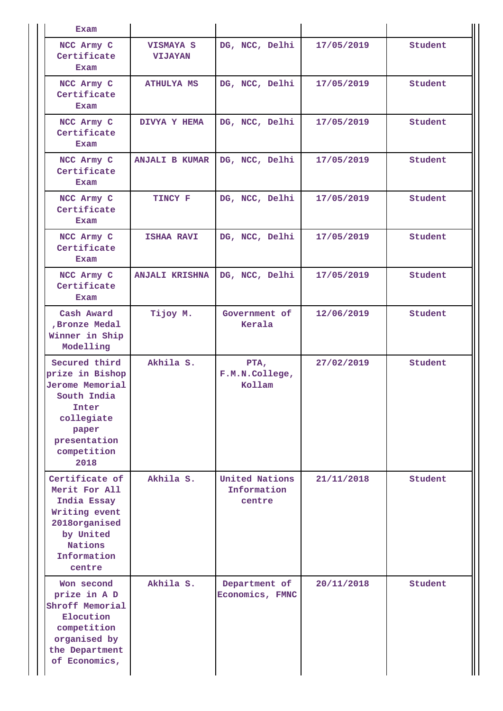| <b>Exam</b>                                                                                                                                      |                                    |                                         |            |         |
|--------------------------------------------------------------------------------------------------------------------------------------------------|------------------------------------|-----------------------------------------|------------|---------|
| NCC Army C<br>Certificate<br><b>Exam</b>                                                                                                         | <b>VISMAYA S</b><br><b>VIJAYAN</b> | DG, NCC, Delhi                          | 17/05/2019 | Student |
| NCC Army C<br>Certificate<br>Exam                                                                                                                | <b>ATHULYA MS</b>                  | DG, NCC, Delhi                          | 17/05/2019 | Student |
| NCC Army C<br>Certificate<br>Exam                                                                                                                | DIVYA Y HEMA                       | DG, NCC, Delhi                          | 17/05/2019 | Student |
| NCC Army C<br>Certificate<br>Exam                                                                                                                | <b>ANJALI B KUMAR</b>              | DG, NCC, Delhi                          | 17/05/2019 | Student |
| NCC Army C<br>Certificate<br>Exam                                                                                                                | TINCY F                            | DG, NCC, Delhi                          | 17/05/2019 | Student |
| NCC Army C<br>Certificate<br>Exam                                                                                                                | <b>ISHAA RAVI</b>                  | DG, NCC, Delhi                          | 17/05/2019 | Student |
| NCC Army C<br>Certificate<br>Exam                                                                                                                | <b>ANJALI KRISHNA</b>              | DG, NCC, Delhi                          | 17/05/2019 | Student |
| Cash Award<br>, Bronze Medal<br>Winner in Ship<br>Modelling                                                                                      | Tijoy M.                           | Government of<br>Kerala                 | 12/06/2019 | Student |
| Secured third<br>prize in Bishop<br><b>Jerome Memorial</b><br>South India<br>Inter<br>collegiate<br>paper<br>presentation<br>competition<br>2018 | Akhila S.                          | PTA,<br>F.M.N.College,<br>Kollam        | 27/02/2019 | Student |
| Certificate of<br>Merit For All<br>India Essay<br>Writing event<br>2018organised<br>by United<br>Nations<br>Information<br>centre                | Akhila S.                          | United Nations<br>Information<br>centre | 21/11/2018 | Student |
| Won second<br>prize in A D<br>Shroff Memorial<br>Elocution<br>competition<br>organised by<br>the Department<br>of Economics,                     | Akhila S.                          | Department of<br>Economics, FMNC        | 20/11/2018 | Student |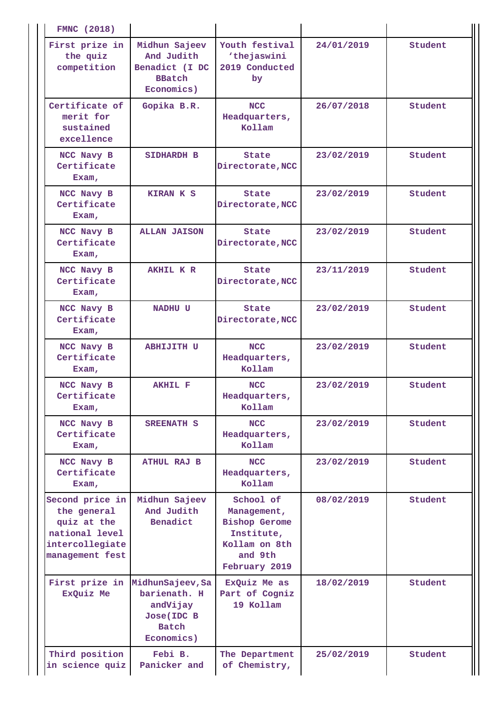| <b>FMNC</b> (2018)                                                                                    |                                                                                          |                                                                                                             |            |         |
|-------------------------------------------------------------------------------------------------------|------------------------------------------------------------------------------------------|-------------------------------------------------------------------------------------------------------------|------------|---------|
| First prize in<br>the quiz<br>competition                                                             | Midhun Sajeev<br>And Judith<br>Benadict (I DC<br><b>BBatch</b><br>Economics)             | Youth festival<br>'thejaswini<br>2019 Conducted<br>by                                                       | 24/01/2019 | Student |
| Certificate of<br>merit for<br>sustained<br>excellence                                                | Gopika B.R.                                                                              | <b>NCC</b><br>Headquarters,<br>Kollam                                                                       | 26/07/2018 | Student |
| NCC Navy B<br>Certificate<br>Exam,                                                                    | <b>SIDHARDH B</b>                                                                        | State<br>Directorate, NCC                                                                                   | 23/02/2019 | Student |
| NCC Navy B<br>Certificate<br>Exam,                                                                    | <b>KIRAN K S</b>                                                                         | <b>State</b><br>Directorate, NCC                                                                            | 23/02/2019 | Student |
| NCC Navy B<br>Certificate<br>Exam,                                                                    | <b>ALLAN JAISON</b>                                                                      | <b>State</b><br>Directorate, NCC                                                                            | 23/02/2019 | Student |
| NCC Navy B<br>Certificate<br>Exam,                                                                    | AKHIL K R                                                                                | <b>State</b><br>Directorate, NCC                                                                            | 23/11/2019 | Student |
| NCC Navy B<br>Certificate<br>Exam,                                                                    | NADHU U                                                                                  | State<br>Directorate, NCC                                                                                   | 23/02/2019 | Student |
| NCC Navy B<br>Certificate<br>Exam,                                                                    | <b>ABHIJITH U</b>                                                                        | <b>NCC</b><br>Headquarters,<br>Kollam                                                                       | 23/02/2019 | Student |
| NCC Navy B<br>Certificate<br>Exam,                                                                    | <b>AKHIL F</b>                                                                           | <b>NCC</b><br>Headquarters,<br>Kollam                                                                       | 23/02/2019 | Student |
| NCC Navy B<br>Certificate<br>Exam,                                                                    | SREENATH S                                                                               | <b>NCC</b><br>Headquarters,<br>Kollam                                                                       | 23/02/2019 | Student |
| NCC Navy B<br>Certificate<br>Exam,                                                                    | <b>ATHUL RAJ B</b>                                                                       | <b>NCC</b><br>Headquarters,<br>Kollam                                                                       | 23/02/2019 | Student |
| Second price in<br>the general<br>quiz at the<br>national level<br>intercollegiate<br>management fest | Midhun Sajeev<br>And Judith<br>Benadict                                                  | School of<br>Management,<br><b>Bishop Gerome</b><br>Institute,<br>Kollam on 8th<br>and 9th<br>February 2019 | 08/02/2019 | Student |
| First prize in<br>ExQuiz Me                                                                           | MidhunSajeev, Sa<br>barienath. H<br>andVijay<br>Jose(IDC B<br><b>Batch</b><br>Economics) | ExQuiz Me as<br>Part of Cogniz<br>19 Kollam                                                                 | 18/02/2019 | Student |
| Third position<br>in science quiz                                                                     | Febi B.<br>Panicker and                                                                  | The Department<br>of Chemistry,                                                                             | 25/02/2019 | Student |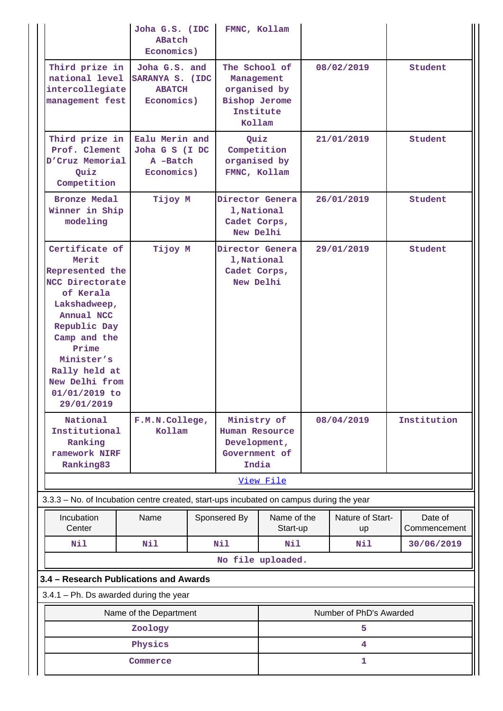|                                                                                                                                                                                                                                     | Joha G.S. (IDC<br>ABatch<br>Economics)                     |  | FMNC, Kollam                                                                               |                         |                              |                         |
|-------------------------------------------------------------------------------------------------------------------------------------------------------------------------------------------------------------------------------------|------------------------------------------------------------|--|--------------------------------------------------------------------------------------------|-------------------------|------------------------------|-------------------------|
| Third prize in<br>national level SARANYA S. (IDC<br>intercollegiate<br>management fest                                                                                                                                              | Joha G.S. and<br><b>ABATCH</b><br>Economics)               |  | The School of<br>Management<br>organised by<br><b>Bishop Jerome</b><br>Institute<br>Kollam |                         | 08/02/2019                   | Student                 |
| Third prize in<br>Prof. Clement<br>D'Cruz Memorial<br>Quiz<br>Competition                                                                                                                                                           | Ealu Merin and<br>Joha G S (I DC<br>A -Batch<br>Economics) |  | Quiz<br>Competition<br>organised by<br>FMNC, Kollam                                        |                         | 21/01/2019                   | Student                 |
| <b>Bronze Medal</b><br>Winner in Ship<br>modeling                                                                                                                                                                                   | Tijoy M                                                    |  | Director Genera<br>1, National<br>Cadet Corps,<br>New Delhi                                |                         | 26/01/2019                   | Student                 |
| Certificate of<br>Merit<br>Represented the<br>NCC Directorate<br>of Kerala<br>Lakshadweep,<br>Annual NCC<br>Republic Day<br>Camp and the<br>Prime<br>Minister's<br>Rally held at<br>New Delhi from<br>$01/01/2019$ to<br>29/01/2019 | Tijoy M                                                    |  | Director Genera<br>1, National<br>Cadet Corps,<br>New Delhi                                |                         | 29/01/2019                   | Student                 |
| National<br>Institutional<br>Ranking<br>ramework NIRF<br>Ranking83                                                                                                                                                                  | F.M.N.College,<br>Kollam                                   |  | Ministry of<br>Human Resource<br>Development,<br>Government of<br>India                    |                         | 08/04/2019                   | Institution             |
|                                                                                                                                                                                                                                     |                                                            |  |                                                                                            | View File               |                              |                         |
| 3.3.3 - No. of Incubation centre created, start-ups incubated on campus during the year                                                                                                                                             |                                                            |  |                                                                                            |                         |                              |                         |
| Incubation<br>Center                                                                                                                                                                                                                | Name                                                       |  | Sponsered By                                                                               | Name of the<br>Start-up | Nature of Start-<br>up       | Date of<br>Commencement |
| Nil                                                                                                                                                                                                                                 | Nil                                                        |  | Nil                                                                                        | Nil                     | Nil                          | 30/06/2019              |
|                                                                                                                                                                                                                                     |                                                            |  | No file uploaded.                                                                          |                         |                              |                         |
| 3.4 - Research Publications and Awards                                                                                                                                                                                              |                                                            |  |                                                                                            |                         |                              |                         |
| $3.4.1$ – Ph. Ds awarded during the year                                                                                                                                                                                            |                                                            |  |                                                                                            |                         |                              |                         |
|                                                                                                                                                                                                                                     | Name of the Department                                     |  |                                                                                            |                         | Number of PhD's Awarded<br>5 |                         |
|                                                                                                                                                                                                                                     | Zoology                                                    |  |                                                                                            |                         | 4                            |                         |
| Physics<br>Commerce                                                                                                                                                                                                                 |                                                            |  |                                                                                            |                         |                              |                         |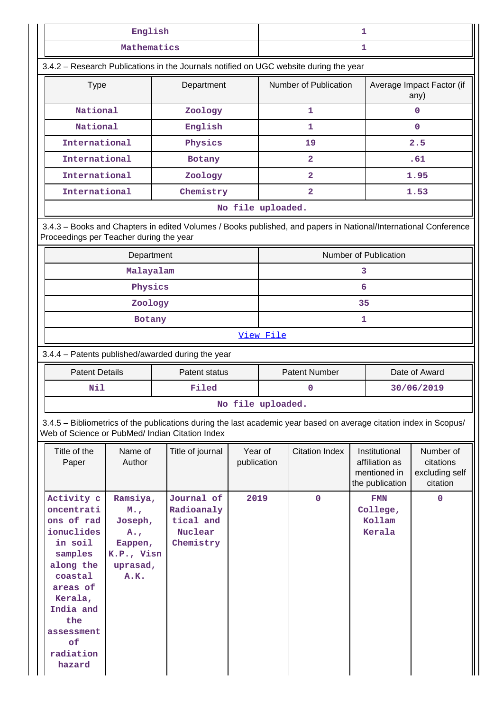|                                                                                                                                                              | English                                                                 |                                                                                                                                                                       |                                | 1                                     |                                      |    |                                                                                              |                                                                  |
|--------------------------------------------------------------------------------------------------------------------------------------------------------------|-------------------------------------------------------------------------|-----------------------------------------------------------------------------------------------------------------------------------------------------------------------|--------------------------------|---------------------------------------|--------------------------------------|----|----------------------------------------------------------------------------------------------|------------------------------------------------------------------|
|                                                                                                                                                              | Mathematics                                                             |                                                                                                                                                                       |                                |                                       |                                      | 1  |                                                                                              |                                                                  |
|                                                                                                                                                              |                                                                         | 3.4.2 - Research Publications in the Journals notified on UGC website during the year                                                                                 |                                |                                       |                                      |    |                                                                                              |                                                                  |
| <b>Type</b>                                                                                                                                                  |                                                                         | Department                                                                                                                                                            |                                |                                       | Number of Publication                |    |                                                                                              | Average Impact Factor (if<br>any)                                |
| National                                                                                                                                                     |                                                                         | Zoology                                                                                                                                                               |                                |                                       | 1                                    |    |                                                                                              | 0                                                                |
| National                                                                                                                                                     |                                                                         | English                                                                                                                                                               |                                |                                       | 1                                    |    |                                                                                              | $\mathbf 0$                                                      |
| International                                                                                                                                                |                                                                         | Physics                                                                                                                                                               |                                |                                       | 19                                   |    |                                                                                              | 2.5                                                              |
| International                                                                                                                                                |                                                                         | Botany                                                                                                                                                                |                                |                                       | $\overline{\mathbf{2}}$              |    |                                                                                              | .61                                                              |
| International                                                                                                                                                |                                                                         | Zoology                                                                                                                                                               |                                |                                       | $\overline{2}$                       |    |                                                                                              | 1.95                                                             |
| International                                                                                                                                                |                                                                         | Chemistry                                                                                                                                                             |                                |                                       | $\overline{2}$                       |    |                                                                                              | 1.53                                                             |
|                                                                                                                                                              |                                                                         |                                                                                                                                                                       |                                | No file uploaded.                     |                                      |    |                                                                                              |                                                                  |
| Proceedings per Teacher during the year                                                                                                                      |                                                                         | 3.4.3 - Books and Chapters in edited Volumes / Books published, and papers in National/International Conference                                                       |                                |                                       |                                      |    |                                                                                              |                                                                  |
|                                                                                                                                                              | Department                                                              |                                                                                                                                                                       |                                |                                       |                                      |    | Number of Publication                                                                        |                                                                  |
|                                                                                                                                                              | Malayalam                                                               |                                                                                                                                                                       |                                |                                       |                                      | 3  |                                                                                              |                                                                  |
|                                                                                                                                                              | Physics                                                                 |                                                                                                                                                                       |                                |                                       |                                      | 6  |                                                                                              |                                                                  |
|                                                                                                                                                              | Zoology                                                                 |                                                                                                                                                                       |                                |                                       |                                      | 35 |                                                                                              |                                                                  |
|                                                                                                                                                              | Botany                                                                  |                                                                                                                                                                       |                                | 1                                     |                                      |    |                                                                                              |                                                                  |
|                                                                                                                                                              |                                                                         |                                                                                                                                                                       |                                | View File                             |                                      |    |                                                                                              |                                                                  |
|                                                                                                                                                              |                                                                         | 3.4.4 - Patents published/awarded during the year                                                                                                                     |                                |                                       |                                      |    |                                                                                              |                                                                  |
| <b>Patent Details</b>                                                                                                                                        |                                                                         | Patent status                                                                                                                                                         |                                | <b>Patent Number</b><br>Date of Award |                                      |    |                                                                                              |                                                                  |
| Nil                                                                                                                                                          |                                                                         | Filed                                                                                                                                                                 |                                |                                       | 0                                    |    |                                                                                              | 30/06/2019                                                       |
|                                                                                                                                                              |                                                                         |                                                                                                                                                                       |                                | No file uploaded.                     |                                      |    |                                                                                              |                                                                  |
|                                                                                                                                                              |                                                                         | 3.4.5 - Bibliometrics of the publications during the last academic year based on average citation index in Scopus/<br>Web of Science or PubMed/ Indian Citation Index |                                |                                       |                                      |    |                                                                                              |                                                                  |
| Title of the<br>Paper<br>Activity c<br>oncentrati                                                                                                            | Name of<br>Author<br>Ramsiya,<br>M.,                                    | Title of journal<br>Journal of<br>Radioanaly                                                                                                                          | Year of<br>publication<br>2019 |                                       | <b>Citation Index</b><br>$\mathbf 0$ |    | Institutional<br>affiliation as<br>mentioned in<br>the publication<br><b>FMN</b><br>College, | Number of<br>citations<br>excluding self<br>citation<br>$\Omega$ |
| ons of rad<br>ionuclides<br>in soil<br>samples<br>along the<br>coastal<br>areas of<br>Kerala,<br>India and<br>the<br>assessment<br>of<br>radiation<br>hazard | Joseph,<br>$A_{\bullet}$ ,<br>Eappen,<br>K.P., Visn<br>uprasad,<br>A.K. | tical and<br>Nuclear<br>Chemistry                                                                                                                                     |                                |                                       |                                      |    | Kollam<br>Kerala                                                                             |                                                                  |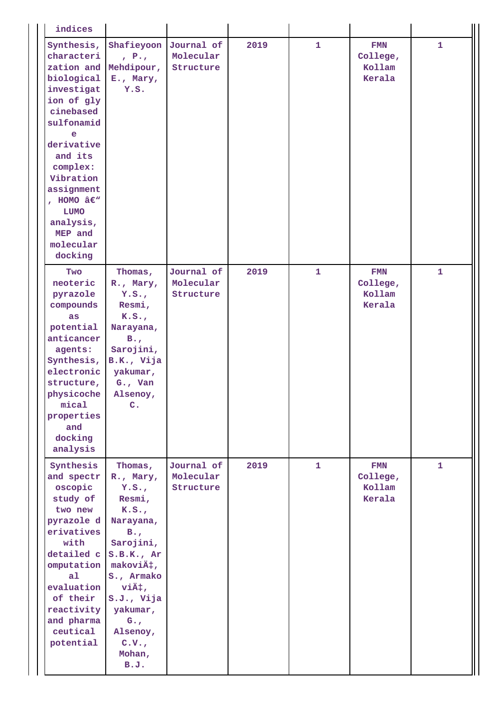| indices                                                                                                                                                                                                                                                           |                                                                                                                                                                                                                                          |                                      |      |              |                                            |              |
|-------------------------------------------------------------------------------------------------------------------------------------------------------------------------------------------------------------------------------------------------------------------|------------------------------------------------------------------------------------------------------------------------------------------------------------------------------------------------------------------------------------------|--------------------------------------|------|--------------|--------------------------------------------|--------------|
| Synthesis,<br>characteri<br>zation and<br>biological<br>investigat<br>ion of gly<br>cinebased<br>sulfonamid<br>e<br>derivative<br>and its<br>complex:<br>Vibration<br>assignment<br>, HOMO $\hat{a}\in W$<br>LUMO<br>analysis,<br>MEP and<br>molecular<br>docking | Shafieyoon<br>$P_{\rm t}$<br>Mehdipour,<br>E., Mary,<br>Y.S.                                                                                                                                                                             | Journal of<br>Molecular<br>Structure | 2019 | $\mathbf{1}$ | <b>FMN</b><br>College,<br>Kollam<br>Kerala | $\mathbf{1}$ |
| Two<br>neoteric<br>pyrazole<br>compounds<br>as<br>potential<br>anticancer<br>agents:<br>Synthesis,<br>electronic<br>structure,<br>physicoche<br>mical<br>properties<br>and<br>docking<br>analysis                                                                 | Thomas,<br>R., Mary,<br>Y.S.<br>Resmi,<br>K.S.<br>Narayana,<br>$B_{\bullet}$<br>Sarojini,<br>B.K., Vija<br>yakumar,<br>$G_{\bullet}$ , Van<br>Alsenoy,<br>C <sub>1</sub>                                                                 | Journal of<br>Molecular<br>Structure | 2019 | $\mathbf{1}$ | <b>FMN</b><br>College,<br>Kollam<br>Kerala | $\mathbf{1}$ |
| Synthesis<br>and spectr<br>oscopic<br>study of<br>two new<br>pyrazole d<br>erivatives<br>with<br>detailed c<br>omputation<br>a <sub>1</sub><br>evaluation<br>of their<br>reactivity<br>and pharma<br>ceutical<br>potential                                        | Thomas,<br>R., Mary,<br>Y.S.<br>Resmi,<br>K.S.<br>Narayana,<br>$B_{\bullet}$<br>Sarojini,<br>S.B.K., Ar<br>maković,<br>S., Armako<br>$v$ iÄ $\dagger$ ,<br>S.J., Vija<br>yakumar,<br>$G_{\bullet}$<br>Alsenoy,<br>C.V.<br>Mohan,<br>B.J. | Journal of<br>Molecular<br>Structure | 2019 | 1            | <b>FMN</b><br>College,<br>Kollam<br>Kerala | $\mathbf{1}$ |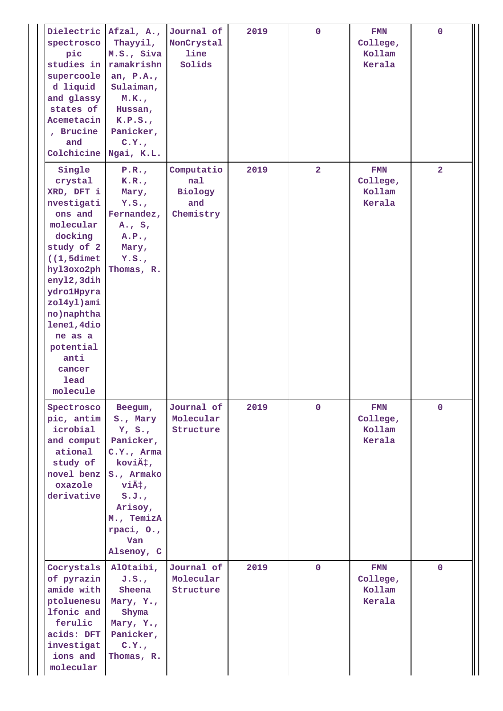| Dielectric<br>spectrosco<br>pic<br>studies in<br>supercoole<br>d liquid<br>and glassy<br>states of<br>Acemetacin<br>, Brucine<br>and<br>Colchicine                                                                                                                   | Afzal, A.,<br>Thayyil,<br>M.S., Siva<br>ramakrishn<br>an, $P.A.$ ,<br>Sulaiman,<br>M.K.,<br>Hussan,<br>K.P.S.<br>Panicker,<br>C.Y.,<br>Ngai, K.L.                            | Journal of<br>NonCrystal<br>line<br>Solids              | 2019 | $\mathbf 0$    | <b>FMN</b><br>College,<br>Kollam<br>Kerala | $\mathbf 0$    |
|----------------------------------------------------------------------------------------------------------------------------------------------------------------------------------------------------------------------------------------------------------------------|------------------------------------------------------------------------------------------------------------------------------------------------------------------------------|---------------------------------------------------------|------|----------------|--------------------------------------------|----------------|
| Single<br>crystal<br>XRD, DFT i<br>nvestigati<br>ons and<br>molecular<br>docking<br>study of 2<br>$(1, 5$ dimet<br>hyl3oxo2ph<br>enyl2, 3dih<br>ydrolHpyra<br>zol4yl)ami<br>no) naphtha<br>lene1, 4dio<br>ne as a<br>potential<br>anti<br>cancer<br>lead<br>molecule | P.R.,<br>K.R.<br>Mary,<br>Y.S.<br>Fernandez,<br>$A_{\bullet}$ , $S_{\bullet}$<br>A.P.<br>Mary,<br>Y.S.<br>Thomas, R.                                                         | Computatio<br>nal<br><b>Biology</b><br>and<br>Chemistry | 2019 | $\overline{2}$ | <b>FMN</b><br>College,<br>Kollam<br>Kerala | $\overline{2}$ |
| Spectrosco<br>pic, antim<br>icrobial<br>and comput<br>ational<br>study of<br>novel benz<br>oxazole<br>derivative                                                                                                                                                     | Beegum,<br>S., Mary<br>Y, S.,<br>Panicker,<br>$C.Y.,$ Arma<br>ković,<br>S., Armako<br>$v$ iÄ $\dagger$ ,<br>S.J.<br>Arisoy,<br>M., TemizA<br>rpaci, O.,<br>Van<br>Alsenoy, C | Journal of<br>Molecular<br>Structure                    | 2019 | $\mathbf 0$    | <b>FMN</b><br>College,<br>Kollam<br>Kerala | $\mathbf 0$    |
| Cocrystals<br>of pyrazin<br>amide with<br>ptoluenesu<br>lfonic and<br>ferulic<br>acids: DFT<br>investigat<br>ions and<br>molecular                                                                                                                                   | AlOtaibi,<br>J.S.<br>Sheena<br>Mary, Y.,<br>Shyma<br>Mary, Y.,<br>Panicker,<br>C.Y.,<br>Thomas, R.                                                                           | Journal of<br>Molecular<br>Structure                    | 2019 | $\mathbf 0$    | <b>FMN</b><br>College,<br>Kollam<br>Kerala | $\mathbf 0$    |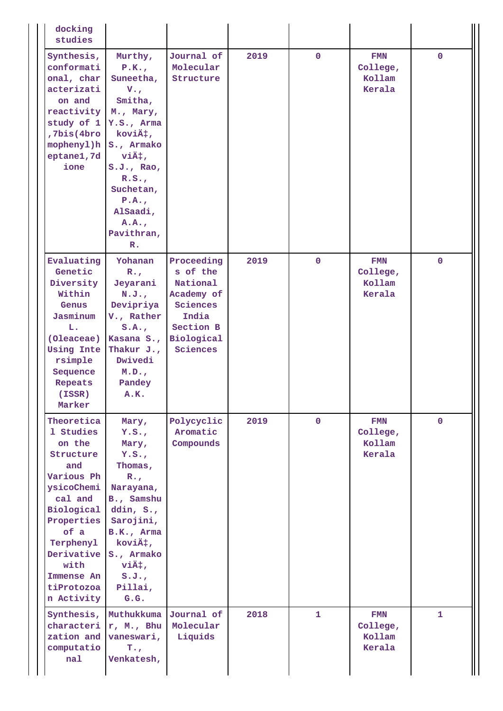| docking<br>studies                                                                                                                                                                                            |                                                                                                                                                                                                                                   |                                                                                                              |      |              |                                            |              |
|---------------------------------------------------------------------------------------------------------------------------------------------------------------------------------------------------------------|-----------------------------------------------------------------------------------------------------------------------------------------------------------------------------------------------------------------------------------|--------------------------------------------------------------------------------------------------------------|------|--------------|--------------------------------------------|--------------|
| Synthesis,<br>conformati<br>onal, char<br>acterizati<br>on and<br>reactivity<br>study of 1<br>,7bis(4bro<br>mophenyl)h<br>eptane1,7d<br>ione                                                                  | Murthy,<br>P.K.<br>Suneetha,<br>$V_{\bullet}$<br>Smitha,<br>M., Mary,<br>Y.S., Arma<br>koviä#,<br>S., Armako<br>$v$ iÄ $\dagger$ ,<br>S.J., Rao,<br>R.S.<br>Suchetan,<br>P.A.<br>AlSaadi,<br>A.A.<br>Pavithran,<br>$\mathbb{R}$ . | Journal of<br>Molecular<br>Structure                                                                         | 2019 | $\mathbf 0$  | <b>FMN</b><br>College,<br>Kollam<br>Kerala | $\mathbf{0}$ |
| Evaluating<br>Genetic<br>Diversity<br>Within<br>Genus<br>Jasminum<br>L.<br>(Oleaceae)<br><b>Using Inte</b><br>rsimple<br>Sequence<br>Repeats<br>(ISSR)<br>Marker                                              | Yohanan<br>$R_{\star}$<br>Jeyarani<br>N.J.<br>Devipriya<br>V., Rather<br>S.A.<br>Kasana S.,<br>Thakur $J.$<br>Dwivedi<br>M.D.,<br>Pandey<br>A.K.                                                                                  | Proceeding<br>s of the<br>National<br>Academy of<br>Sciences<br>India<br>Section B<br>Biological<br>Sciences | 2019 | $\mathbf{0}$ | <b>FMN</b><br>College,<br>Kollam<br>Kerala | $\mathbf 0$  |
| Theoretica<br>1 Studies<br>on the<br>Structure<br>and<br>Various Ph<br>ysicoChemi<br>cal and<br>Biological<br>Properties<br>of a<br>Terphenyl<br>Derivative<br>with<br>Immense An<br>tiProtozoa<br>n Activity | Mary,<br>Y.S.<br>Mary,<br>Y.S.<br>Thomas,<br>$R_{\bullet}$<br>Narayana,<br>B., Samshu<br>ddin, $S_{\cdot}$ ,<br>Sarojini,<br>B.K., Arma<br>ković,<br>S., Armako<br>$v$ iÄ $\dagger$ ,<br>S.J.<br>Pillai,<br>G.G.                  | Polycyclic<br>Aromatic<br>Compounds                                                                          | 2019 | $\mathbf{0}$ | <b>FMN</b><br>College,<br>Kollam<br>Kerala | $\mathbf{0}$ |
| Synthesis,<br>zation and<br>computatio<br>nal                                                                                                                                                                 | Muthukkuma<br>characteri r, M., Bhu<br>vaneswari,<br>$T_{\star}$<br>Venkatesh,                                                                                                                                                    | Journal of<br>Molecular<br>Liquids                                                                           | 2018 | 1            | <b>FMN</b><br>College,<br>Kollam<br>Kerala | 1            |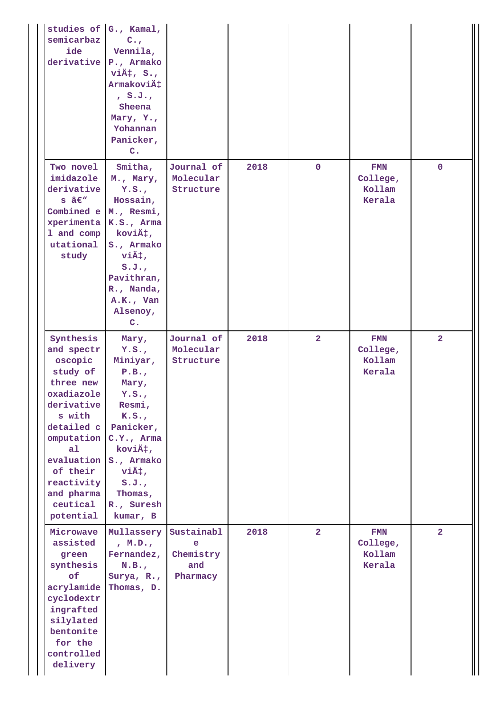| studies of G., Kamal,<br>semicarbaz<br>ide<br>derivative                                                                                                                                                           | $C_{\bullet,r}$<br>Vennila,<br>P., Armako<br>$v\ddot{A}$ ; $S_{\cdot}$<br>Armaković<br>, S.J.<br>Sheena<br>Mary, Y.,<br>Yohannan<br>Panicker,<br>$C_{\bullet}$                                   |                                                 |      |                |                                            |                |
|--------------------------------------------------------------------------------------------------------------------------------------------------------------------------------------------------------------------|--------------------------------------------------------------------------------------------------------------------------------------------------------------------------------------------------|-------------------------------------------------|------|----------------|--------------------------------------------|----------------|
| Two novel<br>imidazole<br>derivative<br>$s \; \hat{a} \in \mathbb{N}$<br>Combined e<br>xperimenta<br>1 and comp<br>utational<br>study                                                                              | Smitha,<br>M., Mary,<br>Y.S.<br>Hossain,<br>M., Resmi,<br>K.S., Arma<br>ković,<br>S., Armako<br>$v$ iÄ $\dagger$ ,<br>S.J.<br>Pavithran,<br>R., Nanda,<br>A.K., Van<br>Alsenoy,<br>$C_{\bullet}$ | Journal of<br>Molecular<br>Structure            | 2018 | $\mathbf 0$    | <b>FMN</b><br>College,<br>Kollam<br>Kerala | $\mathbf 0$    |
| Synthesis<br>and spectr<br>oscopic<br>study of<br>three new<br>oxadiazole<br>derivative<br>s with<br>detailed c<br>omputation<br>a1<br>evaluation<br>of their<br>reactivity<br>and pharma<br>ceutical<br>potential | Mary,<br>Y.S.<br>Miniyar,<br>P.B.,<br>Mary,<br>Y.S.<br>Resmi,<br>K.S.<br>Panicker,<br>$C.Y.,$ Arma<br>ković,<br>S., Armako<br>$v$ iÄ $\dagger$ ,<br>S.J.<br>Thomas,<br>R., Suresh<br>kumar, B    | Journal of<br>Molecular<br>Structure            | 2018 | $\overline{2}$ | <b>FMN</b><br>College,<br>Kollam<br>Kerala | $\overline{a}$ |
| Microwave<br>assisted<br>green<br>synthesis<br>of<br>acrylamide<br>cyclodextr<br>ingrafted<br>silylated<br>bentonite<br>for the<br>controlled<br>delivery                                                          | Mullassery<br>, M.D.,<br>Fernandez,<br>N.B.,<br>Surya, R.,<br>Thomas, D.                                                                                                                         | Sustainabl<br>e<br>Chemistry<br>and<br>Pharmacy | 2018 | 2 <sup>1</sup> | FMN<br>College,<br>Kollam<br>Kerala        | $\overline{2}$ |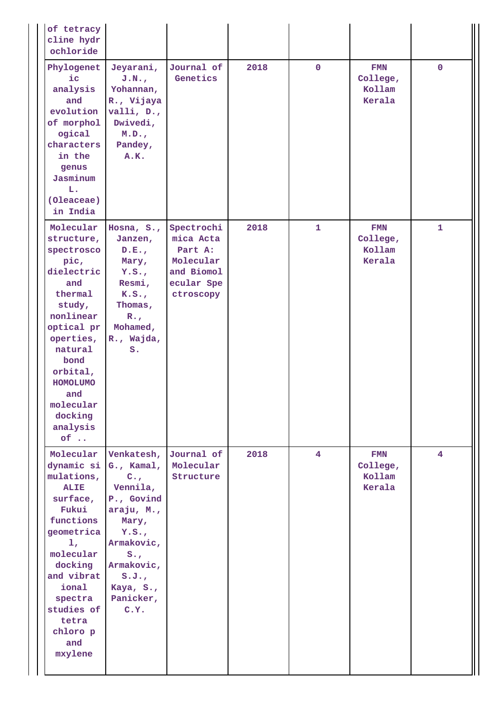| of tetracy<br>cline hydr<br>ochloride                                                                                                                                                                                                      |                                                                                                                                                                                              |                                                                                          |      |              |                                            |              |
|--------------------------------------------------------------------------------------------------------------------------------------------------------------------------------------------------------------------------------------------|----------------------------------------------------------------------------------------------------------------------------------------------------------------------------------------------|------------------------------------------------------------------------------------------|------|--------------|--------------------------------------------|--------------|
| Phylogenet<br>$i$ c<br>analysis<br>and<br>evolution<br>of morphol<br>ogical<br>characters<br>in the<br>genus<br>Jasminum<br>L.<br>(Oleaceae)<br>in India                                                                                   | Jeyarani,<br>J.N.<br>Yohannan,<br>R., Vijaya<br>valli, $D_{\cdot}$ ,<br>Dwivedi,<br>M.D.,<br>Pandey,<br>A.K.                                                                                 | Journal of<br>Genetics                                                                   | 2018 | $\mathbf 0$  | <b>FMN</b><br>College,<br>Kollam<br>Kerala | $\mathbf 0$  |
| Molecular<br>structure,<br>spectrosco<br>pic,<br>dielectric<br>and<br>thermal<br>study,<br>nonlinear<br>optical pr<br>operties,<br>natural<br>bond<br>orbital,<br><b>HOMOLUMO</b><br>and<br>molecular<br>docking<br>analysis<br>$of \dots$ | Hosna, $S_{\bullet}$ ,<br>Janzen,<br>D.E.,<br>Mary,<br>Y.S.<br>Resmi,<br>K.S.<br>Thomas,<br>$R_{\bullet}$<br>Mohamed,<br>R., Wajda,<br>S.                                                    | Spectrochi<br>mica Acta<br>Part A:<br>Molecular<br>and Biomol<br>ecular Spe<br>ctroscopy | 2018 | $\mathbf{1}$ | FMN<br>College,<br>Kollam<br>Kerala        | $\mathbf{1}$ |
| Molecular<br>dynamic si<br>mulations,<br><b>ALIE</b><br>surface,<br>Fukui<br>functions<br>geometrica<br>1 <sub>r</sub><br>molecular<br>docking<br>and vibrat<br>ional<br>spectra<br>studies of<br>tetra<br>chloro p<br>and<br>mxylene      | Venkatesh,<br>$G.$ , Kamal,<br>$C_{\bullet}$<br>Vennila,<br>P., Govind<br>araju, M.,<br>Mary,<br>Y.S.<br>Armakovic,<br>$S_{\bullet}$<br>Armakovic,<br>S.J.<br>Kaya, S.,<br>Panicker,<br>C.Y. | Journal of<br>Molecular<br>Structure                                                     | 2018 | $4^{\circ}$  | <b>FMN</b><br>College,<br>Kollam<br>Kerala | 4            |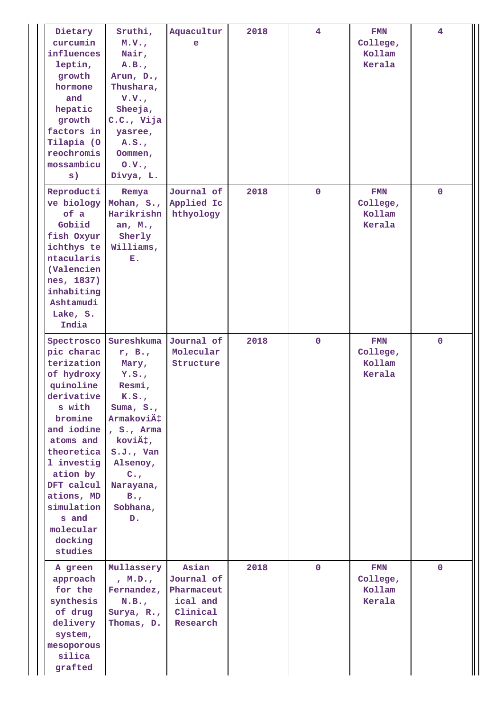| Dietary<br>curcumin<br>influences<br>leptin,<br>growth<br>hormone<br>and<br>hepatic<br>growth<br>factors in<br>Tilapia (O<br>reochromis<br>mossambicu<br>s)                                                                                                   | Sruthi,<br>M.V.<br>Nair,<br>A.B.,<br>Arun, D.,<br>Thushara,<br>V.V.<br>Sheeja,<br>C.C., Vija<br>yasree,<br>A.S.<br>Oommen,<br>0. V.<br>Divya, L.                                                                      | Aquacultur<br>$\mathbf e$                                             | 2018 | $\overline{4}$ | <b>FMN</b><br>College,<br>Kollam<br>Kerala | $\overline{4}$ |
|---------------------------------------------------------------------------------------------------------------------------------------------------------------------------------------------------------------------------------------------------------------|-----------------------------------------------------------------------------------------------------------------------------------------------------------------------------------------------------------------------|-----------------------------------------------------------------------|------|----------------|--------------------------------------------|----------------|
| Reproducti<br>ve biology<br>of a<br>Gobiid<br>fish Oxyur<br>ichthys te<br>ntacularis<br>(Valencien<br>nes, 1837)<br>inhabiting<br>Ashtamudi<br>Lake, S.<br>India                                                                                              | Remya<br>Mohan, S.,<br>Harikrishn<br>an, $M_{\star}$ ,<br>Sherly<br>Williams,<br>Ε.                                                                                                                                   | Journal of<br>Applied Ic<br>hthyology                                 | 2018 | $\mathbf 0$    | <b>FMN</b><br>College,<br>Kollam<br>Kerala | $\mathbf 0$    |
| Spectrosco<br>pic charac<br>terization<br>of hydroxy<br>quinoline<br>derivative<br>s with<br>bromine<br>and iodine<br>atoms and<br>theoretica<br>1 investig<br>ation by<br>DFT calcul<br>ations, MD<br>simulation<br>s and<br>molecular<br>docking<br>studies | Sureshkuma<br>r, B.,<br>Mary,<br>Y.S.<br>Resmi,<br>K.S.<br>Suma, $S_{\cdot}$ ,<br>Armaković<br>, S., Arma<br>ković,<br>$S.J.$ , Van<br>Alsenoy,<br>$C_{\bullet,r}$<br>Narayana,<br>$B_{\bullet}$<br>Sobhana,<br>$D$ . | Journal of<br>Molecular<br>Structure                                  | 2018 | $\mathbf 0$    | <b>FMN</b><br>College,<br>Kollam<br>Kerala | $\mathbf 0$    |
| A green<br>approach<br>for the<br>synthesis<br>of drug<br>delivery<br>system,<br>mesoporous<br>silica<br>grafted                                                                                                                                              | Mullassery<br>, M.D.,<br>Fernandez,<br>N.B.,<br>Surya, R.,<br>Thomas, D.                                                                                                                                              | Asian<br>Journal of<br>Pharmaceut<br>ical and<br>Clinical<br>Research | 2018 | $\mathbf 0$    | <b>FMN</b><br>College,<br>Kollam<br>Kerala | $\mathbf 0$    |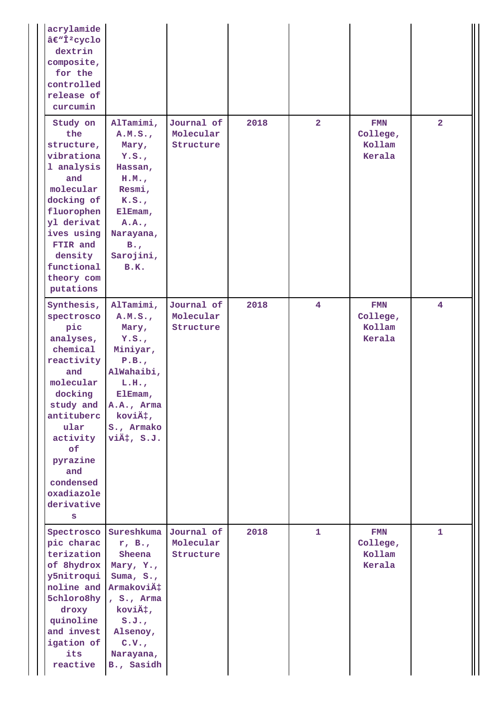| acrylamide<br>â€ <sup>w</sup> Î <sup>2</sup> cyclo<br>dextrin<br>composite,<br>for the<br>controlled<br>release of<br>curcumin                                                                                              |                                                                                                                                                                   |                                      |      |                |                                            |                |
|-----------------------------------------------------------------------------------------------------------------------------------------------------------------------------------------------------------------------------|-------------------------------------------------------------------------------------------------------------------------------------------------------------------|--------------------------------------|------|----------------|--------------------------------------------|----------------|
| Study on<br>the<br>structure,<br>vibrationa<br>1 analysis<br>and<br>molecular<br>docking of<br>fluorophen<br>yl derivat<br>ives using<br>FTIR and<br>density<br>functional<br>theory com<br>putations                       | AlTamimi,<br>A.M.S.<br>Mary,<br>Y.S.<br>Hassan,<br>H.M.<br>Resmi,<br>K.S.<br>ElEmam,<br>A.A.<br>Narayana,<br>$B_{\bullet}$<br>Sarojini,<br>B.K.                   | Journal of<br>Molecular<br>Structure | 2018 | $\overline{2}$ | <b>FMN</b><br>College,<br>Kollam<br>Kerala | $\overline{2}$ |
| Synthesis,<br>spectrosco<br>pic<br>analyses,<br>chemical<br>reactivity<br>and<br>molecular<br>docking<br>study and<br>antituberc<br>ular<br>activity<br>of<br>pyrazine<br>and<br>condensed<br>oxadiazole<br>derivative<br>S | AlTamimi,<br>A.M.S.<br>Mary,<br>Y.S.<br>Miniyar,<br>P.B.,<br>AlWahaibi,<br>L.H.<br>$E1$ Emam,<br>A.A., Arma<br>koviä#,<br>S., Armako<br>vić, S.J.                 | Journal of<br>Molecular<br>Structure | 2018 | $\overline{4}$ | <b>FMN</b><br>College,<br>Kollam<br>Kerala | $\overline{4}$ |
| Spectrosco<br>pic charac<br>terization<br>of 8hydrox<br>y5nitroqui<br>noline and<br>5chloro8hy<br>droxy<br>quinoline<br>and invest<br>igation of<br>its<br>reactive                                                         | Sureshkuma<br>r, B.,<br>Sheena<br>Mary, Y.,<br>Suma, $S_{\cdot}$ ,<br>Armaković<br>, $S.,$ Arma<br>koviä#,<br>S.J.<br>Alsenoy,<br>C.V.<br>Narayana,<br>B., Sasidh | Journal of<br>Molecular<br>Structure | 2018 | 1              | <b>FMN</b><br>College,<br>Kollam<br>Kerala | 1              |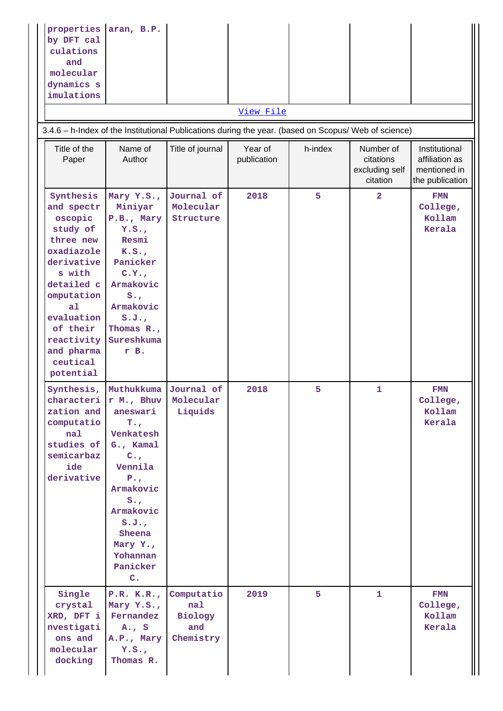| properties aran, B.P.<br>by DFT cal<br>culations<br>and<br>molecular<br>dynamics s<br>imulations<br>3.4.6 - h-Index of the Institutional Publications during the year. (based on Scopus/ Web of science)                       |                                                                                                                                                                                                                                                        |                                                  | View File              |         |                                                      |                                                                    |
|--------------------------------------------------------------------------------------------------------------------------------------------------------------------------------------------------------------------------------|--------------------------------------------------------------------------------------------------------------------------------------------------------------------------------------------------------------------------------------------------------|--------------------------------------------------|------------------------|---------|------------------------------------------------------|--------------------------------------------------------------------|
| Title of the<br>Paper                                                                                                                                                                                                          | Name of<br>Author                                                                                                                                                                                                                                      | Title of journal                                 | Year of<br>publication | h-index | Number of<br>citations<br>excluding self<br>citation | Institutional<br>affiliation as<br>mentioned in<br>the publication |
| Synthesis<br>and spectr<br>oscopic<br>study of<br>three new<br>oxadiazole<br>derivative<br>s with<br>detailed c<br>omputation<br>a <sub>1</sub><br>evaluation<br>of their<br>reactivity<br>and pharma<br>ceutical<br>potential | Mary Y.S.,<br>Miniyar<br>P.B., Mary<br>Y.S.<br>Resmi<br>K.S.<br>Panicker<br>C.Y.,<br>Armakovic<br>$S_{\bullet}$<br>Armakovic<br>S.J.<br>Thomas R.,<br>Sureshkuma<br>r B.                                                                               | Journal of<br>Molecular<br>Structure             | 2018                   | 5       | $\overline{a}$                                       | <b>FMN</b><br>College,<br>Kollam<br>Kerala                         |
| Synthesis,<br>characteri<br>zation and<br>computatio<br>nal<br>studies of<br>semicarbaz<br>ide<br>derivative                                                                                                                   | Muthukkuma Journal of<br>r M., Bhuv<br>aneswari<br>$T_{\star}$<br>Venkatesh<br>G., Kamal<br>$C_{\star}$<br>Vennila<br>$P_{\bullet}$<br>Armakovic<br>$S_{\bullet}$<br>Armakovic<br>S.J.<br>Sheena<br>Mary Y.,<br>Yohannan<br>Panicker<br>$\mathbf{C}$ . | Molecular<br>Liquids                             | 2018                   | 5       | $\mathbf{1}$                                         | <b>FMN</b><br>College,<br>Kollam<br>Kerala                         |
| Single<br>crystal<br>XRD, DFT i<br>nvestigati<br>ons and<br>molecular<br>docking                                                                                                                                               | P.R. K.R.,<br>Mary Y.S.,<br>Fernandez<br>$A_{\bullet}$ , S<br>A.P., Mary<br>Y.S.<br>Thomas R.                                                                                                                                                          | Computatio<br>nal<br>Biology<br>and<br>Chemistry | 2019                   | 5       | $\mathbf{1}$                                         | FMN<br>College,<br>Kollam<br>Kerala                                |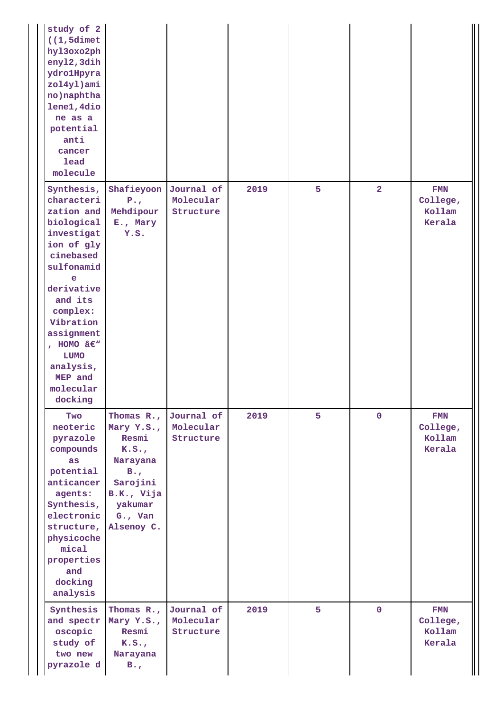| study of 2<br>$(1, 5$ dimet<br>hyl3oxo2ph<br>enyl2, 3dih<br>ydrolHpyra<br>zol4yl)ami<br>no) naphtha<br>lene1, 4dio<br>ne as a<br>potential<br>anti<br>cancer<br>lead<br>molecule                                                                                  |                                                                                                                                     |                                      |      |   |                |                                            |
|-------------------------------------------------------------------------------------------------------------------------------------------------------------------------------------------------------------------------------------------------------------------|-------------------------------------------------------------------------------------------------------------------------------------|--------------------------------------|------|---|----------------|--------------------------------------------|
| Synthesis,<br>characteri<br>zation and<br>biological<br>investigat<br>ion of gly<br>cinebased<br>sulfonamid<br>e<br>derivative<br>and its<br>complex:<br>Vibration<br>assignment<br>, HOMO $\hat{a}\in W$<br>LUMO<br>analysis,<br>MEP and<br>molecular<br>docking | Shafieyoon<br>$P_{\bullet}$<br>Mehdipour<br>E., Mary<br>Y.S.                                                                        | Journal of<br>Molecular<br>Structure | 2019 | 5 | $\overline{2}$ | <b>FMN</b><br>College,<br>Kollam<br>Kerala |
| Two<br>neoteric<br>pyrazole<br>compounds<br>as<br>potential<br>anticancer<br>agents:<br>Synthesis,<br>electronic<br>structure,<br>physicoche<br>mical<br>properties<br>and<br>docking<br>analysis                                                                 | Thomas $R_{\star}$ ,<br>Mary Y.S.,<br>Resmi<br>K.S.<br>Narayana<br>B.<br>Sarojini<br>B.K., Vija<br>yakumar<br>G., Van<br>Alsenoy C. | Journal of<br>Molecular<br>Structure | 2019 | 5 | $\mathbf 0$    | FMN<br>College,<br>Kollam<br>Kerala        |
| Synthesis<br>and spectr<br>oscopic<br>study of<br>two new<br>pyrazole d                                                                                                                                                                                           | Thomas $R_{\star}$ ,<br>Mary Y.S.,<br>Resmi<br>K.S.<br>Narayana<br>$B_{\bullet}$                                                    | Journal of<br>Molecular<br>Structure | 2019 | 5 | $\mathbf{O}$   | <b>FMN</b><br>College,<br>Kollam<br>Kerala |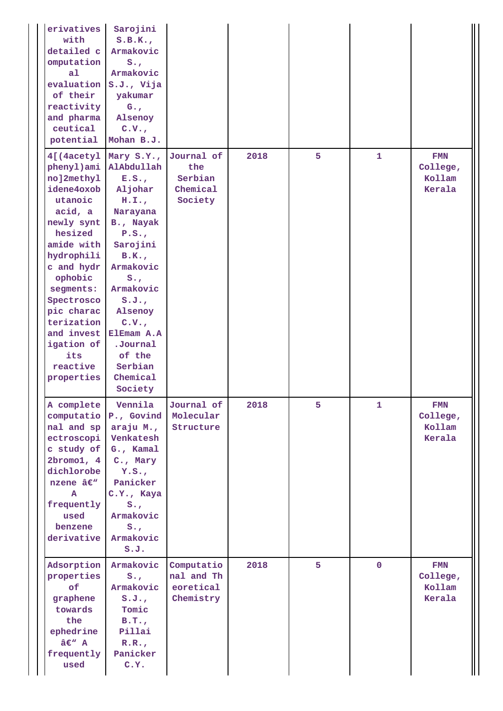| erivatives<br>with<br>detailed c<br>omputation<br>a <sub>1</sub><br>evaluation<br>of their<br>reactivity<br>and pharma<br>ceutical<br>potential                                                                                                                              | Sarojini<br>S.B.K.<br>Armakovic<br>$S_{\bullet}$<br>Armakovic<br>S.J., Vija<br>yakumar<br>$G_{\bullet}$ ,<br>Alsenoy<br>C.V.<br>Mohan B.J.                                                                                                             |                                                     |      |   |             |                                            |
|------------------------------------------------------------------------------------------------------------------------------------------------------------------------------------------------------------------------------------------------------------------------------|--------------------------------------------------------------------------------------------------------------------------------------------------------------------------------------------------------------------------------------------------------|-----------------------------------------------------|------|---|-------------|--------------------------------------------|
| 4[(4acetyl<br>phenyl)ami<br>no]2methy1<br>idene4oxob<br>utanoic<br>acid, a<br>newly synt<br>hesized<br>amide with<br>hydrophili<br>c and hydr<br>ophobic<br>segments:<br>Spectrosco<br>pic charac<br>terization<br>and invest<br>igation of<br>its<br>reactive<br>properties | Mary S.Y.,<br>AlAbdullah<br>E.S.<br>Aljohar<br>H.I.J.<br>Narayana<br>B., Nayak<br>P.S.<br>Sarojini<br>B.K.<br>Armakovic<br>$S_{\bullet}$<br>Armakovic<br>S.J.<br>Alsenoy<br>C.V.<br>ElEmam A.A<br>.Journal<br>of the<br>Serbian<br>Chemical<br>Society | Journal of<br>the<br>Serbian<br>Chemical<br>Society | 2018 | 5 | 1           | FMN<br>College,<br>Kollam<br>Kerala        |
| A complete<br>computatio<br>nal and sp<br>ectroscopi<br>c study of<br>2bromo1, 4<br>dichlorobe<br>nzene â€ <sup>w</sup><br>A<br>frequently<br>used<br>benzene<br>derivative                                                                                                  | Vennila<br>P., Govind<br>araju M.,<br>Venkatesh<br>G., Kamal<br>C., Mary<br>Y.S.<br>Panicker<br>C.Y., Kaya<br>$S_{\bullet}$<br>Armakovic<br>$S_{\bullet}$<br>Armakovic<br>S.J.                                                                         | Journal of<br>Molecular<br>Structure                | 2018 | 5 | 1           | <b>FMN</b><br>College,<br>Kollam<br>Kerala |
| Adsorption<br>properties<br>of<br>graphene<br>towards<br>the<br>ephedrine<br>â€" A<br>frequently<br>used                                                                                                                                                                     | Armakovic<br>$S_{\bullet}$<br>Armakovic<br>S.J.<br>Tomic<br>B.T.<br>Pillai<br>R.R.<br>Panicker<br>C.Y.                                                                                                                                                 | Computatio<br>nal and Th<br>eoretical<br>Chemistry  | 2018 | 5 | $\mathbf 0$ | FMN<br>College,<br>Kollam<br>Kerala        |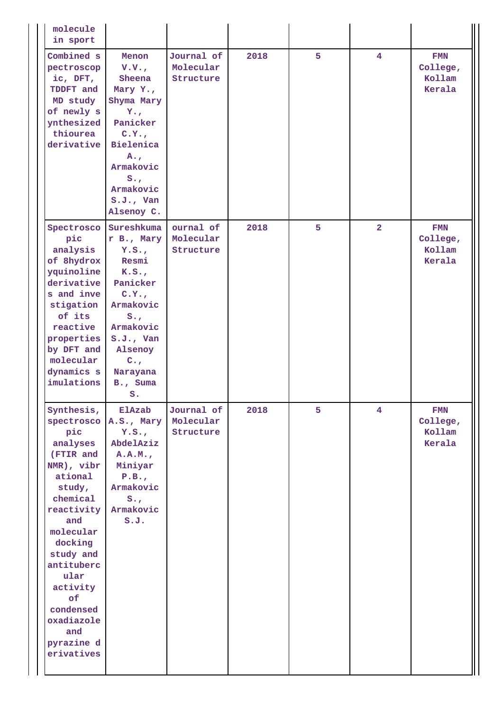| molecule<br>in sport                                                                                                                                                                                                                                                    |                                                                                                                                                                                                   |                                      |      |   |                |                                            |
|-------------------------------------------------------------------------------------------------------------------------------------------------------------------------------------------------------------------------------------------------------------------------|---------------------------------------------------------------------------------------------------------------------------------------------------------------------------------------------------|--------------------------------------|------|---|----------------|--------------------------------------------|
| Combined s<br>pectroscop<br>ic, DFT,<br>TDDFT and<br>MD study<br>of newly s<br>ynthesized<br>thiourea<br>derivative                                                                                                                                                     | Menon<br>V.V.<br>Sheena<br>Mary Y.,<br>Shyma Mary<br>$Y_{\bullet, r}$<br>Panicker<br>C.Y.,<br>Bielenica<br>$A_{\bullet}$<br>Armakovic<br>$S_{\bullet}$<br>Armakovic<br>$S.J.$ , Van<br>Alsenoy C. | Journal of<br>Molecular<br>Structure | 2018 | 5 | $\overline{4}$ | <b>FMN</b><br>College,<br>Kollam<br>Kerala |
| Spectrosco<br>pic<br>analysis<br>of 8hydrox<br>yquinoline<br>derivative<br>s and inve<br>stigation<br>of its<br>reactive<br>properties<br>by DFT and<br>molecular<br>dynamics s<br>imulations                                                                           | Sureshkuma<br>r B., Mary<br>Y.S.<br>Resmi<br>K.S.<br>Panicker<br>C.Y.,<br>Armakovic<br>$S_{\bullet}$<br>Armakovic<br>$S.J.$ , Van<br>Alsenoy<br>$C_{\bullet}$<br>Narayana<br>B., Suma<br>$S$ .    | ournal of<br>Molecular<br>Structure  | 2018 | 5 | $\overline{2}$ | <b>FMN</b><br>College,<br>Kollam<br>Kerala |
| Synthesis,<br>spectrosco<br>pic<br>analyses<br>(FTIR and<br>NMR), vibr<br>ational<br>study,<br>chemical<br>reactivity<br>and<br>molecular<br>docking<br>study and<br>antituberc<br>ular<br>activity<br>оf<br>condensed<br>oxadiazole<br>and<br>pyrazine d<br>erivatives | ElAzab<br>A.S., Mary<br>Y.S.<br>AbdelAziz<br>A.A.M.<br>Miniyar<br>P.B.,<br>Armakovic<br>$S_{\bullet}$<br>Armakovic<br>S.J.                                                                        | Journal of<br>Molecular<br>Structure | 2018 | 5 | $\overline{4}$ | <b>FMN</b><br>College,<br>Kollam<br>Kerala |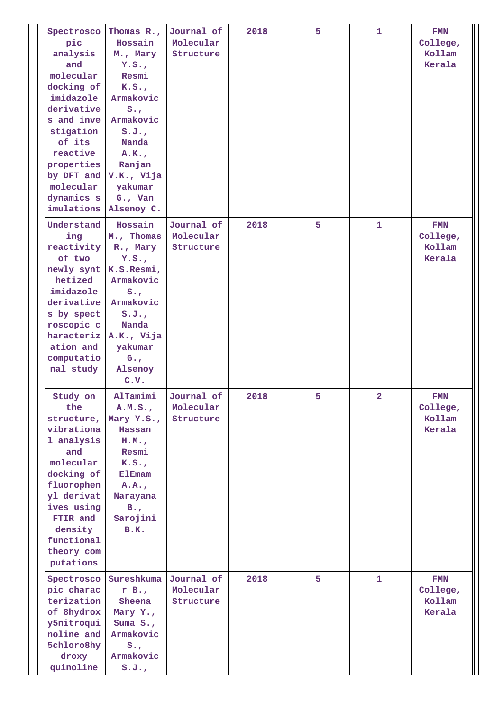| Spectrosco<br>pic<br>analysis<br>and<br>molecular<br>docking of<br>imidazole<br>derivative<br>s and inve<br>stigation<br>of its<br>reactive<br>properties<br>by DFT and V.K., Vija<br>molecular<br>dynamics s<br>imulations | Thomas R.,<br>Hossain<br>M., Mary<br>Y.S.<br>Resmi<br>K.S.<br>Armakovic<br>$S_{\bullet}$<br>Armakovic<br>S.J.<br>Nanda<br>A.K.<br>Ranjan<br>yakumar<br>$G.$ , Van<br>Alsenoy C. | Journal of<br>Molecular<br>Structure | 2018 | 5 | 1                       | <b>FMN</b><br>College,<br>Kollam<br>Kerala |
|-----------------------------------------------------------------------------------------------------------------------------------------------------------------------------------------------------------------------------|---------------------------------------------------------------------------------------------------------------------------------------------------------------------------------|--------------------------------------|------|---|-------------------------|--------------------------------------------|
| Understand<br>ing<br>reactivity<br>of two<br>newly synt<br>hetized<br>imidazole<br>derivative<br>s by spect<br>roscopic c<br>haracteriz A.K., Vija<br>ation and<br>computatio<br>nal study                                  | Hossain<br>M., Thomas<br>R., Mary<br>Y.S.<br>K.S.Resmi,<br>Armakovic<br>$S_{\bullet}$ ,<br>Armakovic<br>S.J.<br>Nanda<br>yakumar<br>$G_{\bullet}$<br>Alsenoy<br>C.V.            | Journal of<br>Molecular<br>Structure | 2018 | 5 | $\mathbf{1}$            | FMN<br>College,<br>Kollam<br>Kerala        |
| Study on<br>the<br>structure,<br>vibrationa<br>1 analysis<br>and<br>molecular<br>docking of<br>fluorophen<br>yl derivat<br>ives using<br>FTIR and<br>density<br>functional<br>theory com<br>putations                       | AlTamimi<br>A.M.S.<br>Mary Y.S.,<br>Hassan<br>H.M.<br>Resmi<br>K.S.<br><b>ElEmam</b><br>A.A.<br>Narayana<br>$B_{\bullet}$<br>Sarojini<br>B.K.                                   | Journal of<br>Molecular<br>Structure | 2018 | 5 | $\overline{\mathbf{2}}$ | FMN<br>College,<br>Kollam<br>Kerala        |
| Spectrosco<br>pic charac<br>terization<br>of 8hydrox<br>y5nitroqui<br>noline and<br>5chloro8hy<br>droxy<br>quinoline                                                                                                        | Sureshkuma<br>r B.,<br>Sheena<br>Mary Y.,<br>Suma $S_{\bullet}$ ,<br>Armakovic<br>$S_{\bullet}$<br>Armakovic<br>S.J.                                                            | Journal of<br>Molecular<br>Structure | 2018 | 5 | $\mathbf{1}$            | <b>FMN</b><br>College,<br>Kollam<br>Kerala |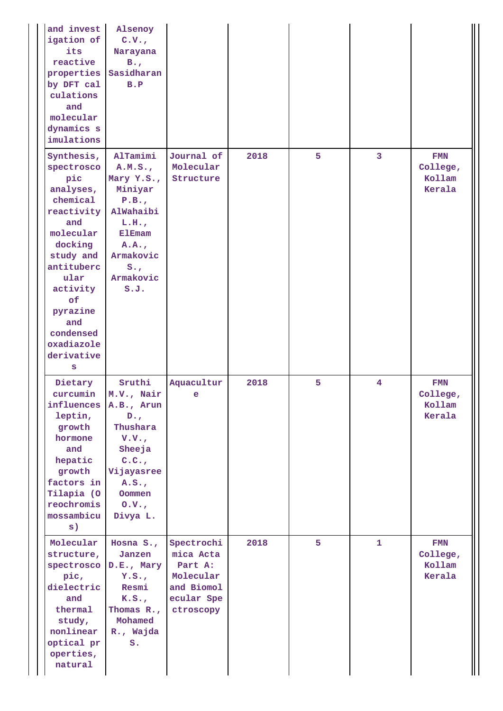| and invest<br>igation of<br>its<br>reactive<br>properties<br>by DFT cal<br>culations<br>and<br>molecular<br>dynamics s<br>imulations                                                                                        | Alsenoy<br>C.V.<br>Narayana<br>$B_{\bullet}$<br>Sasidharan<br>B.P                                                                                     |                                                                                          |      |   |                         |                                            |
|-----------------------------------------------------------------------------------------------------------------------------------------------------------------------------------------------------------------------------|-------------------------------------------------------------------------------------------------------------------------------------------------------|------------------------------------------------------------------------------------------|------|---|-------------------------|--------------------------------------------|
| Synthesis,<br>spectrosco<br>pic<br>analyses,<br>chemical<br>reactivity<br>and<br>molecular<br>docking<br>study and<br>antituberc<br>ular<br>activity<br>of<br>pyrazine<br>and<br>condensed<br>oxadiazole<br>derivative<br>S | AlTamimi<br>A.M.S.<br>Mary Y.S.,<br>Miniyar<br>P.B.,<br>AlWahaibi<br>L.H.<br><b>ElEmam</b><br>A.A.<br>Armakovic<br>$S_{\bullet}$<br>Armakovic<br>S.J. | Journal of<br>Molecular<br>Structure                                                     | 2018 | 5 | 3                       | <b>FMN</b><br>College,<br>Kollam<br>Kerala |
| Dietary<br>curcumin<br>influences<br>leptin,<br>growth<br>hormone<br>and<br>hepatic<br>growth<br>factors in<br>Tilapia (O<br>reochromis<br>mossambicu<br>s)                                                                 | Sruthi<br>M.V., Nair<br>A.B., Arun<br>$D_{\bullet}$<br>Thushara<br>V.V.<br>Sheeja<br>C.C.<br>Vijayasree<br>A.S.<br>Oommen<br>0. V.<br>Divya L.        | Aquacultur<br>e                                                                          | 2018 | 5 | $\overline{\mathbf{4}}$ | <b>FMN</b><br>College,<br>Kollam<br>Kerala |
| Molecular<br>structure,<br>spectrosco<br>pic,<br>dielectric<br>and<br>thermal<br>study,<br>nonlinear<br>optical pr<br>operties,<br>natural                                                                                  | Hosna S.,<br>Janzen<br>D.E., Mary<br>Y.S.<br>Resmi<br>K.S.<br>Thomas $R_{\star}$ ,<br>Mohamed<br>R., Wajda<br>s.                                      | Spectrochi<br>mica Acta<br>Part A:<br>Molecular<br>and Biomol<br>ecular Spe<br>ctroscopy | 2018 | 5 | 1                       | FMN<br>College,<br>Kollam<br>Kerala        |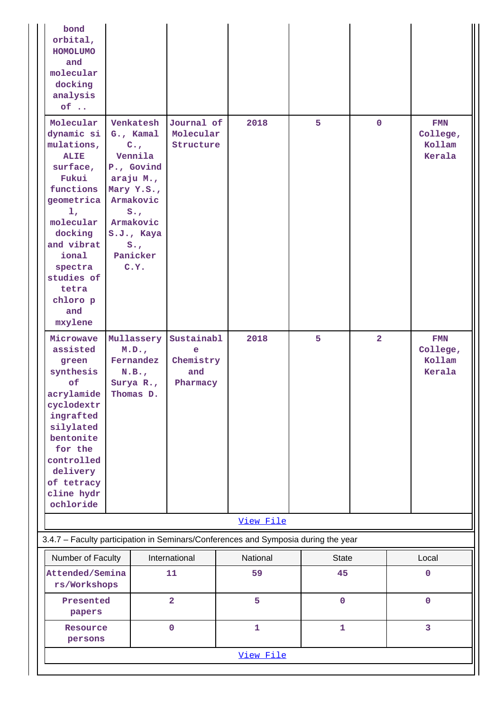| bond<br>orbital,<br><b>HOMOLUMO</b><br>and<br>molecular<br>docking<br>analysis<br>$of \dots$                                                                                                                              |                                                                                                                                                                                           |                                                 |              |              |              |                                            |
|---------------------------------------------------------------------------------------------------------------------------------------------------------------------------------------------------------------------------|-------------------------------------------------------------------------------------------------------------------------------------------------------------------------------------------|-------------------------------------------------|--------------|--------------|--------------|--------------------------------------------|
| Molecular<br>dynamic si<br>mulations,<br><b>ALIE</b><br>surface,<br>Fukui<br>functions<br>geometrica<br>1,<br>molecular<br>docking<br>and vibrat<br>ional<br>spectra<br>studies of<br>tetra<br>chloro p<br>and<br>mxylene | Venkatesh<br>G., Kamal<br>$C_{\bullet}$<br>Vennila<br>P., Govind<br>araju M.,<br>Mary Y.S.,<br>Armakovic<br>$S_{\bullet}$<br>Armakovic<br>S.J., Kaya<br>$S_{\bullet}$<br>Panicker<br>C.Y. | Journal of<br>Molecular<br>Structure            | 2018         | 5            | $\mathbf 0$  | FMN<br>College,<br>Kollam<br>Kerala        |
| Microwave<br>assisted<br>green<br>synthesis<br>of<br>acrylamide<br>cyclodextr<br>ingrafted<br>silylated<br>bentonite<br>for the<br>controlled<br>delivery<br>of tetracy<br>cline hydr<br>ochloride                        | Mullassery<br>M.D.,<br>Fernandez<br>N.B.,<br>Surya R.,<br>Thomas D.                                                                                                                       | Sustainabl<br>e<br>Chemistry<br>and<br>Pharmacy | 2018         | 5            | $\mathbf{2}$ | <b>FMN</b><br>College,<br>Kollam<br>Kerala |
|                                                                                                                                                                                                                           |                                                                                                                                                                                           |                                                 | View File    |              |              |                                            |
| 3.4.7 - Faculty participation in Seminars/Conferences and Symposia during the year                                                                                                                                        |                                                                                                                                                                                           |                                                 |              |              |              |                                            |
| Number of Faculty                                                                                                                                                                                                         |                                                                                                                                                                                           | International                                   | National     | <b>State</b> |              | Local                                      |
| Attended/Semina<br>rs/Workshops                                                                                                                                                                                           |                                                                                                                                                                                           | 11                                              | 59           | 45           |              | $\mathbf 0$                                |
| Presented<br>papers                                                                                                                                                                                                       |                                                                                                                                                                                           | $\overline{2}$                                  | 5            | $\mathbf 0$  |              | $\mathbf 0$                                |
| Resource<br>persons                                                                                                                                                                                                       |                                                                                                                                                                                           | $\mathbf 0$                                     | $\mathbf{1}$ | $\mathbf{1}$ |              | 3                                          |
|                                                                                                                                                                                                                           |                                                                                                                                                                                           |                                                 | View File    |              |              |                                            |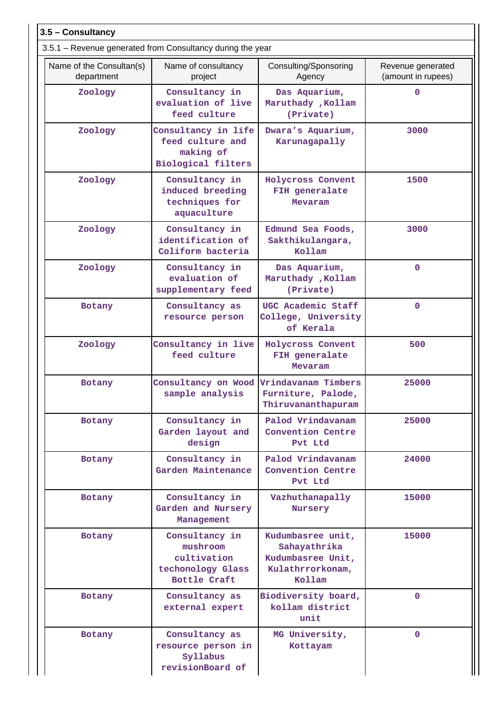| 3.5 - Consultancy                      |                                                                                   |                                                                                      |                                         |
|----------------------------------------|-----------------------------------------------------------------------------------|--------------------------------------------------------------------------------------|-----------------------------------------|
|                                        | 3.5.1 – Revenue generated from Consultancy during the year                        |                                                                                      |                                         |
| Name of the Consultan(s)<br>department | Name of consultancy<br>project                                                    | Consulting/Sponsoring<br>Agency                                                      | Revenue generated<br>(amount in rupees) |
| Zoology                                | Consultancy in<br>evaluation of live<br>feed culture                              | Das Aquarium,<br>Maruthady , Kollam<br>(Private)                                     | 0                                       |
| Zoology                                | Consultancy in life<br>feed culture and<br>making of<br><b>Biological filters</b> | Dwara's Aquarium,<br>Karunagapally                                                   | 3000                                    |
| Zoology                                | Consultancy in<br>induced breeding<br>techniques for<br>aquaculture               | <b>Holycross Convent</b><br>FIH generalate<br>Mevaram                                | 1500                                    |
| Zoology                                | Consultancy in<br>identification of<br>Coliform bacteria                          | Edmund Sea Foods,<br>Sakthikulangara,<br>Kollam                                      | 3000                                    |
| Zoology                                | Consultancy in<br>evaluation of<br>supplementary feed                             | Das Aquarium,<br>Maruthady , Kollam<br>(Private)                                     | $\mathbf 0$                             |
| Botany                                 | Consultancy as<br>resource person                                                 | UGC Academic Staff<br>College, University<br>of Kerala                               | $\mathbf 0$                             |
| Zoology                                | Consultancy in live<br>feed culture                                               | Holycross Convent<br>FIH generalate<br>Mevaram                                       | 500                                     |
| Botany                                 | Consultancy on Wood<br>sample analysis                                            | Vrindavanam Timbers<br>Furniture, Palode,<br>Thiruvananthapuram                      | 25000                                   |
| Botany                                 | Consultancy in<br>Garden layout and<br>design                                     | Palod Vrindavanam<br>Convention Centre<br>Pvt Ltd                                    | 25000                                   |
| <b>Botany</b>                          | Consultancy in<br>Garden Maintenance                                              | Palod Vrindavanam<br>Convention Centre<br>Pvt Ltd                                    | 24000                                   |
| Botany                                 | Consultancy in<br>Garden and Nursery<br>Management                                | Vazhuthanapally<br>Nursery                                                           | 15000                                   |
| Botany                                 | Consultancy in<br>mushroom<br>cultivation<br>techonology Glass<br>Bottle Craft    | Kudumbasree unit,<br>Sahayathrika<br>Kudumbasree Unit,<br>Kulathrrorkonam,<br>Kollam | 15000                                   |
| Botany                                 | Consultancy as<br>external expert                                                 | Biodiversity board,<br>kollam district<br>unit                                       | $\Omega$                                |
| Botany                                 | Consultancy as<br>resource person in<br>Syllabus<br>revisionBoard of              | MG University,<br>Kottayam                                                           | $\Omega$                                |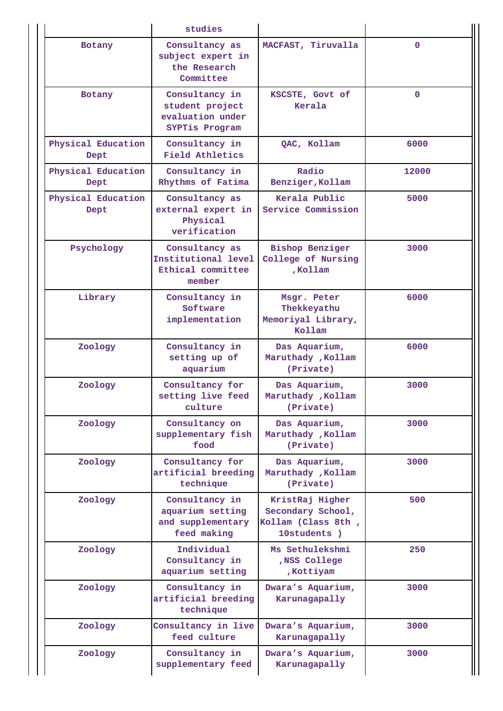|                            | studies                                                                 |                                                                           |              |
|----------------------------|-------------------------------------------------------------------------|---------------------------------------------------------------------------|--------------|
| <b>Botany</b>              | Consultancy as<br>subject expert in<br>the Research<br>Committee        | MACFAST, Tiruvalla                                                        | $\mathbf{O}$ |
| Botany                     | Consultancy in<br>student project<br>evaluation under<br>SYPTis Program | KSCSTE, Govt of<br>Kerala                                                 | $\mathbf{O}$ |
| Physical Education<br>Dept | Consultancy in<br>Field Athletics                                       | QAC, Kollam                                                               | 6000         |
| Physical Education<br>Dept | Consultancy in<br>Rhythms of Fatima                                     | Radio<br>Benziger, Kollam                                                 | 12000        |
| Physical Education<br>Dept | Consultancy as<br>external expert in<br>Physical<br>verification        | Kerala Public<br>Service Commission                                       | 5000         |
| Psychology                 | Consultancy as<br>Institutional level<br>Ethical committee<br>member    | <b>Bishop Benziger</b><br>College of Nursing<br>,Kollam                   | 3000         |
| Library                    | Consultancy in<br>Software<br>implementation                            | Msgr. Peter<br>Thekkeyathu<br>Memoriyal Library,<br>Kollam                | 6000         |
| Zoology                    | Consultancy in<br>setting up of<br>aquarium                             | Das Aquarium,<br>Maruthady , Kollam<br>(Private)                          | 6000         |
| Zoology                    | Consultancy for<br>setting live feed<br>culture                         | Das Aquarium,<br>Maruthady , Kollam<br>(Private)                          | 3000         |
| Zoology                    | Consultancy on<br>supplementary fish<br>food                            | Das Aquarium,<br>Maruthady , Kollam<br>(Private)                          | 3000         |
| Zoology                    | Consultancy for<br>artificial breeding<br>technique                     | Das Aquarium,<br>Maruthady , Kollam<br>(Private)                          | 3000         |
| Zoology                    | Consultancy in<br>aquarium setting<br>and supplementary<br>feed making  | KristRaj Higher<br>Secondary School,<br>Kollam (Class 8th,<br>10students) | 500          |
| Zoology                    | Individual<br>Consultancy in<br>aquarium setting                        | Ms Sethulekshmi<br>,NSS College<br>, Kottiyam                             | 250          |
| Zoology                    | Consultancy in<br>artificial breeding<br>technique                      | Dwara's Aquarium,<br>Karunagapally                                        | 3000         |
| Zoology                    | Consultancy in live<br>feed culture                                     | Dwara's Aquarium,<br>Karunagapally                                        | 3000         |
| Zoology                    | Consultancy in<br>supplementary feed                                    | Dwara's Aquarium,<br>Karunagapally                                        | 3000         |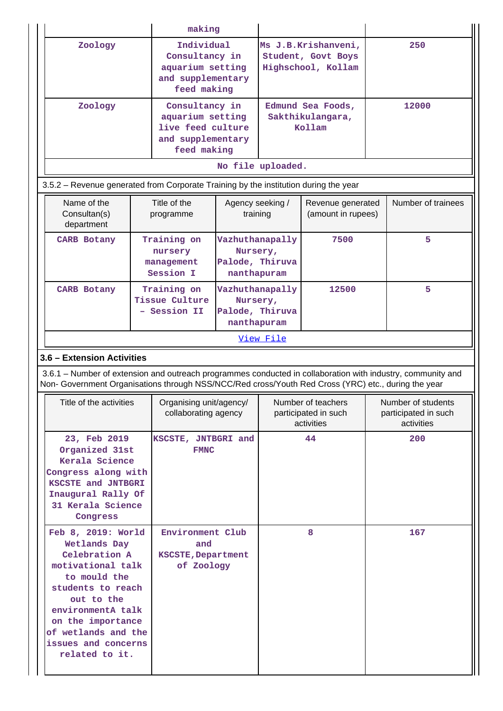|                                                                                                                                                                                                                                       |  | making                                                                                      |                                                                            |                                                                 |                                                          |     |                                                          |
|---------------------------------------------------------------------------------------------------------------------------------------------------------------------------------------------------------------------------------------|--|---------------------------------------------------------------------------------------------|----------------------------------------------------------------------------|-----------------------------------------------------------------|----------------------------------------------------------|-----|----------------------------------------------------------|
| Zoology                                                                                                                                                                                                                               |  | Individual<br>Consultancy in<br>aquarium setting<br>and supplementary<br>feed making        |                                                                            | Ms J.B.Krishanveni,<br>Student, Govt Boys<br>Highschool, Kollam |                                                          | 250 |                                                          |
| Zoology                                                                                                                                                                                                                               |  | Consultancy in<br>aquarium setting<br>live feed culture<br>and supplementary<br>feed making |                                                                            | Edmund Sea Foods,<br>Sakthikulangara,<br>Kollam                 |                                                          |     | 12000                                                    |
| 3.5.2 – Revenue generated from Corporate Training by the institution during the year                                                                                                                                                  |  |                                                                                             |                                                                            | No file uploaded.                                               |                                                          |     |                                                          |
| Name of the<br>Consultan(s)<br>department                                                                                                                                                                                             |  | Title of the<br>programme                                                                   | Agency seeking /<br>training                                               |                                                                 | Revenue generated<br>(amount in rupees)                  |     | Number of trainees                                       |
| <b>CARB Botany</b>                                                                                                                                                                                                                    |  | Training on<br>nursery<br>management<br>Session I                                           | Nursery,<br>Palode, Thiruva<br>nanthapuram                                 | Vazhuthanapally                                                 | 7500                                                     |     | 5                                                        |
| <b>CARB Botany</b>                                                                                                                                                                                                                    |  | Training on<br>Tissue Culture<br>- Session II                                               | Vazhuthanapally<br>Nursery,<br>Palode, Thiruva<br>nanthapuram<br>View File |                                                                 | 12500                                                    |     | 5                                                        |
| 3.6 - Extension Activities                                                                                                                                                                                                            |  |                                                                                             |                                                                            |                                                                 |                                                          |     |                                                          |
| 3.6.1 – Number of extension and outreach programmes conducted in collaboration with industry, community and<br>Non- Government Organisations through NSS/NCC/Red cross/Youth Red Cross (YRC) etc., during the year                    |  |                                                                                             |                                                                            |                                                                 |                                                          |     |                                                          |
| Title of the activities                                                                                                                                                                                                               |  | Organising unit/agency/<br>collaborating agency                                             |                                                                            |                                                                 | Number of teachers<br>participated in such<br>activities |     | Number of students<br>participated in such<br>activities |
| 23, Feb 2019<br>Organized 31st<br>Kerala Science<br>Congress along with<br>KSCSTE and JNTBGRI<br>Inaugural Rally Of<br>31 Kerala Science<br>Congress                                                                                  |  |                                                                                             | KSCSTE, JNTBGRI and<br><b>FMNC</b>                                         |                                                                 | 44                                                       |     | 200                                                      |
| Feb 8, 2019: World<br>Wetlands Day<br>Celebration A<br>motivational talk<br>to mould the<br>students to reach<br>out to the<br>environmentA talk<br>on the importance<br>of wetlands and the<br>issues and concerns<br>related to it. |  | Environment Club<br>and<br>KSCSTE, Department<br>of Zoology                                 |                                                                            |                                                                 | 8                                                        |     | 167                                                      |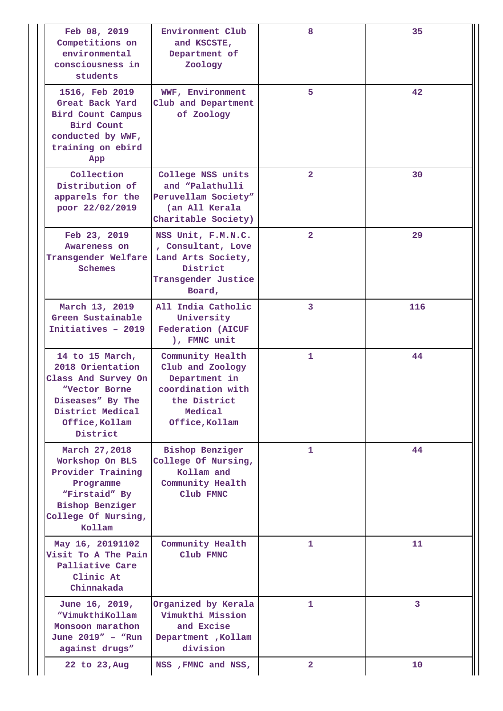| Feb 08, 2019<br>Competitions on<br>environmental<br>consciousness in<br>students                                                                  | Environment Club<br>and KSCSTE,<br>Department of<br>Zoology                                                             | 8              | 35  |
|---------------------------------------------------------------------------------------------------------------------------------------------------|-------------------------------------------------------------------------------------------------------------------------|----------------|-----|
| 1516, Feb 2019<br>Great Back Yard<br>Bird Count Campus<br>Bird Count<br>conducted by WWF,<br>training on ebird<br>App                             | WWF, Environment<br>Club and Department<br>of Zoology                                                                   | 5              | 42  |
| Collection<br>Distribution of<br>apparels for the<br>poor 22/02/2019                                                                              | College NSS units<br>and "Palathulli<br>Peruvellam Society"<br>(an All Kerala<br>Charitable Society)                    | $\overline{2}$ | 30  |
| Feb 23, 2019<br>Awareness on<br>Transgender Welfare<br>Schemes                                                                                    | NSS Unit, F.M.N.C.<br>, Consultant, Love<br>Land Arts Society,<br>District<br>Transgender Justice<br>Board,             | $\overline{2}$ | 29  |
| March 13, 2019<br>Green Sustainable<br>Initiatives - 2019                                                                                         | All India Catholic<br>University<br><b>Federation (AICUF</b><br>), FMNC unit                                            | 3              | 116 |
| 14 to 15 March,<br>2018 Orientation<br>Class And Survey On<br>"Vector Borne<br>Diseases" By The<br>District Medical<br>Office, Kollam<br>District | Community Health<br>Club and Zoology<br>Department in<br>coordination with<br>the District<br>Medical<br>Office, Kollam | 1              | 44  |
| March 27,2018<br>Workshop On BLS<br>Provider Training<br>Programme<br>"Firstaid" By<br><b>Bishop Benziger</b><br>College Of Nursing,<br>Kollam    | <b>Bishop Benziger</b><br>College Of Nursing,<br>Kollam and<br>Community Health<br>Club FMNC                            | 1              | 44  |
| May 16, 20191102<br>Visit To A The Pain<br>Palliative Care<br>Clinic At<br>Chinnakada                                                             | Community Health<br>Club FMNC                                                                                           | 1              | 11  |
| June 16, 2019,<br>"VimukthiKollam<br>Monsoon marathon<br>June 2019" - "Run<br>against drugs"                                                      | Organized by Kerala<br>Vimukthi Mission<br>and Excise<br>Department , Kollam<br>division                                | 1              | 3   |
| 22 to 23, Aug                                                                                                                                     | NSS, FMNC and NSS,                                                                                                      | $\overline{2}$ | 10  |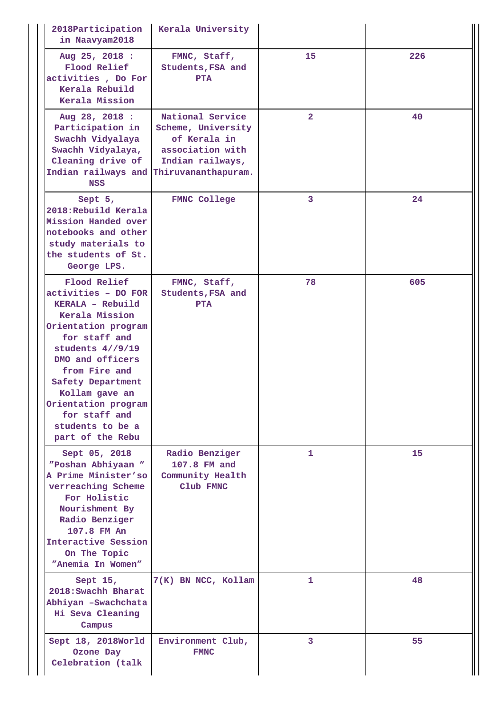| 2018Participation<br>in Naavyam2018                                                                                                                                                                                                                                                                 | Kerala University                                                                              |                |     |
|-----------------------------------------------------------------------------------------------------------------------------------------------------------------------------------------------------------------------------------------------------------------------------------------------------|------------------------------------------------------------------------------------------------|----------------|-----|
| Aug 25, 2018 :<br>Flood Relief<br>activities, Do For<br>Kerala Rebuild<br>Kerala Mission                                                                                                                                                                                                            | FMNC, Staff,<br>Students, FSA and<br><b>PTA</b>                                                | 15             | 226 |
| Aug 28, 2018 :<br>Participation in<br>Swachh Vidyalaya<br>Swachh Vidyalaya,<br>Cleaning drive of<br>Indian railways and Thiruvananthapuram.<br><b>NSS</b>                                                                                                                                           | National Service<br>Scheme, University<br>of Kerala in<br>association with<br>Indian railways, | $\overline{2}$ | 40  |
| Sept 5,<br>2018: Rebuild Kerala<br>Mission Handed over<br>notebooks and other<br>study materials to<br>the students of St.<br>George LPS.                                                                                                                                                           | <b>FMNC College</b>                                                                            | 3              | 24  |
| Flood Relief<br>activities - DO FOR<br>KERALA - Rebuild<br>Kerala Mission<br>Orientation program<br>for staff and<br>students $4//9/19$<br>DMO and officers<br>from Fire and<br>Safety Department<br>Kollam gave an<br>Orientation program<br>for staff and<br>students to be a<br>part of the Rebu | FMNC, Staff,<br>Students, FSA and<br>PTA                                                       | 78             | 605 |
| Sept 05, 2018<br>"Poshan Abhiyaan "<br>A Prime Minister'so<br>verreaching Scheme<br>For Holistic<br>Nourishment By<br>Radio Benziger<br>107.8 FM An<br>Interactive Session<br>On The Topic<br>"Anemia In Women"                                                                                     | Radio Benziger<br>107.8 FM and<br>Community Health<br>Club FMNC                                | $\mathbf{1}$   | 15  |
| Sept $15,$<br>2018: Swachh Bharat<br>Abhiyan -Swachchata<br>Hi Seva Cleaning<br>Campus                                                                                                                                                                                                              | 7(K) BN NCC, Kollam                                                                            | $\mathbf{1}$   | 48  |
| Sept 18, 2018World<br>Ozone Day<br>Celebration (talk                                                                                                                                                                                                                                                | Environment Club,<br><b>FMNC</b>                                                               | 3              | 55  |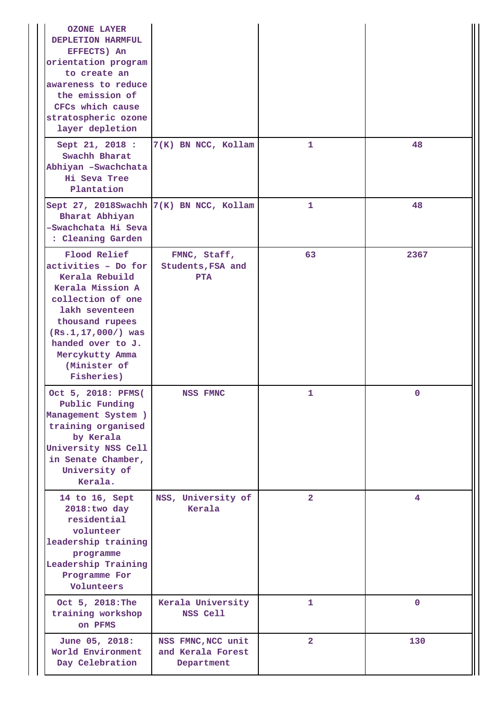| <b>OZONE LAYER</b><br>DEPLETION HARMFUL<br>EFFECTS) An<br>orientation program<br>to create an<br>awareness to reduce<br>the emission of<br>CFCs which cause<br>stratospheric ozone<br>layer depletion                                |                                                       |                |                |
|--------------------------------------------------------------------------------------------------------------------------------------------------------------------------------------------------------------------------------------|-------------------------------------------------------|----------------|----------------|
| Sept 21, 2018 :<br>Swachh Bharat<br>Abhiyan -Swachchata<br>Hi Seva Tree<br>Plantation                                                                                                                                                | 7(K) BN NCC, Kollam                                   | 1              | 48             |
| Sept 27, 2018Swachh 7(K) BN NCC, Kollam<br>Bharat Abhiyan<br>-Swachchata Hi Seva<br>: Cleaning Garden                                                                                                                                |                                                       | 1              | 48             |
| Flood Relief<br>activities - Do for<br>Kerala Rebuild<br>Kerala Mission A<br>collection of one<br>lakh seventeen<br>thousand rupees<br>$(Rs.1, 17, 000/ )$ was<br>handed over to J.<br>Mercykutty Amma<br>(Minister of<br>Fisheries) | FMNC, Staff,<br>Students, FSA and<br><b>PTA</b>       | 63             | 2367           |
| Oct 5, 2018: PFMS(<br>Public Funding<br>Management System )<br>training organised<br>by Kerala<br>University NSS Cell<br>in Senate Chamber,<br>University of<br>Kerala.                                                              | NSS FMNC                                              | 1              | 0              |
| 14 to 16, Sept<br>2018:two day<br>residential<br>volunteer<br>leadership training<br>programme<br>Leadership Training<br>Programme For<br>Volunteers                                                                                 | NSS, University of<br>Kerala                          | $\overline{2}$ | $\overline{4}$ |
| Oct 5, 2018: The<br>training workshop<br>on PFMS                                                                                                                                                                                     | Kerala University<br>NSS Cell                         | 1              | $\mathbf 0$    |
| June 05, 2018:<br>World Environment<br>Day Celebration                                                                                                                                                                               | NSS FMNC, NCC unit<br>and Kerala Forest<br>Department | $\mathbf{2}$   | 130            |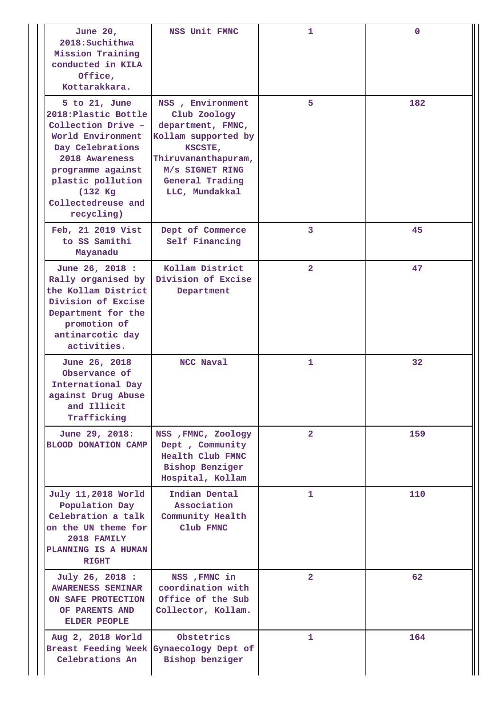| June 20,<br>2018: Suchithwa<br>Mission Training<br>conducted in KILA<br>Office,<br>Kottarakkara.                                                                                                                      | NSS Unit FMNC                                                                                                                                                          | 1              | $\mathbf 0$ |
|-----------------------------------------------------------------------------------------------------------------------------------------------------------------------------------------------------------------------|------------------------------------------------------------------------------------------------------------------------------------------------------------------------|----------------|-------------|
| $5$ to $21$ , June<br>2018: Plastic Bottle<br>Collection Drive -<br>World Environment<br>Day Celebrations<br>2018 Awareness<br>programme against<br>plastic pollution<br>(132 Kg)<br>Collectedreuse and<br>recycling) | NSS, Environment<br>Club Zoology<br>department, FMNC,<br>Kollam supported by<br>KSCSTE,<br>Thiruvananthapuram,<br>M/s SIGNET RING<br>General Trading<br>LLC, Mundakkal |                | 182         |
| Feb, 21 2019 Vist<br>to SS Samithi<br>Mayanadu                                                                                                                                                                        | Dept of Commerce<br>Self Financing                                                                                                                                     | 3              | 45          |
| June 26, 2018 :<br>Rally organised by<br>the Kollam District<br>Division of Excise<br>Department for the<br>promotion of<br>antinarcotic day<br>activities.                                                           | Kollam District<br>Division of Excise<br>Department                                                                                                                    | $\overline{2}$ | 47          |
| June 26, 2018<br>Observance of<br>International Day<br>against Drug Abuse<br>and Illicit<br>Trafficking                                                                                                               | NCC Naval                                                                                                                                                              | 1              | 32          |
| June 29, 2018:<br><b>BLOOD DONATION CAMP</b>                                                                                                                                                                          | NSS , FMNC, Zoology<br>Dept, Community<br>Health Club FMNC<br><b>Bishop Benziger</b><br>Hospital, Kollam                                                               | $\overline{2}$ | 159         |
| July 11,2018 World<br>Population Day<br>Celebration a talk<br>on the UN theme for<br>2018 FAMILY<br>PLANNING IS A HUMAN<br><b>RIGHT</b>                                                                               | Indian Dental<br>Association<br>Community Health<br>Club FMNC                                                                                                          | 1              | 110         |
| July 26, 2018 :<br><b>AWARENESS SEMINAR</b><br>ON SAFE PROTECTION<br>OF PARENTS AND<br><b>ELDER PEOPLE</b>                                                                                                            | NSS, FMNC in<br>coordination with<br>Office of the Sub<br>Collector, Kollam.                                                                                           | $\overline{2}$ | 62          |
| Aug 2, 2018 World<br>Breast Feeding Week Gynaecology Dept of<br>Celebrations An                                                                                                                                       | Obstetrics<br>Bishop benziger                                                                                                                                          | 1              | 164         |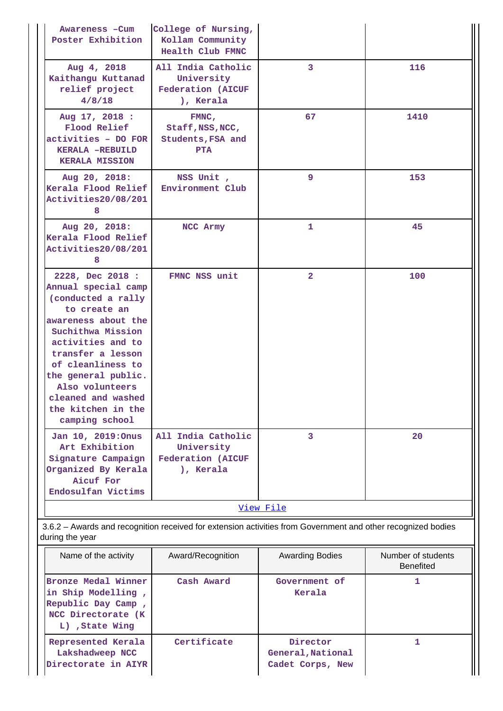| Awareness - Cum<br>Poster Exhibition                                                                                                                                                                                                                                                             | College of Nursing,<br>Kollam Community<br>Health Club FMNC               |                |      |  |
|--------------------------------------------------------------------------------------------------------------------------------------------------------------------------------------------------------------------------------------------------------------------------------------------------|---------------------------------------------------------------------------|----------------|------|--|
| Aug 4, 2018<br>Kaithangu Kuttanad<br>relief project<br>4/8/18                                                                                                                                                                                                                                    | All India Catholic<br>University<br><b>Federation (AICUF</b><br>), Kerala | 3              | 116  |  |
| Aug 17, 2018 :<br>FMNC,<br>Flood Relief<br>Staff, NSS, NCC,<br>activities - DO FOR<br>Students, FSA and<br>KERALA -REBUILD<br><b>PTA</b><br><b>KERALA MISSION</b>                                                                                                                                |                                                                           | 67             | 1410 |  |
| Aug 20, 2018:<br>Kerala Flood Relief<br>Activities20/08/201<br>8                                                                                                                                                                                                                                 | NSS Unit,<br>Environment Club                                             | 9              | 153  |  |
| Aug 20, 2018:<br>Kerala Flood Relief<br>Activities20/08/201<br>8                                                                                                                                                                                                                                 | NCC Army                                                                  | $\mathbf{1}$   | 45   |  |
| 2228, Dec 2018 :<br>Annual special camp<br>(conducted a rally<br>to create an<br>awareness about the<br>Suchithwa Mission<br>activities and to<br>transfer a lesson<br>of cleanliness to<br>the general public.<br>Also volunteers<br>cleaned and washed<br>the kitchen in the<br>camping school | FMNC NSS unit                                                             | $\overline{2}$ | 100  |  |
| Jan 10, 2019: Onus<br>Art Exhibition<br>Signature Campaign<br>Organized By Kerala<br>Aicuf For<br>Endosulfan Victims                                                                                                                                                                             | All India Catholic<br>University<br><b>Federation (AICUF</b><br>), Kerala | $\overline{3}$ | 20   |  |
| View File                                                                                                                                                                                                                                                                                        |                                                                           |                |      |  |

 3.6.2 – Awards and recognition received for extension activities from Government and other recognized bodies during the year

| Name of the activity                                                                                     | Award/Recognition | <b>Awarding Bodies</b>                            | Number of students<br><b>Benefited</b> |
|----------------------------------------------------------------------------------------------------------|-------------------|---------------------------------------------------|----------------------------------------|
| Bronze Medal Winner<br>in Ship Modelling,<br>Republic Day Camp,<br>NCC Directorate (K)<br>L), State Wing | Cash Award        | Government of<br>Kerala                           |                                        |
| Represented Kerala<br>Lakshadweep NCC<br>Directorate in AIYR                                             | Certificate       | Director<br>General, National<br>Cadet Corps, New |                                        |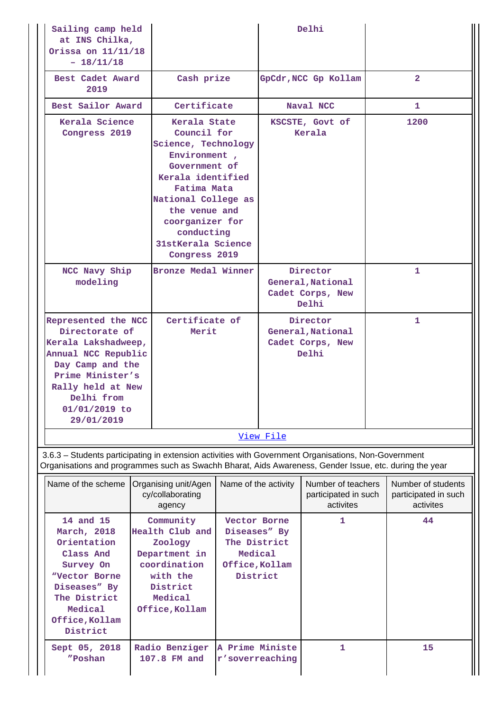| Sailing camp held<br>at INS Chilka,<br>Orissa on 11/11/18<br>$-18/11/18$                                                                                                                                       |                                                                                                                                                                                                                                         |                                                                                       |           | Delhi                                                      |                                                         |
|----------------------------------------------------------------------------------------------------------------------------------------------------------------------------------------------------------------|-----------------------------------------------------------------------------------------------------------------------------------------------------------------------------------------------------------------------------------------|---------------------------------------------------------------------------------------|-----------|------------------------------------------------------------|---------------------------------------------------------|
| Best Cadet Award<br>2019                                                                                                                                                                                       | Cash prize                                                                                                                                                                                                                              |                                                                                       |           | GpCdr, NCC Gp Kollam                                       | $\overline{2}$                                          |
| Best Sailor Award                                                                                                                                                                                              | Certificate                                                                                                                                                                                                                             |                                                                                       |           | Naval NCC                                                  | 1                                                       |
| Kerala Science<br>Congress 2019                                                                                                                                                                                | Kerala State<br>Council for<br>Science, Technology<br>Environment,<br>Government of<br>Kerala identified<br>Fatima Mata<br>National College as<br>the venue and<br>coorganizer for<br>conducting<br>31stKerala Science<br>Congress 2019 |                                                                                       |           | KSCSTE, Govt of<br>Kerala                                  | 1200                                                    |
| NCC Navy Ship<br>modeling                                                                                                                                                                                      | Bronze Medal Winner                                                                                                                                                                                                                     |                                                                                       |           | Director<br>General, National<br>Cadet Corps, New<br>Delhi | 1                                                       |
| Delhi from<br>01/01/2019 to<br>29/01/2019                                                                                                                                                                      | Certificate of<br>Represented the NCC<br>Directorate of<br>Merit<br>Kerala Lakshadweep,<br>Annual NCC Republic<br>Day Camp and the<br>Prime Minister's<br>Rally held at New                                                             |                                                                                       |           | Director<br>General, National<br>Cadet Corps, New<br>Delhi | 1                                                       |
|                                                                                                                                                                                                                |                                                                                                                                                                                                                                         |                                                                                       | View File |                                                            |                                                         |
| 3.6.3 - Students participating in extension activities with Government Organisations, Non-Government<br>Organisations and programmes such as Swachh Bharat, Aids Awareness, Gender Issue, etc. during the year |                                                                                                                                                                                                                                         |                                                                                       |           |                                                            |                                                         |
| Name of the scheme   Organising unit/Agen                                                                                                                                                                      | cy/collaborating<br>agency                                                                                                                                                                                                              | Name of the activity                                                                  |           | Number of teachers<br>participated in such<br>activites    | Number of students<br>participated in such<br>activites |
| 14 and 15<br>March, 2018<br>Orientation<br>Class And<br>Survey On<br>"Vector Borne<br>Diseases" By<br>The District<br>Medical<br>Office, Kollam<br>District                                                    | Community<br>Health Club and<br>Zoology<br>Department in<br>coordination<br>with the<br>District<br>Medical<br>Office, Kollam                                                                                                           | Vector Borne<br>Diseases" By<br>The District<br>Medical<br>Office, Kollam<br>District |           | 1                                                          | 44                                                      |
| Sept 05, 2018<br>"Poshan                                                                                                                                                                                       | Radio Benziger<br>107.8 FM and                                                                                                                                                                                                          | A Prime Ministe<br>r'soverreaching                                                    |           | 1                                                          | 15                                                      |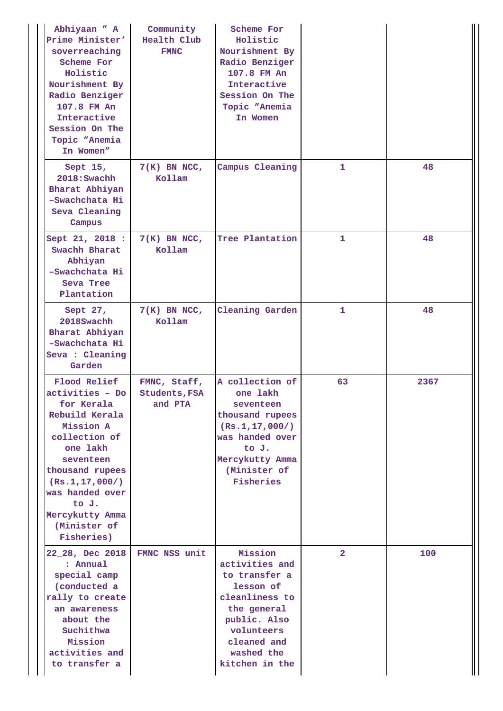| Abhiyaan " A<br>Prime Minister'<br>soverreaching<br>Scheme For<br>Holistic<br>Nourishment By<br>Radio Benziger<br>107.8 FM An<br>Interactive<br>Session On The<br>Topic "Anemia<br>In Women"                                                | Community<br>Health Club<br><b>FMNC</b>         | Scheme For<br>Holistic<br>Nourishment By<br>Radio Benziger<br>107.8 FM An<br>Interactive<br>Session On The<br>Topic "Anemia<br>In Women                               |                |      |
|---------------------------------------------------------------------------------------------------------------------------------------------------------------------------------------------------------------------------------------------|-------------------------------------------------|-----------------------------------------------------------------------------------------------------------------------------------------------------------------------|----------------|------|
| Sept 15,<br>2018: Swachh<br>Bharat Abhiyan<br>-Swachchata Hi<br>Seva Cleaning<br>Campus                                                                                                                                                     | $7(K)$ BN NCC,<br>Kollam                        | Campus Cleaning                                                                                                                                                       | $\mathbf{1}$   | 48   |
| Sept 21, 2018 :<br>Swachh Bharat<br>Abhiyan<br>-Swachchata Hi<br>Seva Tree<br>Plantation                                                                                                                                                    | $7(K)$ BN NCC,<br>Kollam                        | Tree Plantation                                                                                                                                                       | $\mathbf{1}$   | 48   |
| Sept 27,<br>2018Swachh<br>Bharat Abhiyan<br>-Swachchata Hi<br>Seva : Cleaning<br>Garden                                                                                                                                                     | $7(K)$ BN NCC,<br>Kollam                        | <b>Cleaning Garden</b>                                                                                                                                                | 1              | 48   |
| Flood Relief<br>activities - Do<br>for Kerala<br>Rebuild Kerala<br>Mission A<br>collection of<br>one lakh<br>seventeen<br>thousand rupees<br>(Rs.1, 17, 000/ )<br>was handed over<br>to J.<br>Mercykutty Amma<br>(Minister of<br>Fisheries) | FMNC, Staff,<br><b>Students, FSA</b><br>and PTA | A collection of<br>one lakh<br>seventeen<br>thousand rupees<br>(Rs.1, 17, 000/ )<br>was handed over<br>to J.<br>Mercykutty Amma<br>(Minister of<br>Fisheries          | 63             | 2367 |
| 22_28, Dec 2018<br>: Annual<br>special camp<br>(conducted a<br>rally to create<br>an awareness<br>about the<br>Suchithwa<br>Mission<br>activities and<br>to transfer a                                                                      | FMNC NSS unit                                   | Mission<br>activities and<br>to transfer a<br>lesson of<br>cleanliness to<br>the general<br>public. Also<br>volunteers<br>cleaned and<br>washed the<br>kitchen in the | $\overline{2}$ | 100  |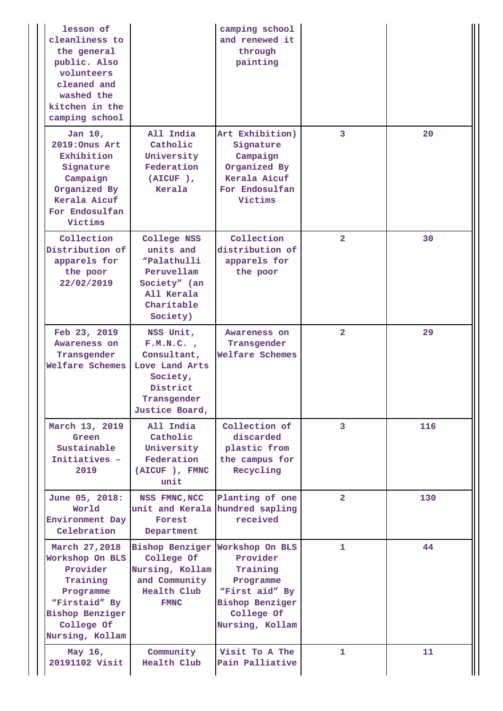| lesson of<br>cleanliness to<br>the general<br>public. Also<br>volunteers<br>cleaned and<br>washed the<br>kitchen in the<br>camping school         |                                                                                                                 | camping school<br>and renewed it<br>through<br>painting                                                        |                      |     |
|---------------------------------------------------------------------------------------------------------------------------------------------------|-----------------------------------------------------------------------------------------------------------------|----------------------------------------------------------------------------------------------------------------|----------------------|-----|
| Jan 10,<br>2019: Onus Art<br>Exhibition<br>Signature<br>Campaign<br>Organized By<br>Kerala Aicuf<br>For Endosulfan<br>Victims                     | All India<br>Catholic<br>University<br>Federation<br>$(AICUF)$ ,<br>Kerala                                      | Art Exhibition)<br>Signature<br>Campaign<br>Organized By<br>Kerala Aicuf<br>For Endosulfan<br>Victims          | $\overline{3}$       | 20  |
| Collection<br>Distribution of<br>apparels for<br>the poor<br>22/02/2019                                                                           | College NSS<br>units and<br>"Palathulli<br>Peruvellam<br>Society" (an<br>All Kerala<br>Charitable<br>Society)   | Collection<br>distribution of<br>apparels for<br>the poor                                                      | $\overline{2}$       | 30  |
| Feb 23, 2019<br>Awareness on<br>Transgender<br>Welfare Schemes                                                                                    | NSS Unit,<br>F.M.N.C.<br>Consultant,<br>Love Land Arts<br>Society,<br>District<br>Transgender<br>Justice Board, | Awareness on<br>Transgender<br>Welfare Schemes                                                                 | $\overline{2}$       | 29  |
| March 13, 2019<br>Green<br>Sustainable<br>Initiatives -<br>2019                                                                                   | All India<br>Catholic<br>University<br>Federation<br>(AICUF), FMNC<br>unit                                      | Collection of<br>discarded<br>plastic from<br>the campus for<br>Recycling                                      | 3                    | 116 |
| June 05, 2018:<br>World<br>Environment Day<br>Celebration                                                                                         | NSS FMNC, NCC<br>unit and Kerala hundred sapling<br>Forest<br>Department                                        | Planting of one<br>received                                                                                    | $\mathbf{2}^{\circ}$ | 130 |
| March 27,2018<br>Workshop On BLS<br>Provider<br>Training<br>Programme<br>"Firstaid" By<br><b>Bishop Benziger</b><br>College Of<br>Nursing, Kollam | Bishop Benziger Workshop On BLS<br>College Of<br>Nursing, Kollam<br>and Community<br>Health Club<br><b>FMNC</b> | Provider<br>Training<br>Programme<br>"First aid" By<br><b>Bishop Benziger</b><br>College Of<br>Nursing, Kollam | 1                    | 44  |
| May 16,<br>20191102 Visit                                                                                                                         | Community<br>Health Club                                                                                        | Visit To A The<br>Pain Palliative                                                                              | 1                    | 11  |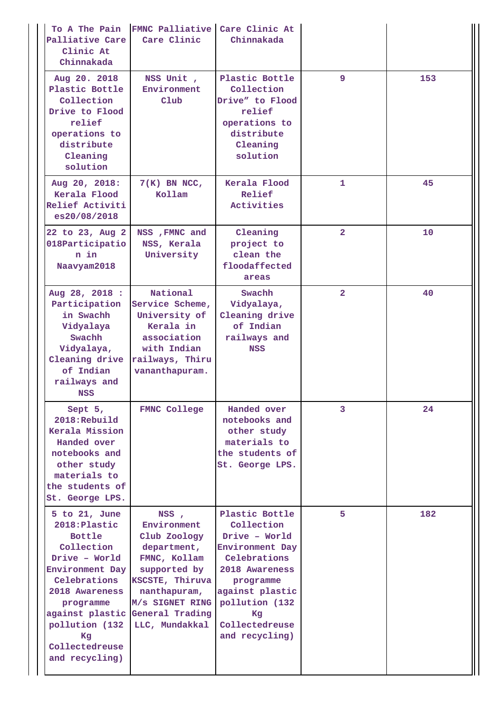| To A The Pain<br>Palliative Care<br>Clinic At<br>Chinnakada                                                                                                                                                                         | FMNC Palliative Care Clinic At<br>Care Clinic                                                                                                                                 | Chinnakada                                                                                                                                                                                     |                         |     |
|-------------------------------------------------------------------------------------------------------------------------------------------------------------------------------------------------------------------------------------|-------------------------------------------------------------------------------------------------------------------------------------------------------------------------------|------------------------------------------------------------------------------------------------------------------------------------------------------------------------------------------------|-------------------------|-----|
| Aug 20. 2018<br>Plastic Bottle<br>Collection<br>Drive to Flood<br>relief<br>operations to<br>distribute<br>Cleaning<br>solution                                                                                                     | NSS Unit,<br>Environment<br>Club                                                                                                                                              | Plastic Bottle<br>Collection<br>Drive" to Flood<br>relief<br>operations to<br>distribute<br>Cleaning<br>solution                                                                               | 9                       | 153 |
| Aug 20, 2018:<br>Kerala Flood<br>Relief Activiti<br>es20/08/2018                                                                                                                                                                    | $7(K)$ BN NCC,<br>Kollam                                                                                                                                                      | Kerala Flood<br>Relief<br>Activities                                                                                                                                                           | 1                       | 45  |
| 22 to 23, Aug 2<br>018Participatio<br>n in<br>Naavyam2018                                                                                                                                                                           | NSS, FMNC and<br>NSS, Kerala<br>University                                                                                                                                    | Cleaning<br>project to<br>clean the<br>floodaffected<br>areas                                                                                                                                  | $\overline{\mathbf{2}}$ | 10  |
| Aug 28, 2018 :<br>Participation<br>in Swachh<br>Vidyalaya<br>Swachh<br>Vidyalaya,<br>Cleaning drive<br>of Indian<br>railways and<br>NSS                                                                                             | National<br>Service Scheme,<br>University of<br>Kerala in<br>association<br>with Indian<br>railways, Thiru<br>vananthapuram.                                                  | Swachh<br>Vidyalaya,<br>Cleaning drive<br>of Indian<br>railways and<br><b>NSS</b>                                                                                                              | $\overline{2}$          | 40  |
| Sept $5,$<br>2018:Rebuild<br>Kerala Mission<br>Handed over<br>notebooks and<br>other study<br>materials to<br>the students of<br>St. George LPS.                                                                                    | <b>FMNC College</b>                                                                                                                                                           | Handed over<br>notebooks and<br>other study<br>materials to<br>the students of<br>St. George LPS.                                                                                              | 3                       | 24  |
| 5 to $21$ , June<br>2018: Plastic<br><b>Bottle</b><br>Collection<br>Drive - World<br>Environment Day<br>Celebrations<br>2018 Awareness<br>programme<br>against plastic<br>pollution (132)<br>Kq<br>Collectedreuse<br>and recycling) | NSS,<br>Environment<br>Club Zoology<br>department,<br>FMNC, Kollam<br>supported by<br>KSCSTE, Thiruva<br>nanthapuram,<br>M/s SIGNET RING<br>General Trading<br>LLC, Mundakkal | Plastic Bottle<br>Collection<br>Drive - World<br>Environment Day<br>Celebrations<br>2018 Awareness<br>programme<br>against plastic<br>pollution (132<br>Kg<br>Collectedreuse<br>and recycling) | 5                       | 182 |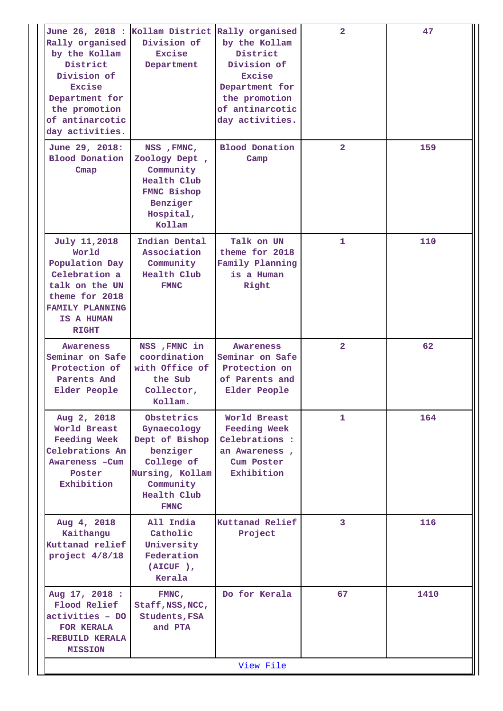| Rally organised<br>by the Kollam<br>District<br>Division of<br>Excise<br>Department for<br>the promotion<br>of antinarcotic<br>day activities.       | June 26, 2018 : Kollam District Rally organised<br>Division of<br>Excise<br>Department                                              | by the Kollam<br>District<br>Division of<br>Excise<br>Department for<br>the promotion<br>of antinarcotic<br>day activities. | $\overline{\mathbf{2}}$ | 47   |
|------------------------------------------------------------------------------------------------------------------------------------------------------|-------------------------------------------------------------------------------------------------------------------------------------|-----------------------------------------------------------------------------------------------------------------------------|-------------------------|------|
| June 29, 2018:<br><b>Blood Donation</b><br>Cmap                                                                                                      | NSS, FMNC,<br>Zoology Dept,<br>Community<br>Health Club<br>FMNC Bishop<br>Benziger<br>Hospital,<br>Kollam                           | <b>Blood Donation</b><br>Camp                                                                                               | $\overline{2}$          | 159  |
| July 11,2018<br>World<br>Population Day<br>Celebration a<br>talk on the UN<br>theme for 2018<br><b>FAMILY PLANNING</b><br>IS A HUMAN<br><b>RIGHT</b> | Indian Dental<br>Association<br>Community<br>Health Club<br><b>FMNC</b>                                                             | Talk on UN<br>theme for 2018<br>Family Planning<br>is a Human<br>Right                                                      | $\mathbf{1}$            | 110  |
| Awareness<br>Seminar on Safe<br>Protection of<br>Parents And<br>Elder People                                                                         | NSS , FMNC in<br>coordination<br>with Office of<br>the Sub<br>Collector,<br>Kollam.                                                 | Awareness<br>Seminar on Safe<br>Protection on<br>of Parents and<br>Elder People                                             | $\overline{a}$          | 62   |
| Aug 2, 2018<br>World Breast<br><b>Feeding Week</b><br>Celebrations An<br>Awareness - Cum<br>Poster<br>Exhibition                                     | Obstetrics<br>Gynaecology<br>Dept of Bishop<br>benziger<br>College of<br>Nursing, Kollam<br>Community<br>Health Club<br><b>FMNC</b> | World Breast<br><b>Feeding Week</b><br>Celebrations :<br>an Awareness,<br>Cum Poster<br>Exhibition                          | 1                       | 164  |
| Aug 4, 2018<br>Kaithangu<br>Kuttanad relief<br>project 4/8/18                                                                                        | All India<br>Catholic<br>University<br>Federation<br>$(AICUF)$ ,<br>Kerala                                                          | Kuttanad Relief<br>Project                                                                                                  | 3                       | 116  |
| Aug 17, 2018 :<br>Flood Relief<br>activities - DO<br>FOR KERALA<br>-REBUILD KERALA<br><b>MISSION</b>                                                 | FMNC,<br>Staff, NSS, NCC,<br>Students, FSA<br>and PTA                                                                               | Do for Kerala                                                                                                               | 67                      | 1410 |
|                                                                                                                                                      |                                                                                                                                     | View File                                                                                                                   |                         |      |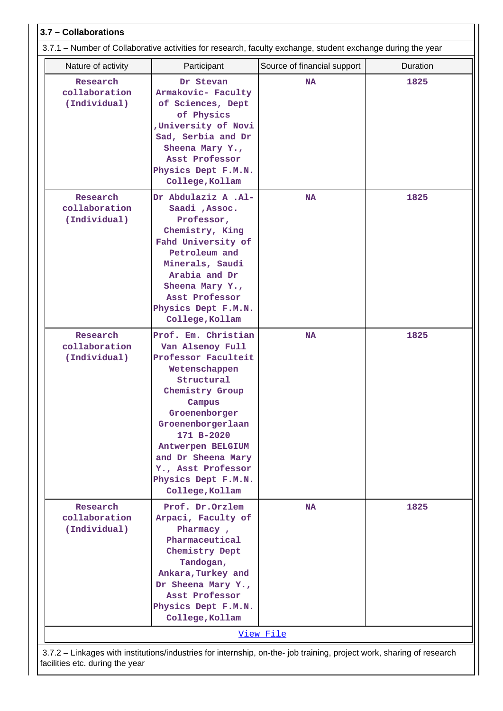|                                           |                                                                                                                                                                                                                                                                                           | 3.7.1 – Number of Collaborative activities for research, faculty exchange, student exchange during the year |          |
|-------------------------------------------|-------------------------------------------------------------------------------------------------------------------------------------------------------------------------------------------------------------------------------------------------------------------------------------------|-------------------------------------------------------------------------------------------------------------|----------|
| Nature of activity                        | Participant                                                                                                                                                                                                                                                                               | Source of financial support                                                                                 | Duration |
| Research<br>collaboration<br>(Individual) | Dr Stevan<br>Armakovic- Faculty<br>of Sciences, Dept<br>of Physics<br>University of Novi<br>Sad, Serbia and Dr<br>Sheena Mary Y.,<br>Asst Professor<br>Physics Dept F.M.N.<br>College, Kollam                                                                                             | <b>NA</b>                                                                                                   | 1825     |
| Research<br>collaboration<br>(Individual) | Dr Abdulaziz A .Al-<br>Saadi , Assoc.<br>Professor,<br>Chemistry, King<br>Fahd University of<br>Petroleum and<br>Minerals, Saudi<br>Arabia and Dr<br>Sheena Mary Y.,<br>Asst Professor<br>Physics Dept F.M.N.<br>College, Kollam                                                          | <b>NA</b>                                                                                                   | 1825     |
| Research<br>collaboration<br>(Individual) | Prof. Em. Christian<br>Van Alsenoy Full<br>Professor Faculteit<br>Wetenschappen<br>Structural<br>Chemistry Group<br>Campus<br>Groenenborger<br>Groenenborgerlaan<br>171 B-2020<br>Antwerpen BELGIUM<br>and Dr Sheena Mary<br>Y., Asst Professor<br>Physics Dept F.M.N.<br>College, Kollam | <b>NA</b>                                                                                                   | 1825     |
| Research<br>collaboration<br>(Individual) | Prof. Dr.Orzlem<br>Arpaci, Faculty of<br>Pharmacy,<br>Pharmaceutical<br>Chemistry Dept<br>Tandogan,<br>Ankara, Turkey and<br>Dr Sheena Mary Y.,<br>Asst Professor<br>Physics Dept F.M.N.<br>College, Kollam                                                                               | <b>NA</b>                                                                                                   | 1825     |

 3.7.2 – Linkages with institutions/industries for internship, on-the- job training, project work, sharing of research facilities etc. during the year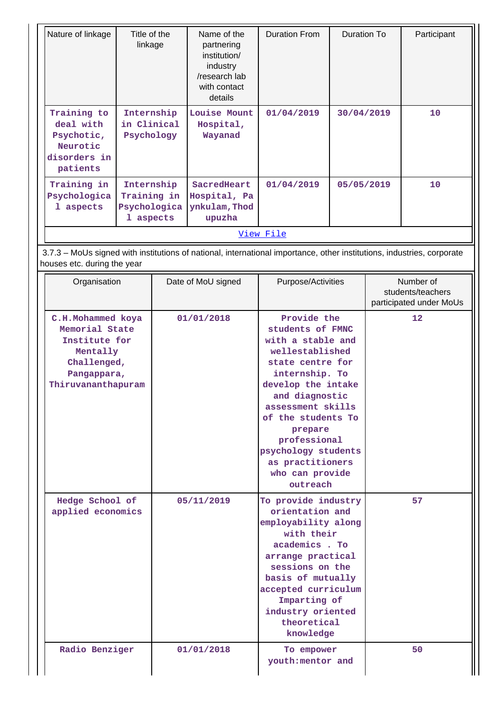| Nature of linkage                                                                                                                                     | Title of the<br>linkage                                | Name of the<br>partnering<br>institution/<br>industry<br>/research lab<br>with contact<br>details | <b>Duration From</b>                                                                                                                                                                                                                                                                      | <b>Duration To</b> |                                                           | Participant |
|-------------------------------------------------------------------------------------------------------------------------------------------------------|--------------------------------------------------------|---------------------------------------------------------------------------------------------------|-------------------------------------------------------------------------------------------------------------------------------------------------------------------------------------------------------------------------------------------------------------------------------------------|--------------------|-----------------------------------------------------------|-------------|
| Training to<br>deal with<br>Psychotic,<br>Neurotic<br>disorders in<br>patients                                                                        | Internship<br>in Clinical<br>Psychology                | Louise Mount<br>Hospital,<br>Wayanad                                                              | 01/04/2019                                                                                                                                                                                                                                                                                | 30/04/2019         |                                                           | 10          |
| Training in<br>Psychologica<br>1 aspects                                                                                                              | Internship<br>Training in<br>Psychologica<br>1 aspects | SacredHeart<br>Hospital, Pa<br>ynkulam, Thod<br>upuzha                                            | 01/04/2019                                                                                                                                                                                                                                                                                | 05/05/2019         |                                                           | 10          |
|                                                                                                                                                       |                                                        |                                                                                                   | View File                                                                                                                                                                                                                                                                                 |                    |                                                           |             |
| 3.7.3 - MoUs signed with institutions of national, international importance, other institutions, industries, corporate<br>houses etc. during the year |                                                        |                                                                                                   |                                                                                                                                                                                                                                                                                           |                    |                                                           |             |
| Organisation                                                                                                                                          |                                                        | Date of MoU signed                                                                                | Purpose/Activities                                                                                                                                                                                                                                                                        |                    | Number of<br>students/teachers<br>participated under MoUs |             |
| C.H.Mohammed koya<br>Memorial State<br>Institute for<br>Mentally<br>Challenged,<br>Pangappara,<br>Thiruvananthapuram                                  |                                                        | 01/01/2018                                                                                        | Provide the<br>students of FMNC<br>with a stable and<br>wellestablished<br>state centre for<br>internship. To<br>develop the intake<br>and diagnostic<br>assessment skills<br>of the students To<br>prepare<br>professional<br>psychology students<br>as practitioners<br>who can provide |                    |                                                           | 12          |
| Hedge School of<br>applied economics                                                                                                                  |                                                        | 05/11/2019                                                                                        | outreach<br>To provide industry<br>orientation and<br>employability along<br>with their<br>academics. To<br>arrange practical<br>sessions on the<br>basis of mutually<br>accepted curriculum<br>Imparting of<br>industry oriented<br>theoretical                                          |                    | 57                                                        |             |
| Radio Benziger                                                                                                                                        |                                                        | 01/01/2018                                                                                        | knowledge<br>To empower<br>youth: mentor and                                                                                                                                                                                                                                              |                    | 50                                                        |             |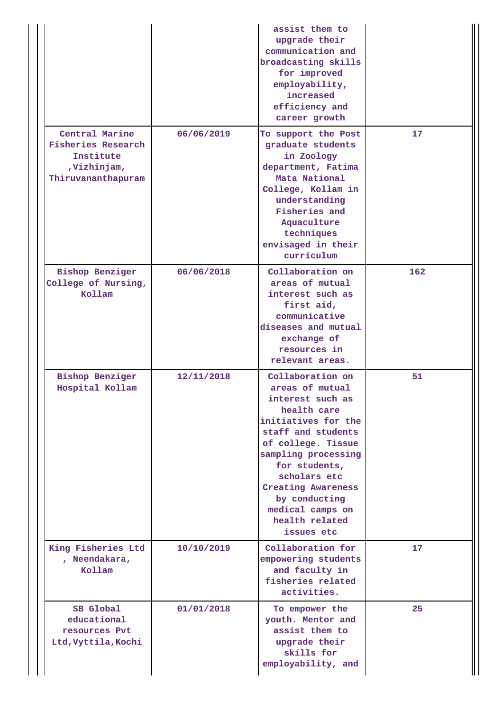|                                                                                               |            | assist them to<br>upgrade their<br>communication and<br>broadcasting skills<br>for improved<br>employability,<br>increased<br>efficiency and<br>career growth                                                                                                                                       |     |
|-----------------------------------------------------------------------------------------------|------------|-----------------------------------------------------------------------------------------------------------------------------------------------------------------------------------------------------------------------------------------------------------------------------------------------------|-----|
| Central Marine<br><b>Fisheries Research</b><br>Institute<br>,Vizhinjam,<br>Thiruvananthapuram | 06/06/2019 | To support the Post<br>graduate students<br>in Zoology<br>department, Fatima<br>Mata National<br>College, Kollam in<br>understanding<br>Fisheries and<br>Aquaculture<br>techniques<br>envisaged in their<br>curriculum                                                                              | 17  |
| <b>Bishop Benziger</b><br>College of Nursing,<br>Kollam                                       | 06/06/2018 | Collaboration on<br>areas of mutual<br>interest such as<br>first aid,<br>communicative<br>diseases and mutual<br>exchange of<br>resources in<br>relevant areas.                                                                                                                                     | 162 |
| <b>Bishop Benziger</b><br>Hospital Kollam                                                     | 12/11/2018 | Collaboration on<br>areas of mutual<br>interest such as<br>health care<br>initiatives for the<br>staff and students<br>of college. Tissue<br>sampling processing<br>for students,<br>scholars etc<br><b>Creating Awareness</b><br>by conducting<br>medical camps on<br>health related<br>issues etc | 51  |
| King Fisheries Ltd<br>, Neendakara,<br>Kollam                                                 | 10/10/2019 | Collaboration for<br>empowering students<br>and faculty in<br>fisheries related<br>activities.                                                                                                                                                                                                      | 17  |
| SB Global<br>educational<br>resources Pvt<br>Ltd, Vyttila, Kochi                              | 01/01/2018 | To empower the<br>youth. Mentor and<br>assist them to<br>upgrade their<br>skills for<br>employability, and                                                                                                                                                                                          | 25  |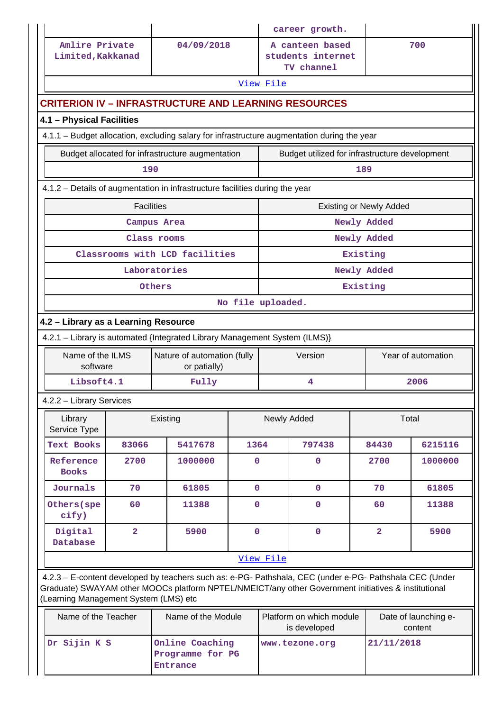|                                                                                                                            |                |                                                                                                                                                                                                                |              |             | career growth.                                     |                         |                      |
|----------------------------------------------------------------------------------------------------------------------------|----------------|----------------------------------------------------------------------------------------------------------------------------------------------------------------------------------------------------------------|--------------|-------------|----------------------------------------------------|-------------------------|----------------------|
| Amlire Private<br>Limited, Kakkanad                                                                                        |                | 04/09/2018                                                                                                                                                                                                     |              |             | A canteen based<br>students internet<br>TV channel |                         | 700                  |
|                                                                                                                            |                |                                                                                                                                                                                                                |              | View File   |                                                    |                         |                      |
|                                                                                                                            |                | <b>CRITERION IV – INFRASTRUCTURE AND LEARNING RESOURCES</b>                                                                                                                                                    |              |             |                                                    |                         |                      |
| 4.1 - Physical Facilities                                                                                                  |                |                                                                                                                                                                                                                |              |             |                                                    |                         |                      |
| 4.1.1 - Budget allocation, excluding salary for infrastructure augmentation during the year                                |                |                                                                                                                                                                                                                |              |             |                                                    |                         |                      |
|                                                                                                                            |                | Budget allocated for infrastructure augmentation                                                                                                                                                               |              |             | Budget utilized for infrastructure development     |                         |                      |
| 190<br>189                                                                                                                 |                |                                                                                                                                                                                                                |              |             |                                                    |                         |                      |
|                                                                                                                            |                | 4.1.2 - Details of augmentation in infrastructure facilities during the year                                                                                                                                   |              |             |                                                    |                         |                      |
| <b>Facilities</b><br><b>Existing or Newly Added</b>                                                                        |                |                                                                                                                                                                                                                |              |             |                                                    |                         |                      |
|                                                                                                                            |                | Campus Area                                                                                                                                                                                                    |              |             |                                                    | Newly Added             |                      |
|                                                                                                                            |                | Class rooms                                                                                                                                                                                                    |              |             |                                                    | Newly Added             |                      |
|                                                                                                                            |                | Classrooms with LCD facilities                                                                                                                                                                                 |              |             |                                                    | Existing                |                      |
|                                                                                                                            |                | Laboratories<br>Others                                                                                                                                                                                         |              |             |                                                    | Newly Added<br>Existing |                      |
| No file uploaded.                                                                                                          |                |                                                                                                                                                                                                                |              |             |                                                    |                         |                      |
| 4.2 - Library as a Learning Resource                                                                                       |                |                                                                                                                                                                                                                |              |             |                                                    |                         |                      |
|                                                                                                                            |                | 4.2.1 - Library is automated {Integrated Library Management System (ILMS)}                                                                                                                                     |              |             |                                                    |                         |                      |
| Name of the ILMS<br>software                                                                                               |                | Nature of automation (fully<br>or patially)                                                                                                                                                                    |              |             | Version                                            |                         | Year of automation   |
| Libsoft4.1                                                                                                                 |                | Fully                                                                                                                                                                                                          |              |             | 4                                                  |                         | 2006                 |
| 4.2.2 - Library Services                                                                                                   |                |                                                                                                                                                                                                                |              |             |                                                    |                         |                      |
| Library<br>Service Type                                                                                                    |                | Existing                                                                                                                                                                                                       |              | Newly Added |                                                    |                         | Total                |
| <b>Text Books</b>                                                                                                          | 83066          | 5417678                                                                                                                                                                                                        | 1364         |             | 797438                                             | 84430                   | 6215116              |
| Reference<br><b>Books</b>                                                                                                  | 2700           | 1000000                                                                                                                                                                                                        | 0            |             | 0                                                  | 2700                    | 1000000              |
| Journals                                                                                                                   | 70             | 61805                                                                                                                                                                                                          | $\mathbf 0$  |             | $\mathbf 0$                                        | 70                      | 61805                |
| Others (spe<br>cify)                                                                                                       | 60             | 11388                                                                                                                                                                                                          | $\mathbf{O}$ |             | $\mathbf 0$                                        | 60                      | 11388                |
| Digital<br><b>Database</b>                                                                                                 | $\overline{a}$ | 5900                                                                                                                                                                                                           | $\mathbf 0$  |             | $\pmb{0}$                                          | $\overline{\mathbf{2}}$ | 5900                 |
|                                                                                                                            |                |                                                                                                                                                                                                                |              | View File   |                                                    |                         |                      |
| (Learning Management System (LMS) etc                                                                                      |                | 4.2.3 - E-content developed by teachers such as: e-PG- Pathshala, CEC (under e-PG- Pathshala CEC (Under<br>Graduate) SWAYAM other MOOCs platform NPTEL/NMEICT/any other Government initiatives & institutional |              |             |                                                    |                         |                      |
| Name of the Teacher                                                                                                        |                | Name of the Module                                                                                                                                                                                             |              |             | Platform on which module                           |                         | Date of launching e- |
| is developed<br>content<br>Online Coaching<br>Dr Sijin K S<br>21/11/2018<br>www.tezone.org<br>Programme for PG<br>Entrance |                |                                                                                                                                                                                                                |              |             |                                                    |                         |                      |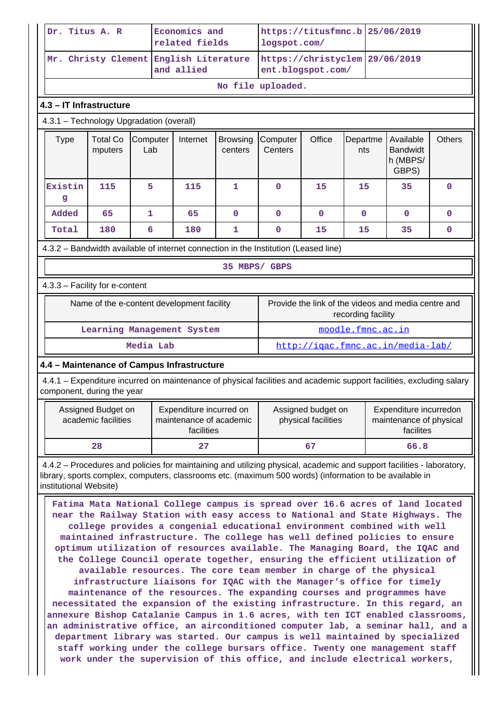| Dr. Titus A. R |                                                                                                                                                                                                                                                                                                                                                                                                                                                                                                                                                                                                                                                                                                                                                                                                                                                                                                                                                                                                                                                                                                                                                                                                                                                                                                                                                            |                                           | Economics and<br>related fields |                                                      |                                                                  | https://titusfmnc.b<br>logspot.com/ |                                                                                                                       |                   | 25/06/2019         |      |                                                     |               |
|----------------|------------------------------------------------------------------------------------------------------------------------------------------------------------------------------------------------------------------------------------------------------------------------------------------------------------------------------------------------------------------------------------------------------------------------------------------------------------------------------------------------------------------------------------------------------------------------------------------------------------------------------------------------------------------------------------------------------------------------------------------------------------------------------------------------------------------------------------------------------------------------------------------------------------------------------------------------------------------------------------------------------------------------------------------------------------------------------------------------------------------------------------------------------------------------------------------------------------------------------------------------------------------------------------------------------------------------------------------------------------|-------------------------------------------|---------------------------------|------------------------------------------------------|------------------------------------------------------------------|-------------------------------------|-----------------------------------------------------------------------------------------------------------------------|-------------------|--------------------|------|-----------------------------------------------------|---------------|
|                |                                                                                                                                                                                                                                                                                                                                                                                                                                                                                                                                                                                                                                                                                                                                                                                                                                                                                                                                                                                                                                                                                                                                                                                                                                                                                                                                                            |                                           |                                 | Mr. Christy Clement English Literature<br>and allied |                                                                  | https://christyclem                 | ent.blogspot.com/                                                                                                     |                   | 29/06/2019         |      |                                                     |               |
|                |                                                                                                                                                                                                                                                                                                                                                                                                                                                                                                                                                                                                                                                                                                                                                                                                                                                                                                                                                                                                                                                                                                                                                                                                                                                                                                                                                            |                                           |                                 |                                                      |                                                                  |                                     | No file uploaded.                                                                                                     |                   |                    |      |                                                     |               |
|                |                                                                                                                                                                                                                                                                                                                                                                                                                                                                                                                                                                                                                                                                                                                                                                                                                                                                                                                                                                                                                                                                                                                                                                                                                                                                                                                                                            | 4.3 - IT Infrastructure                   |                                 |                                                      |                                                                  |                                     |                                                                                                                       |                   |                    |      |                                                     |               |
|                |                                                                                                                                                                                                                                                                                                                                                                                                                                                                                                                                                                                                                                                                                                                                                                                                                                                                                                                                                                                                                                                                                                                                                                                                                                                                                                                                                            | 4.3.1 - Technology Upgradation (overall)  |                                 |                                                      |                                                                  |                                     |                                                                                                                       |                   |                    |      |                                                     |               |
|                | <b>Type</b>                                                                                                                                                                                                                                                                                                                                                                                                                                                                                                                                                                                                                                                                                                                                                                                                                                                                                                                                                                                                                                                                                                                                                                                                                                                                                                                                                | <b>Total Co</b><br>mputers                | Computer<br>Lab                 |                                                      | Internet                                                         | <b>Browsing</b><br>centers          | Computer<br>Centers                                                                                                   | Office            | Departme<br>nts    |      | Available<br><b>Bandwidt</b><br>h (MBPS/<br>GBPS)   | <b>Others</b> |
|                | Existin<br>g                                                                                                                                                                                                                                                                                                                                                                                                                                                                                                                                                                                                                                                                                                                                                                                                                                                                                                                                                                                                                                                                                                                                                                                                                                                                                                                                               | 115                                       | 5                               |                                                      | 115                                                              | 1                                   | $\mathbf 0$                                                                                                           | 15                | 15                 |      | 35                                                  | $\mathbf 0$   |
|                | Added                                                                                                                                                                                                                                                                                                                                                                                                                                                                                                                                                                                                                                                                                                                                                                                                                                                                                                                                                                                                                                                                                                                                                                                                                                                                                                                                                      | 65                                        | $\mathbf{1}$                    |                                                      | 65                                                               | 0                                   | $\mathbf{O}$                                                                                                          | 0                 | $\mathbf{0}$       |      | 0                                                   | 0             |
|                | Total                                                                                                                                                                                                                                                                                                                                                                                                                                                                                                                                                                                                                                                                                                                                                                                                                                                                                                                                                                                                                                                                                                                                                                                                                                                                                                                                                      | 180                                       | 6                               |                                                      | 180                                                              | 1                                   | 0                                                                                                                     | 15                | 15                 |      | 35                                                  | 0             |
|                |                                                                                                                                                                                                                                                                                                                                                                                                                                                                                                                                                                                                                                                                                                                                                                                                                                                                                                                                                                                                                                                                                                                                                                                                                                                                                                                                                            |                                           |                                 |                                                      |                                                                  |                                     | 4.3.2 - Bandwidth available of internet connection in the Institution (Leased line)                                   |                   |                    |      |                                                     |               |
|                |                                                                                                                                                                                                                                                                                                                                                                                                                                                                                                                                                                                                                                                                                                                                                                                                                                                                                                                                                                                                                                                                                                                                                                                                                                                                                                                                                            |                                           |                                 |                                                      |                                                                  | 35 MBPS/ GBPS                       |                                                                                                                       |                   |                    |      |                                                     |               |
|                |                                                                                                                                                                                                                                                                                                                                                                                                                                                                                                                                                                                                                                                                                                                                                                                                                                                                                                                                                                                                                                                                                                                                                                                                                                                                                                                                                            | 4.3.3 - Facility for e-content            |                                 |                                                      |                                                                  |                                     |                                                                                                                       |                   |                    |      |                                                     |               |
|                |                                                                                                                                                                                                                                                                                                                                                                                                                                                                                                                                                                                                                                                                                                                                                                                                                                                                                                                                                                                                                                                                                                                                                                                                                                                                                                                                                            |                                           |                                 |                                                      | Name of the e-content development facility                       |                                     |                                                                                                                       |                   | recording facility |      | Provide the link of the videos and media centre and |               |
|                |                                                                                                                                                                                                                                                                                                                                                                                                                                                                                                                                                                                                                                                                                                                                                                                                                                                                                                                                                                                                                                                                                                                                                                                                                                                                                                                                                            |                                           |                                 |                                                      | Learning Management System                                       |                                     |                                                                                                                       | moodle.fmnc.ac.in |                    |      |                                                     |               |
|                |                                                                                                                                                                                                                                                                                                                                                                                                                                                                                                                                                                                                                                                                                                                                                                                                                                                                                                                                                                                                                                                                                                                                                                                                                                                                                                                                                            |                                           | Media Lab                       |                                                      |                                                                  |                                     |                                                                                                                       |                   |                    |      | http://igac.fmnc.ac.in/media-lab/                   |               |
|                |                                                                                                                                                                                                                                                                                                                                                                                                                                                                                                                                                                                                                                                                                                                                                                                                                                                                                                                                                                                                                                                                                                                                                                                                                                                                                                                                                            |                                           |                                 |                                                      | 4.4 - Maintenance of Campus Infrastructure                       |                                     |                                                                                                                       |                   |                    |      |                                                     |               |
|                |                                                                                                                                                                                                                                                                                                                                                                                                                                                                                                                                                                                                                                                                                                                                                                                                                                                                                                                                                                                                                                                                                                                                                                                                                                                                                                                                                            | component, during the year                |                                 |                                                      |                                                                  |                                     | 4.4.1 – Expenditure incurred on maintenance of physical facilities and academic support facilities, excluding salary  |                   |                    |      |                                                     |               |
|                |                                                                                                                                                                                                                                                                                                                                                                                                                                                                                                                                                                                                                                                                                                                                                                                                                                                                                                                                                                                                                                                                                                                                                                                                                                                                                                                                                            | Assigned Budget on<br>academic facilities |                                 |                                                      | Expenditure incurred on<br>maintenance of academic<br>facilities |                                     | Assigned budget on<br>Expenditure incurredon<br>physical facilities<br>maintenance of physical<br>facilites           |                   |                    |      |                                                     |               |
|                |                                                                                                                                                                                                                                                                                                                                                                                                                                                                                                                                                                                                                                                                                                                                                                                                                                                                                                                                                                                                                                                                                                                                                                                                                                                                                                                                                            | 28                                        |                                 |                                                      | 27                                                               |                                     | 67                                                                                                                    |                   |                    | 66.8 |                                                     |               |
|                |                                                                                                                                                                                                                                                                                                                                                                                                                                                                                                                                                                                                                                                                                                                                                                                                                                                                                                                                                                                                                                                                                                                                                                                                                                                                                                                                                            |                                           |                                 |                                                      |                                                                  |                                     | 4.4.2 – Procedures and policies for maintaining and utilizing physical, academic and support facilities - laboratory, |                   |                    |      |                                                     |               |
|                | library, sports complex, computers, classrooms etc. (maximum 500 words) (information to be available in<br>institutional Website)<br>Fatima Mata National College campus is spread over 16.6 acres of land located<br>near the Railway Station with easy access to National and State Highways. The<br>college provides a congenial educational environment combined with well<br>maintained infrastructure. The college has well defined policies to ensure<br>optimum utilization of resources available. The Managing Board, the IQAC and<br>the College Council operate together, ensuring the efficient utilization of<br>available resources. The core team member in charge of the physical<br>infrastructure liaisons for IQAC with the Manager's office for timely<br>maintenance of the resources. The expanding courses and programmes have<br>necessitated the expansion of the existing infrastructure. In this regard, an<br>annexure Bishop Catalanie Campus in 1.6 acres, with ten ICT enabled classrooms,<br>an administrative office, an airconditioned computer lab, a seminar hall, and a<br>department library was started. Our campus is well maintained by specialized<br>staff working under the college bursars office. Twenty one management staff<br>work under the supervision of this office, and include electrical workers, |                                           |                                 |                                                      |                                                                  |                                     |                                                                                                                       |                   |                    |      |                                                     |               |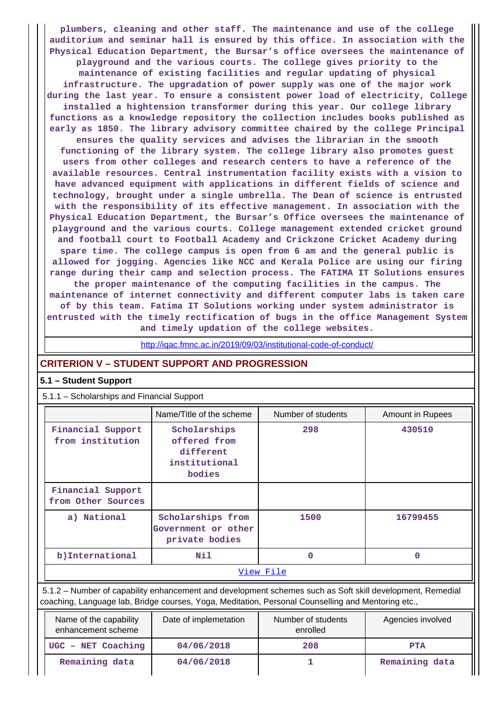**plumbers, cleaning and other staff. The maintenance and use of the college auditorium and seminar hall is ensured by this office. In association with the Physical Education Department, the Bursar's office oversees the maintenance of playground and the various courts. The college gives priority to the maintenance of existing facilities and regular updating of physical infrastructure. The upgradation of power supply was one of the major work during the last year. To ensure a consistent power load of electricity, College installed a hightension transformer during this year. Our college library functions as a knowledge repository the collection includes books published as early as 1850. The library advisory committee chaired by the college Principal ensures the quality services and advises the librarian in the smooth functioning of the library system. The college library also promotes guest users from other colleges and research centers to have a reference of the available resources. Central instrumentation facility exists with a vision to have advanced equipment with applications in different fields of science and technology, brought under a single umbrella. The Dean of science is entrusted with the responsibility of its effective management. In association with the Physical Education Department, the Bursar's Office oversees the maintenance of playground and the various courts. College management extended cricket ground and football court to Football Academy and Crickzone Cricket Academy during spare time. The college campus is open from 6 am and the general public is allowed for jogging. Agencies like NCC and Kerala Police are using our firing range during their camp and selection process. The FATIMA IT Solutions ensures the proper maintenance of the computing facilities in the campus. The maintenance of internet connectivity and different computer labs is taken care of by this team. Fatima IT Solutions working under system administrator is**

**entrusted with the timely rectification of bugs in the office Management System and timely updation of the college websites.**

<http://iqac.fmnc.ac.in/2019/09/03/institutional-code-of-conduct/>

## **CRITERION V – STUDENT SUPPORT AND PROGRESSION**

## **5.1 – Student Support**

| 5.1.1 - Scholarships and Financial Support |                                                                                                           |                    |                  |  |  |  |  |
|--------------------------------------------|-----------------------------------------------------------------------------------------------------------|--------------------|------------------|--|--|--|--|
|                                            | Name/Title of the scheme                                                                                  | Number of students | Amount in Rupees |  |  |  |  |
| Financial Support<br>from institution      | Scholarships<br>offered from<br>different<br>institutional<br>bodies                                      | 298                | 430510           |  |  |  |  |
| Financial Support<br>from Other Sources    |                                                                                                           |                    |                  |  |  |  |  |
| a) National                                | Scholarships from<br>Government or other<br>private bodies                                                | 1500               | 16799455         |  |  |  |  |
| b) International                           | Nil                                                                                                       | O                  | 0                |  |  |  |  |
| <u>View File</u>                           |                                                                                                           |                    |                  |  |  |  |  |
|                                            | 5.1.2 – Number of capability enhancement and development schemes such as Soft skill development, Remedial |                    |                  |  |  |  |  |

coaching, Language lab, Bridge courses, Yoga, Meditation, Personal Counselling and Mentoring etc.,

| Name of the capability<br>enhancement scheme | Date of implemetation | Number of students<br>enrolled | Agencies involved |
|----------------------------------------------|-----------------------|--------------------------------|-------------------|
| UGC - NET Coaching                           | 04/06/2018            | 208                            | <b>PTA</b>        |
| Remaining data                               | 04/06/2018            |                                | Remaining data    |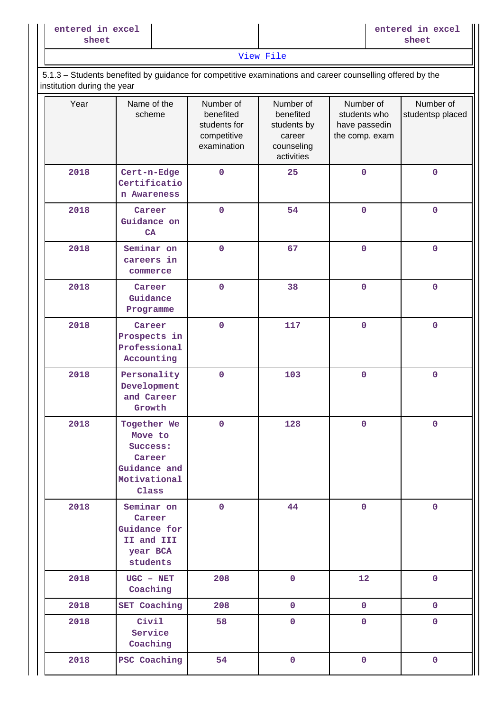[View File](https://assessmentonline.naac.gov.in/public/Postacc/Development_Schemes/1831_Development_Schemes_1579592615.xlsx)

## 5.1.3 – Students benefited by guidance for competitive examinations and career counselling offered by the institution during the year

| Year | Name of the<br>scheme                                                                 | Number of<br>benefited<br>students for<br>competitive<br>examination | Number of<br>benefited<br>students by<br>career<br>counseling<br>activities | Number of<br>students who<br>have passedin<br>the comp. exam | Number of<br>studentsp placed |
|------|---------------------------------------------------------------------------------------|----------------------------------------------------------------------|-----------------------------------------------------------------------------|--------------------------------------------------------------|-------------------------------|
| 2018 | Cert-n-Edge<br>Certificatio<br>n Awareness                                            | $\mathbf 0$                                                          | 25                                                                          | $\pmb{0}$                                                    | $\pmb{0}$                     |
| 2018 | Career<br>Guidance on<br>CA                                                           | $\mathbf 0$                                                          | 54                                                                          | $\mathbf 0$                                                  | $\pmb{0}$                     |
| 2018 | Seminar on<br>careers in<br>commerce                                                  | $\mathbf 0$                                                          | 67                                                                          | $\mathbf 0$                                                  | $\pmb{0}$                     |
| 2018 | Career<br>Guidance<br>Programme                                                       | $\mathbf 0$                                                          | 38                                                                          | $\mathbf 0$                                                  | $\pmb{0}$                     |
| 2018 | Career<br>Prospects in<br>Professional<br>Accounting                                  | $\mathbf 0$                                                          | 117                                                                         | $\mathbf 0$                                                  | $\pmb{0}$                     |
| 2018 | Personality<br>Development<br>and Career<br>Growth                                    | $\mathbf 0$                                                          | 103                                                                         | $\pmb{0}$                                                    | $\pmb{0}$                     |
| 2018 | Together We<br>Move to<br>Success:<br>Career<br>Guidance and<br>Motivational<br>Class | $\mathbf 0$                                                          | 128                                                                         | $\pmb{0}$                                                    | $\pmb{0}$                     |
| 2018 | Seminar on<br>Career<br>Guidance for<br>II and III<br>year BCA<br>students            | $\pmb{0}$                                                            | 44                                                                          | $\pmb{0}$                                                    | $\pmb{0}$                     |
| 2018 | $UGC - NET$<br>Coaching                                                               | 208                                                                  | $\mathbf 0$                                                                 | 12                                                           | $\pmb{0}$                     |
| 2018 | <b>SET Coaching</b>                                                                   | 208                                                                  | $\mathbf 0$                                                                 | $\mathbf 0$                                                  | $\mathbf 0$                   |
| 2018 | Civil<br>Service<br>Coaching                                                          | 58                                                                   | $\mathbf 0$                                                                 | $\mathbf 0$                                                  | $\pmb{0}$                     |
| 2018 | PSC Coaching                                                                          | 54                                                                   | $\mathbf 0$                                                                 | $\mathbf 0$                                                  | $\mathbf 0$                   |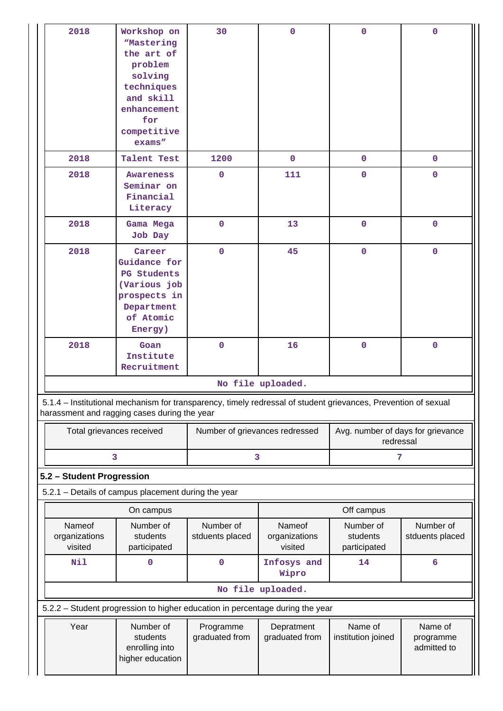| 2018                                                                                                                                                           | Workshop on<br><i><b>Mastering</b></i><br>the art of<br>problem<br>solving<br>techniques<br>and skill<br>enhancement<br>for<br>competitive<br>exams'' | 30                             | $\mathbf 0$                        | $\mathbf 0$                                    | $\mathbf 0$                         |
|----------------------------------------------------------------------------------------------------------------------------------------------------------------|-------------------------------------------------------------------------------------------------------------------------------------------------------|--------------------------------|------------------------------------|------------------------------------------------|-------------------------------------|
| 2018                                                                                                                                                           | <b>Talent Test</b>                                                                                                                                    | 1200                           | $\mathbf 0$                        | $\mathbf{0}$                                   | $\mathbf{0}$                        |
| 2018                                                                                                                                                           | <b>Awareness</b><br>Seminar on<br>Financial<br>Literacy                                                                                               | $\mathbf 0$                    | 111                                | $\mathbf 0$                                    | $\mathbf 0$                         |
| 2018                                                                                                                                                           | Gama Mega<br>Job Day                                                                                                                                  | $\mathbf 0$                    | 13                                 | $\mathbf{O}$                                   | $\mathbf{O}$                        |
| 2018                                                                                                                                                           | Career<br>Guidance for<br>PG Students<br>(Various job<br>prospects in<br>Department<br>of Atomic<br>Energy)                                           | $\mathbf{O}$                   | 45                                 | $\mathbf 0$                                    | $\mathbf{0}$                        |
| 2018                                                                                                                                                           | Goan<br>Institute<br>Recruitment                                                                                                                      | $\mathbf{O}$                   | 16                                 | $\mathbf 0$                                    | $\mathbf 0$                         |
|                                                                                                                                                                |                                                                                                                                                       |                                | No file uploaded.                  |                                                |                                     |
| 5.1.4 - Institutional mechanism for transparency, timely redressal of student grievances, Prevention of sexual<br>harassment and ragging cases during the year |                                                                                                                                                       |                                |                                    |                                                |                                     |
|                                                                                                                                                                | Total grievances received                                                                                                                             | Number of grievances redressed |                                    | Avg. number of days for grievance<br>redressal |                                     |
|                                                                                                                                                                | 3                                                                                                                                                     | 3                              |                                    | 7                                              |                                     |
| 5.2 - Student Progression                                                                                                                                      |                                                                                                                                                       |                                |                                    |                                                |                                     |
| 5.2.1 - Details of campus placement during the year                                                                                                            |                                                                                                                                                       |                                |                                    |                                                |                                     |
|                                                                                                                                                                | On campus                                                                                                                                             |                                |                                    | Off campus                                     |                                     |
| Nameof<br>organizations<br>visited                                                                                                                             | Number of<br>students<br>participated                                                                                                                 | Number of<br>stduents placed   | Nameof<br>organizations<br>visited | Number of<br>students<br>participated          | Number of<br>stduents placed        |
| Nil                                                                                                                                                            | 0                                                                                                                                                     | 0                              | Infosys and<br>Wipro               | 14                                             | 6                                   |
|                                                                                                                                                                |                                                                                                                                                       |                                | No file uploaded.                  |                                                |                                     |
| 5.2.2 - Student progression to higher education in percentage during the year                                                                                  |                                                                                                                                                       |                                |                                    |                                                |                                     |
| Year                                                                                                                                                           | Number of<br>students<br>enrolling into<br>higher education                                                                                           | Programme<br>graduated from    | Depratment<br>graduated from       | Name of<br>institution joined                  | Name of<br>programme<br>admitted to |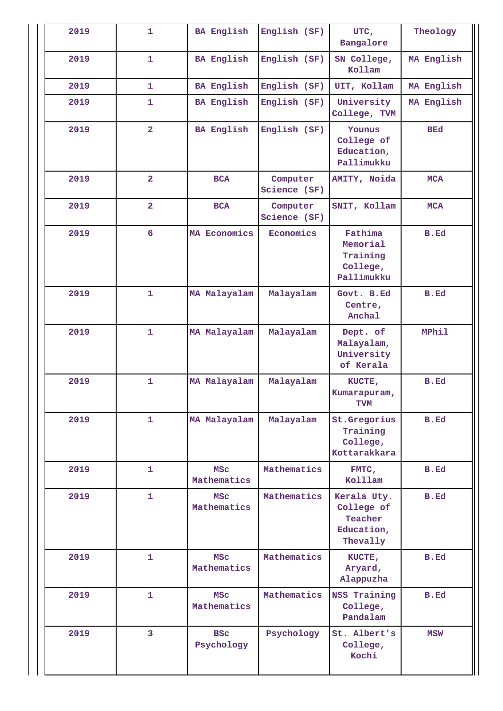| 2019 | $\mathbf{1}$   | <b>BA English</b>         | English (SF)             | UTC,<br>Bangalore                                              | Theology    |
|------|----------------|---------------------------|--------------------------|----------------------------------------------------------------|-------------|
| 2019 | $\mathbf{1}$   | <b>BA English</b>         | English (SF)             | SN College,<br>Kollam                                          | MA English  |
| 2019 | $\mathbf{1}$   | <b>BA English</b>         | English (SF)             | UIT, Kollam                                                    | MA English  |
| 2019 | $\mathbf{1}$   | <b>BA English</b>         | English (SF)             | University<br>College, TVM                                     | MA English  |
| 2019 | $\overline{a}$ | <b>BA English</b>         | English (SF)             | Younus<br>College of<br>Education,<br>Pallimukku               | <b>BEd</b>  |
| 2019 | $\overline{2}$ | <b>BCA</b>                | Computer<br>Science (SF) | AMITY, Noida                                                   | <b>MCA</b>  |
| 2019 | $\overline{2}$ | <b>BCA</b>                | Computer<br>Science (SF) | SNIT, Kollam                                                   | <b>MCA</b>  |
| 2019 | 6              | MA Economics              | Economics                | Fathima<br>Memorial<br>Training<br>College,<br>Pallimukku      | B.Ed        |
| 2019 | $\mathbf{1}$   | MA Malayalam              | Malayalam                | Govt. B.Ed<br>Centre,<br>Anchal                                | B.Ed        |
| 2019 | $\mathbf{1}$   | MA Malayalam              | Malayalam                | Dept. of<br>Malayalam,<br>University<br>of Kerala              | MPhil       |
| 2019 | $\mathbf{1}$   | MA Malayalam              | Malayalam                | KUCTE,<br>Kumarapuram,<br><b>TVM</b>                           | B.Ed        |
| 2019 | $\mathbf{1}$   | MA Malayalam              | Malayalam                | St.Gregorius<br>Training<br>College,<br>Kottarakkara           | B.Ed        |
| 2019 | $\mathbf{1}$   | <b>MSC</b><br>Mathematics | Mathematics              | FMTC,<br>Kolllam                                               | <b>B.Ed</b> |
| 2019 | $\mathbf{1}$   | <b>MSC</b><br>Mathematics | Mathematics              | Kerala Uty.<br>College of<br>Teacher<br>Education,<br>Thevally | B.Ed        |
| 2019 | $\mathbf{1}$   | <b>MSC</b><br>Mathematics | Mathematics              | KUCTE,<br>Aryard,<br>Alappuzha                                 | B.Ed        |
| 2019 | 1              | <b>MSC</b><br>Mathematics | Mathematics              | <b>NSS Training</b><br>College,<br>Pandalam                    | B.Ed        |
| 2019 | 3              | <b>BSC</b><br>Psychology  | Psychology               | St. Albert's<br>College,<br>Kochi                              | MSW         |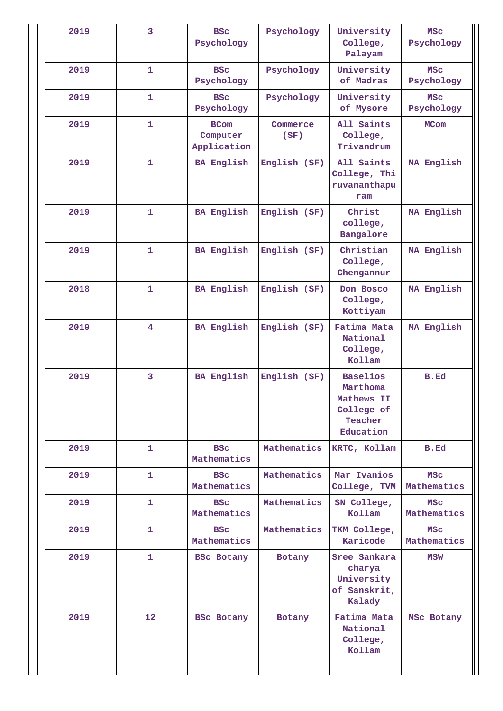| 2019 | 3                       | <b>BSC</b><br>Psychology               | Psychology       | University<br>College,<br>Palayam                                               | <b>MSC</b><br>Psychology  |
|------|-------------------------|----------------------------------------|------------------|---------------------------------------------------------------------------------|---------------------------|
| 2019 | $\mathbf{1}$            | <b>BSC</b><br>Psychology               | Psychology       | University<br>of Madras                                                         | <b>MSC</b><br>Psychology  |
| 2019 | $\mathbf{1}$            | <b>BSC</b><br>Psychology               | Psychology       | University<br>of Mysore                                                         | <b>MSC</b><br>Psychology  |
| 2019 | $\mathbf{1}$            | <b>BCom</b><br>Computer<br>Application | Commerce<br>(SF) | All Saints<br>College,<br>Trivandrum                                            | <b>MCom</b>               |
| 2019 | $\mathbf{1}$            | <b>BA English</b>                      | English (SF)     | All Saints<br>College, Thi<br>ruvananthapu<br>ram                               | MA English                |
| 2019 | $\mathbf{1}$            | <b>BA English</b>                      | English (SF)     | Christ<br>college,<br>Bangalore                                                 | MA English                |
| 2019 | $\mathbf{1}$            | <b>BA English</b>                      | English (SF)     | Christian<br>College,<br>Chengannur                                             | MA English                |
| 2018 | $\mathbf{1}$            | <b>BA English</b>                      | English (SF)     | Don Bosco<br>College,<br>Kottiyam                                               | MA English                |
| 2019 | $\overline{\mathbf{4}}$ | <b>BA English</b>                      | English (SF)     | Fatima Mata<br>National<br>College,<br>Kollam                                   | MA English                |
| 2019 | 3                       | <b>BA English</b>                      | English (SF)     | <b>Baselios</b><br>Marthoma<br>Mathews II<br>College of<br>Teacher<br>Education | B.Ed                      |
| 2019 | $\mathbf{1}$            | <b>BSC</b><br>Mathematics              | Mathematics      | KRTC, Kollam                                                                    | B.Ed                      |
| 2019 | 1                       | <b>BSC</b><br>Mathematics              | Mathematics      | Mar Ivanios<br>College, TVM                                                     | <b>MSC</b><br>Mathematics |
| 2019 | $\mathbf{1}$            | <b>BSC</b><br>Mathematics              | Mathematics      | SN College,<br>Kollam                                                           | <b>MSC</b><br>Mathematics |
| 2019 | $\mathbf{1}$            | <b>BSC</b><br>Mathematics              | Mathematics      | TKM College,<br>Karicode                                                        | <b>MSC</b><br>Mathematics |
| 2019 | 1                       | <b>BSC Botany</b>                      | Botany           | Sree Sankara<br>charya<br>University<br>of Sanskrit,<br>Kalady                  | <b>MSW</b>                |
| 2019 | 12 <sub>2</sub>         | <b>BSC Botany</b>                      | Botany           | Fatima Mata<br>National<br>College,<br>Kollam                                   | MSc Botany                |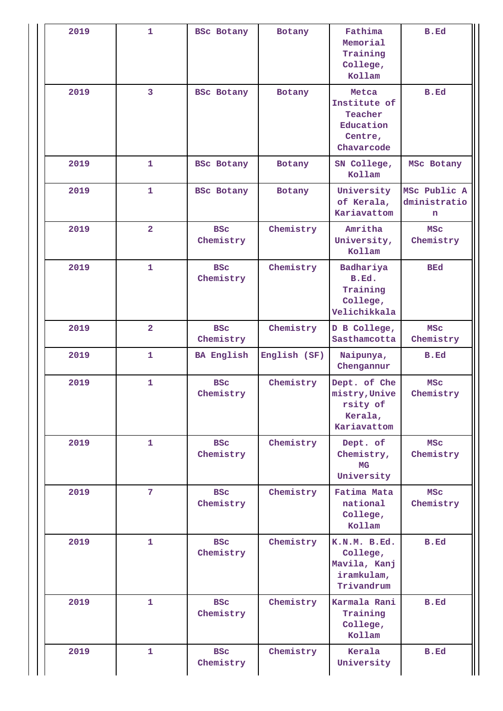| 2019 | 1              | <b>BSc Botany</b>       | Botany       | Fathima<br>Memorial<br>Training<br>College,<br>Kollam                  | B.Ed                              |
|------|----------------|-------------------------|--------------|------------------------------------------------------------------------|-----------------------------------|
| 2019 | 3              | <b>BSc Botany</b>       | Botany       | Metca<br>Institute of<br>Teacher<br>Education<br>Centre,<br>Chavarcode | B.Ed                              |
| 2019 | 1              | <b>BSc Botany</b>       | Botany       | SN College,<br>Kollam                                                  | MSc Botany                        |
| 2019 | $\mathbf{1}$   | <b>BSc Botany</b>       | Botany       | University<br>of Kerala,<br>Kariavattom                                | MSc Public A<br>dministratio<br>n |
| 2019 | $\overline{2}$ | <b>BSC</b><br>Chemistry | Chemistry    | Amritha<br>University,<br>Kollam                                       | <b>MSC</b><br>Chemistry           |
| 2019 | $\mathbf{1}$   | <b>BSC</b><br>Chemistry | Chemistry    | Badhariya<br>B.Ed.<br>Training<br>College,<br>Velichikkala             | <b>BEd</b>                        |
| 2019 | $\overline{2}$ | <b>BSC</b><br>Chemistry | Chemistry    | D B College,<br>Sasthamcotta                                           | <b>MSC</b><br>Chemistry           |
| 2019 | 1              | <b>BA English</b>       | English (SF) | Naipunya,<br>Chengannur                                                | B.Ed                              |
| 2019 | $\mathbf{1}$   | <b>BSC</b><br>Chemistry | Chemistry    | Dept. of Che<br>mistry, Unive<br>rsity of<br>Kerala,<br>Kariavattom    | <b>MSC</b><br>Chemistry           |
| 2019 | $\mathbf{1}$   | <b>BSC</b><br>Chemistry | Chemistry    | Dept. of<br>Chemistry,<br><b>MG</b><br>University                      | <b>MSC</b><br>Chemistry           |
| 2019 | $\overline{7}$ | <b>BSC</b><br>Chemistry | Chemistry    | Fatima Mata<br>national<br>College,<br>Kollam                          | <b>MSC</b><br>Chemistry           |
| 2019 | $\mathbf{1}$   | <b>BSC</b><br>Chemistry | Chemistry    | K.N.M. B.Ed.<br>College,<br>Mavila, Kanj<br>iramkulam,<br>Trivandrum   | B.Ed                              |
| 2019 | $\mathbf{1}$   | <b>BSC</b><br>Chemistry | Chemistry    | Karmala Rani<br>Training<br>College,<br>Kollam                         | B.Ed                              |
| 2019 | $\mathbf{1}$   | <b>BSC</b><br>Chemistry | Chemistry    | Kerala<br>University                                                   | B.Ed                              |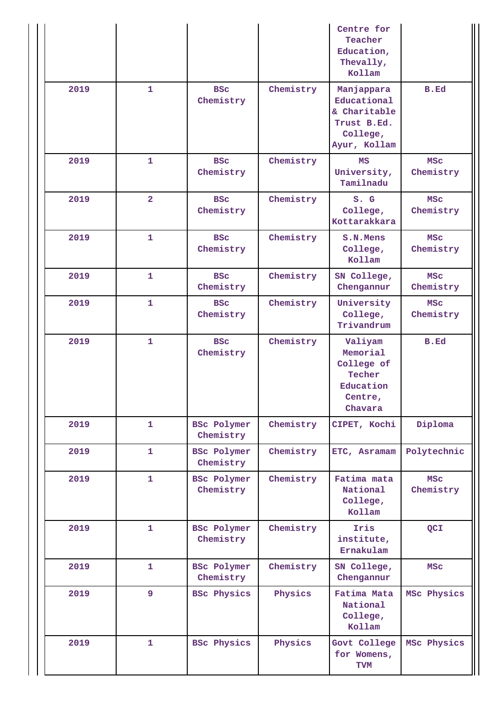|      |                |                                 |           | Centre for<br>Teacher<br>Education,<br>Thevally,<br>Kollam                           |                         |
|------|----------------|---------------------------------|-----------|--------------------------------------------------------------------------------------|-------------------------|
| 2019 | 1              | <b>BSC</b><br>Chemistry         | Chemistry | Manjappara<br>Educational<br>& Charitable<br>Trust B.Ed.<br>College,<br>Ayur, Kollam | B.Ed                    |
| 2019 | $\mathbf{1}$   | <b>BSC</b><br>Chemistry         | Chemistry | MS<br>University,<br>Tamilnadu                                                       | <b>MSC</b><br>Chemistry |
| 2019 | $\overline{2}$ | <b>BSC</b><br>Chemistry         | Chemistry | S. G<br>College,<br>Kottarakkara                                                     | <b>MSC</b><br>Chemistry |
| 2019 | 1              | <b>BSC</b><br>Chemistry         | Chemistry | S.N.Mens<br>College,<br>Kollam                                                       | <b>MSC</b><br>Chemistry |
| 2019 | 1              | <b>BSC</b><br>Chemistry         | Chemistry | SN College,<br>Chengannur                                                            | <b>MSC</b><br>Chemistry |
| 2019 | 1              | <b>BSC</b><br>Chemistry         | Chemistry | University<br>College,<br>Trivandrum                                                 | <b>MSC</b><br>Chemistry |
| 2019 | 1              | <b>BSC</b><br>Chemistry         | Chemistry | Valiyam<br>Memorial<br>College of<br>Techer<br>Education<br>Centre,<br>Chavara       | B.Ed                    |
| 2019 | 1              | <b>BSC Polymer</b><br>Chemistry | Chemistry | CIPET, Kochi                                                                         | Diploma                 |
| 2019 | 1              | <b>BSC Polymer</b><br>Chemistry | Chemistry | ETC, Asramam                                                                         | Polytechnic             |
| 2019 | $\mathbf{1}$   | <b>BSc Polymer</b><br>Chemistry | Chemistry | Fatima mata<br>National<br>College,<br>Kollam                                        | <b>MSC</b><br>Chemistry |
| 2019 | $\mathbf{1}$   | <b>BSC Polymer</b><br>Chemistry | Chemistry | Iris<br>institute,<br>Ernakulam                                                      | QCI                     |
| 2019 | 1              | <b>BSC Polymer</b><br>Chemistry | Chemistry | SN College,<br>Chengannur                                                            | MSC                     |
| 2019 | 9              | <b>BSC Physics</b>              | Physics   | Fatima Mata<br>National<br>College,<br>Kollam                                        | MSc Physics             |
| 2019 | 1              | <b>BSC Physics</b>              | Physics   | Govt College<br>for Womens,<br>TVM                                                   | MSc Physics             |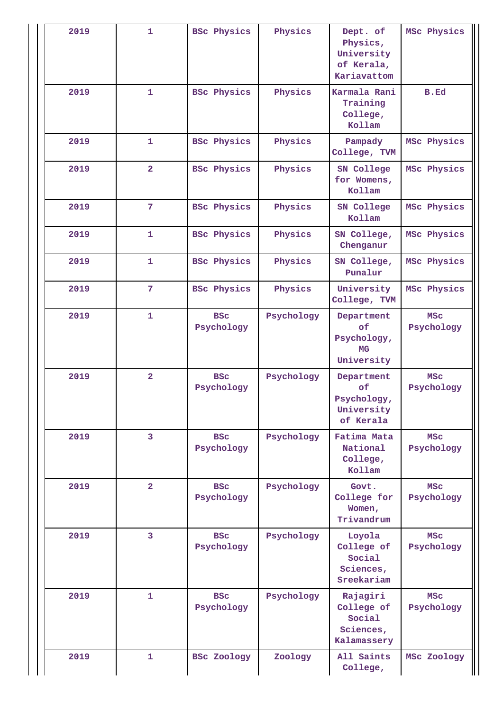| 2019 | $\mathbf{1}$   | <b>BSC Physics</b>       | Physics    | Dept. of<br>Physics,<br>University<br>of Kerala,<br>Kariavattom   | MSc Physics              |
|------|----------------|--------------------------|------------|-------------------------------------------------------------------|--------------------------|
| 2019 | 1              | <b>BSC Physics</b>       | Physics    | Karmala Rani<br>Training<br>College,<br>Kollam                    | B.Ed                     |
| 2019 | 1              | <b>BSC Physics</b>       | Physics    | Pampady<br>College, TVM                                           | MSc Physics              |
| 2019 | $\overline{2}$ | <b>BSC Physics</b>       | Physics    | SN College<br>for Womens,<br>Kollam                               | MSc Physics              |
| 2019 | $\overline{7}$ | <b>BSC Physics</b>       | Physics    | SN College<br>Kollam                                              | MSc Physics              |
| 2019 | 1              | <b>BSC Physics</b>       | Physics    | SN College,<br>Chenganur                                          | MSc Physics              |
| 2019 | 1              | <b>BSC Physics</b>       | Physics    | SN College,<br>Punalur                                            | MSc Physics              |
| 2019 | 7              | <b>BSC Physics</b>       | Physics    | University<br>College, TVM                                        | MSc Physics              |
| 2019 | $\mathbf{1}$   | <b>BSC</b><br>Psychology | Psychology | Department<br>οf<br>Psychology,<br><b>MG</b><br>University        | <b>MSC</b><br>Psychology |
| 2019 | $\overline{2}$ | <b>BSC</b><br>Psychology | Psychology | Department<br><b>of</b><br>Psychology,<br>University<br>of Kerala | MSC<br>Psychology        |
| 2019 | 3              | <b>BSC</b><br>Psychology | Psychology | Fatima Mata<br>National<br>College,<br>Kollam                     | <b>MSC</b><br>Psychology |
| 2019 | $\overline{a}$ | <b>BSC</b><br>Psychology | Psychology | Govt.<br>College for<br>Women,<br>Trivandrum                      | <b>MSC</b><br>Psychology |
| 2019 | 3              | <b>BSC</b><br>Psychology | Psychology | Loyola<br>College of<br>Social<br>Sciences,<br>Sreekariam         | <b>MSC</b><br>Psychology |
| 2019 | 1              | <b>BSC</b><br>Psychology | Psychology | Rajagiri<br>College of<br>Social<br>Sciences,<br>Kalamassery      | <b>MSC</b><br>Psychology |
| 2019 | 1              | <b>BSC Zoology</b>       | Zoology    | All Saints<br>College,                                            | MSc Zoology              |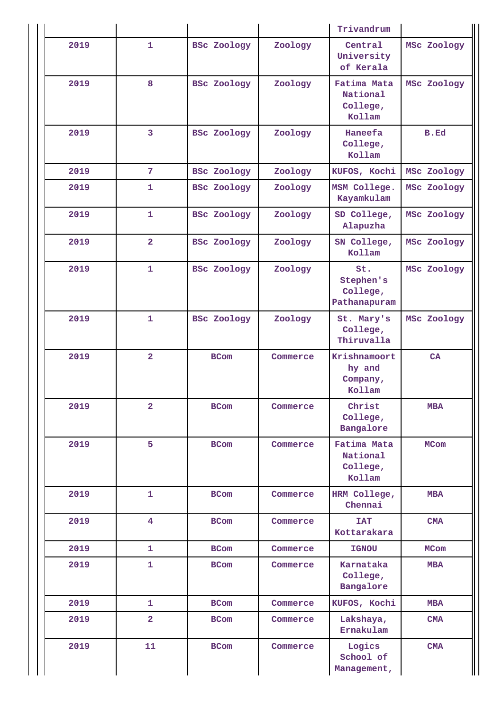|      |                         |                                                                |                                                         | Trivandrum                                    |             |  |
|------|-------------------------|----------------------------------------------------------------|---------------------------------------------------------|-----------------------------------------------|-------------|--|
| 2019 | $\mathbf{1}$            | <b>BSC Zoology</b>                                             | Zoology                                                 | Central<br>University<br>of Kerala            | MSc Zoology |  |
| 2019 | 8                       | <b>BSC Zoology</b>                                             | Zoology                                                 | Fatima Mata<br>National<br>College,<br>Kollam | MSc Zoology |  |
| 2019 | 3                       | <b>BSC Zoology</b><br>Zoology<br>Haneefa<br>College,<br>Kollam |                                                         | B.Ed                                          |             |  |
| 2019 | $\overline{7}$          | <b>BSC Zoology</b>                                             | Zoology                                                 | KUFOS, Kochi                                  | MSc Zoology |  |
| 2019 | $\mathbf{1}$            | BSc Zoology                                                    | Zoology                                                 | MSM College.<br>Kayamkulam                    | MSc Zoology |  |
| 2019 | $\mathbf{1}$            | <b>BSC Zoology</b>                                             | Zoology                                                 | SD College,<br>Alapuzha                       | MSc Zoology |  |
| 2019 | $\overline{2}$          | <b>BSC Zoology</b>                                             | Zoology                                                 | SN College,<br>Kollam                         | MSc Zoology |  |
| 2019 | 1                       | <b>BSC Zoology</b>                                             | Zoology<br>St.<br>Stephen's<br>College,<br>Pathanapuram |                                               | MSc Zoology |  |
| 2019 | $\mathbf{1}$            | <b>BSC Zoology</b><br>Zoology                                  |                                                         | St. Mary's<br>College,<br>Thiruvalla          | MSc Zoology |  |
| 2019 | $\overline{\mathbf{2}}$ | <b>BCom</b>                                                    | Commerce                                                | Krishnamoort<br>hy and<br>Company,<br>Kollam  | CA          |  |
| 2019 | $\overline{\mathbf{2}}$ | <b>BCom</b>                                                    | Commerce                                                | Christ<br>College,<br>Bangalore               | <b>MBA</b>  |  |
| 2019 | 5                       | <b>BCom</b>                                                    | Commerce                                                | Fatima Mata<br>National<br>College,<br>Kollam | <b>MCom</b> |  |
| 2019 | $\mathbf{1}$            | <b>BCom</b>                                                    | Commerce                                                | HRM College,<br>Chennai                       | <b>MBA</b>  |  |
| 2019 | $\overline{4}$          | <b>BCom</b>                                                    | Commerce                                                | <b>TAT</b><br>Kottarakara                     | <b>CMA</b>  |  |
| 2019 | $\mathbf{1}$            | <b>BCom</b>                                                    | Commerce                                                | <b>IGNOU</b>                                  | <b>MCom</b> |  |
| 2019 | $\mathbf{1}$            | <b>BCom</b>                                                    | Commerce                                                | Karnataka<br>College,<br>Bangalore            | <b>MBA</b>  |  |
| 2019 | 1                       | <b>BCom</b>                                                    | Commerce                                                | KUFOS, Kochi                                  | <b>MBA</b>  |  |
| 2019 | $\overline{\mathbf{2}}$ | <b>BCom</b>                                                    | Commerce                                                | Lakshaya,<br>Ernakulam                        | <b>CMA</b>  |  |
| 2019 | 11                      | <b>BCom</b>                                                    | Commerce                                                | Logics<br>School of<br>Management,            | CMA         |  |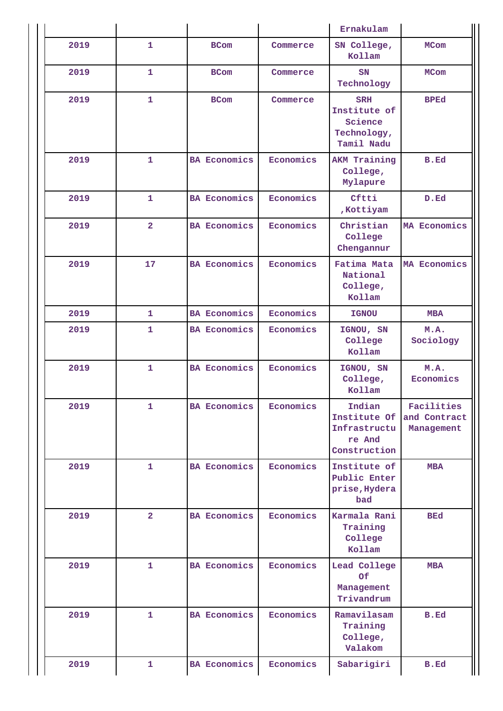|      |                |                     | Ernakulam |                                                                    |                                          |
|------|----------------|---------------------|-----------|--------------------------------------------------------------------|------------------------------------------|
| 2019 | $\mathbf{1}$   | <b>BCom</b>         | Commerce  | SN College,<br>Kollam                                              | <b>MCom</b>                              |
| 2019 | 1              | <b>BCom</b>         | Commerce  | SN<br>Technology                                                   | <b>MCom</b>                              |
| 2019 | $\mathbf{1}$   | <b>BCom</b>         | Commerce  | <b>SRH</b><br>Institute of<br>Science<br>Technology,<br>Tamil Nadu | <b>BPEd</b>                              |
| 2019 | $\mathbf{1}$   | <b>BA Economics</b> | Economics | AKM Training<br>College,<br>Mylapure                               | B.Ed                                     |
| 2019 | 1              | <b>BA Economics</b> | Economics | Cftti<br>, Kottiyam                                                | D.Ed                                     |
| 2019 | $\overline{2}$ | <b>BA Economics</b> | Economics | Christian<br>College<br>Chengannur                                 | MA Economics                             |
| 2019 | 17             | <b>BA Economics</b> | Economics | Fatima Mata<br>National<br>College,<br>Kollam                      | MA Economics                             |
| 2019 | $\mathbf{1}$   | <b>BA Economics</b> | Economics | <b>IGNOU</b>                                                       | <b>MBA</b>                               |
| 2019 | $\mathbf{1}$   | <b>BA Economics</b> | Economics | IGNOU, SN<br>College<br>Kollam                                     | M.A.<br>Sociology                        |
| 2019 | $\mathbf{1}$   | <b>BA Economics</b> | Economics | IGNOU, SN<br>College,<br>Kollam                                    | M.A.<br>Economics                        |
| 2019 | 1              | <b>BA Economics</b> | Economics | Indian<br>Institute Of<br>Infrastructu<br>re And<br>Construction   | Facilities<br>and Contract<br>Management |
| 2019 | $\mathbf{1}$   | <b>BA Economics</b> | Economics | Institute of<br>Public Enter<br>prise, Hydera<br>bad               | <b>MBA</b>                               |
| 2019 | $\overline{2}$ | <b>BA Economics</b> | Economics | Karmala Rani<br>Training<br>College<br>Kollam                      | <b>BEd</b>                               |
| 2019 | $\mathbf{1}$   | <b>BA Economics</b> | Economics | Lead College<br>Of<br>Management<br>Trivandrum                     | <b>MBA</b>                               |
| 2019 | $\mathbf{1}$   | <b>BA Economics</b> | Economics | Ramavilasam<br>Training<br>College,<br>Valakom                     | <b>B.Ed</b>                              |
| 2019 | 1              | <b>BA Economics</b> | Economics | Sabarigiri                                                         | B.Ed                                     |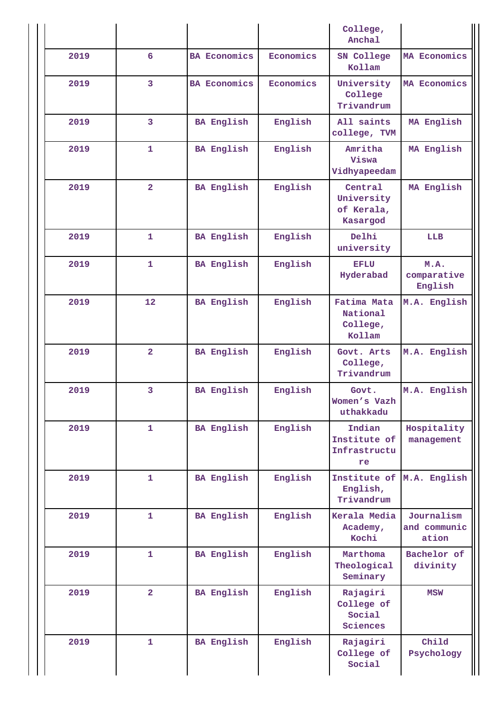|      |                         |                     | College,<br>Anchal |                                                 |                                     |
|------|-------------------------|---------------------|--------------------|-------------------------------------------------|-------------------------------------|
| 2019 | 6                       | <b>BA Economics</b> | Economics          | SN College<br>Kollam                            | MA Economics                        |
| 2019 | $\overline{\mathbf{3}}$ | <b>BA Economics</b> | Economics          | University<br>College<br>Trivandrum             | MA Economics                        |
| 2019 | 3                       | <b>BA English</b>   | English            | All saints<br>college, TVM                      | MA English                          |
| 2019 | $\mathbf{1}$            | <b>BA English</b>   | English            | Amritha<br>Viswa<br>Vidhyapeedam                | MA English                          |
| 2019 | $\overline{2}$          | <b>BA English</b>   | English            | Central<br>University<br>of Kerala,<br>Kasargod | MA English                          |
| 2019 | $\mathbf{1}$            | <b>BA English</b>   | English            | Delhi<br>university                             | LLB                                 |
| 2019 | $\mathbf{1}$            | <b>BA English</b>   | English            | <b>EFLU</b><br>Hyderabad                        | M.A.<br>comparative<br>English      |
| 2019 | 12                      | <b>BA English</b>   | English            | Fatima Mata<br>National<br>College,<br>Kollam   | M.A. English                        |
| 2019 | $\overline{a}$          | <b>BA English</b>   | English            | Govt. Arts<br>College,<br>Trivandrum            | M.A. English                        |
| 2019 | 3                       | <b>BA English</b>   | English            | Govt.<br>Women's Vazh<br>uthakkadu              | M.A. English                        |
| 2019 | $\mathbf{1}$            | <b>BA English</b>   | English            | Indian<br>Institute of<br>Infrastructu<br>re    | Hospitality<br>management           |
| 2019 | $\mathbf{1}$            | <b>BA English</b>   | English            | English,<br>Trivandrum                          | Institute of M.A. English           |
| 2019 | $\mathbf{1}$            | <b>BA English</b>   | English            | Kerala Media<br>Academy,<br>Kochi               | Journalism<br>and communic<br>ation |
| 2019 | $\mathbf{1}$            | <b>BA English</b>   | English            | Marthoma<br>Theological<br>Seminary             | Bachelor of<br>divinity             |
| 2019 | $\overline{2}$          | <b>BA English</b>   | English            | Rajagiri<br>College of<br>Social<br>Sciences    | <b>MSW</b>                          |
| 2019 | $\mathbf{1}$            | <b>BA English</b>   | English            | Rajagiri<br>College of<br>Social                | Child<br>Psychology                 |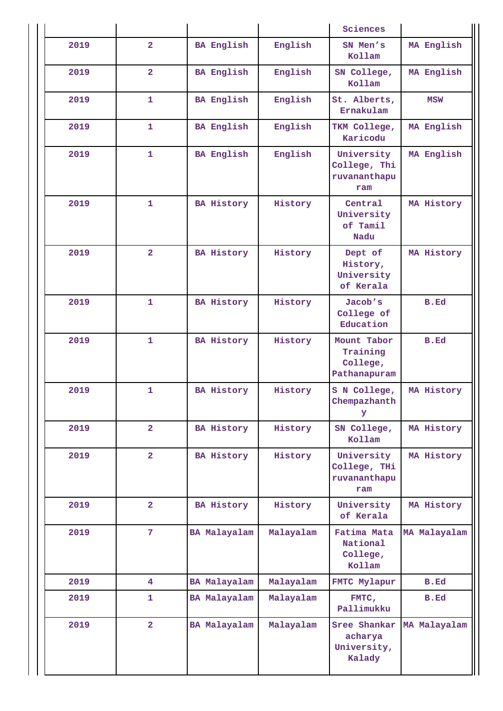|      |                         |                   |           | Sciences                                            |              |
|------|-------------------------|-------------------|-----------|-----------------------------------------------------|--------------|
| 2019 | $\overline{2}$          | <b>BA English</b> | English   | SN Men's<br>Kollam                                  | MA English   |
| 2019 | $\overline{2}$          | <b>BA English</b> | English   | SN College,<br>Kollam                               | MA English   |
| 2019 | $\mathbf{1}$            | <b>BA English</b> | English   | St. Alberts,<br>Ernakulam                           | <b>MSW</b>   |
| 2019 | $\mathbf{1}$            | <b>BA English</b> | English   | TKM College,<br>Karicodu                            | MA English   |
| 2019 | $\mathbf{1}$            | <b>BA English</b> | English   | University<br>College, Thi<br>ruvananthapu<br>ram   | MA English   |
| 2019 | $\mathbf{1}$            | <b>BA History</b> | History   | Central<br>University<br>of Tamil<br>Nadu           | MA History   |
| 2019 | $\overline{2}$          | <b>BA History</b> | History   | Dept of<br>History,<br>University<br>of Kerala      | MA History   |
| 2019 | $\mathbf{1}$            | <b>BA History</b> | History   | Jacob's<br>College of<br>Education                  | B.Ed         |
| 2019 | $\mathbf{1}$            | BA History        | History   | Mount Tabor<br>Training<br>College,<br>Pathanapuram | <b>B.Ed</b>  |
| 2019 | $\mathbf{1}$            | <b>BA History</b> | History   | S N College,<br>Chempazhanth<br>У                   | MA History   |
| 2019 | $\overline{2}$          | <b>BA History</b> | History   | SN College,<br>Kollam                               | MA History   |
| 2019 | $\overline{a}$          | <b>BA History</b> | History   | University<br>College, THi<br>ruvananthapu<br>ram   | MA History   |
| 2019 | $\overline{2}$          | <b>BA History</b> | History   | University<br>of Kerala                             | MA History   |
| 2019 | $7\phantom{.}$          | BA Malayalam      | Malayalam | Fatima Mata<br>National<br>College,<br>Kollam       | MA Malayalam |
| 2019 | $\overline{\mathbf{4}}$ | BA Malayalam      | Malayalam | FMTC Mylapur                                        | <b>B.Ed</b>  |
| 2019 | 1                       | BA Malayalam      | Malayalam | FMTC,<br>Pallimukku                                 | B.Ed         |
| 2019 | $\overline{2}$          | BA Malayalam      | Malayalam | Sree Shankar<br>acharya<br>University,<br>Kalady    | MA Malayalam |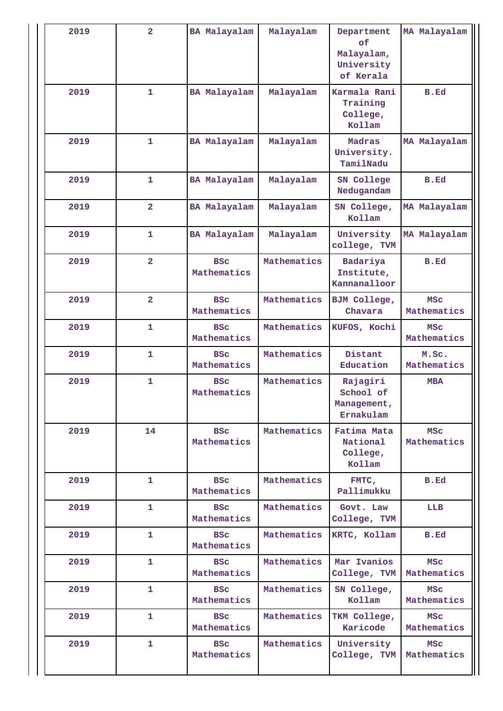| 2019 | $\overline{2}$          | <b>BA Malayalam</b>       | Malayalam   | Department<br>of<br>Malayalam,<br>University<br>of Kerala | MA Malayalam              |  |
|------|-------------------------|---------------------------|-------------|-----------------------------------------------------------|---------------------------|--|
| 2019 | $\mathbf{1}$            | BA Malayalam              | Malayalam   | Karmala Rani<br>Training<br>College,<br>Kollam            | B.Ed                      |  |
| 2019 | $\mathbf{1}$            | BA Malayalam              | Malayalam   | Madras<br>University.<br>TamilNadu                        | MA Malayalam              |  |
| 2019 | $\mathbf{1}$            | BA Malayalam              | Malayalam   | SN College<br>Nedugandam                                  | B.Ed                      |  |
| 2019 | $\overline{2}$          | BA Malayalam              | Malayalam   | SN College,<br>Kollam                                     | MA Malayalam              |  |
| 2019 | 1                       | <b>BA Malayalam</b>       | Malayalam   | University<br>college, TVM                                | MA Malayalam              |  |
| 2019 | $\overline{2}$          | <b>BSC</b><br>Mathematics | Mathematics | Badariya<br>Institute,<br>Kannanalloor                    | <b>B.Ed</b>               |  |
| 2019 | $\overline{\mathbf{2}}$ | <b>BSC</b><br>Mathematics | Mathematics | BJM College,<br>Chavara                                   | <b>MSC</b><br>Mathematics |  |
| 2019 | 1                       | <b>BSC</b><br>Mathematics | Mathematics | KUFOS, Kochi                                              | <b>MSC</b><br>Mathematics |  |
| 2019 | 1                       | <b>BSC</b><br>Mathematics | Mathematics | Distant<br>Education                                      | M.Sc.<br>Mathematics      |  |
| 2019 | $\mathbf{1}$            | <b>BSC</b><br>Mathematics | Mathematics | Rajagiri<br>School of<br>Management,<br>Ernakulam         | <b>MBA</b>                |  |
| 2019 | 14                      | <b>BSC</b><br>Mathematics | Mathematics | Fatima Mata<br>National<br>College,<br>Kollam             | <b>MSC</b><br>Mathematics |  |
| 2019 | 1                       | <b>BSC</b><br>Mathematics | Mathematics | FMTC,<br>Pallimukku                                       | B.Ed                      |  |
| 2019 | 1                       | <b>BSC</b><br>Mathematics | Mathematics | Govt. Law<br>College, TVM                                 | <b>LLB</b>                |  |
| 2019 | 1                       | <b>BSC</b><br>Mathematics | Mathematics | KRTC, Kollam                                              | B.Ed                      |  |
| 2019 | 1                       | <b>BSC</b><br>Mathematics | Mathematics | Mar Ivanios<br>College, TVM                               | <b>MSC</b><br>Mathematics |  |
| 2019 | $\mathbf{1}$            | <b>BSC</b><br>Mathematics | Mathematics | SN College,<br>Kollam                                     | <b>MSC</b><br>Mathematics |  |
| 2019 | 1                       | <b>BSC</b><br>Mathematics | Mathematics | TKM College,<br>Karicode                                  | <b>MSC</b><br>Mathematics |  |
| 2019 | 1                       | <b>BSC</b><br>Mathematics | Mathematics | University<br>College, TVM                                | MSC<br>Mathematics        |  |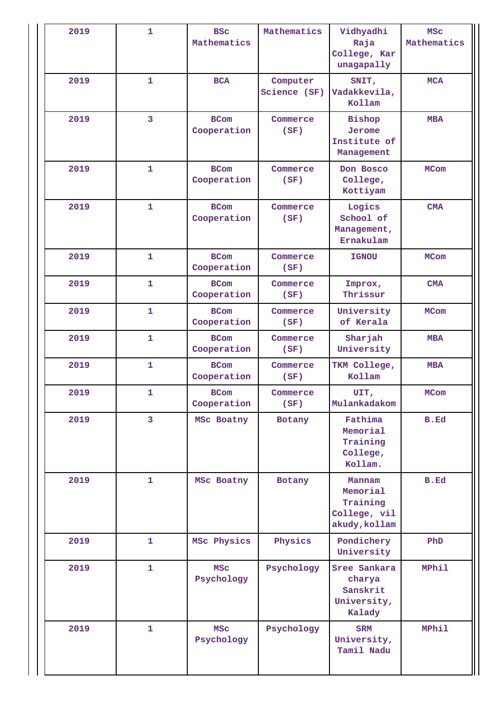| 2019 | $\mathbf{1}$   | <b>BSC</b><br>Mathematics              | Mathematics              | Vidhyadhi<br>Raja<br>College, Kar<br>unagapally                 | <b>MSC</b><br>Mathematics |
|------|----------------|----------------------------------------|--------------------------|-----------------------------------------------------------------|---------------------------|
| 2019 | $\mathbf{1}$   | <b>BCA</b>                             | Computer<br>Science (SF) | SNIT,<br>Vadakkevila,<br>Kollam                                 | <b>MCA</b>                |
| 2019 | $\overline{3}$ | <b>BCom</b><br>Cooperation             | Commerce<br>(SF)         | <b>Bishop</b><br>Jerome<br>Institute of<br>Management           | <b>MBA</b>                |
| 2019 | $\mathbf{1}$   | <b>BCom</b><br>Cooperation             | Commerce<br>(SF)         | Don Bosco<br>College,<br>Kottiyam                               | <b>MCom</b>               |
| 2019 | $\mathbf{1}$   | <b>BCom</b><br>Cooperation             | Commerce<br>(SF)         | Logics<br>School of<br>Management,<br>Ernakulam                 | <b>CMA</b>                |
| 2019 | $\mathbf{1}$   | <b>BCom</b><br>Cooperation             | Commerce<br>(SF)         | <b>IGNOU</b>                                                    | <b>MCom</b>               |
| 2019 | $\mathbf{1}$   | <b>BCom</b><br>Cooperation             | Commerce<br>(SF)         | Improx,<br>Thrissur                                             | <b>CMA</b>                |
| 2019 | $\mathbf{1}$   | <b>BCom</b><br>Cooperation             | Commerce<br>(SF)         | University<br>of Kerala                                         | <b>MCom</b>               |
| 2019 | $\mathbf{1}$   | <b>BCom</b><br>Cooperation             | Commerce<br>(SF)         | Sharjah<br>University                                           | <b>MBA</b>                |
| 2019 | $\mathbf{1}$   | <b>BCom</b><br>Cooperation             | Commerce<br>(SF)         | TKM College,<br>Kollam                                          | <b>MBA</b>                |
| 2019 | $\mathbf{1}$   | <b>BCom</b><br>Cooperation             | Commerce<br>(SF)         | UIT,<br>Mulankadakom                                            | <b>MCom</b>               |
| 2019 | 3              | MSc Boatny                             | Botany                   | Fathima<br>Memorial<br>Training<br>College,<br>Kollam.          | <b>B.Ed</b>               |
| 2019 | $\mathbf{1}$   | MSc Boatny                             | Botany                   | Mannam<br>Memorial<br>Training<br>College, vil<br>akudy, kollam | <b>B.Ed</b>               |
| 2019 | $\mathbf{1}$   | MSc Physics                            | Physics                  | Pondichery<br>University                                        | PhD                       |
| 2019 | $\mathbf{1}$   | <b>MSC</b><br>Psychology               | Psychology               | Sree Sankara<br>charya<br>Sanskrit<br>University,<br>Kalady     | <b>MPhil</b>              |
| 2019 | $\mathbf{1}$   | <b>MSC</b><br>Psychology<br>Psychology |                          | <b>SRM</b><br>University,<br>Tamil Nadu                         | <b>MPhil</b>              |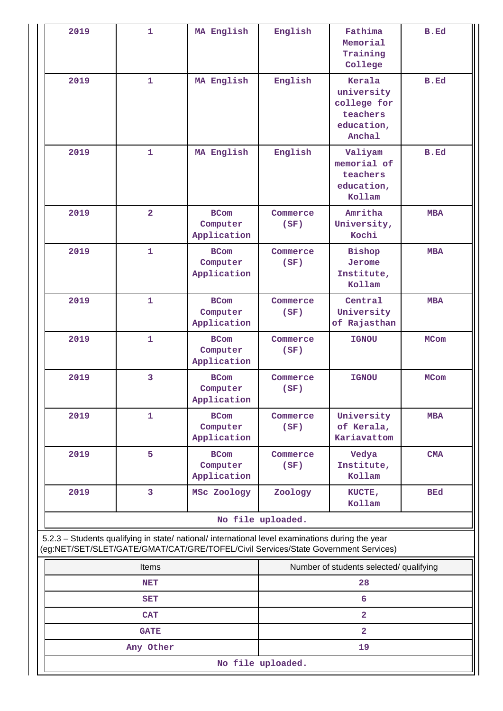| 2019 | $\mathbf{1}$                                                                                                                                                                           | MA English                             | English                                 | Fathima<br>Memorial<br>Training<br>College                              | B.Ed        |  |  |
|------|----------------------------------------------------------------------------------------------------------------------------------------------------------------------------------------|----------------------------------------|-----------------------------------------|-------------------------------------------------------------------------|-------------|--|--|
| 2019 | $\mathbf{1}$                                                                                                                                                                           | MA English                             | English                                 | Kerala<br>university<br>college for<br>teachers<br>education,<br>Anchal | B.Ed        |  |  |
| 2019 | $\mathbf{1}$                                                                                                                                                                           | MA English                             | English                                 | Valiyam<br>memorial of<br>teachers<br>education,<br>Kollam              | <b>B.Ed</b> |  |  |
| 2019 | $\overline{2}$                                                                                                                                                                         | <b>BCom</b><br>Computer<br>Application | Commerce<br>(SF)                        |                                                                         | <b>MBA</b>  |  |  |
| 2019 | $\mathbf{1}$                                                                                                                                                                           | <b>BCom</b><br>Computer<br>Application | Commerce<br>(SF)                        | <b>Bishop</b><br>Jerome<br>Institute,<br>Kollam                         | <b>MBA</b>  |  |  |
| 2019 | $\mathbf{1}$                                                                                                                                                                           | <b>BCom</b><br>Computer<br>Application | Commerce<br>(SF)                        | Central<br>University<br>of Rajasthan                                   | <b>MBA</b>  |  |  |
| 2019 | $\mathbf{1}$                                                                                                                                                                           | <b>BCom</b><br>Computer<br>Application | Commerce<br>(SF)                        | <b>IGNOU</b>                                                            | <b>MCom</b> |  |  |
| 2019 | 3                                                                                                                                                                                      | <b>BCom</b><br>Computer<br>Application | Commerce<br>(SF)                        | <b>IGNOU</b>                                                            | <b>MCom</b> |  |  |
| 2019 | $\mathbf{1}$                                                                                                                                                                           | <b>BCom</b><br>Computer<br>Application | Commerce<br>(SF)                        | University<br>of Kerala,<br>Kariavattom                                 | <b>MBA</b>  |  |  |
| 2019 | 5                                                                                                                                                                                      | <b>BCom</b><br>Computer<br>Application | Commerce<br>(SF)                        | Vedya<br>Institute,<br>Kollam                                           | CMA         |  |  |
| 2019 | 3                                                                                                                                                                                      | MSc Zoology                            |                                         | KUCTE,<br>Kollam                                                        | <b>BEd</b>  |  |  |
|      |                                                                                                                                                                                        |                                        | No file uploaded.                       |                                                                         |             |  |  |
|      | 5.2.3 - Students qualifying in state/ national/ international level examinations during the year<br>(eg:NET/SET/SLET/GATE/GMAT/CAT/GRE/TOFEL/Civil Services/State Government Services) |                                        |                                         |                                                                         |             |  |  |
|      | Items                                                                                                                                                                                  |                                        | Number of students selected/ qualifying |                                                                         |             |  |  |
|      |                                                                                                                                                                                        |                                        |                                         |                                                                         |             |  |  |

| Items             | Number of students selected/ qualifying |  |  |  |
|-------------------|-----------------------------------------|--|--|--|
| <b>NET</b>        | 28                                      |  |  |  |
| <b>SET</b>        |                                         |  |  |  |
| <b>CAT</b>        |                                         |  |  |  |
| <b>GATE</b>       |                                         |  |  |  |
| Any Other         | 19                                      |  |  |  |
| No file uploaded. |                                         |  |  |  |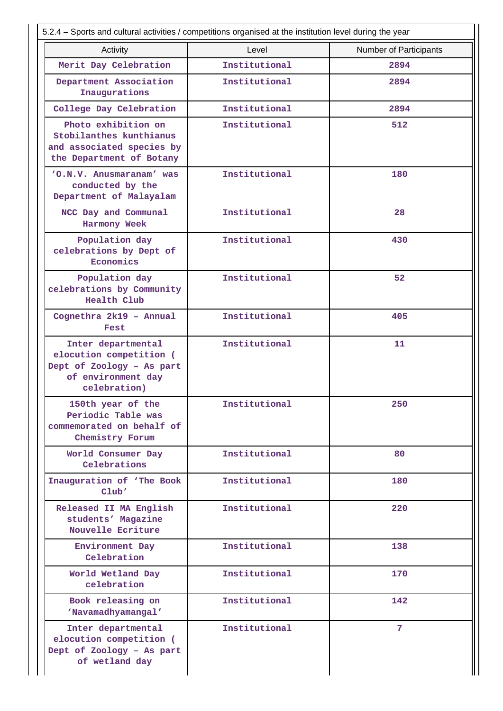| 5.2.4 – Sports and cultural activities / competitions organised at the institution level during the year         |               |                        |  |  |  |  |
|------------------------------------------------------------------------------------------------------------------|---------------|------------------------|--|--|--|--|
| Activity                                                                                                         | Level         | Number of Participants |  |  |  |  |
| Merit Day Celebration                                                                                            | Institutional | 2894                   |  |  |  |  |
| Department Association<br>Inaugurations                                                                          | Institutional | 2894                   |  |  |  |  |
| College Day Celebration                                                                                          | Institutional | 2894                   |  |  |  |  |
| Photo exhibition on<br>Stobilanthes kunthianus<br>and associated species by<br>the Department of Botany          | Institutional | 512                    |  |  |  |  |
| 'O.N.V. Anusmaranam' was<br>conducted by the<br>Department of Malayalam                                          | Institutional | 180                    |  |  |  |  |
| NCC Day and Communal<br>Harmony Week                                                                             | Institutional | 28                     |  |  |  |  |
| Population day<br>celebrations by Dept of<br>Economics                                                           | Institutional | 430                    |  |  |  |  |
| Population day<br>celebrations by Community<br>Health Club                                                       | Institutional | 52                     |  |  |  |  |
| Cognethra 2k19 - Annual<br>Fest                                                                                  | Institutional | 405                    |  |  |  |  |
| Inter departmental<br>elocution competition (<br>Dept of Zoology - As part<br>of environment day<br>celebration) | Institutional | 11                     |  |  |  |  |
| 150th year of the<br>Periodic Table was<br>commemorated on behalf of<br>Chemistry Forum                          | Institutional | 250                    |  |  |  |  |
| World Consumer Day<br>Celebrations                                                                               | Institutional | 80                     |  |  |  |  |
| Inauguration of 'The Book<br>Club'                                                                               | Institutional | 180                    |  |  |  |  |
| Released II MA English<br>students' Magazine<br>Nouvelle Ecriture                                                | Institutional | 220                    |  |  |  |  |
| Environment Day<br>Celebration                                                                                   | Institutional | 138                    |  |  |  |  |
| World Wetland Day<br>celebration                                                                                 | Institutional | 170                    |  |  |  |  |
| Book releasing on<br>'Navamadhyamangal'                                                                          | Institutional | 142                    |  |  |  |  |
| Inter departmental<br>elocution competition (<br>Dept of Zoology - As part<br>of wetland day                     | Institutional | 7                      |  |  |  |  |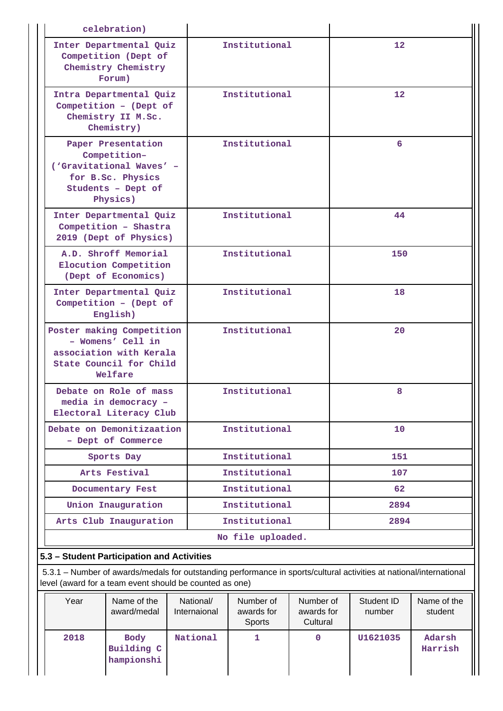| celebration)                                                                                                          |                   |                   |
|-----------------------------------------------------------------------------------------------------------------------|-------------------|-------------------|
| Inter Departmental Quiz<br>Competition (Dept of<br>Chemistry Chemistry<br>Forum)                                      | Institutional     | 12 <sub>1</sub>   |
| Intra Departmental Quiz<br>Competition - (Dept of<br>Chemistry II M.Sc.<br>Chemistry)                                 | Institutional     | $12 \overline{ }$ |
| Paper Presentation<br>Competition-<br>('Gravitational Waves' -<br>for B.Sc. Physics<br>Students - Dept of<br>Physics) | Institutional     | 6                 |
| Inter Departmental Quiz<br>Competition - Shastra<br>2019 (Dept of Physics)                                            | Institutional     | 44                |
| A.D. Shroff Memorial<br>Elocution Competition<br>(Dept of Economics)                                                  | Institutional     | 150               |
| Inter Departmental Quiz<br>Competition - (Dept of<br>English)                                                         | Institutional     | 18                |
| Poster making Competition<br>- Womens' Cell in<br>association with Kerala<br>State Council for Child<br>Welfare       | Institutional     | 20                |
| Debate on Role of mass<br>media in democracy -<br>Electoral Literacy Club                                             | Institutional     | 8                 |
| Debate on Demonitizaation<br>- Dept of Commerce                                                                       | Institutional     | 10                |
| Sports Day                                                                                                            | Institutional     | 151               |
| Arts Festival                                                                                                         | Institutional     | 107               |
| Documentary Fest                                                                                                      | Institutional     | 62                |
| Union Inauguration                                                                                                    | Institutional     | 2894              |
| Arts Club Inauguration                                                                                                | Institutional     | 2894              |
|                                                                                                                       | No file uploaded. |                   |
| 5.3 - Student Participation and Activities                                                                            |                   |                   |

 5.3.1 – Number of awards/medals for outstanding performance in sports/cultural activities at national/international level (award for a team event should be counted as one)

| Year | Name of the<br>award/medal              | National/<br>Internaional | Number of<br>awards for<br><b>Sports</b> | Number of<br>awards for<br>Cultural | Student ID<br>number | Name of the<br>student |
|------|-----------------------------------------|---------------------------|------------------------------------------|-------------------------------------|----------------------|------------------------|
| 2018 | <b>Body</b><br>Building C<br>hampionshi | National                  |                                          | 0                                   | U1621035             | Adarsh<br>Harrish      |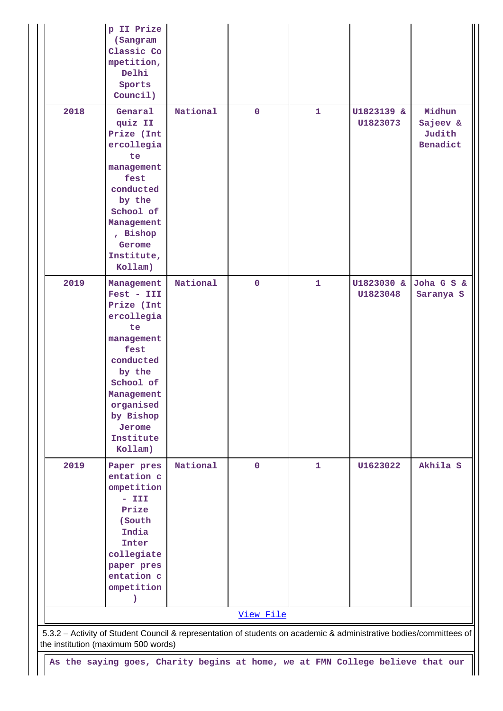|                                     | p II Prize<br>(Sangram<br>Classic Co<br>mpetition,<br>Delhi<br>Sports<br>Council)                                                                                                              |          |             |              |                        |                                          |  |
|-------------------------------------|------------------------------------------------------------------------------------------------------------------------------------------------------------------------------------------------|----------|-------------|--------------|------------------------|------------------------------------------|--|
| 2018                                | Genaral<br>quiz II<br>Prize (Int<br>ercollegia<br>te<br>management<br>fest<br>conducted<br>by the<br>School of<br>Management<br>, Bishop<br>Gerome<br>Institute,<br>Kollam)                    | National | $\mathbf 0$ | 1            | U1823139 &<br>U1823073 | Midhun<br>Sajeev &<br>Judith<br>Benadict |  |
| 2019                                | Management<br>Fest - III<br>Prize (Int<br>ercollegia<br>te<br>management<br>fest<br>conducted<br>by the<br>School of<br>Management<br>organised<br>by Bishop<br>Jerome<br>Institute<br>Kollam) | National | $\mathbf 0$ | $\mathbf{1}$ | U1823030 &<br>U1823048 | Joha G S &<br>Saranya S                  |  |
| 2019                                | Paper pres<br>entation c<br>ompetition<br>$ III$<br>Prize<br>(South<br>India<br>Inter<br>collegiate<br>paper pres<br>entation c<br>ompetition<br>$\mathbf{r}$                                  | National | $\mathbf 0$ | 1            | U1623022               | Akhila S                                 |  |
|                                     | View File                                                                                                                                                                                      |          |             |              |                        |                                          |  |
| the institution (maximum 500 words) | 5.3.2 - Activity of Student Council & representation of students on academic & administrative bodies/committees of                                                                             |          |             |              |                        |                                          |  |
|                                     | As the saying goes, Charity begins at home, we at FMN College believe that our                                                                                                                 |          |             |              |                        |                                          |  |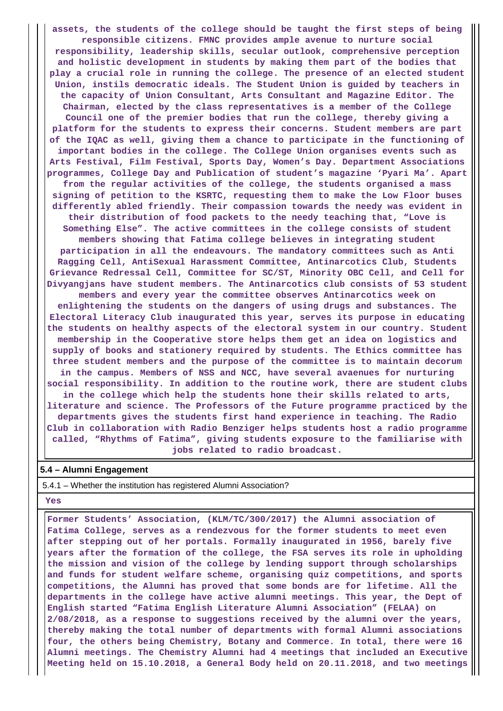**assets, the students of the college should be taught the first steps of being responsible citizens. FMNC provides ample avenue to nurture social responsibility, leadership skills, secular outlook, comprehensive perception and holistic development in students by making them part of the bodies that play a crucial role in running the college. The presence of an elected student Union, instils democratic ideals. The Student Union is guided by teachers in the capacity of Union Consultant, Arts Consultant and Magazine Editor. The Chairman, elected by the class representatives is a member of the College Council one of the premier bodies that run the college, thereby giving a platform for the students to express their concerns. Student members are part of the IQAC as well, giving them a chance to participate in the functioning of important bodies in the college. The College Union organises events such as Arts Festival, Film Festival, Sports Day, Women's Day. Department Associations programmes, College Day and Publication of student's magazine 'Pyari Ma'. Apart from the regular activities of the college, the students organised a mass signing of petition to the KSRTC, requesting them to make the Low Floor buses differently abled friendly. Their compassion towards the needy was evident in their distribution of food packets to the needy teaching that, "Love is Something Else". The active committees in the college consists of student members showing that Fatima college believes in integrating student participation in all the endeavours. The mandatory committees such as Anti Ragging Cell, AntiSexual Harassment Committee, Antinarcotics Club, Students Grievance Redressal Cell, Committee for SC/ST, Minority OBC Cell, and Cell for Divyangjans have student members. The Antinarcotics club consists of 53 student members and every year the committee observes Antinarcotics week on enlightening the students on the dangers of using drugs and substances. The Electoral Literacy Club inaugurated this year, serves its purpose in educating the students on healthy aspects of the electoral system in our country. Student membership in the Cooperative store helps them get an idea on logistics and supply of books and stationery required by students. The Ethics committee has three student members and the purpose of the committee is to maintain decorum in the campus. Members of NSS and NCC, have several avaenues for nurturing social responsibility. In addition to the routine work, there are student clubs in the college which help the students hone their skills related to arts, literature and science. The Professors of the Future programme practiced by the departments gives the students first hand experience in teaching. The Radio Club in collaboration with Radio Benziger helps students host a radio programme called, "Rhythms of Fatima", giving students exposure to the familiarise with jobs related to radio broadcast.**

#### **5.4 – Alumni Engagement**

5.4.1 – Whether the institution has registered Alumni Association?

#### **Yes**

 **Former Students' Association, (KLM/TC/300/2017) the Alumni association of Fatima College, serves as a rendezvous for the former students to meet even after stepping out of her portals. Formally inaugurated in 1956, barely five years after the formation of the college, the FSA serves its role in upholding the mission and vision of the college by lending support through scholarships and funds for student welfare scheme, organising quiz competitions, and sports competitions, the Alumni has proved that some bonds are for lifetime. All the departments in the college have active alumni meetings. This year, the Dept of English started "Fatima English Literature Alumni Association" (FELAA) on 2/08/2018, as a response to suggestions received by the alumni over the years, thereby making the total number of departments with formal Alumni associations four, the others being Chemistry, Botany and Commerce. In total, there were 16 Alumni meetings. The Chemistry Alumni had 4 meetings that included an Executive Meeting held on 15.10.2018, a General Body held on 20.11.2018, and two meetings**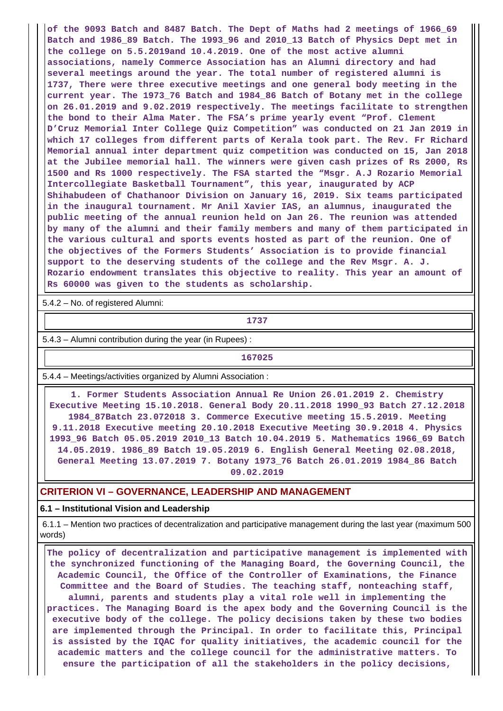**of the 9093 Batch and 8487 Batch. The Dept of Maths had 2 meetings of 1966\_69 Batch and 1986\_89 Batch. The 1993\_96 and 2010\_13 Batch of Physics Dept met in the college on 5.5.2019and 10.4.2019. One of the most active alumni associations, namely Commerce Association has an Alumni directory and had several meetings around the year. The total number of registered alumni is 1737, There were three executive meetings and one general body meeting in the current year. The 1973\_76 Batch and 1984\_86 Batch of Botany met in the college on 26.01.2019 and 9.02.2019 respectively. The meetings facilitate to strengthen the bond to their Alma Mater. The FSA's prime yearly event "Prof. Clement D'Cruz Memorial Inter College Quiz Competition" was conducted on 21 Jan 2019 in which 17 colleges from different parts of Kerala took part. The Rev. Fr Richard Memorial annual inter department quiz competition was conducted on 15, Jan 2018 at the Jubilee memorial hall. The winners were given cash prizes of Rs 2000, Rs 1500 and Rs 1000 respectively. The FSA started the "Msgr. A.J Rozario Memorial Intercollegiate Basketball Tournament", this year, inaugurated by ACP Shihabudeen of Chathanoor Division on January 16, 2019. Six teams participated in the inaugural tournament. Mr Anil Xavier IAS, an alumnus, inaugurated the public meeting of the annual reunion held on Jan 26. The reunion was attended by many of the alumni and their family members and many of them participated in the various cultural and sports events hosted as part of the reunion. One of the objectives of the Formers Students' Association is to provide financial support to the deserving students of the college and the Rev Msgr. A. J. Rozario endowment translates this objective to reality. This year an amount of Rs 60000 was given to the students as scholarship.**

5.4.2 – No. of registered Alumni:

**1737**

5.4.3 – Alumni contribution during the year (in Rupees) :

**167025**

5.4.4 – Meetings/activities organized by Alumni Association :

 **1. Former Students Association Annual Re Union 26.01.2019 2. Chemistry Executive Meeting 15.10.2018. General Body 20.11.2018 1990\_93 Batch 27.12.2018 1984\_87Batch 23.072018 3. Commerce Executive meeting 15.5.2019. Meeting 9.11.2018 Executive meeting 20.10.2018 Executive Meeting 30.9.2018 4. Physics 1993\_96 Batch 05.05.2019 2010\_13 Batch 10.04.2019 5. Mathematics 1966\_69 Batch 14.05.2019. 1986\_89 Batch 19.05.2019 6. English General Meeting 02.08.2018, General Meeting 13.07.2019 7. Botany 1973\_76 Batch 26.01.2019 1984\_86 Batch 09.02.2019**

#### **CRITERION VI – GOVERNANCE, LEADERSHIP AND MANAGEMENT**

### **6.1 – Institutional Vision and Leadership**

 6.1.1 – Mention two practices of decentralization and participative management during the last year (maximum 500 words)

 **The policy of decentralization and participative management is implemented with the synchronized functioning of the Managing Board, the Governing Council, the Academic Council, the Office of the Controller of Examinations, the Finance Committee and the Board of Studies. The teaching staff, nonteaching staff, alumni, parents and students play a vital role well in implementing the practices. The Managing Board is the apex body and the Governing Council is the executive body of the college. The policy decisions taken by these two bodies are implemented through the Principal. In order to facilitate this, Principal is assisted by the IQAC for quality initiatives, the academic council for the academic matters and the college council for the administrative matters. To ensure the participation of all the stakeholders in the policy decisions,**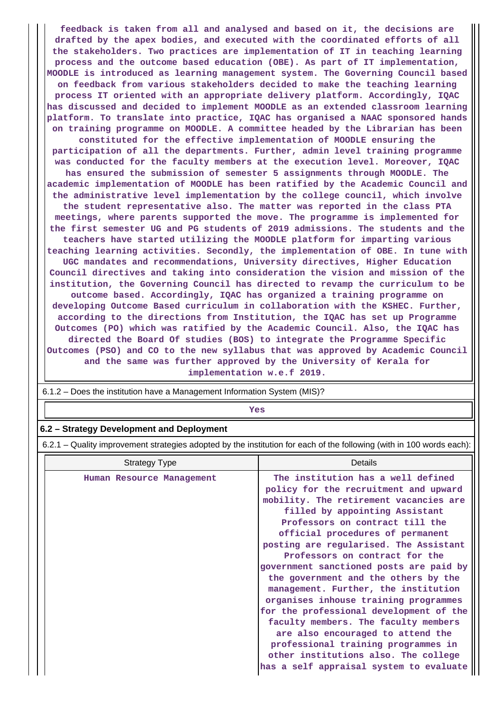**feedback is taken from all and analysed and based on it, the decisions are drafted by the apex bodies, and executed with the coordinated efforts of all the stakeholders. Two practices are implementation of IT in teaching learning process and the outcome based education (OBE). As part of IT implementation, MOODLE is introduced as learning management system. The Governing Council based on feedback from various stakeholders decided to make the teaching learning process IT oriented with an appropriate delivery platform. Accordingly, IQAC has discussed and decided to implement MOODLE as an extended classroom learning platform. To translate into practice, IQAC has organised a NAAC sponsored hands on training programme on MOODLE. A committee headed by the Librarian has been constituted for the effective implementation of MOODLE ensuring the participation of all the departments. Further, admin level training programme was conducted for the faculty members at the execution level. Moreover, IQAC has ensured the submission of semester 5 assignments through MOODLE. The academic implementation of MOODLE has been ratified by the Academic Council and the administrative level implementation by the college council, which involve the student representative also. The matter was reported in the class PTA meetings, where parents supported the move. The programme is implemented for the first semester UG and PG students of 2019 admissions. The students and the teachers have started utilizing the MOODLE platform for imparting various teaching learning activities. Secondly, the implementation of OBE. In tune with UGC mandates and recommendations, University directives, Higher Education Council directives and taking into consideration the vision and mission of the institution, the Governing Council has directed to revamp the curriculum to be outcome based. Accordingly, IQAC has organized a training programme on developing Outcome Based curriculum in collaboration with the KSHEC. Further, according to the directions from Institution, the IQAC has set up Programme Outcomes (PO) which was ratified by the Academic Council. Also, the IQAC has directed the Board Of studies (BOS) to integrate the Programme Specific Outcomes (PSO) and CO to the new syllabus that was approved by Academic Council and the same was further approved by the University of Kerala for implementation w.e.f 2019.**

 6.1.2 – Does the institution have a Management Information System (MIS)? *Yes* **6.2 – Strategy Development and Deployment** 6.2.1 – Quality improvement strategies adopted by the institution for each of the following (with in 100 words each): **Strategy Type Community Community** Details

| Jualcyy Type              | Delalis                                                                                                                                                                                                                                                                                                                                                                                                                                                                                                                                                                                                                                                                               |  |  |  |
|---------------------------|---------------------------------------------------------------------------------------------------------------------------------------------------------------------------------------------------------------------------------------------------------------------------------------------------------------------------------------------------------------------------------------------------------------------------------------------------------------------------------------------------------------------------------------------------------------------------------------------------------------------------------------------------------------------------------------|--|--|--|
| Human Resource Management | The institution has a well defined<br>policy for the recruitment and upward<br>mobility. The retirement vacancies are<br>filled by appointing Assistant<br>Professors on contract till the<br>official procedures of permanent<br>posting are regularised. The Assistant<br>Professors on contract for the<br>government sanctioned posts are paid by<br>the government and the others by the<br>management. Further, the institution<br>organises inhouse training programmes<br>for the professional development of the<br>faculty members. The faculty members<br>are also encouraged to attend the<br>professional training programmes in<br>other institutions also. The college |  |  |  |
|                           | has a self appraisal system to evaluate                                                                                                                                                                                                                                                                                                                                                                                                                                                                                                                                                                                                                                               |  |  |  |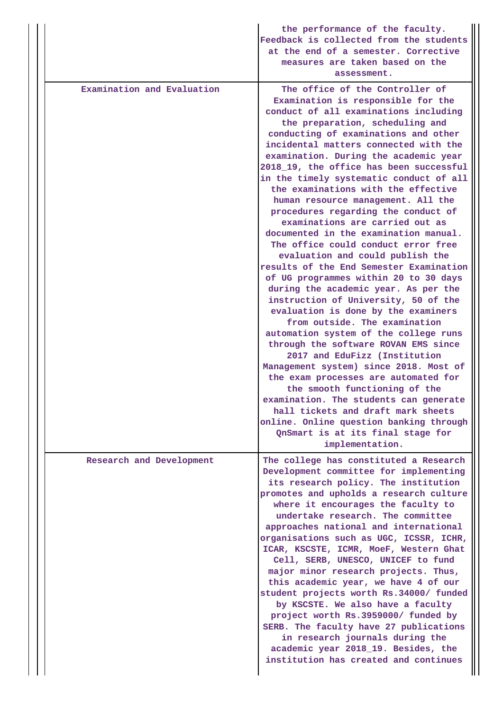|                            | the performance of the faculty.<br>Feedback is collected from the students<br>at the end of a semester. Corrective<br>measures are taken based on the<br>assessment.                                                                                                                                                                                                                                                                                                                                                                                                                                                                                                                                                                                                                                                                                                                                                                                                                                                                                                                                                                                                                                                                                                                                             |
|----------------------------|------------------------------------------------------------------------------------------------------------------------------------------------------------------------------------------------------------------------------------------------------------------------------------------------------------------------------------------------------------------------------------------------------------------------------------------------------------------------------------------------------------------------------------------------------------------------------------------------------------------------------------------------------------------------------------------------------------------------------------------------------------------------------------------------------------------------------------------------------------------------------------------------------------------------------------------------------------------------------------------------------------------------------------------------------------------------------------------------------------------------------------------------------------------------------------------------------------------------------------------------------------------------------------------------------------------|
| Examination and Evaluation | The office of the Controller of<br>Examination is responsible for the<br>conduct of all examinations including<br>the preparation, scheduling and<br>conducting of examinations and other<br>incidental matters connected with the<br>examination. During the academic year<br>2018_19, the office has been successful<br>in the timely systematic conduct of all<br>the examinations with the effective<br>human resource management. All the<br>procedures regarding the conduct of<br>examinations are carried out as<br>documented in the examination manual.<br>The office could conduct error free<br>evaluation and could publish the<br>results of the End Semester Examination<br>of UG programmes within 20 to 30 days<br>during the academic year. As per the<br>instruction of University, 50 of the<br>evaluation is done by the examiners<br>from outside. The examination<br>automation system of the college runs<br>through the software ROVAN EMS since<br>2017 and EduFizz (Institution<br>Management system) since 2018. Most of<br>the exam processes are automated for<br>the smooth functioning of the<br>examination. The students can generate<br>hall tickets and draft mark sheets<br>online. Online question banking through<br>QnSmart is at its final stage for<br>implementation. |
| Research and Development   | The college has constituted a Research<br>Development committee for implementing<br>its research policy. The institution<br>promotes and upholds a research culture<br>where it encourages the faculty to<br>undertake research. The committee<br>approaches national and international<br>organisations such as UGC, ICSSR, ICHR,<br>ICAR, KSCSTE, ICMR, MoeF, Western Ghat<br>Cell, SERB, UNESCO, UNICEF to fund<br>major minor research projects. Thus,<br>this academic year, we have 4 of our<br>student projects worth Rs.34000/ funded<br>by KSCSTE. We also have a faculty<br>project worth Rs.3959000/ funded by<br>SERB. The faculty have 27 publications<br>in research journals during the<br>academic year 2018_19. Besides, the<br>institution has created and continues                                                                                                                                                                                                                                                                                                                                                                                                                                                                                                                           |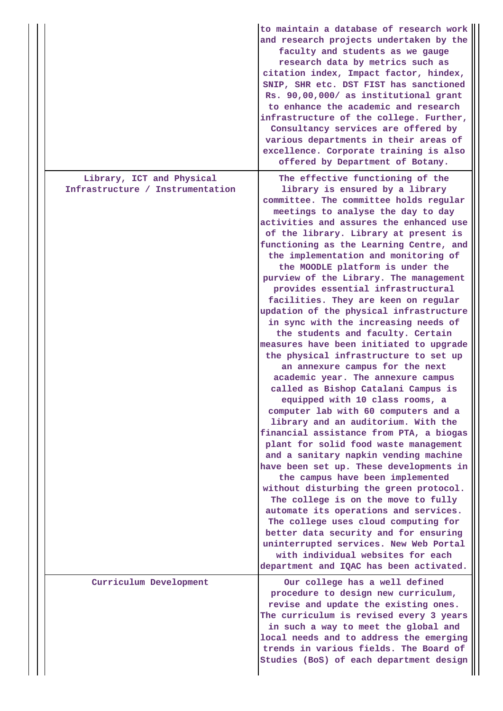|                                                               | to maintain a database of research work<br>and research projects undertaken by the<br>faculty and students as we gauge<br>research data by metrics such as<br>citation index, Impact factor, hindex,<br>SNIP, SHR etc. DST FIST has sanctioned<br>Rs. 90,00,000/ as institutional grant<br>to enhance the academic and research<br>infrastructure of the college. Further,<br>Consultancy services are offered by<br>various departments in their areas of<br>excellence. Corporate training is also<br>offered by Department of Botany.                                                                                                                                                                                                                                                                                                                                                                                                                                                                                                                                                                                                                                                                                                                                                                                                                                                                                                                                              |
|---------------------------------------------------------------|---------------------------------------------------------------------------------------------------------------------------------------------------------------------------------------------------------------------------------------------------------------------------------------------------------------------------------------------------------------------------------------------------------------------------------------------------------------------------------------------------------------------------------------------------------------------------------------------------------------------------------------------------------------------------------------------------------------------------------------------------------------------------------------------------------------------------------------------------------------------------------------------------------------------------------------------------------------------------------------------------------------------------------------------------------------------------------------------------------------------------------------------------------------------------------------------------------------------------------------------------------------------------------------------------------------------------------------------------------------------------------------------------------------------------------------------------------------------------------------|
| Library, ICT and Physical<br>Infrastructure / Instrumentation | The effective functioning of the<br>library is ensured by a library<br>committee. The committee holds regular<br>meetings to analyse the day to day<br>activities and assures the enhanced use<br>of the library. Library at present is<br>functioning as the Learning Centre, and<br>the implementation and monitoring of<br>the MOODLE platform is under the<br>purview of the Library. The management<br>provides essential infrastructural<br>facilities. They are keen on regular<br>updation of the physical infrastructure<br>in sync with the increasing needs of<br>the students and faculty. Certain<br>measures have been initiated to upgrade<br>the physical infrastructure to set up<br>an annexure campus for the next<br>academic year. The annexure campus<br>called as Bishop Catalani Campus is<br>equipped with 10 class rooms, a<br>computer lab with 60 computers and a<br>library and an auditorium. With the<br>financial assistance from PTA, a biogas<br>plant for solid food waste management<br>and a sanitary napkin vending machine<br>have been set up. These developments in<br>the campus have been implemented<br>without disturbing the green protocol.<br>The college is on the move to fully<br>automate its operations and services.<br>The college uses cloud computing for<br>better data security and for ensuring<br>uninterrupted services. New Web Portal<br>with individual websites for each<br>department and IQAC has been activated. |
| Curriculum Development                                        | Our college has a well defined<br>procedure to design new curriculum,<br>revise and update the existing ones.<br>The curriculum is revised every 3 years<br>in such a way to meet the global and<br>local needs and to address the emerging<br>trends in various fields. The Board of<br>Studies (BoS) of each department design                                                                                                                                                                                                                                                                                                                                                                                                                                                                                                                                                                                                                                                                                                                                                                                                                                                                                                                                                                                                                                                                                                                                                      |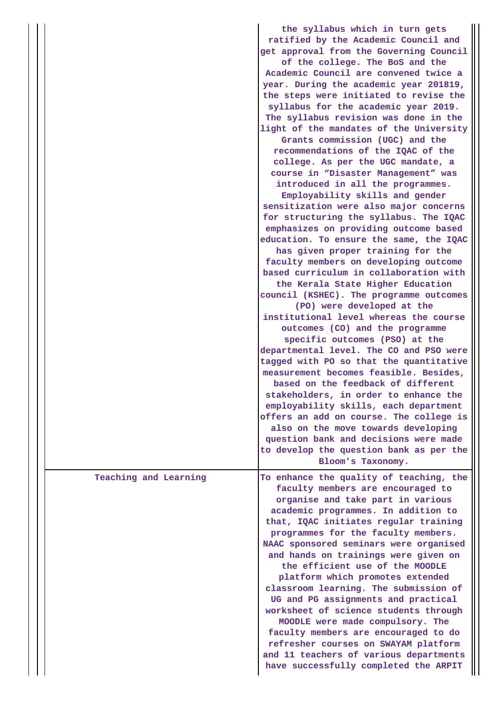|                       | the syllabus which in turn gets<br>ratified by the Academic Council and<br>get approval from the Governing Council<br>of the college. The BoS and the<br>Academic Council are convened twice a<br>year. During the academic year 201819,<br>the steps were initiated to revise the<br>syllabus for the academic year 2019.<br>The syllabus revision was done in the<br>light of the mandates of the University<br>Grants commission (UGC) and the<br>recommendations of the IQAC of the<br>college. As per the UGC mandate, a<br>course in "Disaster Management" was<br>introduced in all the programmes.<br>Employability skills and gender<br>sensitization were also major concerns<br>for structuring the syllabus. The IQAC<br>emphasizes on providing outcome based<br>education. To ensure the same, the IQAC<br>has given proper training for the<br>faculty members on developing outcome<br>based curriculum in collaboration with<br>the Kerala State Higher Education<br>council (KSHEC). The programme outcomes<br>(PO) were developed at the<br>institutional level whereas the course<br>outcomes (CO) and the programme<br>specific outcomes (PSO) at the<br>departmental level. The CO and PSO were<br>tagged with PO so that the quantitative<br>measurement becomes feasible. Besides,<br>based on the feedback of different<br>stakeholders, in order to enhance the<br>employability skills, each department<br>offers an add on course. The college is<br>also on the move towards developing<br>question bank and decisions were made |
|-----------------------|--------------------------------------------------------------------------------------------------------------------------------------------------------------------------------------------------------------------------------------------------------------------------------------------------------------------------------------------------------------------------------------------------------------------------------------------------------------------------------------------------------------------------------------------------------------------------------------------------------------------------------------------------------------------------------------------------------------------------------------------------------------------------------------------------------------------------------------------------------------------------------------------------------------------------------------------------------------------------------------------------------------------------------------------------------------------------------------------------------------------------------------------------------------------------------------------------------------------------------------------------------------------------------------------------------------------------------------------------------------------------------------------------------------------------------------------------------------------------------------------------------------------------------------------------------------|
|                       | to develop the question bank as per the<br>Bloom's Taxonomy.                                                                                                                                                                                                                                                                                                                                                                                                                                                                                                                                                                                                                                                                                                                                                                                                                                                                                                                                                                                                                                                                                                                                                                                                                                                                                                                                                                                                                                                                                                 |
| Teaching and Learning | To enhance the quality of teaching, the<br>faculty members are encouraged to<br>organise and take part in various<br>academic programmes. In addition to<br>that, IQAC initiates regular training<br>programmes for the faculty members.<br>NAAC sponsored seminars were organised<br>and hands on trainings were given on<br>the efficient use of the MOODLE<br>platform which promotes extended<br>classroom learning. The submission of<br>UG and PG assignments and practical<br>worksheet of science students through<br>MOODLE were made compulsory. The<br>faculty members are encouraged to do<br>refresher courses on SWAYAM platform<br>and 11 teachers of various departments<br>have successfully completed the ARPIT                                                                                                                                                                                                                                                                                                                                                                                                                                                                                                                                                                                                                                                                                                                                                                                                                            |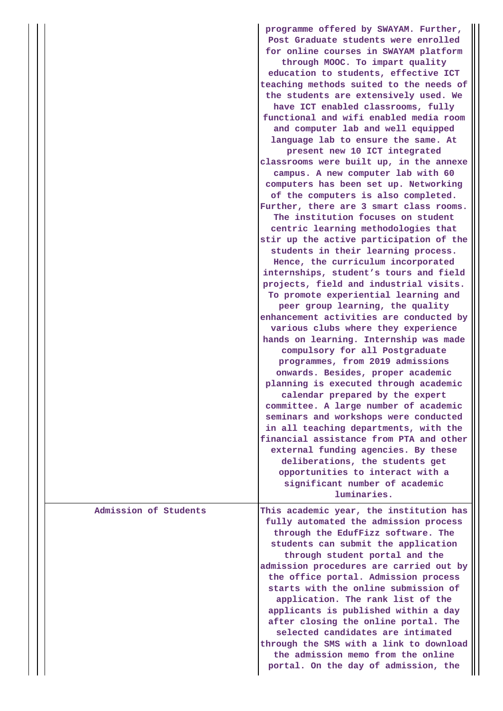|                       | programme offered by SWAYAM. Further,<br>Post Graduate students were enrolled<br>for online courses in SWAYAM platform<br>through MOOC. To impart quality<br>education to students, effective ICT<br>teaching methods suited to the needs of<br>the students are extensively used. We<br>have ICT enabled classrooms, fully<br>functional and wifi enabled media room<br>and computer lab and well equipped<br>language lab to ensure the same. At<br>present new 10 ICT integrated<br>classrooms were built up, in the annexe<br>campus. A new computer lab with 60<br>computers has been set up. Networking<br>of the computers is also completed.<br>Further, there are 3 smart class rooms.<br>The institution focuses on student<br>centric learning methodologies that<br>stir up the active participation of the<br>students in their learning process.<br>Hence, the curriculum incorporated<br>internships, student's tours and field<br>projects, field and industrial visits.<br>To promote experiential learning and<br>peer group learning, the quality<br>enhancement activities are conducted by<br>various clubs where they experience<br>hands on learning. Internship was made<br>compulsory for all Postgraduate<br>programmes, from 2019 admissions<br>onwards. Besides, proper academic<br>planning is executed through academic<br>calendar prepared by the expert<br>committee. A large number of academic<br>seminars and workshops were conducted<br>in all teaching departments, with the<br>financial assistance from PTA and other<br>external funding agencies. By these<br>deliberations, the students get<br>opportunities to interact with a<br>significant number of academic |
|-----------------------|----------------------------------------------------------------------------------------------------------------------------------------------------------------------------------------------------------------------------------------------------------------------------------------------------------------------------------------------------------------------------------------------------------------------------------------------------------------------------------------------------------------------------------------------------------------------------------------------------------------------------------------------------------------------------------------------------------------------------------------------------------------------------------------------------------------------------------------------------------------------------------------------------------------------------------------------------------------------------------------------------------------------------------------------------------------------------------------------------------------------------------------------------------------------------------------------------------------------------------------------------------------------------------------------------------------------------------------------------------------------------------------------------------------------------------------------------------------------------------------------------------------------------------------------------------------------------------------------------------------------------------------------------------------------------------------------------------------|
| Admission of Students | luminaries.<br>This academic year, the institution has<br>fully automated the admission process                                                                                                                                                                                                                                                                                                                                                                                                                                                                                                                                                                                                                                                                                                                                                                                                                                                                                                                                                                                                                                                                                                                                                                                                                                                                                                                                                                                                                                                                                                                                                                                                                |
|                       | through the EdufFizz software. The<br>students can submit the application<br>through student portal and the<br>admission procedures are carried out by<br>the office portal. Admission process<br>starts with the online submission of<br>application. The rank list of the<br>applicants is published within a day<br>after closing the online portal. The<br>selected candidates are intimated<br>through the SMS with a link to download<br>the admission memo from the online<br>portal. On the day of admission, the                                                                                                                                                                                                                                                                                                                                                                                                                                                                                                                                                                                                                                                                                                                                                                                                                                                                                                                                                                                                                                                                                                                                                                                      |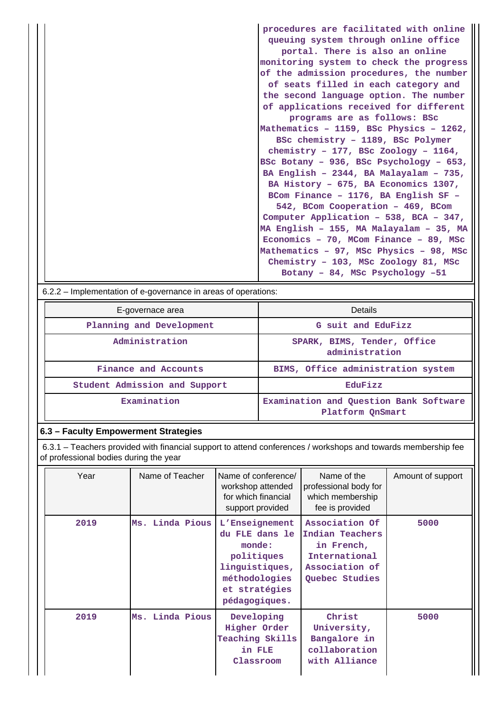| procedures are facilitated with online  |
|-----------------------------------------|
| queuing system through online office    |
| portal. There is also an online         |
| monitoring system to check the progress |
| of the admission procedures, the number |
| of seats filled in each category and    |
| the second language option. The number  |
| of applications received for different  |
| programs are as follows: BSc            |
| Mathematics - 1159, BSc Physics - 1262, |
| BSc chemistry - 1189, BSc Polymer       |
| chemistry - 177, BSc Zoology - $1164$ , |
| BSc Botany - 936, BSc Psychology - 653, |
| BA English - 2344, BA Malayalam - 735,  |
| BA History - 675, BA Economics 1307,    |
| BCom Finance - 1176, BA English SF -    |
| 542, BCom Cooperation - 469, BCom       |
| Computer Application - 538, BCA - 347,  |
| MA English - 155, MA Malayalam - 35, MA |
| Economics - 70, MCom Finance - 89, MSc  |
| Mathematics - 97, MSc Physics - 98, MSc |
| Chemistry - 103, MSc Zoology 81, MSc    |
| Botany - 84, MSc Psychology -51         |
|                                         |

6.2.2 – Implementation of e-governance in areas of operations:

| E-governace area              | Details                                                    |  |  |
|-------------------------------|------------------------------------------------------------|--|--|
| Planning and Development      | G suit and EduFizz                                         |  |  |
| Administration                | SPARK, BIMS, Tender, Office<br>administration              |  |  |
| Finance and Accounts          | BIMS, Office administration system                         |  |  |
| Student Admission and Support | EduFizz                                                    |  |  |
| Examination                   | Examination and Question Bank Software<br>Platform OnSmart |  |  |

# **6.3 – Faculty Empowerment Strategies**

 6.3.1 – Teachers provided with financial support to attend conferences / workshops and towards membership fee of professional bodies during the year

| Year | Name of Teacher | Name of conference/<br>workshop attended<br>for which financial<br>support provided                                           | Name of the<br>professional body for<br>which membership<br>fee is provided                          | Amount of support |
|------|-----------------|-------------------------------------------------------------------------------------------------------------------------------|------------------------------------------------------------------------------------------------------|-------------------|
| 2019 | Ms. Linda Pious | L'Enseignement<br>du FLE dans le<br>monde:<br>politiques<br>linguistiques,<br>méthodologies<br>et stratégies<br>pédagogiques. | Association Of<br>Indian Teachers<br>in French,<br>International<br>Association of<br>Quebec Studies | 5000              |
| 2019 | Ms. Linda Pious | Developing<br>Higher Order<br><b>Teaching Skills</b><br>in FLE<br>Classroom                                                   | Christ<br>University,<br>Bangalore in<br>collaboration<br>with Alliance                              | 5000              |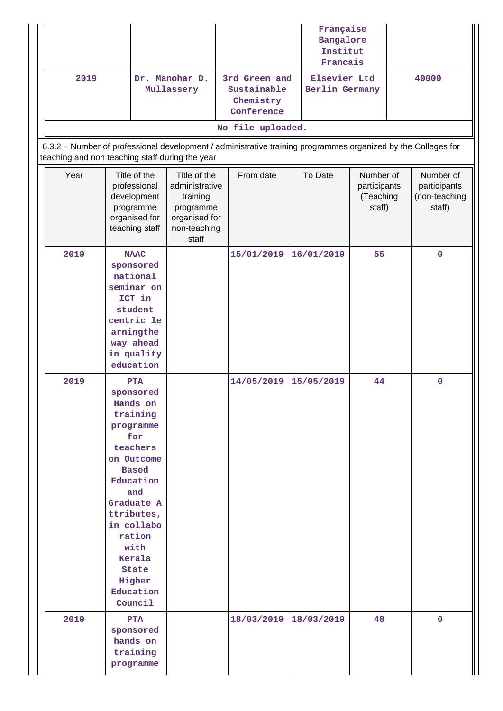|                                                 |                                                                                                                                                                                                                                                    |                                                                                                   |                                                                                                               | Française<br>Bangalore<br>Institut<br>Francais |                                                  |                                                      |
|-------------------------------------------------|----------------------------------------------------------------------------------------------------------------------------------------------------------------------------------------------------------------------------------------------------|---------------------------------------------------------------------------------------------------|---------------------------------------------------------------------------------------------------------------|------------------------------------------------|--------------------------------------------------|------------------------------------------------------|
| 2019                                            |                                                                                                                                                                                                                                                    | Dr. Manohar D.<br>Mullassery                                                                      | 3rd Green and<br>Sustainable<br>Chemistry<br>Conference                                                       | Elsevier Ltd<br>Berlin Germany                 |                                                  | 40000                                                |
|                                                 |                                                                                                                                                                                                                                                    |                                                                                                   | No file uploaded.                                                                                             |                                                |                                                  |                                                      |
| teaching and non teaching staff during the year |                                                                                                                                                                                                                                                    |                                                                                                   | 6.3.2 - Number of professional development / administrative training programmes organized by the Colleges for |                                                |                                                  |                                                      |
| Year                                            | Title of the<br>professional<br>development<br>programme<br>organised for<br>teaching staff                                                                                                                                                        | Title of the<br>administrative<br>training<br>programme<br>organised for<br>non-teaching<br>staff | From date                                                                                                     | To Date                                        | Number of<br>participants<br>(Teaching<br>staff) | Number of<br>participants<br>(non-teaching<br>staff) |
| 2019                                            | <b>NAAC</b><br>sponsored<br>national<br>seminar on<br>ICT in<br>student<br>centric le<br>arningthe<br>way ahead<br>in quality<br>education                                                                                                         |                                                                                                   | 15/01/2019                                                                                                    | 16/01/2019                                     | 55                                               | $\mathbf 0$                                          |
| 2019                                            | <b>PTA</b><br>sponsored<br>Hands on<br>training<br>programme<br>for<br>teachers<br>on Outcome<br><b>Based</b><br>Education<br>and<br>Graduate A<br>ttributes,<br>in collabo<br>ration<br>with<br>Kerala<br>State<br>Higher<br>Education<br>Council |                                                                                                   | 14/05/2019                                                                                                    | 15/05/2019                                     | 44                                               | $\mathbf 0$                                          |
| 2019                                            | <b>PTA</b><br>sponsored<br>hands on<br>training<br>programme                                                                                                                                                                                       |                                                                                                   | 18/03/2019                                                                                                    | 18/03/2019                                     | 48                                               | $\mathbf{0}$                                         |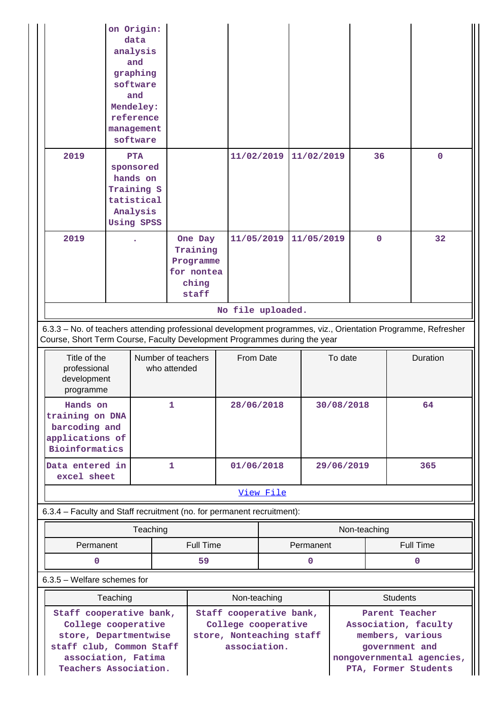|                                                                                                                                                                                                                                                                                                                                 | on Origin:<br>data<br>analysis<br>and<br>graphing<br>software<br>and<br>Mendeley:<br>reference<br>management<br>software |                                                                  |                   |  |            |             |  |             |
|---------------------------------------------------------------------------------------------------------------------------------------------------------------------------------------------------------------------------------------------------------------------------------------------------------------------------------|--------------------------------------------------------------------------------------------------------------------------|------------------------------------------------------------------|-------------------|--|------------|-------------|--|-------------|
| 2019                                                                                                                                                                                                                                                                                                                            | <b>PTA</b><br>sponsored<br>hands on<br>Training S<br>tatistical<br>Analysis<br><b>Using SPSS</b>                         |                                                                  | 11/02/2019        |  | 11/02/2019 | 36          |  | $\mathbf 0$ |
| 2019                                                                                                                                                                                                                                                                                                                            |                                                                                                                          | One Day<br>Training<br>Programme<br>for nontea<br>ching<br>staff | 11/05/2019        |  | 11/05/2019 | $\mathbf 0$ |  | 32          |
|                                                                                                                                                                                                                                                                                                                                 |                                                                                                                          |                                                                  | No file uploaded. |  |            |             |  |             |
| 6.3.3 - No. of teachers attending professional development programmes, viz., Orientation Programme, Refresher<br>Course, Short Term Course, Faculty Development Programmes during the year                                                                                                                                      |                                                                                                                          |                                                                  |                   |  |            |             |  |             |
| Title of the<br>professional<br>development<br>programme                                                                                                                                                                                                                                                                        |                                                                                                                          | Number of teachers<br>who attended                               | From Date         |  | To date    |             |  | Duration    |
| Hands on<br>$\frac{1}{2}$ $\frac{1}{2}$ $\frac{1}{2}$ $\frac{1}{2}$ $\frac{1}{2}$ $\frac{1}{2}$ $\frac{1}{2}$ $\frac{1}{2}$ $\frac{1}{2}$ $\frac{1}{2}$ $\frac{1}{2}$ $\frac{1}{2}$ $\frac{1}{2}$ $\frac{1}{2}$ $\frac{1}{2}$ $\frac{1}{2}$ $\frac{1}{2}$ $\frac{1}{2}$ $\frac{1}{2}$ $\frac{1}{2}$ $\frac{1}{2}$ $\frac{1}{2}$ |                                                                                                                          | $\mathbf{1}$                                                     | 28/06/2018        |  | 30/08/2018 |             |  | 64          |

| training on DNA<br>barcoding and<br>applications of<br>Bioinformatics |            |            |     |
|-----------------------------------------------------------------------|------------|------------|-----|
| Data entered in<br>excel sheet                                        | 01/06/2018 | 29/06/2019 | 365 |

# [View File](https://assessmentonline.naac.gov.in/public/Postacc/Training_Programmes/1831_Training_Programmes_1576749701.xlsx)

6.3.4 – Faculty and Staff recruitment (no. for permanent recruitment):

|                        | Teaching | Non-teaching |           |
|------------------------|----------|--------------|-----------|
| Full Time<br>Permanent |          | Permanent    | Full Time |
|                        | 59       |              |           |

6.3.5 – Welfare schemes for

| Teaching                                        | Non-teaching                                   | <b>Students</b>                             |  |  |
|-------------------------------------------------|------------------------------------------------|---------------------------------------------|--|--|
| Staff cooperative bank,<br>College cooperative  | Staff cooperative bank,<br>College cooperative | Parent Teacher<br>Association, faculty      |  |  |
| store, Departmentwise                           | store, Nonteaching staff                       | members, various                            |  |  |
| staff club, Common Staff<br>association, Fatima | association.                                   | government and<br>nongovernmental agencies, |  |  |
| Teachers Association.                           |                                                | PTA, Former Students                        |  |  |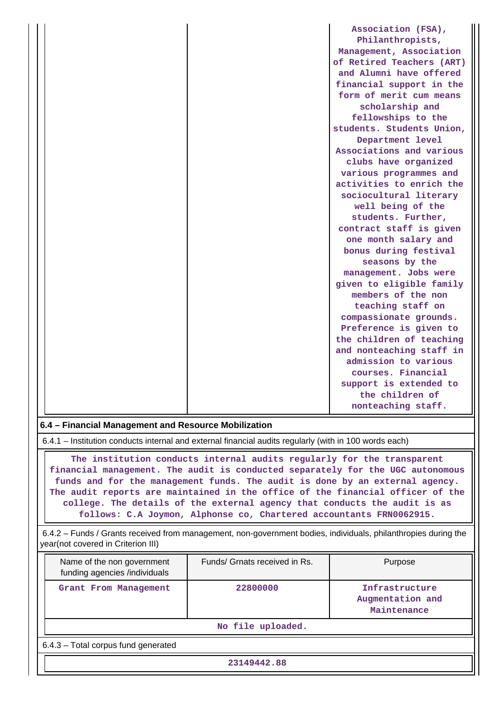|  | Association (FSA),        |
|--|---------------------------|
|  | Philanthropists,          |
|  | Management, Association   |
|  | of Retired Teachers (ART) |
|  | and Alumni have offered   |
|  | financial support in the  |
|  | form of merit cum means   |
|  | scholarship and           |
|  | fellowships to the        |
|  | students. Students Union, |
|  | Department level          |
|  | Associations and various  |
|  | clubs have organized      |
|  | various programmes and    |
|  | activities to enrich the  |
|  | sociocultural literary    |
|  | well being of the         |
|  | students. Further,        |
|  | contract staff is given   |
|  | one month salary and      |
|  | bonus during festival     |
|  | seasons by the            |
|  | management. Jobs were     |
|  | given to eligible family  |
|  | members of the non        |
|  | teaching staff on         |
|  | compassionate grounds.    |
|  | Preference is given to    |
|  | the children of teaching  |
|  | and nonteaching staff in  |
|  | admission to various      |
|  | courses. Financial        |
|  | support is extended to    |
|  | the children of           |
|  | nonteaching staff.        |

# **6.4 – Financial Management and Resource Mobilization**

6.4.1 – Institution conducts internal and external financial audits regularly (with in 100 words each)

 **The institution conducts internal audits regularly for the transparent financial management. The audit is conducted separately for the UGC autonomous funds and for the management funds. The audit is done by an external agency. The audit reports are maintained in the office of the financial officer of the college. The details of the external agency that conducts the audit is as follows: C.A Joymon, Alphonse co, Chartered accountants FRN0062915.**

 6.4.2 – Funds / Grants received from management, non-government bodies, individuals, philanthropies during the year(not covered in Criterion III)

| Name of the non government<br>funding agencies /individuals | Funds/ Grnats received in Rs. | Purpose                                           |  |  |  |  |  |  |  |
|-------------------------------------------------------------|-------------------------------|---------------------------------------------------|--|--|--|--|--|--|--|
| Grant From Management                                       | 22800000                      | Infrastructure<br>Augmentation and<br>Maintenance |  |  |  |  |  |  |  |
|                                                             | No file uploaded.             |                                                   |  |  |  |  |  |  |  |
| 6.4.3 - Total corpus fund generated                         |                               |                                                   |  |  |  |  |  |  |  |
| 23149442.88                                                 |                               |                                                   |  |  |  |  |  |  |  |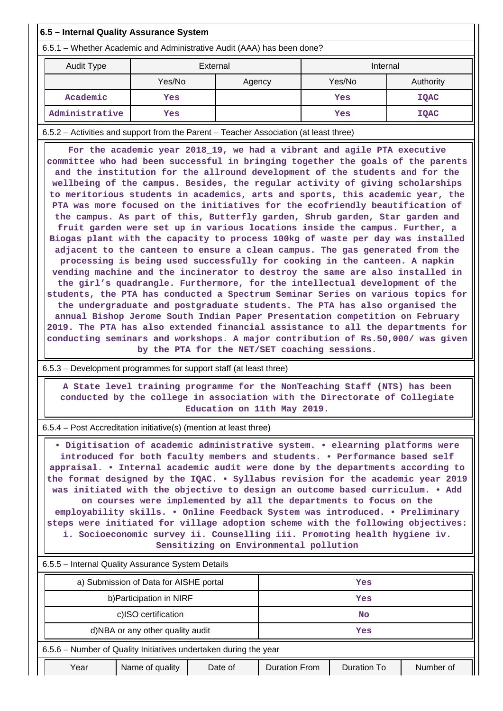| 6.5 - Internal Quality Assurance System                                                                                                                                                                                                                                                                                                                                                                                                                                                                                                                                                                                                                                                                                                                                                                                                                                                                                                                                                                                                                                                                                                                                                                                                                                                                                                                                                                                                                                                                                                          |                                                                                                                                                         |                                 |        |                    |             |  |  |  |
|--------------------------------------------------------------------------------------------------------------------------------------------------------------------------------------------------------------------------------------------------------------------------------------------------------------------------------------------------------------------------------------------------------------------------------------------------------------------------------------------------------------------------------------------------------------------------------------------------------------------------------------------------------------------------------------------------------------------------------------------------------------------------------------------------------------------------------------------------------------------------------------------------------------------------------------------------------------------------------------------------------------------------------------------------------------------------------------------------------------------------------------------------------------------------------------------------------------------------------------------------------------------------------------------------------------------------------------------------------------------------------------------------------------------------------------------------------------------------------------------------------------------------------------------------|---------------------------------------------------------------------------------------------------------------------------------------------------------|---------------------------------|--------|--------------------|-------------|--|--|--|
| 6.5.1 - Whether Academic and Administrative Audit (AAA) has been done?                                                                                                                                                                                                                                                                                                                                                                                                                                                                                                                                                                                                                                                                                                                                                                                                                                                                                                                                                                                                                                                                                                                                                                                                                                                                                                                                                                                                                                                                           |                                                                                                                                                         |                                 |        |                    |             |  |  |  |
| <b>Audit Type</b>                                                                                                                                                                                                                                                                                                                                                                                                                                                                                                                                                                                                                                                                                                                                                                                                                                                                                                                                                                                                                                                                                                                                                                                                                                                                                                                                                                                                                                                                                                                                | External                                                                                                                                                |                                 |        | Internal           |             |  |  |  |
|                                                                                                                                                                                                                                                                                                                                                                                                                                                                                                                                                                                                                                                                                                                                                                                                                                                                                                                                                                                                                                                                                                                                                                                                                                                                                                                                                                                                                                                                                                                                                  | Yes/No                                                                                                                                                  | Agency                          | Yes/No |                    | Authority   |  |  |  |
| Academic                                                                                                                                                                                                                                                                                                                                                                                                                                                                                                                                                                                                                                                                                                                                                                                                                                                                                                                                                                                                                                                                                                                                                                                                                                                                                                                                                                                                                                                                                                                                         | Yes                                                                                                                                                     |                                 |        | Yes                | <b>IQAC</b> |  |  |  |
| Administrative                                                                                                                                                                                                                                                                                                                                                                                                                                                                                                                                                                                                                                                                                                                                                                                                                                                                                                                                                                                                                                                                                                                                                                                                                                                                                                                                                                                                                                                                                                                                   | Yes                                                                                                                                                     |                                 |        | Yes                | <b>IQAC</b> |  |  |  |
| 6.5.2 - Activities and support from the Parent - Teacher Association (at least three)                                                                                                                                                                                                                                                                                                                                                                                                                                                                                                                                                                                                                                                                                                                                                                                                                                                                                                                                                                                                                                                                                                                                                                                                                                                                                                                                                                                                                                                            |                                                                                                                                                         |                                 |        |                    |             |  |  |  |
| committee who had been successful in bringing together the goals of the parents<br>and the institution for the allround development of the students and for the<br>wellbeing of the campus. Besides, the regular activity of giving scholarships<br>to meritorious students in academics, arts and sports, this academic year, the<br>PTA was more focused on the initiatives for the ecofriendly beautification of<br>the campus. As part of this, Butterfly garden, Shrub garden, Star garden and<br>fruit garden were set up in various locations inside the campus. Further, a<br>Biogas plant with the capacity to process 100kg of waste per day was installed<br>adjacent to the canteen to ensure a clean campus. The gas generated from the<br>processing is being used successfully for cooking in the canteen. A napkin<br>vending machine and the incinerator to destroy the same are also installed in<br>the girl's quadrangle. Furthermore, for the intellectual development of the<br>students, the PTA has conducted a Spectrum Seminar Series on various topics for<br>the undergraduate and postgraduate students. The PTA has also organised the<br>annual Bishop Jerome South Indian Paper Presentation competition on February<br>2019. The PTA has also extended financial assistance to all the departments for<br>conducting seminars and workshops. A major contribution of Rs.50,000/ was given<br>by the PTA for the NET/SET coaching sessions.<br>6.5.3 - Development programmes for support staff (at least three) |                                                                                                                                                         |                                 |        |                    |             |  |  |  |
|                                                                                                                                                                                                                                                                                                                                                                                                                                                                                                                                                                                                                                                                                                                                                                                                                                                                                                                                                                                                                                                                                                                                                                                                                                                                                                                                                                                                                                                                                                                                                  |                                                                                                                                                         |                                 |        |                    |             |  |  |  |
|                                                                                                                                                                                                                                                                                                                                                                                                                                                                                                                                                                                                                                                                                                                                                                                                                                                                                                                                                                                                                                                                                                                                                                                                                                                                                                                                                                                                                                                                                                                                                  | A State level training programme for the NonTeaching Staff (NTS) has been<br>conducted by the college in association with the Directorate of Collegiate | Education on 11th May 2019.     |        |                    |             |  |  |  |
|                                                                                                                                                                                                                                                                                                                                                                                                                                                                                                                                                                                                                                                                                                                                                                                                                                                                                                                                                                                                                                                                                                                                                                                                                                                                                                                                                                                                                                                                                                                                                  |                                                                                                                                                         |                                 |        |                    |             |  |  |  |
| 6.5.4 – Post Accreditation initiative(s) (mention at least three)<br>. Digitisation of academic administrative system. . elearning platforms were<br>introduced for both faculty members and students. . Performance based self<br>appraisal. • Internal academic audit were done by the departments according to<br>the format designed by the IQAC. . Syllabus revision for the academic year 2019<br>was initiated with the objective to design an outcome based curriculum. . Add<br>on courses were implemented by all the departments to focus on the<br>employability skills. . Online Feedback System was introduced. . Preliminary<br>steps were initiated for village adoption scheme with the following objectives:<br>i. Socioeconomic survey ii. Counselling iii. Promoting health hygiene iv.<br>Sensitizing on Environmental pollution                                                                                                                                                                                                                                                                                                                                                                                                                                                                                                                                                                                                                                                                                            |                                                                                                                                                         |                                 |        |                    |             |  |  |  |
| 6.5.5 - Internal Quality Assurance System Details                                                                                                                                                                                                                                                                                                                                                                                                                                                                                                                                                                                                                                                                                                                                                                                                                                                                                                                                                                                                                                                                                                                                                                                                                                                                                                                                                                                                                                                                                                |                                                                                                                                                         |                                 |        |                    |             |  |  |  |
|                                                                                                                                                                                                                                                                                                                                                                                                                                                                                                                                                                                                                                                                                                                                                                                                                                                                                                                                                                                                                                                                                                                                                                                                                                                                                                                                                                                                                                                                                                                                                  | a) Submission of Data for AISHE portal                                                                                                                  |                                 |        | Yes                |             |  |  |  |
|                                                                                                                                                                                                                                                                                                                                                                                                                                                                                                                                                                                                                                                                                                                                                                                                                                                                                                                                                                                                                                                                                                                                                                                                                                                                                                                                                                                                                                                                                                                                                  | b) Participation in NIRF                                                                                                                                |                                 |        | Yes                |             |  |  |  |
|                                                                                                                                                                                                                                                                                                                                                                                                                                                                                                                                                                                                                                                                                                                                                                                                                                                                                                                                                                                                                                                                                                                                                                                                                                                                                                                                                                                                                                                                                                                                                  | c)ISO certification                                                                                                                                     |                                 |        | No.                |             |  |  |  |
|                                                                                                                                                                                                                                                                                                                                                                                                                                                                                                                                                                                                                                                                                                                                                                                                                                                                                                                                                                                                                                                                                                                                                                                                                                                                                                                                                                                                                                                                                                                                                  | d)NBA or any other quality audit                                                                                                                        |                                 |        | Yes                |             |  |  |  |
| 6.5.6 - Number of Quality Initiatives undertaken during the year                                                                                                                                                                                                                                                                                                                                                                                                                                                                                                                                                                                                                                                                                                                                                                                                                                                                                                                                                                                                                                                                                                                                                                                                                                                                                                                                                                                                                                                                                 |                                                                                                                                                         |                                 |        |                    |             |  |  |  |
| Year                                                                                                                                                                                                                                                                                                                                                                                                                                                                                                                                                                                                                                                                                                                                                                                                                                                                                                                                                                                                                                                                                                                                                                                                                                                                                                                                                                                                                                                                                                                                             | Name of quality                                                                                                                                         | Date of<br><b>Duration From</b> |        | <b>Duration To</b> | Number of   |  |  |  |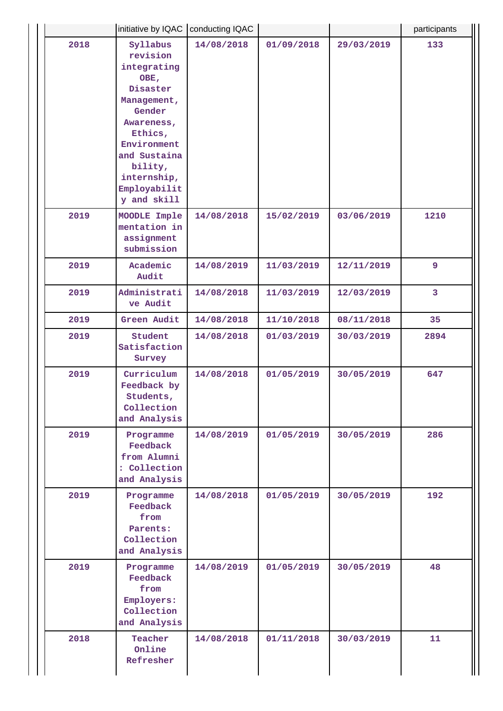|      | initiative by IQAC   conducting IQAC                                                                                                                                                              |            |            |            | participants   |
|------|---------------------------------------------------------------------------------------------------------------------------------------------------------------------------------------------------|------------|------------|------------|----------------|
| 2018 | Syllabus<br>revision<br>integrating<br>OBE,<br>Disaster<br>Management,<br>Gender<br>Awareness,<br>Ethics,<br>Environment<br>and Sustaina<br>bility,<br>internship,<br>Employabilit<br>y and skill | 14/08/2018 | 01/09/2018 | 29/03/2019 | 133            |
| 2019 | MOODLE Imple<br>mentation in<br>assignment<br>submission                                                                                                                                          | 14/08/2018 | 15/02/2019 | 03/06/2019 | 1210           |
| 2019 | Academic<br>Audit                                                                                                                                                                                 | 14/08/2019 | 11/03/2019 | 12/11/2019 | 9              |
| 2019 | Administrati<br>ve Audit                                                                                                                                                                          | 14/08/2018 | 11/03/2019 | 12/03/2019 | $\overline{3}$ |
| 2019 | Green Audit                                                                                                                                                                                       | 14/08/2018 | 11/10/2018 | 08/11/2018 | 35             |
| 2019 | Student<br>Satisfaction<br>Survey                                                                                                                                                                 | 14/08/2018 | 01/03/2019 | 30/03/2019 | 2894           |
| 2019 | Curriculum<br>Feedback by<br>Students,<br>Collection<br>and Analysis                                                                                                                              | 14/08/2018 | 01/05/2019 | 30/05/2019 | 647            |
| 2019 | Programme<br>Feedback<br>from Alumni<br>: Collection<br>and Analysis                                                                                                                              | 14/08/2019 | 01/05/2019 | 30/05/2019 | 286            |
| 2019 | Programme<br>Feedback<br>from<br>Parents:<br>Collection<br>and Analysis                                                                                                                           | 14/08/2018 | 01/05/2019 | 30/05/2019 | 192            |
| 2019 | Programme<br>Feedback<br>from<br>Employers:<br>Collection<br>and Analysis                                                                                                                         | 14/08/2019 | 01/05/2019 | 30/05/2019 | 48             |
| 2018 | Teacher<br>Online<br>Refresher                                                                                                                                                                    | 14/08/2018 | 01/11/2018 | 30/03/2019 | 11             |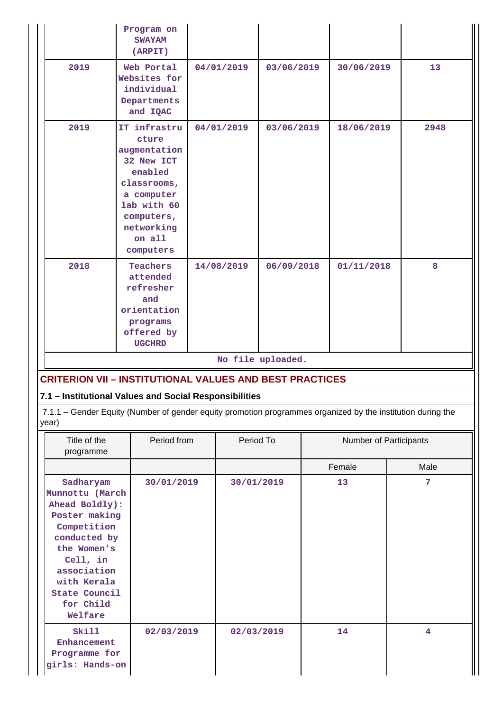| Program on<br><b>SWAYAM</b><br>(ARPIT)                                                                                                                                                                  |                                                                                                                                                               |                                                                     |                          |                          |                   |                               |            |    |      |
|---------------------------------------------------------------------------------------------------------------------------------------------------------------------------------------------------------|---------------------------------------------------------------------------------------------------------------------------------------------------------------|---------------------------------------------------------------------|--------------------------|--------------------------|-------------------|-------------------------------|------------|----|------|
| 2019                                                                                                                                                                                                    |                                                                                                                                                               | Web Portal<br>Websites for<br>individual<br>Departments<br>and IQAC | 04/01/2019<br>03/06/2019 |                          |                   | 30/06/2019                    |            | 13 |      |
| 2019                                                                                                                                                                                                    | IT infrastru<br>cture<br>augmentation<br>32 New ICT<br>enabled<br>classrooms,<br>a computer<br>lab with 60<br>computers,<br>networking<br>on all<br>computers |                                                                     | 04/01/2019               |                          | 03/06/2019        |                               | 18/06/2019 |    | 2948 |
| 2018                                                                                                                                                                                                    | Teachers<br>attended<br>refresher<br>and<br>orientation<br>programs<br>offered by<br><b>UGCHRD</b>                                                            |                                                                     |                          | 14/08/2019<br>06/09/2018 |                   | 01/11/2018                    |            | 8  |      |
|                                                                                                                                                                                                         |                                                                                                                                                               |                                                                     |                          |                          | No file uploaded. |                               |            |    |      |
| <b>CRITERION VII - INSTITUTIONAL VALUES AND BEST PRACTICES</b>                                                                                                                                          |                                                                                                                                                               |                                                                     |                          |                          |                   |                               |            |    |      |
| 7.1 - Institutional Values and Social Responsibilities<br>7.1.1 - Gender Equity (Number of gender equity promotion programmes organized by the institution during the<br>year)                          |                                                                                                                                                               |                                                                     |                          |                          |                   |                               |            |    |      |
| Title of the<br>programme                                                                                                                                                                               |                                                                                                                                                               | Period from                                                         | Period To                |                          |                   | <b>Number of Participants</b> |            |    |      |
|                                                                                                                                                                                                         |                                                                                                                                                               |                                                                     |                          |                          |                   |                               | Female     |    | Male |
| Sadharyam<br>Munnottu (March<br>Ahead Boldly):<br>Poster making<br>Competition<br>conducted by<br>the Women's<br>Cell, in<br>association<br>with Kerala<br><b>State Council</b><br>for Child<br>Welfare |                                                                                                                                                               | 30/01/2019                                                          |                          |                          | 30/01/2019        |                               | 13         |    | 7    |
| Skill<br>Enhancement<br>Programme for<br>girls: Hands-on                                                                                                                                                |                                                                                                                                                               | 02/03/2019                                                          |                          | 02/03/2019               |                   |                               | 14         |    | 4    |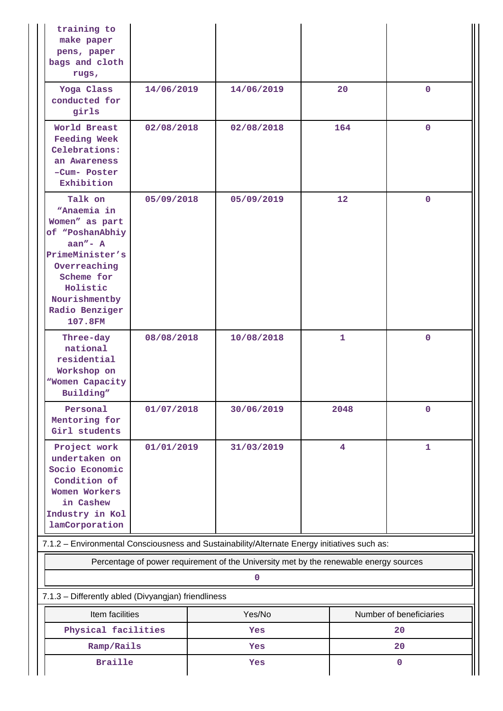| training to<br>make paper<br>pens, paper<br>bags and cloth<br>rugs,                                                                                                                   |            |               |                                                                                       |                               |  |  |
|---------------------------------------------------------------------------------------------------------------------------------------------------------------------------------------|------------|---------------|---------------------------------------------------------------------------------------|-------------------------------|--|--|
| Yoga Class<br>conducted for<br>girls                                                                                                                                                  | 14/06/2019 | 14/06/2019    | 20                                                                                    | $\mathbf 0$                   |  |  |
| World Breast<br><b>Feeding Week</b><br>Celebrations:<br>an Awareness<br>-Cum- Poster<br>Exhibition                                                                                    | 02/08/2018 | 02/08/2018    | 164                                                                                   | $\mathbf{0}$                  |  |  |
| Talk on<br>"Anaemia in<br>Women" as part<br>of "PoshanAbhiy<br>$aan'' - A$<br>PrimeMinister's<br>Overreaching<br>Scheme for<br>Holistic<br>Nourishmentby<br>Radio Benziger<br>107.8FM | 05/09/2018 | 05/09/2019    | 12 <sup>2</sup>                                                                       | $\mathbf{0}$                  |  |  |
| Three-day<br>national<br>residential<br>Workshop on<br><b>Women Capacity</b><br>Building"                                                                                             | 08/08/2018 | 10/08/2018    | 1                                                                                     | $\mathbf 0$                   |  |  |
| Personal<br>Mentoring for<br>Girl students                                                                                                                                            | 01/07/2018 | 30/06/2019    | 2048                                                                                  | 0                             |  |  |
| Project work<br>undertaken on<br>Socio Economic<br>Condition of<br>Women Workers<br>in Cashew<br>Industry in Kol<br>lamCorporation                                                    | 01/01/2019 | 31/03/2019    | $\overline{\mathbf{4}}$                                                               | $\mathbf{1}$                  |  |  |
| 7.1.2 - Environmental Consciousness and Sustainability/Alternate Energy initiatives such as:                                                                                          |            |               |                                                                                       |                               |  |  |
|                                                                                                                                                                                       |            |               | Percentage of power requirement of the University met by the renewable energy sources |                               |  |  |
|                                                                                                                                                                                       |            | $\mathbf 0$   |                                                                                       |                               |  |  |
| 7.1.3 - Differently abled (Divyangjan) friendliness                                                                                                                                   |            |               |                                                                                       |                               |  |  |
| Item facilities<br>Physical facilities                                                                                                                                                |            | Yes/No<br>Yes |                                                                                       | Number of beneficiaries<br>20 |  |  |
| Ramp/Rails                                                                                                                                                                            |            | Yes           |                                                                                       |                               |  |  |
| <b>Braille</b>                                                                                                                                                                        |            | Yes           |                                                                                       | 20<br>$\mathbf 0$             |  |  |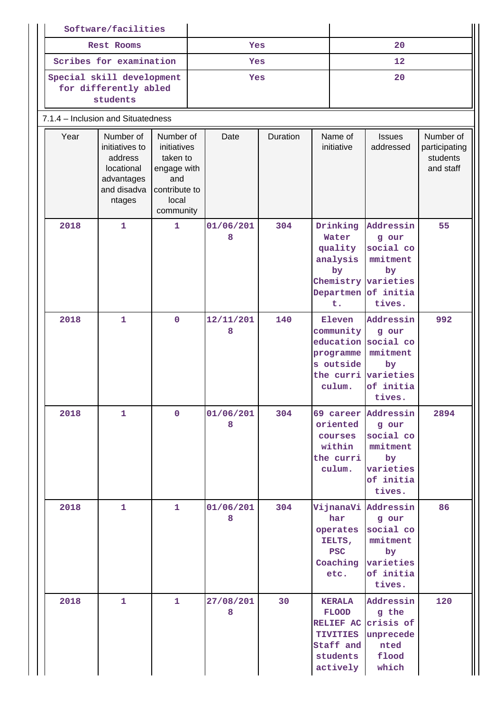|                                    | Software/facilities                                                                         |                                                                                                   |     |                |          |                                                                                                              |                                                                                                              |                                                     |  |
|------------------------------------|---------------------------------------------------------------------------------------------|---------------------------------------------------------------------------------------------------|-----|----------------|----------|--------------------------------------------------------------------------------------------------------------|--------------------------------------------------------------------------------------------------------------|-----------------------------------------------------|--|
|                                    | <b>Rest Rooms</b>                                                                           |                                                                                                   |     | Yes            |          |                                                                                                              | 20                                                                                                           |                                                     |  |
|                                    | Scribes for examination                                                                     |                                                                                                   | Yes |                |          |                                                                                                              | 12                                                                                                           |                                                     |  |
|                                    | Special skill development<br>for differently abled<br>students                              |                                                                                                   |     | Yes            |          |                                                                                                              | 20                                                                                                           |                                                     |  |
| 7.1.4 - Inclusion and Situatedness |                                                                                             |                                                                                                   |     |                |          |                                                                                                              |                                                                                                              |                                                     |  |
| Year                               | Number of<br>initiatives to<br>address<br>locational<br>advantages<br>and disadva<br>ntages | Number of<br>initiatives<br>taken to<br>engage with<br>and<br>contribute to<br>local<br>community |     | Date           | Duration | Name of<br>initiative                                                                                        | <b>Issues</b><br>addressed                                                                                   | Number of<br>participating<br>students<br>and staff |  |
| 2018                               | $\mathbf{1}$                                                                                | $\mathbf{1}$                                                                                      |     | 01/06/201<br>8 | 304      | Drinking<br>Water<br>quality<br>analysis<br>by<br>Departmen of initia<br>t.                                  | Addressin<br>g our<br>social co<br>mmitment<br>by<br>Chemistry varieties<br>tives.                           | 55                                                  |  |
| 2018                               | $\mathbf{1}$                                                                                | $\mathbf{O}$                                                                                      |     | 12/11/201<br>8 | 140      | Eleven<br>community<br>programme<br>s outside<br>culum.                                                      | Addressin<br>g our<br>education social co<br>mmitment<br>by<br>the curri varieties<br>of initia<br>tives.    | 992                                                 |  |
| 2018                               | $\mathbf{1}$                                                                                | $\overline{0}$                                                                                    |     | 01/06/201<br>8 | 304      | oriented<br>courses<br>within<br>the curri<br>culum.                                                         | 69 career Addressin<br>g our<br>social co<br>mmitment<br>by <sub>z</sub><br>varieties<br>of initia<br>tives. | 2894                                                |  |
| 2018                               | $\mathbf{1}$                                                                                | $\mathbf{1}$                                                                                      |     | 01/06/201<br>8 | 304      | har<br>operates<br>IELTS,<br><b>PSC</b><br>Coaching<br>etc.                                                  | VijnanaVi Addressin<br>g our<br>social co<br>mmitment<br>by<br>varieties<br>of initia<br>tives.              | 86                                                  |  |
| 2018                               | $\mathbf{1}$                                                                                | $\mathbf{1}$                                                                                      |     | 27/08/201<br>8 | 30       | <b>KERALA</b><br><b>FLOOD</b><br>RELIEF AC crisis of<br><b>TIVITIES</b><br>Staff and<br>students<br>actively | Addressin<br>g the<br>unprecede<br>nted<br>flood<br>which                                                    | 120                                                 |  |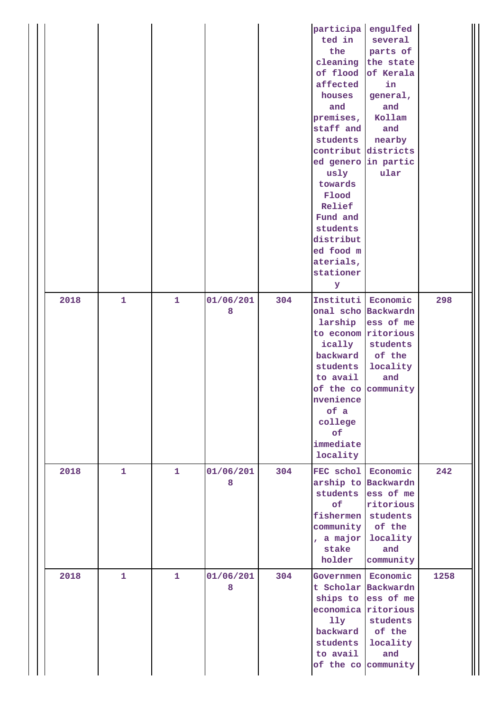|      |              |              |                |     | participa<br>ted in<br>the<br>of flood<br>affected<br>houses<br>and<br>premises,<br>staff and<br>students<br>ed genero in partic<br>usly<br>towards<br>Flood<br>Relief<br>Fund and<br>students<br>distribut<br>ed food m<br>aterials,<br>stationer<br>У | engulfed<br>several<br>parts of<br>cleaning the state<br>of Kerala<br>in<br>general,<br>and<br>Kollam<br>and<br>nearby<br>contribut districts<br>ular |      |
|------|--------------|--------------|----------------|-----|---------------------------------------------------------------------------------------------------------------------------------------------------------------------------------------------------------------------------------------------------------|-------------------------------------------------------------------------------------------------------------------------------------------------------|------|
| 2018 | $\mathbf{1}$ | $\mathbf{1}$ | 01/06/201<br>8 | 304 | Instituti Economic<br>larship<br>to econom ritorious<br>ically<br>backward<br>students<br>to avail<br>nvenience<br>of a<br>college<br>of<br>immediate<br>locality                                                                                       | onal scho Backwardn<br>ess of me<br>students<br>of the<br>locality<br>and<br>of the co community                                                      | 298  |
| 2018 | $\mathbf{1}$ | $\mathbf{1}$ | 01/06/201<br>8 | 304 | FEC schol<br>of<br>fishermen<br>community<br>, a major<br>stake<br>holder                                                                                                                                                                               | Economic<br>arship to Backwardn<br>students ess of me<br>ritorious<br>students<br>of the<br>locality<br>and<br>community                              | 242  |
| 2018 | $\mathbf{1}$ | $\mathbf{1}$ | 01/06/201<br>8 | 304 | Governmen  <br>economica ritorious<br>11y<br>backward<br>students<br>to avail                                                                                                                                                                           | Economic<br>t Scholar Backwardn<br>ships to ess of me<br>students<br>of the<br>locality<br>and<br>of the co community                                 | 1258 |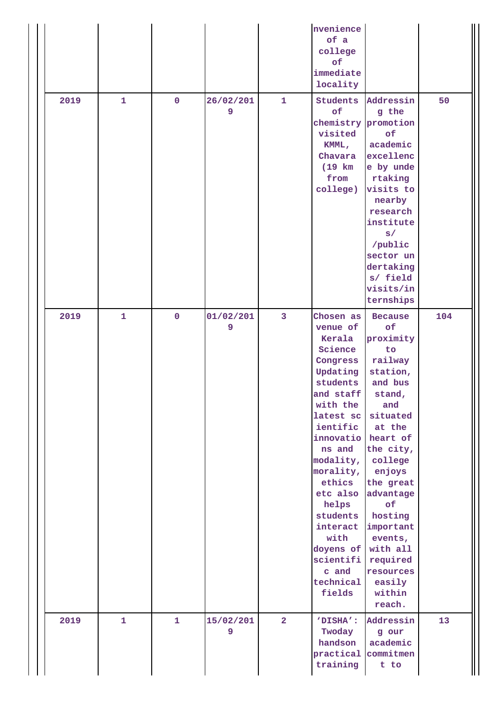|      |              |                |                |                | nvenience<br>of a<br>college<br>of<br>immediate<br>locality                                                                                                                                                                                                                                                                  |                                                                                                                                                                                                                                                                              |     |
|------|--------------|----------------|----------------|----------------|------------------------------------------------------------------------------------------------------------------------------------------------------------------------------------------------------------------------------------------------------------------------------------------------------------------------------|------------------------------------------------------------------------------------------------------------------------------------------------------------------------------------------------------------------------------------------------------------------------------|-----|
| 2019 | $\mathbf{1}$ | $\mathbf 0$    | 26/02/201<br>9 | $\mathbf{1}$   | Students<br>of<br>visited<br>KMML,<br>Chavara<br>$(19)$ km<br>from<br>college)                                                                                                                                                                                                                                               | Addressin<br>g the<br>chemistry promotion<br>of<br>academic<br>excellenc<br>e by unde<br>rtaking<br>visits to<br>nearby<br>research<br>institute<br>s/<br>/public<br>sector un<br>dertaking<br>s/ field<br>visits/in<br>ternships                                            | 50  |
| 2019 | $\mathbf{1}$ | $\overline{0}$ | 01/02/201<br>9 | $\overline{3}$ | Chosen as<br>venue of<br>Kerala<br>Science<br>Congress<br>Updating<br>students<br>and staff<br>with the<br>latest sc<br>ientific<br>innovatio heart of<br>ns and<br>modality,<br>morality,<br>ethics<br>etc also<br>helps<br>students<br>interact<br>with<br>doyens of with all<br>scientifi<br>c and<br>technical<br>fields | <b>Because</b><br>of<br>proximity<br>to<br>railway<br>station,<br>and bus<br>stand,<br>and<br>situated<br>at the<br>the city,<br>college<br>enjoys<br>the great<br>advantage<br>of<br>hosting<br>important<br>events,<br>required<br>resources<br>easily<br>within<br>reach. | 104 |
| 2019 | $\mathbf{1}$ | $\mathbf{1}$   | 15/02/201<br>9 | $\overline{2}$ | 'DISHA':<br>Twoday<br>handson<br>practical<br>training                                                                                                                                                                                                                                                                       | Addressin<br>g our<br>academic<br>commitmen<br>t to                                                                                                                                                                                                                          | 13  |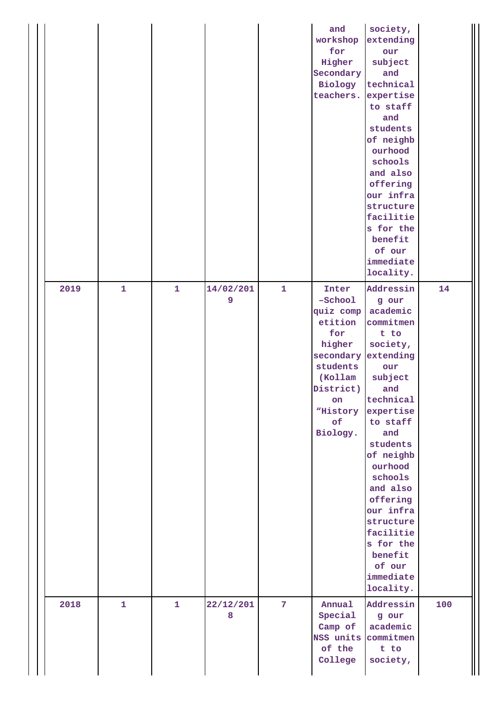|      |              |              |                |                | and<br>workshop<br>for<br>Higher<br>Secondary<br>Biology<br>teachers.                                                                          | society,<br>extending<br>our<br>subject<br>and<br>technical<br>expertise<br>to staff<br>and<br>students<br>of neighb<br>ourhood<br>schools<br>and also<br>offering<br>our infra<br>structure<br>facilitie<br>s for the<br>benefit<br>of our<br>immediate<br>locality.                                                        |     |
|------|--------------|--------------|----------------|----------------|------------------------------------------------------------------------------------------------------------------------------------------------|------------------------------------------------------------------------------------------------------------------------------------------------------------------------------------------------------------------------------------------------------------------------------------------------------------------------------|-----|
| 2019 | $\mathbf{1}$ | $\mathbf{1}$ | 14/02/201<br>9 | $\mathbf{1}$   | Inter<br>-School<br>quiz comp<br>etition<br>for<br>higher<br>secondary<br>students<br>(Kollam<br>District)<br>on<br>"History<br>of<br>Biology. | Addressin<br>g our<br>academic<br>commitmen<br>t to<br>society,<br>extending<br>our<br>subject<br>and<br>technical<br>expertise<br>to staff<br>and<br>students<br>of neighb<br>ourhood<br>schools<br>and also<br>offering<br>our infra<br>structure<br>facilitie<br>s for the<br>benefit<br>of our<br>immediate<br>locality. | 14  |
| 2018 | $\mathbf{1}$ | $\mathbf{1}$ | 22/12/201<br>8 | $\overline{7}$ | Annual<br>Special<br>Camp of<br>NSS units<br>of the<br>College                                                                                 | Addressin<br>g our<br>academic<br>commitmen<br>t to<br>society,                                                                                                                                                                                                                                                              | 100 |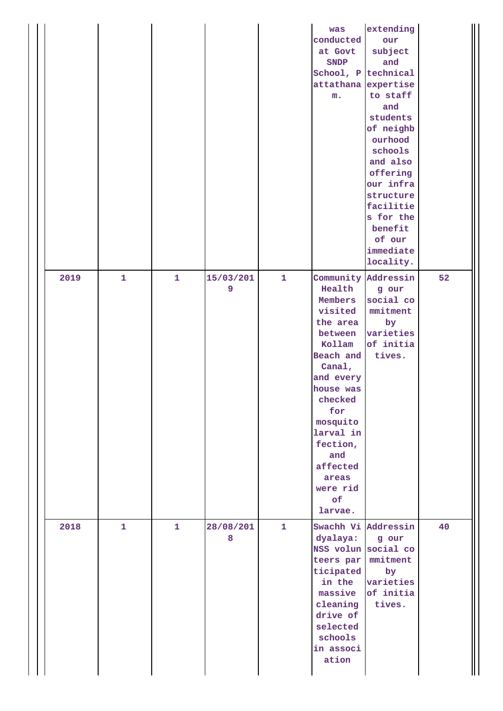|      |              |              |                |              | was<br>conducted<br>at Govt<br><b>SNDP</b><br>School, P<br>attathana<br>${\bf m}$ .                                                                                                                                            | extending<br>our<br>subject<br>and<br>technical<br>expertise<br>to staff<br>and<br>students<br>of neighb<br>ourhood<br>schools<br>and also<br>offering<br>our infra<br>structure<br>facilitie<br>s for the<br>benefit<br>of our<br>immediate<br>locality. |    |
|------|--------------|--------------|----------------|--------------|--------------------------------------------------------------------------------------------------------------------------------------------------------------------------------------------------------------------------------|-----------------------------------------------------------------------------------------------------------------------------------------------------------------------------------------------------------------------------------------------------------|----|
| 2019 | $\mathbf{1}$ | $\mathbf{1}$ | 15/03/201<br>9 | $\mathbf{1}$ | Health<br>Members<br>visited<br>the area<br>between<br>Kollam<br>Beach and<br>Canal,<br>and every<br>house was<br>checked<br>for<br>mosquito<br>larval in<br>fection,<br>and<br>affected<br>areas<br>were rid<br>of<br>larvae. | Community Addressin<br>g our<br>social co<br>$m$ nitment<br>by<br>varieties<br>of initia<br>tives.                                                                                                                                                        | 52 |
| 2018 | $\mathbf{1}$ | $\mathbf{1}$ | 28/08/201<br>8 | $\mathbf{1}$ | dyalaya:<br>NSS volun social co<br>teers par<br>ticipated<br>in the<br>massive<br>cleaning<br>drive of<br>selected<br>schools<br>in associ<br>ation                                                                            | Swachh Vi Addressin<br>g our<br>mmitment<br>by<br>varieties<br>of initia<br>tives.                                                                                                                                                                        | 40 |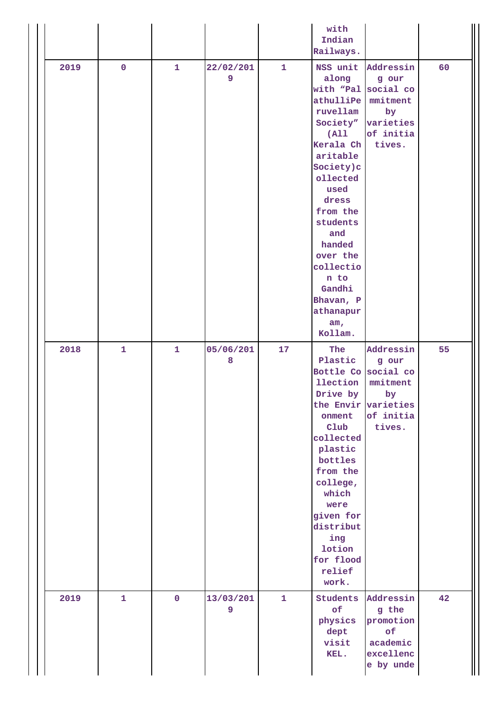|      |              |                |                |              | with<br>Indian<br>Railways.                                                                                                                                                                                                                                                            |                                                                                 |    |
|------|--------------|----------------|----------------|--------------|----------------------------------------------------------------------------------------------------------------------------------------------------------------------------------------------------------------------------------------------------------------------------------------|---------------------------------------------------------------------------------|----|
| 2019 | $\mathbf 0$  | $\mathbf{1}$   | 22/02/201<br>9 | $\mathbf{1}$ | along<br>with "Pal social co<br>athulliPe mmitment<br>ruvellam<br>Society"<br>(A11)<br>Kerala Ch<br>aritable<br>Society)c<br>ollected<br>used<br>dress<br>from the<br>students<br>and<br>handed<br>over the<br>collectio<br>n to<br>Gandhi<br>Bhavan, P<br>athanapur<br>am,<br>Kollam. | NSS unit Addressin<br>g our<br>by<br>varieties<br>of initia<br>tives.           | 60 |
| 2018 | $\mathbf{1}$ | $\mathbf{1}$   | 05/06/201<br>8 | 17           | The<br>Plastic<br>Bottle Co social co<br><b>llection</b><br>Drive by<br>the Envir varieties<br>onment<br>Club<br>collected<br>plastic<br>bottles<br>from the<br>college,<br>which<br>were<br>given for<br>distribut<br>ing<br>lotion<br>for flood<br>relief<br>work.                   | Addressin<br>g our<br>mmitment<br>$\mathbf{b}\mathbf{y}$<br>of initia<br>tives. | 55 |
| 2019 | $\mathbf{1}$ | $\overline{0}$ | 13/03/201<br>9 | $\mathbf{1}$ | Students<br>of<br>physics<br>dept<br>visit<br>KEL.                                                                                                                                                                                                                                     | Addressin<br>g the<br>promotion<br>of<br>academic<br>excellenc<br>e by unde     | 42 |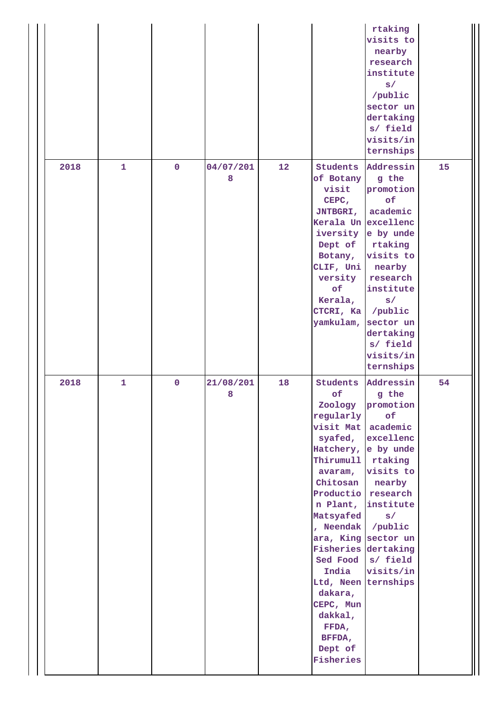|      |              |             |           |    |                      | rtaking            |    |
|------|--------------|-------------|-----------|----|----------------------|--------------------|----|
|      |              |             |           |    |                      | visits to          |    |
|      |              |             |           |    |                      | nearby             |    |
|      |              |             |           |    |                      | research           |    |
|      |              |             |           |    |                      | institute          |    |
|      |              |             |           |    |                      | s/                 |    |
|      |              |             |           |    |                      | /public            |    |
|      |              |             |           |    |                      | sector un          |    |
|      |              |             |           |    |                      | dertaking          |    |
|      |              |             |           |    |                      | s/ field           |    |
|      |              |             |           |    |                      |                    |    |
|      |              |             |           |    |                      | visits/in          |    |
|      |              |             |           |    |                      | ternships          |    |
| 2018 | $\mathbf{1}$ | $\mathbf 0$ | 04/07/201 | 12 | Students             | Addressin          | 15 |
|      |              |             | 8         |    | of Botany            | g the              |    |
|      |              |             |           |    | visit                | promotion          |    |
|      |              |             |           |    | CEPC,                | of                 |    |
|      |              |             |           |    | <b>JNTBGRI,</b>      | academic           |    |
|      |              |             |           |    | Kerala Un excellenc  |                    |    |
|      |              |             |           |    |                      | iversity e by unde |    |
|      |              |             |           |    | Dept of              | rtaking            |    |
|      |              |             |           |    |                      | visits to          |    |
|      |              |             |           |    | Botany,              |                    |    |
|      |              |             |           |    | CLIF, Uni            | nearby             |    |
|      |              |             |           |    | versity              | research           |    |
|      |              |             |           |    | of                   | institute          |    |
|      |              |             |           |    | Kerala,              | s/                 |    |
|      |              |             |           |    | CTCRI, Ka            | /public            |    |
|      |              |             |           |    | yamkulam,            | sector un          |    |
|      |              |             |           |    |                      | dertaking          |    |
|      |              |             |           |    |                      | s/ field           |    |
|      |              |             |           |    |                      |                    |    |
|      |              |             |           |    |                      | visits/in          |    |
|      |              |             |           |    |                      | ternships          |    |
|      |              |             |           |    |                      |                    |    |
| 2018 | $\mathbf{1}$ | $\mathbf 0$ | 21/08/201 | 18 | <b>Students</b>      | Addressin          | 54 |
|      |              |             | 8         |    | of                   | g the              |    |
|      |              |             |           |    | Zoology              | promotion          |    |
|      |              |             |           |    | regularly            | of                 |    |
|      |              |             |           |    | visit Mat            | academic           |    |
|      |              |             |           |    | syafed,              | excellenc          |    |
|      |              |             |           |    | Hatchery, e by unde  |                    |    |
|      |              |             |           |    | Thirumull            | rtaking            |    |
|      |              |             |           |    | avaram,              | visits to          |    |
|      |              |             |           |    | Chitosan             | nearby             |    |
|      |              |             |           |    | Productio research   |                    |    |
|      |              |             |           |    |                      | n Plant, institute |    |
|      |              |             |           |    | Matsyafed            | s/                 |    |
|      |              |             |           |    | , Neendak            | /public            |    |
|      |              |             |           |    | ara, King sector un  |                    |    |
|      |              |             |           |    | Fisheries dertaking  |                    |    |
|      |              |             |           |    |                      | Sed Food s/ field  |    |
|      |              |             |           |    | India                | visits/in          |    |
|      |              |             |           |    | Ltd, Neen ternships  |                    |    |
|      |              |             |           |    | dakara,              |                    |    |
|      |              |             |           |    | CEPC, Mun            |                    |    |
|      |              |             |           |    | dakkal,              |                    |    |
|      |              |             |           |    | FFDA,                |                    |    |
|      |              |             |           |    |                      |                    |    |
|      |              |             |           |    | BFFDA,               |                    |    |
|      |              |             |           |    | Dept of<br>Fisheries |                    |    |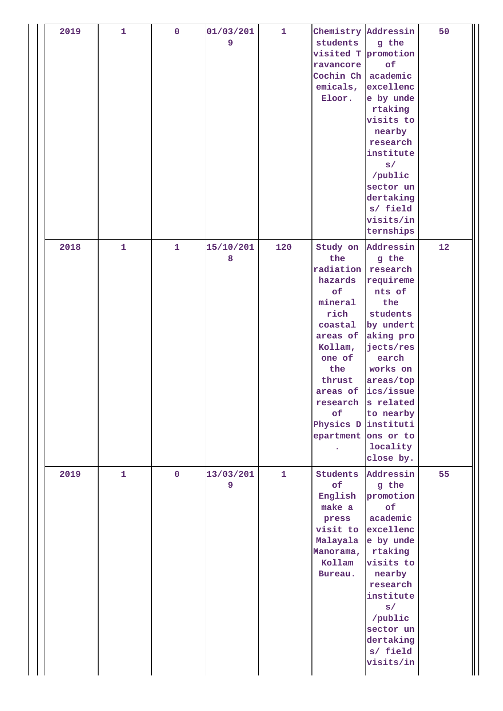| 2019 | $\mathbf{1}$ | $\pmb{0}$    | 01/03/201<br>9 | $\mathbf{1}$ | students<br>visited T promotion<br>ravancore<br>Cochin Ch<br>emicals,<br>Eloor.                                                                                                   | Chemistry Addressin<br>g the<br>of<br>academic<br>excellenc<br>e by unde<br>rtaking<br>visits to<br>nearby<br>research<br>institute<br>s/<br>/public<br>sector un<br>dertaking<br>s/ field<br>visits/in<br>ternships                | 50 |
|------|--------------|--------------|----------------|--------------|-----------------------------------------------------------------------------------------------------------------------------------------------------------------------------------|-------------------------------------------------------------------------------------------------------------------------------------------------------------------------------------------------------------------------------------|----|
| 2018 | $\mathbf{1}$ | $\mathbf{1}$ | 15/10/201<br>8 | 120          | Study on<br>the<br>radiation<br>hazards<br>of<br>mineral<br>rich<br>coastal<br>areas of<br>Kollam,<br>one of<br>the<br>thrust<br>of<br>Physics D instituti<br>epartment ons or to | Addressin<br>g the<br>research<br>requireme<br>nts of<br>the<br>students<br>by undert<br>aking pro<br>jects/res<br>earch<br>works on<br>areas/top<br>areas of ics/issue<br>research s related<br>to nearby<br>locality<br>close by. | 12 |
| 2019 | $\mathbf{1}$ | $\mathbf 0$  | 13/03/201<br>9 | $\mathbf{1}$ | of<br>English<br>make a<br>press<br>Malayala<br>Manorama,<br>Kollam<br>Bureau.                                                                                                    | Students Addressin<br>g the<br>promotion<br>of<br>academic<br>visit to excellenc<br>e by unde<br>rtaking<br>visits to<br>nearby<br>research<br>institute<br>s/<br>/public<br>sector un<br>dertaking<br>s/ field<br>visits/in        | 55 |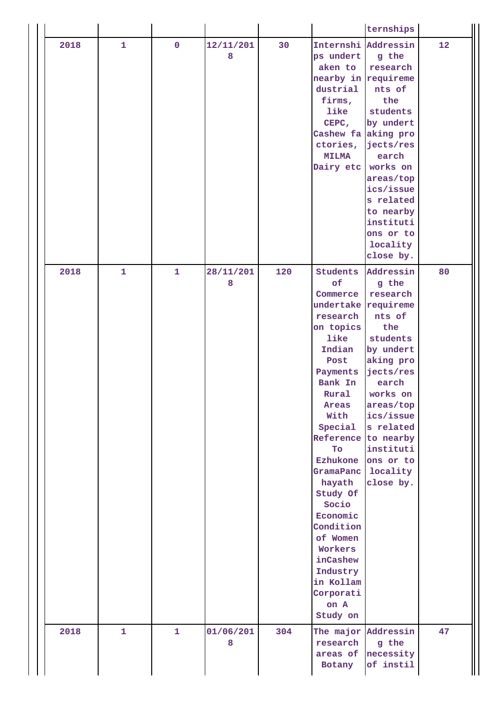|      |              |              |                |     |                                                                                                                                                                                                                                                                                                                                                                                             | ternships                                                                                                                                                                                             |    |
|------|--------------|--------------|----------------|-----|---------------------------------------------------------------------------------------------------------------------------------------------------------------------------------------------------------------------------------------------------------------------------------------------------------------------------------------------------------------------------------------------|-------------------------------------------------------------------------------------------------------------------------------------------------------------------------------------------------------|----|
| 2018 | $\mathbf{1}$ | $\mathbf 0$  | 12/11/201<br>8 | 30  | Internshi Addressin<br>ps undert<br>aken to<br>nearby in requireme<br>dustrial<br>firms,<br>like<br>CEPC,<br>Cashew fa aking pro<br>ctories,<br><b>MILMA</b><br>Dairy etc works on                                                                                                                                                                                                          | g the<br>research<br>nts of<br>the<br>students<br>by undert<br>jects/res<br>earch<br>areas/top<br>ics/issue<br>s related<br>to nearby<br>instituti<br>ons or to<br>locality<br>close by.              | 12 |
| 2018 | $\mathbf{1}$ | $\mathbf{1}$ | 28/11/201<br>8 | 120 | <b>Students</b><br>of<br>Commerce<br>undertake requireme<br>research<br>on topics<br>like<br>Indian<br>Post<br>Payments<br>Bank In<br>Rural<br>Areas<br>With<br>Special<br>Reference to nearby<br>To<br>Ezhukone<br>GramaPanc locality<br>hayath<br>Study Of<br>Socio<br>Economic<br>Condition<br>of Women<br>Workers<br>inCashew<br>Industry<br>in Kollam<br>Corporati<br>on A<br>Study on | Addressin<br>g the<br>research<br>nts of<br>the<br>students<br>by undert<br>aking pro<br>jects/res<br>earch<br>works on<br>areas/top<br>ics/issue<br>s related<br>instituti<br>ons or to<br>close by. | 80 |
| 2018 | $\mathbf{1}$ | $\mathbf{1}$ | 01/06/201<br>8 | 304 | The major Addressin<br>research<br>areas of<br>Botany                                                                                                                                                                                                                                                                                                                                       | g the<br>necessity<br>of instil                                                                                                                                                                       | 47 |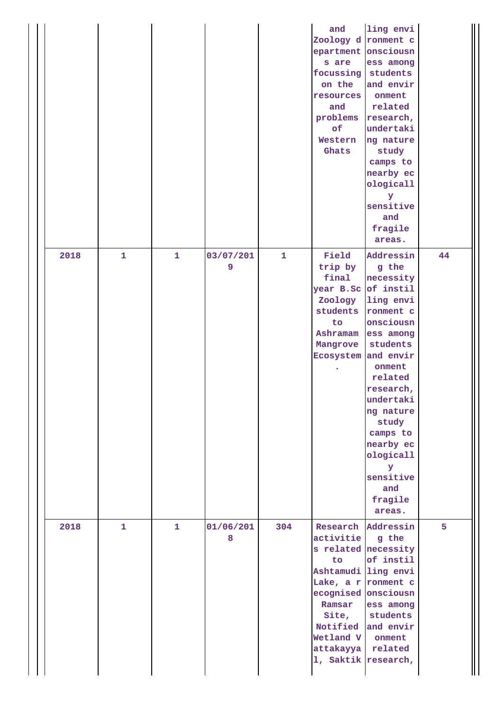|      |              |   |                |     | and<br>Zoology d ronment c<br>epartment onsciousn<br>s are<br>focussing<br>on the<br>resources<br>and<br>problems<br>of<br>Western<br>Ghats                                                 | ling envi<br>ess among<br>students<br>and envir<br>onment<br>related<br>research,<br>undertaki<br>ng nature<br>study<br>camps to<br>nearby ec<br>ologicall<br>У<br>sensitive<br>and<br>fragile<br>areas.                                                              |    |
|------|--------------|---|----------------|-----|---------------------------------------------------------------------------------------------------------------------------------------------------------------------------------------------|-----------------------------------------------------------------------------------------------------------------------------------------------------------------------------------------------------------------------------------------------------------------------|----|
| 2018 | 1            | 1 | 03/07/201<br>9 | 1   | Field<br>trip by<br>final<br>year B.Sc of instil<br>Zoology<br>students<br>to<br>Ashramam<br>Mangrove<br>Ecosystem                                                                          | Addressin<br>g the<br>necessity<br>ling envi<br>ronment c<br>onsciousn<br>ess among<br>students<br>and envir<br>onment<br>related<br>research,<br>undertaki<br>ng nature<br>study<br>camps to<br>nearby ec<br>ologicall<br>Y<br>sensitive<br>and<br>fragile<br>areas. | 44 |
| 2018 | $\mathbf{1}$ | 1 | 01/06/201<br>8 | 304 | activitie<br>s related necessity<br>to<br>Ashtamudi ling envi<br>Lake, a r ronment c<br>ecognised onsciousn<br>Ramsar<br>Site,<br>Notified<br>Wetland V<br>attakayya<br>1, Saktik research, | Research Addressin<br>g the<br>of instil<br>ess among<br>students<br>and envir<br>onment<br>related                                                                                                                                                                   | 5  |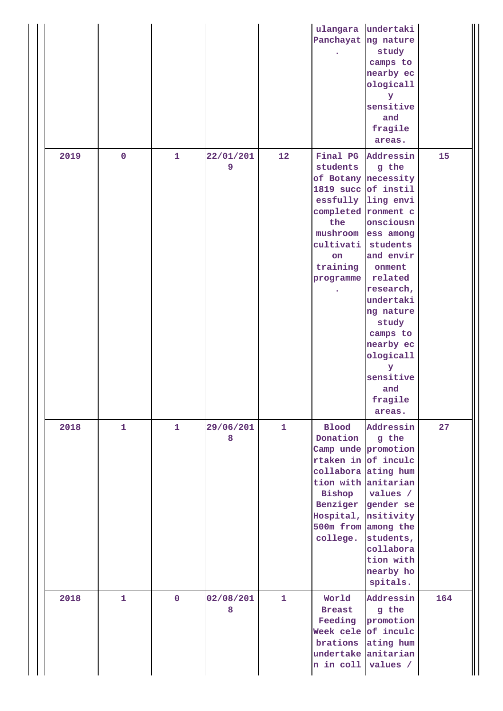|      |              |             |                |              | ulangara<br>Panchayat ng nature                                                                                       | undertaki<br>study<br>camps to<br>nearby ec<br>ologicall<br>У<br>sensitive<br>and<br>fragile<br>areas.                                                                                                                                                                               |     |
|------|--------------|-------------|----------------|--------------|-----------------------------------------------------------------------------------------------------------------------|--------------------------------------------------------------------------------------------------------------------------------------------------------------------------------------------------------------------------------------------------------------------------------------|-----|
| 2019 | $\mathbf 0$  | 1           | 22/01/201<br>9 | 12           | students<br>1819 succ of instil<br>completed ronment c<br>the<br>mushroom<br>cultivati<br>on<br>training<br>programme | Final PG Addressin<br>g the<br>of Botany necessity<br>essfully ling envi<br>onsciousn<br>ess among<br>students<br>and envir<br>onment<br>related<br>research,<br>undertaki<br>ng nature<br>study<br>camps to<br>nearby ec<br>ologicall<br>У<br>sensitive<br>and<br>fragile<br>areas. | 15  |
| 2018 | $\mathbf{1}$ | 1           | 29/06/201<br>8 | $\mathbf{1}$ | <b>Blood</b><br>Donation<br>Bishop<br>college.                                                                        | Addressin<br>g the<br>Camp unde promotion<br>rtaken in of inculc<br>collabora ating hum<br>tion with anitarian<br>values /<br>Benziger gender se<br>Hospital, nsitivity<br>500m from among the<br>students,<br>collabora<br>tion with<br>nearby ho<br>spitals.                       | 27  |
| 2018 | $\mathbf{1}$ | $\mathbf 0$ | 02/08/201<br>8 | $\mathbf{1}$ | World<br><b>Breast</b><br>Feeding<br>brations<br>undertake<br>n in coll                                               | Addressin<br>g the<br>promotion<br>Week cele of inculc<br>ating hum<br>anitarian<br>values /                                                                                                                                                                                         | 164 |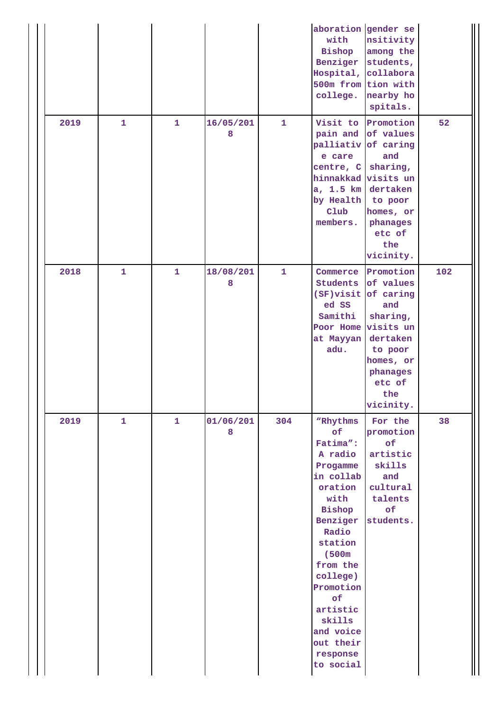|  | 2019 | $\mathbf{1}$ | 1            | 16/05/201<br>8 | $\mathbf{1}$ | aboration gender se<br>with<br>Bishop<br>Hospital, collabora<br>college.<br>Visit to                                                                                                                                                                      | nsitivity<br>among the<br>Benziger students,<br>500m from tion with<br>nearby ho<br>spitals.<br>Promotion<br>pain and of values                   | 52  |
|--|------|--------------|--------------|----------------|--------------|-----------------------------------------------------------------------------------------------------------------------------------------------------------------------------------------------------------------------------------------------------------|---------------------------------------------------------------------------------------------------------------------------------------------------|-----|
|  |      |              |              |                |              | e care<br>centre, C<br>hinnakkad<br>a, 1.5 km<br>by Health<br>$_{\text{Club}}$<br>members.                                                                                                                                                                | palliativ of caring<br>and<br>sharing,<br>visits un<br>dertaken<br>to poor<br>homes, or<br>phanages<br>etc of<br>the<br>vicinity.                 |     |
|  | 2018 | $\mathbf{1}$ | $\mathbf{1}$ | 18/08/201<br>8 | $\mathbf{1}$ | Commerce<br>Students<br>$(SF)$ visit<br>ed SS<br>Samithi<br>Poor Home<br>at Mayyan<br>adu.                                                                                                                                                                | Promotion<br>of values<br>of caring<br>and<br>sharing,<br>visits un<br>dertaken<br>to poor<br>homes, or<br>phanages<br>etc of<br>the<br>vicinity. | 102 |
|  | 2019 | $\mathbf{1}$ | $\mathbf{1}$ | 01/06/201<br>8 | 304          | "Rhythms<br>of<br>Fatima":<br>A radio<br>Progamme<br>in collab<br>oration<br>with<br>Bishop<br>Benziger<br>Radio<br>station<br>(500m)<br>from the<br>college)<br>Promotion<br>of<br>artistic<br>skills<br>and voice<br>out their<br>response<br>to social | For the<br>promotion<br>of<br>artistic<br>skills<br>and<br>cultural<br>talents<br>of<br>students.                                                 | 38  |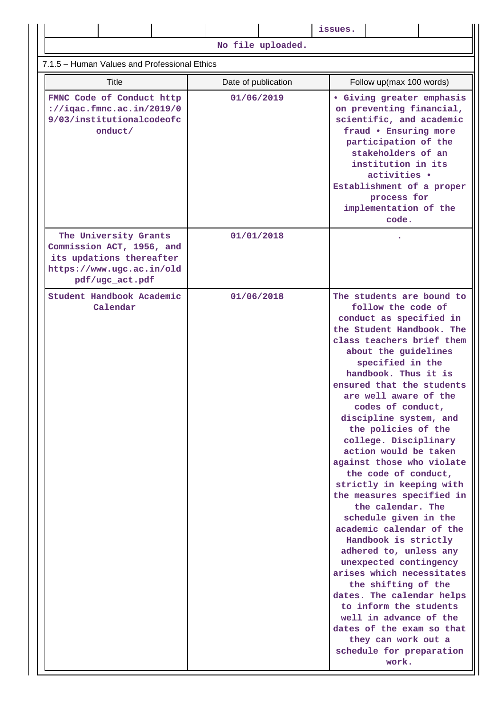|                                                                                                                                |                     | issues.                                                                                                                                                                                                                                                                                                                                                                                                                                                                                                                                                                                                                                                                                                                                                                                                                                                                                  |  |  |  |  |  |
|--------------------------------------------------------------------------------------------------------------------------------|---------------------|------------------------------------------------------------------------------------------------------------------------------------------------------------------------------------------------------------------------------------------------------------------------------------------------------------------------------------------------------------------------------------------------------------------------------------------------------------------------------------------------------------------------------------------------------------------------------------------------------------------------------------------------------------------------------------------------------------------------------------------------------------------------------------------------------------------------------------------------------------------------------------------|--|--|--|--|--|
|                                                                                                                                | No file uploaded.   |                                                                                                                                                                                                                                                                                                                                                                                                                                                                                                                                                                                                                                                                                                                                                                                                                                                                                          |  |  |  |  |  |
| 7.1.5 - Human Values and Professional Ethics                                                                                   |                     |                                                                                                                                                                                                                                                                                                                                                                                                                                                                                                                                                                                                                                                                                                                                                                                                                                                                                          |  |  |  |  |  |
| Title                                                                                                                          | Date of publication | Follow up(max 100 words)                                                                                                                                                                                                                                                                                                                                                                                                                                                                                                                                                                                                                                                                                                                                                                                                                                                                 |  |  |  |  |  |
| FMNC Code of Conduct http<br>$\frac{1}{2}$ //iqac.fmnc.ac.in/2019/0<br>9/03/institutionalcodeofc<br>onduct/                    | 01/06/2019          | <b>• Giving greater emphasis</b><br>on preventing financial,<br>scientific, and academic<br>fraud . Ensuring more<br>participation of the<br>stakeholders of an<br>institution in its<br>activities .<br>Establishment of a proper<br>process for<br>implementation of the<br>code.                                                                                                                                                                                                                                                                                                                                                                                                                                                                                                                                                                                                      |  |  |  |  |  |
| The University Grants<br>Commission ACT, 1956, and<br>its updations thereafter<br>https://www.ugc.ac.in/old<br>pdf/ugc_act.pdf | 01/01/2018          |                                                                                                                                                                                                                                                                                                                                                                                                                                                                                                                                                                                                                                                                                                                                                                                                                                                                                          |  |  |  |  |  |
| Student Handbook Academic<br>Calendar                                                                                          | 01/06/2018          | The students are bound to<br>follow the code of<br>conduct as specified in<br>the Student Handbook. The<br>class teachers brief them<br>about the guidelines<br>specified in the<br>handbook. Thus it is<br>ensured that the students<br>are well aware of the<br>codes of conduct,<br>discipline system, and<br>the policies of the<br>college. Disciplinary<br>action would be taken<br>against those who violate<br>the code of conduct,<br>strictly in keeping with<br>the measures specified in<br>the calendar. The<br>schedule given in the<br>academic calendar of the<br>Handbook is strictly<br>adhered to, unless any<br>unexpected contingency<br>arises which necessitates<br>the shifting of the<br>dates. The calendar helps<br>to inform the students<br>well in advance of the<br>dates of the exam so that<br>they can work out a<br>schedule for preparation<br>work. |  |  |  |  |  |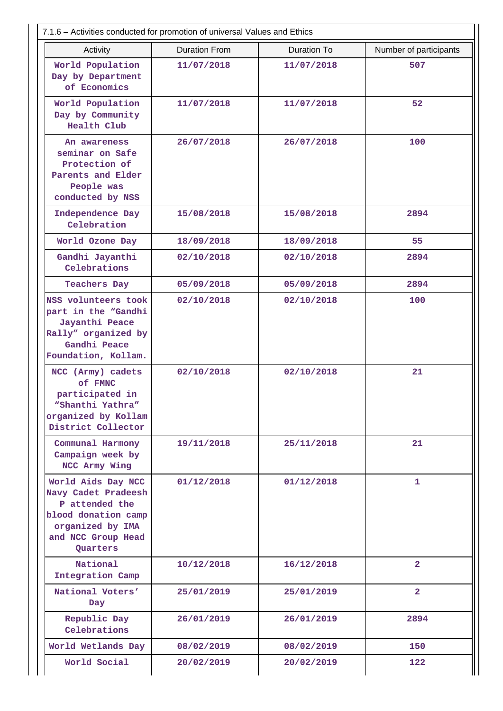| 7.1.6 – Activities conducted for promotion of universal Values and Ethics                                                                |                      |                    |                        |  |  |
|------------------------------------------------------------------------------------------------------------------------------------------|----------------------|--------------------|------------------------|--|--|
| Activity                                                                                                                                 | <b>Duration From</b> | <b>Duration To</b> | Number of participants |  |  |
| World Population<br>Day by Department<br>of Economics                                                                                    | 11/07/2018           | 11/07/2018         | 507                    |  |  |
| World Population<br>Day by Community<br>Health Club                                                                                      | 11/07/2018           | 11/07/2018         | 52                     |  |  |
| An awareness<br>seminar on Safe<br>Protection of<br>Parents and Elder<br>People was<br>conducted by NSS                                  | 26/07/2018           | 26/07/2018         | 100                    |  |  |
| Independence Day<br>Celebration                                                                                                          | 15/08/2018           | 15/08/2018         | 2894                   |  |  |
| World Ozone Day                                                                                                                          | 18/09/2018           | 18/09/2018         | 55                     |  |  |
| Gandhi Jayanthi<br>Celebrations                                                                                                          | 02/10/2018           | 02/10/2018         | 2894                   |  |  |
| <b>Teachers Day</b>                                                                                                                      | 05/09/2018           | 05/09/2018         | 2894                   |  |  |
| NSS volunteers took<br>part in the "Gandhi<br>Jayanthi Peace<br>Rally" organized by<br>Gandhi Peace<br>Foundation, Kollam.               | 02/10/2018           | 02/10/2018         | 100                    |  |  |
| NCC (Army) cadets<br>of FMNC<br>participated in<br>"Shanthi Yathra"<br>organized by Kollam<br>District Collector                         | 02/10/2018           | 02/10/2018         | 21                     |  |  |
| Communal Harmony<br>Campaign week by<br>NCC Army Wing                                                                                    | 19/11/2018           | 25/11/2018         | 21                     |  |  |
| World Aids Day NCC<br>Navy Cadet Pradeesh<br>P attended the<br>blood donation camp<br>organized by IMA<br>and NCC Group Head<br>Quarters | 01/12/2018           | 01/12/2018         | $\mathbf{1}$           |  |  |
| National<br>Integration Camp                                                                                                             | 10/12/2018           | 16/12/2018         | $\overline{2}$         |  |  |
| National Voters'<br>Day                                                                                                                  | 25/01/2019           | 25/01/2019         | $\overline{2}$         |  |  |
| Republic Day<br>Celebrations                                                                                                             | 26/01/2019           | 26/01/2019         | 2894                   |  |  |
| World Wetlands Day                                                                                                                       | 08/02/2019           | 08/02/2019         | 150                    |  |  |
| World Social                                                                                                                             | 20/02/2019           | 20/02/2019         | 122                    |  |  |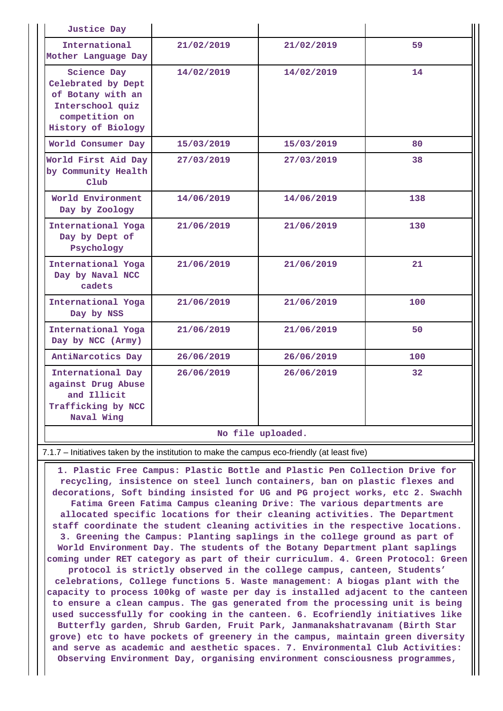| <b>Justice Day</b>                                                                                                        |            |            |                 |  |
|---------------------------------------------------------------------------------------------------------------------------|------------|------------|-----------------|--|
| International<br>Mother Language Day                                                                                      | 21/02/2019 | 21/02/2019 | 59              |  |
| <b>Science Day</b><br>Celebrated by Dept<br>of Botany with an<br>Interschool quiz<br>competition on<br>History of Biology | 14/02/2019 | 14/02/2019 | 14              |  |
| World Consumer Day                                                                                                        | 15/03/2019 | 15/03/2019 | 80              |  |
| World First Aid Day<br>by Community Health<br>C1ub                                                                        | 27/03/2019 | 27/03/2019 | 38              |  |
| World Environment<br>Day by Zoology                                                                                       | 14/06/2019 | 14/06/2019 | 138             |  |
| International Yoga<br>Day by Dept of<br>Psychology                                                                        | 21/06/2019 | 21/06/2019 | 130             |  |
| International Yoga<br>Day by Naval NCC<br>cadets                                                                          | 21/06/2019 | 21/06/2019 | 21              |  |
| International Yoga<br>Day by NSS                                                                                          | 21/06/2019 | 21/06/2019 | 100             |  |
| International Yoga<br>Day by NCC (Army)                                                                                   | 21/06/2019 | 21/06/2019 | 50              |  |
| AntiNarcotics Day                                                                                                         | 26/06/2019 | 26/06/2019 | 100             |  |
| International Day<br>against Drug Abuse<br>and Illicit<br>Trafficking by NCC<br>Naval Wing                                | 26/06/2019 | 26/06/2019 | 32 <sup>2</sup> |  |
| No file uploaded.                                                                                                         |            |            |                 |  |

# 7.1.7 – Initiatives taken by the institution to make the campus eco-friendly (at least five)

 **1. Plastic Free Campus: Plastic Bottle and Plastic Pen Collection Drive for recycling, insistence on steel lunch containers, ban on plastic flexes and decorations, Soft binding insisted for UG and PG project works, etc 2. Swachh Fatima Green Fatima Campus cleaning Drive: The various departments are allocated specific locations for their cleaning activities. The Department staff coordinate the student cleaning activities in the respective locations. 3. Greening the Campus: Planting saplings in the college ground as part of World Environment Day. The students of the Botany Department plant saplings coming under RET category as part of their curriculum. 4. Green Protocol: Green protocol is strictly observed in the college campus, canteen, Students' celebrations, College functions 5. Waste management: A biogas plant with the capacity to process 100kg of waste per day is installed adjacent to the canteen to ensure a clean campus. The gas generated from the processing unit is being used successfully for cooking in the canteen. 6. Ecofriendly initiatives like Butterfly garden, Shrub Garden, Fruit Park, Janmanakshatravanam (Birth Star grove) etc to have pockets of greenery in the campus, maintain green diversity and serve as academic and aesthetic spaces. 7. Environmental Club Activities: Observing Environment Day, organising environment consciousness programmes,**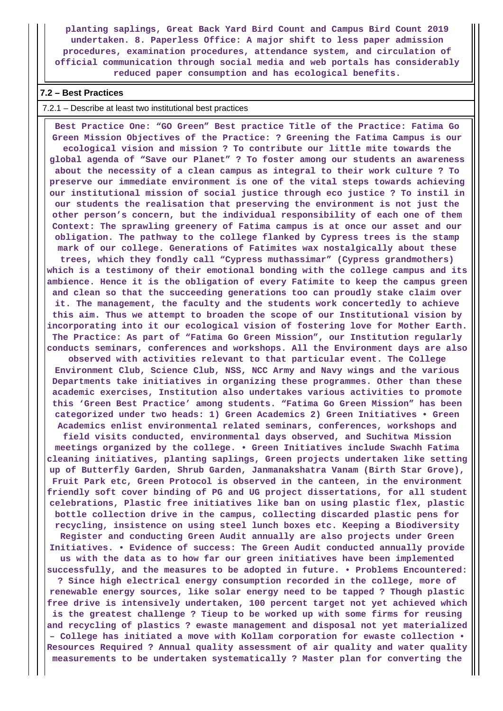**planting saplings, Great Back Yard Bird Count and Campus Bird Count 2019 undertaken. 8. Paperless Office: A major shift to less paper admission procedures, examination procedures, attendance system, and circulation of official communication through social media and web portals has considerably reduced paper consumption and has ecological benefits.**

# **7.2 – Best Practices**

### 7.2.1 – Describe at least two institutional best practices

 **Best Practice One: "GO Green" Best practice Title of the Practice: Fatima Go Green Mission Objectives of the Practice: ? Greening the Fatima Campus is our ecological vision and mission ? To contribute our little mite towards the global agenda of "Save our Planet" ? To foster among our students an awareness about the necessity of a clean campus as integral to their work culture ? To preserve our immediate environment is one of the vital steps towards achieving our institutional mission of social justice through eco justice ? To instil in our students the realisation that preserving the environment is not just the other person's concern, but the individual responsibility of each one of them Context: The sprawling greenery of Fatima campus is at once our asset and our obligation. The pathway to the college flanked by Cypress trees is the stamp mark of our college. Generations of Fatimites wax nostalgically about these trees, which they fondly call "Cypress muthassimar" (Cypress grandmothers) which is a testimony of their emotional bonding with the college campus and its ambience. Hence it is the obligation of every Fatimite to keep the campus green and clean so that the succeeding generations too can proudly stake claim over it. The management, the faculty and the students work concertedly to achieve this aim. Thus we attempt to broaden the scope of our Institutional vision by incorporating into it our ecological vision of fostering love for Mother Earth.**

**conducts seminars, conferences and workshops. All the Environment days are also observed with activities relevant to that particular event. The College Environment Club, Science Club, NSS, NCC Army and Navy wings and the various Departments take initiatives in organizing these programmes. Other than these academic exercises, Institution also undertakes various activities to promote this 'Green Best Practice' among students. "Fatima Go Green Mission" has been categorized under two heads: 1) Green Academics 2) Green Initiatives • Green Academics enlist environmental related seminars, conferences, workshops and**

**The Practice: As part of "Fatima Go Green Mission", our Institution regularly**

**field visits conducted, environmental days observed, and Suchitwa Mission meetings organized by the college. • Green Initiatives include Swachh Fatima cleaning initiatives, planting saplings, Green projects undertaken like setting up of Butterfly Garden, Shrub Garden, Janmanakshatra Vanam (Birth Star Grove), Fruit Park etc, Green Protocol is observed in the canteen, in the environment friendly soft cover binding of PG and UG project dissertations, for all student celebrations, Plastic free initiatives like ban on using plastic flex, plastic bottle collection drive in the campus, collecting discarded plastic pens for recycling, insistence on using steel lunch boxes etc. Keeping a Biodiversity**

**Register and conducting Green Audit annually are also projects under Green Initiatives. • Evidence of success: The Green Audit conducted annually provide us with the data as to how far our green initiatives have been implemented successfully, and the measures to be adopted in future. • Problems Encountered:**

**? Since high electrical energy consumption recorded in the college, more of renewable energy sources, like solar energy need to be tapped ? Though plastic free drive is intensively undertaken, 100 percent target not yet achieved which is the greatest challenge ? Tieup to be worked up with some firms for reusing and recycling of plastics ? ewaste management and disposal not yet materialized – College has initiated a move with Kollam corporation for ewaste collection • Resources Required ? Annual quality assessment of air quality and water quality measurements to be undertaken systematically ? Master plan for converting the**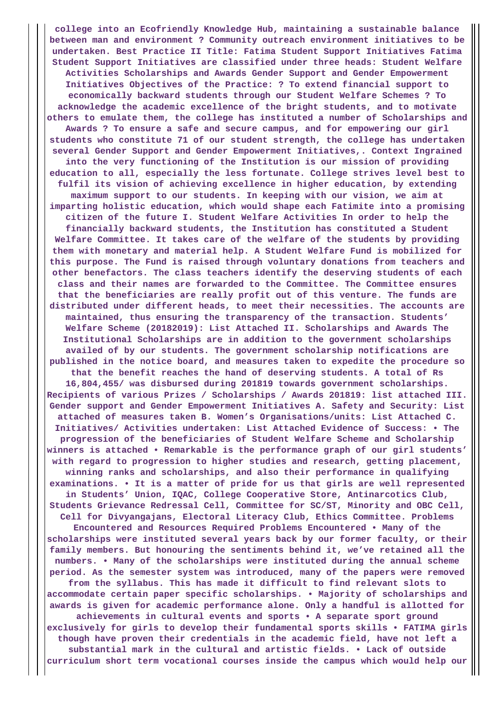**college into an Ecofriendly Knowledge Hub, maintaining a sustainable balance between man and environment ? Community outreach environment initiatives to be undertaken. Best Practice II Title: Fatima Student Support Initiatives Fatima Student Support Initiatives are classified under three heads: Student Welfare Activities Scholarships and Awards Gender Support and Gender Empowerment Initiatives Objectives of the Practice: ? To extend financial support to economically backward students through our Student Welfare Schemes ? To acknowledge the academic excellence of the bright students, and to motivate others to emulate them, the college has instituted a number of Scholarships and Awards ? To ensure a safe and secure campus, and for empowering our girl students who constitute 71 of our student strength, the college has undertaken several Gender Support and Gender Empowerment Initiatives,. Context Ingrained into the very functioning of the Institution is our mission of providing education to all, especially the less fortunate. College strives level best to fulfil its vision of achieving excellence in higher education, by extending maximum support to our students. In keeping with our vision, we aim at imparting holistic education, which would shape each Fatimite into a promising citizen of the future I. Student Welfare Activities In order to help the financially backward students, the Institution has constituted a Student Welfare Committee. It takes care of the welfare of the students by providing them with monetary and material help. A Student Welfare Fund is mobilized for this purpose. The Fund is raised through voluntary donations from teachers and other benefactors. The class teachers identify the deserving students of each class and their names are forwarded to the Committee. The Committee ensures that the beneficiaries are really profit out of this venture. The funds are distributed under different heads, to meet their necessities. The accounts are maintained, thus ensuring the transparency of the transaction. Students' Welfare Scheme (20182019): List Attached II. Scholarships and Awards The Institutional Scholarships are in addition to the government scholarships availed of by our students. The government scholarship notifications are published in the notice board, and measures taken to expedite the procedure so that the benefit reaches the hand of deserving students. A total of Rs 16,804,455/ was disbursed during 201819 towards government scholarships. Recipients of various Prizes / Scholarships / Awards 201819: list attached III. Gender support and Gender Empowerment Initiatives A. Safety and Security: List attached of measures taken B. Women's Organisations/units: List Attached C. Initiatives/ Activities undertaken: List Attached Evidence of Success: • The progression of the beneficiaries of Student Welfare Scheme and Scholarship winners is attached • Remarkable is the performance graph of our girl students' with regard to progression to higher studies and research, getting placement, winning ranks and scholarships, and also their performance in qualifying examinations. • It is a matter of pride for us that girls are well represented in Students' Union, IQAC, College Cooperative Store, Antinarcotics Club, Students Grievance Redressal Cell, Committee for SC/ST, Minority and OBC Cell, Cell for Divyangajans, Electoral Literacy Club, Ethics Committee. Problems Encountered and Resources Required Problems Encountered • Many of the scholarships were instituted several years back by our former faculty, or their family members. But honouring the sentiments behind it, we've retained all the numbers. • Many of the scholarships were instituted during the annual scheme period. As the semester system was introduced, many of the papers were removed from the syllabus. This has made it difficult to find relevant slots to accommodate certain paper specific scholarships. • Majority of scholarships and awards is given for academic performance alone. Only a handful is allotted for achievements in cultural events and sports • A separate sport ground exclusively for girls to develop their fundamental sports skills • FATIMA girls though have proven their credentials in the academic field, have not left a substantial mark in the cultural and artistic fields. • Lack of outside curriculum short term vocational courses inside the campus which would help our**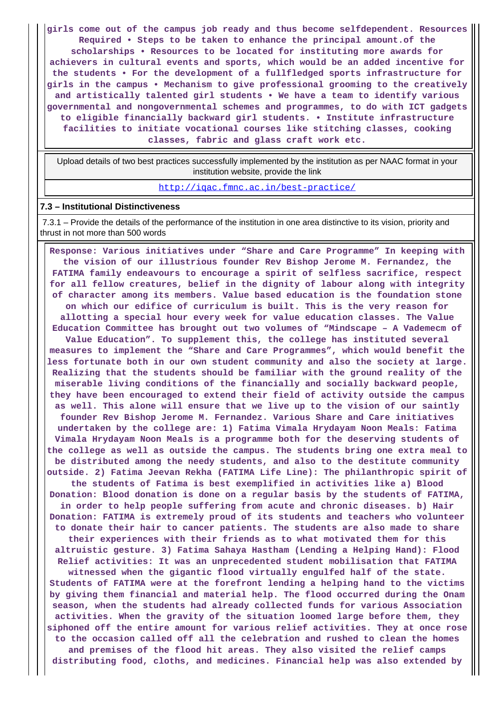**girls come out of the campus job ready and thus become selfdependent. Resources Required • Steps to be taken to enhance the principal amount.of the scholarships • Resources to be located for instituting more awards for achievers in cultural events and sports, which would be an added incentive for the students • For the development of a fullfledged sports infrastructure for girls in the campus • Mechanism to give professional grooming to the creatively and artistically talented girl students • We have a team to identify various governmental and nongovernmental schemes and programmes, to do with ICT gadgets to eligible financially backward girl students. • Institute infrastructure facilities to initiate vocational courses like stitching classes, cooking classes, fabric and glass craft work etc.**

 Upload details of two best practices successfully implemented by the institution as per NAAC format in your institution website, provide the link

<http://iqac.fmnc.ac.in/best-practice/>

## **7.3 – Institutional Distinctiveness**

 7.3.1 – Provide the details of the performance of the institution in one area distinctive to its vision, priority and thrust in not more than 500 words

 **Response: Various initiatives under "Share and Care Programme" In keeping with the vision of our illustrious founder Rev Bishop Jerome M. Fernandez, the FATIMA family endeavours to encourage a spirit of selfless sacrifice, respect for all fellow creatures, belief in the dignity of labour along with integrity of character among its members. Value based education is the foundation stone on which our edifice of curriculum is built. This is the very reason for allotting a special hour every week for value education classes. The Value Education Committee has brought out two volumes of "Mindscape – A Vademecm of Value Education". To supplement this, the college has instituted several measures to implement the "Share and Care Programmes", which would benefit the less fortunate both in our own student community and also the society at large. Realizing that the students should be familiar with the ground reality of the miserable living conditions of the financially and socially backward people, they have been encouraged to extend their field of activity outside the campus as well. This alone will ensure that we live up to the vision of our saintly founder Rev Bishop Jerome M. Fernandez. Various Share and Care initiatives undertaken by the college are: 1) Fatima Vimala Hrydayam Noon Meals: Fatima Vimala Hrydayam Noon Meals is a programme both for the deserving students of the college as well as outside the campus. The students bring one extra meal to be distributed among the needy students, and also to the destitute community outside. 2) Fatima Jeevan Rekha (FATIMA Life Line): The philanthropic spirit of the students of Fatima is best exemplified in activities like a) Blood Donation: Blood donation is done on a regular basis by the students of FATIMA, in order to help people suffering from acute and chronic diseases. b) Hair Donation: FATIMA is extremely proud of its students and teachers who volunteer to donate their hair to cancer patients. The students are also made to share their experiences with their friends as to what motivated them for this altruistic gesture. 3) Fatima Sahaya Hastham (Lending a Helping Hand): Flood Relief activities: It was an unprecedented student mobilisation that FATIMA witnessed when the gigantic flood virtually engulfed half of the state. Students of FATIMA were at the forefront lending a helping hand to the victims by giving them financial and material help. The flood occurred during the Onam season, when the students had already collected funds for various Association activities. When the gravity of the situation loomed large before them, they siphoned off the entire amount for various relief activities. They at once rose to the occasion called off all the celebration and rushed to clean the homes and premises of the flood hit areas. They also visited the relief camps distributing food, cloths, and medicines. Financial help was also extended by**